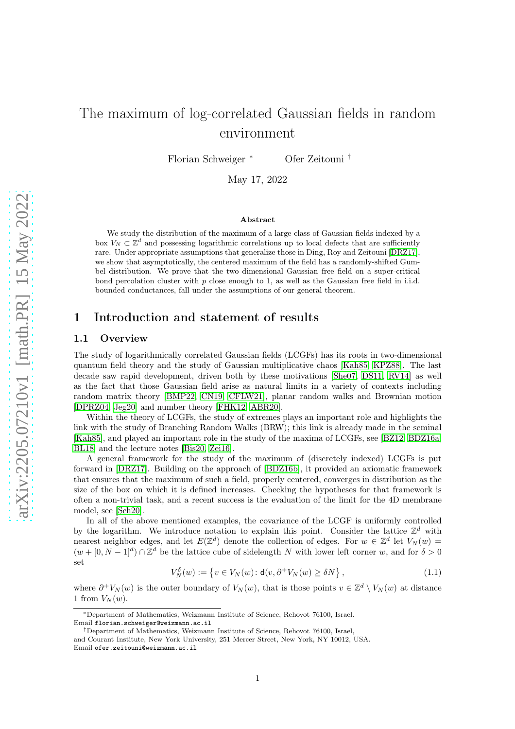# The maximum of log-correlated Gaussian fields in random environment

Florian Schweiger <sup>∗</sup> Ofer Zeitouni †

May 17, 2022

#### Abstract

We study the distribution of the maximum of a large class of Gaussian fields indexed by a box  $V_N \subset \mathbb{Z}^d$  and possessing logarithmic correlations up to local defects that are sufficiently rare. Under appropriate assumptions that generalize those in Ding, Roy and Zeitouni [\[DRZ17\]](#page-62-0), we show that asymptotically, the centered maximum of the field has a randomly-shifted Gumbel distribution. We prove that the two dimensional Gaussian free field on a super-critical bond percolation cluster with  $p$  close enough to 1, as well as the Gaussian free field in i.i.d. bounded conductances, fall under the assumptions of our general theorem.

## 1 Introduction and statement of results

## 1.1 Overview

The study of logarithmically correlated Gaussian fields (LCGFs) has its roots in two-dimensional quantum field theory and the study of Gaussian multiplicative chaos [\[Kah85,](#page-62-1) [KPZ88\]](#page-62-2). The last decade saw rapid development, driven both by these motivations [\[She07,](#page-62-3) [DS11,](#page-62-4) [RV14\]](#page-62-5) as well as the fact that those Gaussian field arise as natural limits in a variety of contexts including random matrix theory [\[BMP22,](#page-61-0) [CN19,](#page-61-1) [CFLW21\]](#page-61-2), planar random walks and Brownian motion [\[DPRZ04,](#page-62-6) [Jeg20\]](#page-62-7) and number theory [\[FHK12,](#page-62-8) [ABR20\]](#page-60-0).

Within the theory of LCGFs, the study of extremes plays an important role and highlights the link with the study of Branching Random Walks (BRW); this link is already made in the seminal [\[Kah85\]](#page-62-1), and played an important role in the study of the maxima of LCGFs, see [\[BZ12,](#page-61-3) [BDZ16a,](#page-61-4) [BL18\]](#page-61-5) and the lecture notes [\[Bis20,](#page-61-6) [Zei16\]](#page-62-9).

A general framework for the study of the maximum of (discretely indexed) LCGFs is put forward in [\[DRZ17\]](#page-62-0). Building on the approach of [\[BDZ16b\]](#page-61-7), it provided an axiomatic framework that ensures that the maximum of such a field, properly centered, converges in distribution as the size of the box on which it is defined increases. Checking the hypotheses for that framework is often a non-trivial task, and a recent success is the evaluation of the limit for the 4D membrane model, see [\[Sch20\]](#page-62-10).

In all of the above mentioned examples, the covariance of the LCGF is uniformly controlled by the logarithm. We introduce notation to explain this point. Consider the lattice  $\mathbb{Z}^d$  with nearest neighbor edges, and let  $E(\mathbb{Z}^d)$  denote the collection of edges. For  $w \in \mathbb{Z}^d$  let  $V_N(w) =$  $(w + [0, N - 1]^d) \cap \mathbb{Z}^d$  be the lattice cube of sidelength N with lower left corner w, and for  $\delta > 0$ set

$$
V_N^{\delta}(w) := \left\{ v \in V_N(w) \colon \mathsf{d}(v, \partial^+ V_N(w) \ge \delta N \right\},\tag{1.1}
$$

where  $\partial^+ V_N(w)$  is the outer boundary of  $V_N(w)$ , that is those points  $v \in \mathbb{Z}^d \setminus V_N(w)$  at distance 1 from  $V_N(w)$ .

<sup>∗</sup>Department of Mathematics, Weizmann Institute of Science, Rehovot 76100, Israel. Email florian.schweiger@weizmann.ac.il

<sup>†</sup>Department of Mathematics, Weizmann Institute of Science, Rehovot 76100, Israel, and Courant Institute, New York University, 251 Mercer Street, New York, NY 10012, USA. Email ofer.zeitouni@weizmann.ac.il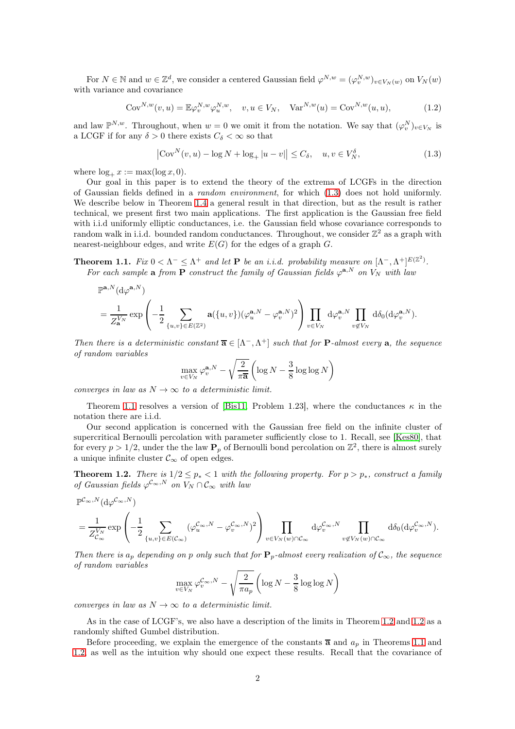For  $N \in \mathbb{N}$  and  $w \in \mathbb{Z}^d$ , we consider a centered Gaussian field  $\varphi^{N,w} = (\varphi^{N,w}_v)_{v \in V_N(w)}$  on  $V_N(w)$ with variance and covariance

$$
Cov^{N,w}(v,u) = \mathbb{E}\varphi_v^{N,w}\varphi_u^{N,w}, \quad v, u \in V_N, \quad \text{Var}^{N,w}(u) = \text{Cov}^{N,w}(u,u),\tag{1.2}
$$

and law  $\mathbb{P}^{N,w}$ . Throughout, when  $w=0$  we omit it from the notation. We say that  $(\varphi_v^N)_{v\in V_N}$  is a LCGF if for any  $\delta > 0$  there exists  $C_{\delta} < \infty$  so that

<span id="page-1-0"></span>
$$
\left|\operatorname{Cov}^N(v, u) - \log N + \log_+|u - v|\right| \le C_\delta, \quad u, v \in V_N^\delta,\tag{1.3}
$$

where  $\log_+ x := \max(\log x, 0)$ .

Our goal in this paper is to extend the theory of the extrema of LCGFs in the direction of Gaussian fields defined in a random environment, for which [\(1.3\)](#page-1-0) does not hold uniformly. We describe below in Theorem [1.4](#page-3-0) a general result in that direction, but as the result is rather technical, we present first two main applications. The first application is the Gaussian free field with i.i.d uniformly elliptic conductances, i.e. the Gaussian field whose covariance corresponds to random walk in i.i.d. bounded random conductances. Throughout, we consider  $\mathbb{Z}^2$  as a graph with nearest-neighbour edges, and write  $E(G)$  for the edges of a graph  $G$ .

<span id="page-1-1"></span>**Theorem 1.1.** Fix  $0 < \Lambda^- \leq \Lambda^+$  and let **P** be an i.i.d. probability measure on  $[\Lambda^-,\Lambda^+]^{E(\mathbb{Z}^2)}$ . For each sample **a** from  $\overline{P}$  construct the family of Gaussian fields  $\varphi^{a,N}$  on  $V_N$  with law

$$
\begin{split} &\mathbb{P}^{{\bf a},N}(\mathrm{d}\varphi^{{\bf a},N})\\ &=\frac{1}{Z^{V_N}_{{\bf a}}}\exp\left(-\frac{1}{2}\sum_{\{u,v\}\in E(\mathbb{Z}^2)}{\bf a}(\{u,v\})(\varphi^{{\bf a},N}_u-\varphi^{{\bf a},N}_v)^2\right)\prod_{v\in V_N}\,\mathrm{d}\varphi^{{\bf a},N}_v\prod_{v\not\in V_N}\,\mathrm{d}\delta_0(\mathrm{d}\varphi^{{\bf a},N}_v). \end{split}
$$

Then there is a deterministic constant  $\overline{\mathbf{a}} \in [\Lambda^-, \Lambda^+]$  such that for **P**-almost every **a**, the sequence of random variables

$$
\max_{v \in V_N} \varphi_v^{\mathbf{a}, N} - \sqrt{\frac{2}{\pi \mathbf{a}}} \left( \log N - \frac{3}{8} \log \log N \right)
$$

converges in law as  $N \to \infty$  to a deterministic limit.

Theorem [1.1](#page-1-1) resolves a version of [\[Bis11,](#page-61-8) Problem 1.23], where the conductances  $\kappa$  in the notation there are i.i.d.

Our second application is concerned with the Gaussian free field on the infinite cluster of supercritical Bernoulli percolation with parameter sufficiently close to 1. Recall, see [\[Kes80\]](#page-62-11), that for every  $p > 1/2$ , under the the law  $P_p$  of Bernoulli bond percolation on  $\mathbb{Z}^2$ , there is almost surely a unique infinite cluster  $\mathcal{C}_{\infty}$  of open edges.

<span id="page-1-2"></span>**Theorem 1.2.** There is  $1/2 \le p_* < 1$  with the following property. For  $p > p_*$ , construct a family of Gaussian fields  $\varphi^{c_{\infty},N}$  on  $V_N \cap C_{\infty}$  with law

$$
\begin{split} &\mathbb{P}^{\mathcal{C}_\infty, N}(\mathrm{d} \varphi^{\mathcal{C}_\infty, N}) \\ &= \frac{1}{Z_{\mathcal{C}_\infty}^{V_N}} \exp \left(-\frac{1}{2} \sum_{\{u,v\} \in E(\mathcal{C}_\infty)} (\varphi_u^{\mathcal{C}_\infty, N} - \varphi_v^{\mathcal{C}_\infty, N})^2\right) \prod_{v \in V_N(w) \cap \mathcal{C}_\infty} \mathrm{d} \varphi_v^{\mathcal{C}_\infty, N} \prod_{v \not\in V_N(w) \cap \mathcal{C}_\infty} \mathrm{d} \delta_0(\mathrm{d} \varphi_v^{\mathcal{C}_\infty, N}). \end{split}
$$

Then there is  $a_p$  depending on p only such that for  $P_p$ -almost every realization of  $\mathcal{C}_{\infty}$ , the sequence of random variables

$$
\max_{v \in V_N} \varphi_v^{\mathcal{C}_{\infty},N} - \sqrt{\frac{2}{\pi a_p}} \left( \log N - \frac{3}{8} \log \log N \right)
$$

converges in law as  $N \to \infty$  to a deterministic limit.

As in the case of LCGF's, we also have a description of the limits in Theorem [1.2](#page-1-2) and [1.2](#page-1-2) as a randomly shifted Gumbel distribution.

Before proceeding, we explain the emergence of the constants  $\bar{a}$  and  $a_p$  in Theorems [1.1](#page-1-1) and [1.2,](#page-1-2) as well as the intuition why should one expect these results. Recall that the covariance of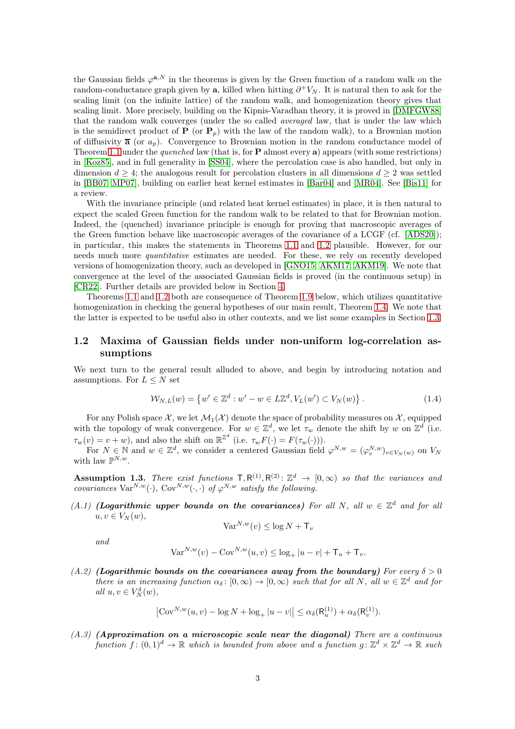the Gaussian fields  $\varphi^{a,N}$  in the theorems is given by the Green function of a random walk on the random-conductance graph given by a, killed when hitting  $\partial^+ V_N$ . It is natural then to ask for the scaling limit (on the infinite lattice) of the random walk, and homogenization theory gives that scaling limit. More precisely, building on the Kipnis-Varadhan theory, it is proved in [\[DMFGW88\]](#page-62-12) that the random walk converges (under the so called averaged law, that is under the law which is the semidirect product of  $P$  (or  $P_p$ ) with the law of the random walk), to a Brownian motion of diffusivity  $\bar{a}$  (or  $a_p$ ). Convergence to Brownian motion in the random conductance model of Theorem [1.1](#page-1-1) under the *quenched* law (that is, for  $P$  almost every a) appears (with some restrictions) in [\[Koz85\]](#page-62-13), and in full generality in [\[SS04\]](#page-62-14), where the percolation case is also handled, but only in dimension  $d \geq 4$ ; the analogous result for percolation clusters in all dimensions  $d \geq 2$  was settled in [\[BB07,](#page-61-9) [MP07\]](#page-62-15), building on earlier heat kernel estimates in [\[Bar04\]](#page-61-10) and [\[MR04\]](#page-62-16). See [\[Bis11\]](#page-61-8) for a review.

With the invariance principle (and related heat kernel estimates) in place, it is then natural to expect the scaled Green function for the random walk to be related to that for Brownian motion. Indeed, the (quenched) invariance principle is enough for proving that macroscopic averages of the Green function behave like macroscopic averages of the covariance of a LCGF (cf. [\[ADS20\]](#page-61-11)); in particular, this makes the statements in Theorems [1.1](#page-1-1) and [1.2](#page-1-2) plausible. However, for our needs much more quantitative estimates are needed. For these, we rely on recently developed versions of homogenization theory, such as developed in [\[GNO15,](#page-62-17) [AKM17,](#page-61-12) [AKM19\]](#page-61-13). We note that convergence at the level of the associated Gaussian fields is proved (in the continuous setup) in [\[CR22\]](#page-61-14). Further details are provided below in Section [4.](#page-36-0)

Theorems [1.1](#page-1-1) and [1.2](#page-1-2) both are consequence of Theorem [1.9](#page-5-0) below, which utilizes quantitative homogenization in checking the general hypotheses of our main result, Theorem [1.4.](#page-3-0) We note that the latter is expected to be useful also in other contexts, and we list some examples in Section [1.3.](#page-5-1)

## 1.2 Maxima of Gaussian fields under non-uniform log-correlation assumptions

We next turn to the general result alluded to above, and begin by introducing notation and assumptions. For  $L \leq N$  set

<span id="page-2-4"></span>
$$
\mathcal{W}_{N,L}(w) = \{ w' \in \mathbb{Z}^d : w' - w \in L\mathbb{Z}^d, V_L(w') \subset V_N(w) \}.
$$
\n(1.4)

For any Polish space X, we let  $\mathcal{M}_1(\mathcal{X})$  denote the space of probability measures on X, equipped with the topology of weak convergence. For  $w \in \mathbb{Z}^d$ , we let  $\tau_w$  denote the shift by w on  $\mathbb{Z}^d$  (i.e.  $\tau_w(v) = v + w$ ), and also the shift on  $\mathbb{R}^{\mathbb{Z}^d}$  (i.e.  $\tau_w F(\cdot) = F(\tau_w(\cdot))$ ).

For  $N \in \mathbb{N}$  and  $w \in \mathbb{Z}^d$ , we consider a centered Gaussian field  $\varphi^{N,w} = (\varphi^{N,w}_v)_{v \in V_N(w)}$  on  $V_N$ with law  $\mathbb{P}^{N,w}$ .

<span id="page-2-0"></span>**Assumption 1.3.** There exist functions  $T, R^{(1)}, R^{(2)}: \mathbb{Z}^d \rightarrow [0, \infty)$  so that the variances and covariances  $\text{Var}^{N,w}(\cdot)$ ,  $\text{Cov}^{N,w}(\cdot, \cdot)$  of  $\varphi^{N,w}$  satisfy the following.

<span id="page-2-1"></span>(A.1) (Logarithmic upper bounds on the covariances) For all N, all  $w \in \mathbb{Z}^d$  and for all  $u, v \in V_N(w)$ ,

$$
\text{Var}^{N,w}(v) \le \log N + \mathsf{T}_v
$$

and

$$
Var^{N,w}(v) - Cov^{N,w}(u, v) \le \log_+ |u - v| + T_u + T_v.
$$

<span id="page-2-2"></span>(A.2) (Logarithmic bounds on the covariances away from the boundary) For every  $\delta > 0$ there is an increasing function  $\alpha_{\delta} : [0, \infty) \to [0, \infty)$  such that for all  $N$ , all  $w \in \mathbb{Z}^d$  and for all  $u, v \in V_N^{\delta}(w)$ ,

$$
\left| \text{Cov}^{N,w}(u,v) - \log N + \log_+ |u - v| \right| \leq \alpha_{\delta}(\mathsf{R}_u^{(1)}) + \alpha_{\delta}(\mathsf{R}_v^{(1)}).
$$

<span id="page-2-3"></span> $(A.3)$  (Approximation on a microscopic scale near the diagonal) There are a continuous function  $f: (0,1)^d \to \mathbb{R}$  which is bounded from above and a function  $g: \mathbb{Z}^d \times \mathbb{Z}^d \to \mathbb{R}$  such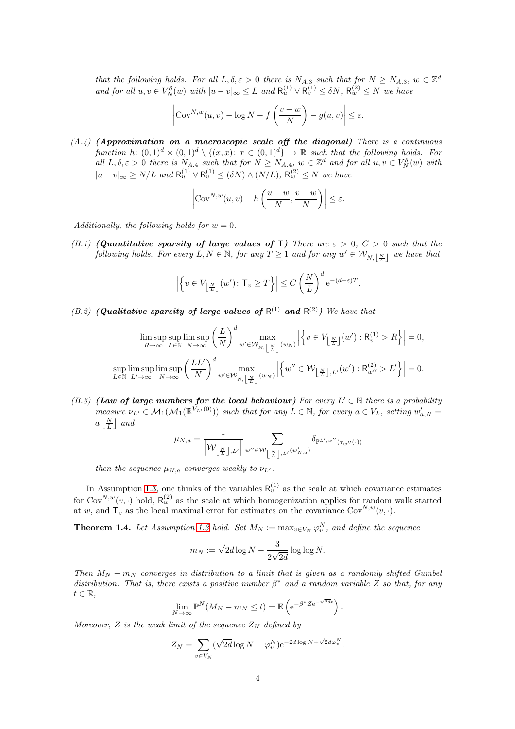that the following holds. For all  $L, \delta, \varepsilon > 0$  there is  $N_{A,3}$  such that for  $N \ge N_{A,3}$ ,  $w \in \mathbb{Z}^d$ and for all  $u, v \in V_N^{\delta}(w)$  with  $|u - v|_{\infty} \leq L$  and  $\mathsf{R}_u^{(1)} \vee \mathsf{R}_v^{(1)} \leq \delta N$ ,  $\mathsf{R}_w^{(2)} \leq N$  we have

$$
\left| \text{Cov}^{N,w}(u,v) - \log N - f\left(\frac{v-w}{N}\right) - g(u,v) \right| \le \varepsilon.
$$

<span id="page-3-2"></span> $(A.4)$  (Approximation on a macroscopic scale off the diagonal) There is a continuous function  $h: (0,1)^d \times (0,1)^d \setminus \{(x,x): x \in (0,1)^d\} \to \mathbb{R}$  such that the following holds. For all  $L, \delta, \varepsilon > 0$  there is  $N_{A,4}$  such that for  $N \ge N_{A,4}$ ,  $w \in \mathbb{Z}^d$  and for all  $u, v \in V_N^{\delta}(w)$  with  $|u - v|_{\infty} \ge N/L$  and  $\mathsf{R}_u^{(1)} \vee \mathsf{R}_v^{(1)} \le (\delta N) \wedge (N/L)$ ,  $\mathsf{R}_w^{(2)} \le N$  we have

$$
\left| \text{Cov}^{N,w}(u,v) - h\left(\frac{u-w}{N}, \frac{v-w}{N}\right) \right| \le \varepsilon.
$$

<span id="page-3-1"></span>Additionally, the following holds for  $w = 0$ .

(B.1) (Quantitative sparsity of large values of T) There are  $\varepsilon > 0$ ,  $C > 0$  such that the following holds. For every  $L, N \in \mathbb{N}$ , for any  $T \ge 1$  and for any  $w' \in \mathcal{W}_{N, \lfloor \frac{N}{L} \rfloor}$  we have that

$$
\left| \left\{ v \in V_{\left\lfloor \frac{N}{L} \right\rfloor}(w') \colon \mathsf{T}_v \ge T \right\} \right| \le C \left( \frac{N}{L} \right)^d e^{-(d+\varepsilon)T}.
$$

<span id="page-3-3"></span>(B.2) (Qualitative sparsity of large values of  $R^{(1)}$  and  $R^{(2)}$ ) We have that

$$
\limsup_{R \to \infty} \limsup_{L \in \mathbb{N}} \limsup_{N \to \infty} \left( \frac{L}{N} \right)^d w' \in \mathcal{W}_{N, \left\lfloor \frac{N}{L} \right\rfloor}(w_N) \left| \left\{ v \in V_{\left\lfloor \frac{N}{L} \right\rfloor}(w') : \mathsf{R}_v^{(1)} > R \right\} \right| = 0,
$$
\n
$$
\sup_{L \in \mathbb{N}} \limsup_{L' \to \infty} \limsup_{N \to \infty} \left( \frac{LL'}{N} \right)^d w' \in \mathcal{W}_{N, \left\lfloor \frac{N}{L} \right\rfloor}(w_N) \left| \left\{ w'' \in \mathcal{W}_{\left\lfloor \frac{N}{L} \right\rfloor, L'}(w') : \mathsf{R}_{w''}^{(2)} > L' \right\} \right| = 0.
$$

<span id="page-3-4"></span>(B.3) (Law of large numbers for the local behaviour) For every  $L' \in \mathbb{N}$  there is a probability measure  $\nu_{L'} \in \mathcal{M}_1(\mathcal{M}_1(\mathbb{R}^{V_{L'}(0)}))$  such that for any  $L \in \mathbb{N}$ , for every  $a \in V_L$ , setting  $w'_{a,N} =$  $a\left\lfloor \frac{N}{L} \right\rfloor$  and

$$
\mu_{N,a} = \frac{1}{\left|\mathcal{W}_{\left\lfloor \frac{N}{L} \right\rfloor, L'}\right|} \sum_{w'' \in \mathcal{W}_{\left\lfloor \frac{N}{L} \right\rfloor, L'}(w'_{N,a})} \delta_{\mathbb{P}^{L',w''}(\tau_{w''}(\cdot))}
$$

then the sequence  $\mu_{N,a}$  converges weakly to  $\nu_{L'}$ .

In Assumption [1.3,](#page-2-0) one thinks of the variables  $R_v^{(1)}$  as the scale at which covariance estimates for Cov<sup>N,w</sup>(v, ·) hold,  $R_w^{(2)}$  as the scale at which homogenization applies for random walk started at w, and  $\mathsf{T}_v$  as the local maximal error for estimates on the covariance  $\text{Cov}^{N,w}(v, \cdot)$ .

<span id="page-3-0"></span>**Theorem 1.4.** Let Assumption [1.3](#page-2-0) hold. Set  $M_N := \max_{v \in V_N} \varphi_v^N$ , and define the sequence

$$
m_N := \sqrt{2d} \log N - \frac{3}{2\sqrt{2d}} \log \log N.
$$

Then  $M_N - m_N$  converges in distribution to a limit that is given as a randomly shifted Gumbel distribution. That is, there exists a positive number  $\beta^*$  and a random variable Z so that, for any  $t \in \mathbb{R}$ ,

$$
\lim_{N \to \infty} \mathbb{P}^N(M_N - m_N \le t) = \mathbb{E}\left(e^{-\beta^* Z e^{-\sqrt{2d}t}}\right)
$$

.

Moreover, Z is the weak limit of the sequence  $Z_N$  defined by

$$
Z_N = \sum_{v \in V_N} (\sqrt{2d} \log N - \varphi_v^N) e^{-2d \log N + \sqrt{2d} \varphi_v^N}.
$$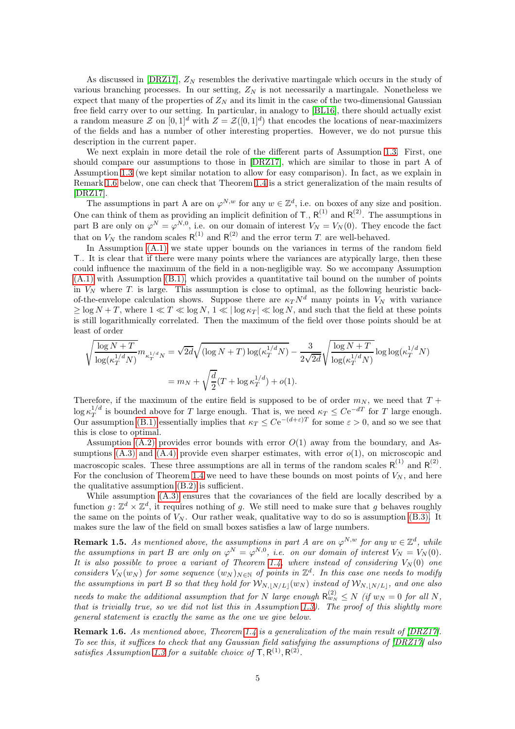As discussed in  $[DRZ17]$ ,  $Z_N$  resembles the derivative martingale which occurs in the study of various branching processes. In our setting,  $Z_N$  is not necessarily a martingale. Nonetheless we expect that many of the properties of  $Z_N$  and its limit in the case of the two-dimensional Gaussian free field carry over to our setting. In particular, in analogy to [\[BL16\]](#page-61-15), there should actually exist a random measure  $\mathcal Z$  on  $[0,1]^d$  with  $Z = \mathcal Z([0,1]^d)$  that encodes the locations of near-maximizers of the fields and has a number of other interesting properties. However, we do not pursue this description in the current paper.

We next explain in more detail the role of the different parts of Assumption [1.3.](#page-2-0) First, one should compare our assumptions to those in [\[DRZ17\]](#page-62-0), which are similar to those in part A of Assumption [1.3](#page-2-0) (we kept similar notation to allow for easy comparison). In fact, as we explain in Remark [1.6](#page-4-0) below, one can check that Theorem [1.4](#page-3-0) is a strict generalization of the main results of [\[DRZ17\]](#page-62-0).

The assumptions in part A are on  $\varphi^{N,w}$  for any  $w \in \mathbb{Z}^d$ , i.e. on boxes of any size and position. One can think of them as providing an implicit definition of T.,  $R^{(1)}$  and  $R^{(2)}$ .  $\cdot^{(2)}$ . The assumptions in part B are only on  $\varphi^N = \varphi^{N,0}$ , i.e. on our domain of interest  $V_N = V_N(0)$ . They encode the fact that on  $V_N$  the random scales  $R^{(1)}$  and  $R^{(2)}$  and the error term T. are well-behaved.

In Assumption  $(A,1)$  we state upper bounds on the variances in terms of the random field T.. It is clear that if there were many points where the variances are atypically large, then these could influence the maximum of the field in a non-negligible way. So we accompany Assumption [\(A.1\)](#page-2-1) with Assumption [\(B.1\),](#page-3-1) which provides a quantitative tail bound on the number of points in  $V_N$  where T is large. This assumption is close to optimal, as the following heuristic backof-the-envelope calculation shows. Suppose there are  $\kappa_T N^d$  many points in  $\widetilde{V}_N$  with variance  $\geq \log N + T$ , where  $1 \ll T \ll \log N$ ,  $1 \ll |\log \kappa_T| \ll \log N$ , and such that the field at these points is still logarithmically correlated. Then the maximum of the field over those points should be at least of order

$$
\sqrt{\frac{\log N + T}{\log(\kappa_T^{1/d} N)}} m_{\kappa_T^{1/d} N} = \sqrt{2d} \sqrt{(\log N + T) \log(\kappa_T^{1/d} N)} - \frac{3}{2\sqrt{2d}} \sqrt{\frac{\log N + T}{\log(\kappa_T^{1/d} N)}} \log \log(\kappa_T^{1/d} N)
$$
  
=  $m_N + \sqrt{\frac{d}{2}} (T + \log \kappa_T^{1/d}) + o(1).$ 

Therefore, if the maximum of the entire field is supposed to be of order  $m_N$ , we need that  $T +$  $\log \kappa_T^{1/d}$  $T^{1/d}$  is bounded above for T large enough. That is, we need  $\kappa_T \leq C e^{-dT}$  for T large enough. Our assumption [\(B.1\)](#page-3-1) essentially implies that  $\kappa_T \leq C e^{-(d+\epsilon)T}$  for some  $\epsilon > 0$ , and so we see that this is close to optimal.

Assumption  $(A.2)$  provides error bounds with error  $O(1)$  away from the boundary, and Assumptions  $(A.3)$  and  $(A.4)$  provide even sharper estimates, with error  $o(1)$ , on microscopic and macroscopic scales. These three assumptions are all in terms of the random scales  $R^{(1)}$  and  $R^{(2)}$ . For the conclusion of Theorem [1.4](#page-3-0) we need to have these bounds on most points of  $V_N$ , and here the qualitative assumption [\(B.2\)](#page-3-3) is sufficient.

While assumption [\(A.3\)](#page-2-3) ensures that the covariances of the field are locally described by a function  $g: \mathbb{Z}^d \times \mathbb{Z}^d$ , it requires nothing of g. We still need to make sure that g behaves roughly the same on the points of  $V_N$ . Our rather weak, qualitative way to do so is assumption [\(B.3\).](#page-3-4) It makes sure the law of the field on small boxes satisfies a law of large numbers.

<span id="page-4-1"></span>**Remark 1.5.** As mentioned above, the assumptions in part A are on  $\varphi^{N,w}$  for any  $w \in \mathbb{Z}^d$ , while the assumptions in part B are only on  $\varphi^N = \varphi^{N,0}$ , i.e. on our domain of interest  $V_N = V_N(0)$ . It is also possible to prove a variant of Theorem [1.4,](#page-3-0) where instead of considering  $V_N(0)$  one considers  $V_N(w_N)$  for some sequence  $(w_N)_{N \in \mathbb{N}}$  of points in  $\mathbb{Z}^d$ . In this case one needs to modify the assumptions in part B so that they hold for  $W_{N,|N/L|}(w_N)$  instead of  $W_{N,|N/L|}$ , and one also needs to make the additional assumption that for N large enough  $R_{w_N}^{(2)} \le N$  (if  $w_N = 0$  for all N, that is trivially true, so we did not list this in Assumption [1.3\)](#page-2-0). The proof of this slightly more general statement is exactly the same as the one we give below.

<span id="page-4-0"></span>**Remark 1.6.** As mentioned above, Theorem [1.4](#page-3-0) is a generalization of the main result of  $[DRZ17]$ . To see this, it suffices to check that any Gaussian field satisfying the assumptions of [\[DRZ17\]](#page-62-0) also satisfies Assumption [1.3](#page-2-0) for a suitable choice of  $T, R^{(1)}, R^{(2)}$ .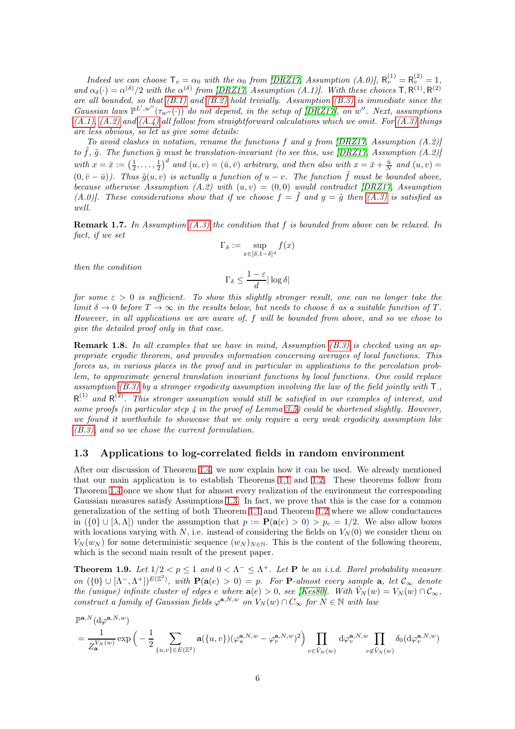Indeed we can choose  $\mathsf{T}_v = \alpha_0$  with the  $\alpha_0$  from [\[DRZ17,](#page-62-0) Assumption (A.0)],  $\mathsf{R}_v^{(1)} = \mathsf{R}_v^{(2)} = 1$ , and  $\alpha_{\delta}(\cdot) = \alpha^{(\delta)}/2$  with the  $\alpha^{(\delta)}$  from [\[DRZ17,](#page-62-0) Assumption (A.1)]. With these choices  $\mathsf{T}, \mathsf{R}^{(1)}, \mathsf{R}^{(2)}$ are all bounded, so that  $(B.1)$  and  $(B.2)$  hold trivially. Assumption  $(B.3)$  is immediate since the Gaussian laws  $\mathbb{P}^{L',w''}(\tau_{w''}(\cdot))$  do not depend, in the setup of [\[DRZ17\]](#page-62-0), on w''. Next, assumptions  $(A.1), (A.2)$  $(A.1), (A.2)$  and  $(A.4)$  all follow from straightforward calculations which we omit. For  $(A.3)$  things are less obvious, so let us give some details:

To avoid clashes in notation, rename the functions f and g from  $[DRZ17, Assumption (A.2)]$ to  $\tilde{f}$ ,  $\tilde{g}$ . The function  $\tilde{g}$  must be translation-invariant (to see this, use [\[DRZ17,](#page-62-0) Assumption (A.2)] with  $x = \bar{x} := \left(\frac{1}{2}, \ldots, \frac{1}{2}\right)^d$  and  $(u, v) = (\bar{u}, \bar{v})$  arbitrary, and then also with  $x = \bar{x} + \frac{\bar{u}}{N}$  and  $(u, v) =$  $(0, \bar{v} - \bar{u})$ ). Thus  $\tilde{g}(u, v)$  is actually a function of  $u - v$ . The function  $\tilde{f}$  must be bounded above, because otherwise Assumption (A.2) with  $(u, v) = (0, 0)$  would contradict [\[DRZ17,](#page-62-0) Assumption (A.0)]. These considerations show that if we choose  $f = \tilde{f}$  and  $g = \tilde{g}$  then [\(A.3\)](#page-2-3) is satisfied as well.

**Remark 1.7.** In Assumption  $(A.3)$  the condition that f is bounded from above can be relaxed. In fact, if we set

$$
\Gamma_\delta:=\sup_{x\in[\delta,1-\delta]^d}f(x)
$$

then the condition

$$
\Gamma_\delta \leq \frac{1-\varepsilon}{d}|\log\delta|
$$

for some  $\varepsilon > 0$  is sufficient. To show this slightly stronger result, one can no longer take the limit  $\delta \to 0$  before  $T \to \infty$  in the results below, but needs to choose  $\delta$  as a suitable function of T. However, in all applications we are aware of, f will be bounded from above, and so we chose to give the detailed proof only in that case.

**Remark 1.8.** In all examples that we have in mind, Assumption  $(B.3)$  is checked using an appropriate ergodic theorem, and provides information concerning averages of local functions. This forces us, in various places in the proof and in particular in applications to the percolation problem, to approximate general translation invariant functions by local functions. One could replace assumption [\(B.3\)](#page-3-4) by a stronger ergodicity assumption involving the law of the field jointly with  $\mathsf{T}_{\cdot}$ ,  $R^{(1)}$  and  $R^{(2)}$ . This stronger assumption would still be satisfied in our examples of interest, and some proofs (in particular step  $\lambda$  in the proof of Lemma [3.5\)](#page-27-0) could be shortened slightly. However, we found it worthwhile to showcase that we only require a very weak ergodicity assumption like [\(B.3\),](#page-3-4) and so we chose the current formulation.

#### <span id="page-5-1"></span>1.3 Applications to log-correlated fields in random environment

After our discussion of Theorem [1.4,](#page-3-0) we now explain how it can be used. We already mentioned that our main application is to establish Theorems [1.1](#page-1-1) and [1.2.](#page-1-2) These theorems follow from Theorem [1.4](#page-3-0) once we show that for almost every realization of the environment the corresponding Gaussian measures satisfy Assumptions [1.3.](#page-2-0) In fact, we prove that this is the case for a common generalization of the setting of both Theorem [1.1](#page-1-1) and Theorem [1.2](#page-1-2) where we allow conductances in  $({0} \cup [\lambda, \Lambda])$  under the assumption that  $p := \mathbf{P}(\mathbf{a}(e) > 0) > p_c = 1/2$ . We also allow boxes with locations varying with N, i.e. instead of considering the fields on  $V_N(0)$  we consider them on  $V_N(w_N)$  for some deterministic sequence  $(w_N)_{N\in\mathbb{N}}$ . This is the content of the following theorem, which is the second main result of the present paper.

<span id="page-5-0"></span>**Theorem 1.9.** Let  $1/2 < p \le 1$  and  $0 < \Lambda^- \le \Lambda^+$ . Let **P** be an i.i.d. Borel probability measure on  $({0} \cup [\Lambda^-, \Lambda^+])^{E(Z^2)}$ , with  $\mathbf{P}(\mathbf{a}(e) > 0) = p$ . For **P**-almost every sample **a**, let  $\mathcal{C}_{\infty}$  denote the (unique) infinite cluster of edges e where  $a(e) > 0$ , see [\[Kes80\]](#page-62-11). With  $V_N(w) = V_N(w) \cap C_{\infty}$ , construct a family of Gaussian fields  $\varphi^{a,N,w}$  on  $V_N(w) \cap C_{\infty}$  for  $N \in \mathbb{N}$  with law

$$
\begin{split} &\mathbb{P}^{\mathbf{a},N}(\mathrm{d}\varphi^{\mathbf{a},N,w})\\ &=\frac{1}{Z^{V_N(w)}_{\mathbf{a}}}\exp\Big(-\frac{1}{2}\sum_{\{u,v\}\in E(\mathbb{Z}^2)}\mathbf{a}(\{u,v\})(\varphi^{\mathbf{a},N,w}_{u}-\varphi^{\mathbf{a},N,w}_{v})^2\Big)\prod_{v\in \hat{V}_N(w)}\mathrm{d}\varphi^{\mathbf{a},N,w}_{v}\prod_{v\notin \hat{V}_N(w)}\delta_0(\mathrm{d}\varphi^{\mathbf{a},N,w}_{v}) \end{split}
$$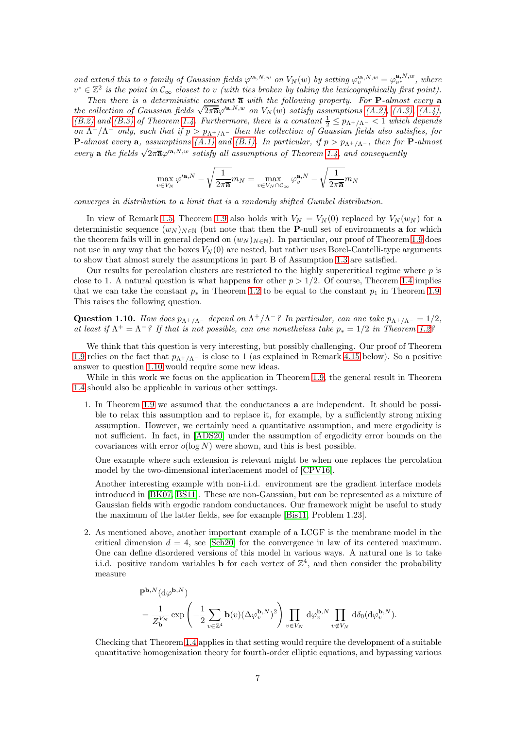and extend this to a family of Gaussian fields  $\varphi^{(a,N,w)}$  on  $V_N(w)$  by setting  $\varphi^{(a,N,w)}_v = \varphi^{a,N,w}_{v^*}$ , where  $v^* \in \mathbb{Z}^2$  is the point in  $\mathcal{C}_{\infty}$  closest to v (with ties broken by taking the lexicographically first point).

Then there is a deterministic constant  $\overline{a}$  with the following property. For **P**-almost every **a** the collection of Gaussian fields  $\sqrt{2\pi\overline{\mathbf{a}}}\varphi^{(\mathbf{a},N,w)}$  on  $V_N(w)$  satisfy assumptions  $(A.2)$ ,  $(A.3)$ ,  $(A.4)$ , [\(B.2\)](#page-3-3) and [\(B.3\)](#page-3-4) of Theorem [1.4.](#page-3-0) Furthermore, there is a constant  $\frac{1}{2} \leq p_{\Lambda^+/\Lambda^-} < 1$  which depends on  $\Lambda^+/\Lambda^-$  only, such that if  $p > p_{\Lambda^+/\Lambda^-}$  then the collection of Gaussian fields also satisfies, for **P**-almost every **a**, assumptions  $(A.1)$  and  $(B.1)$ . In particular, if  $p > p_{\Lambda^+/\Lambda^-}$ , then for **P**-almost every a the fields  $\sqrt{2\pi\overline{\mathbf{a}}}$   $\varphi'^{\mathbf{a},N,w}$  satisfy all assumptions of Theorem [1.4,](#page-3-0) and consequently

$$
\max_{v \in V_N} \varphi'^{\mathbf{a},N} - \sqrt{\frac{1}{2\pi \mathbf{a}}} m_N = \max_{v \in V_N \cap \mathcal{C}_{\infty}} \varphi_v^{\mathbf{a},N} - \sqrt{\frac{1}{2\pi \mathbf{a}}} m_N
$$

converges in distribution to a limit that is a randomly shifted Gumbel distribution.

In view of Remark [1.5,](#page-4-1) Theorem [1.9](#page-5-0) also holds with  $V_N = V_N(0)$  replaced by  $V_N(w_N)$  for a deterministic sequence  $(w_N)_{N\in\mathbb{N}}$  (but note that then the P-null set of environments a for which the theorem fails will in general depend on  $(w_N)_{N\in\mathbb{N}}$ ). In particular, our proof of Theorem [1.9](#page-5-0) does not use in any way that the boxes  $V_N(0)$  are nested, but rather uses Borel-Cantelli-type arguments to show that almost surely the assumptions in part B of Assumption [1.3](#page-2-0) are satisfied.

Our results for percolation clusters are restricted to the highly supercritical regime where  $p$  is close to 1. A natural question is what happens for other  $p > 1/2$ . Of course, Theorem [1.4](#page-3-0) implies that we can take the constant  $p_*$  in Theorem [1.2](#page-1-2) to be equal to the constant  $p_1$  in Theorem [1.9.](#page-5-0) This raises the following question.

<span id="page-6-0"></span>Question 1.10. How does  $p_{\Lambda^+/\Lambda^-}$  depend on  $\Lambda^+/\Lambda^-$ ? In particular, can one take  $p_{\Lambda^+/\Lambda^-} = 1/2$ , at least if  $\Lambda^+ = \Lambda^-$ ? If that is not possible, can one nonetheless take  $p_* = 1/2$  in Theorem [1.2?](#page-1-2)

We think that this question is very interesting, but possibly challenging. Our proof of Theorem [1.9](#page-5-0) relies on the fact that  $p_{\Lambda^+/\Lambda^-}$  is close to 1 (as explained in Remark [4.15](#page-60-1) below). So a positive answer to question [1.10](#page-6-0) would require some new ideas.

While in this work we focus on the application in Theorem [1.9,](#page-5-0) the general result in Theorem [1.4](#page-3-0) should also be applicable in various other settings.

1. In Theorem [1.9](#page-5-0) we assumed that the conductances a are independent. It should be possible to relax this assumption and to replace it, for example, by a sufficiently strong mixing assumption. However, we certainly need a quantitative assumption, and mere ergodicity is not sufficient. In fact, in [\[ADS20\]](#page-61-11) under the assumption of ergodicity error bounds on the covariances with error  $o(\log N)$  were shown, and this is best possible.

One example where such extension is relevant might be when one replaces the percolation model by the two-dimensional interlacement model of [\[CPV16\]](#page-61-16).

Another interesting example with non-i.i.d. environment are the gradient interface models introduced in [\[BK07,](#page-61-17) [BS11\]](#page-61-18). These are non-Gaussian, but can be represented as a mixture of Gaussian fields with ergodic random conductances. Our framework might be useful to study the maximum of the latter fields, see for example [\[Bis11,](#page-61-8) Problem 1.23].

2. As mentioned above, another important example of a LCGF is the membrane model in the critical dimension  $d = 4$ , see [\[Sch20\]](#page-62-10) for the convergence in law of its centered maximum. One can define disordered versions of this model in various ways. A natural one is to take i.i.d. positive random variables **b** for each vertex of  $\mathbb{Z}^4$ , and then consider the probability measure

$$
\begin{split} &\mathbb{P}^{\mathbf{b},N}(\mathrm{d}\varphi^{\mathbf{b},N})\\ &=\frac{1}{Z_{\mathbf{b}}^{V_N}}\exp\left(-\frac{1}{2}\sum_{v\in\mathbb{Z}^4}\mathbf{b}(v)(\Delta\varphi_v^{\mathbf{b},N})^2\right)\prod_{v\in V_N}\,\mathrm{d}\varphi_v^{\mathbf{b},N}\prod_{v\not\in V_N}\,\mathrm{d}\delta_0(\mathrm{d}\varphi_v^{\mathbf{b},N}). \end{split}
$$

Checking that Theorem [1.4](#page-3-0) applies in that setting would require the development of a suitable quantitative homogenization theory for fourth-order elliptic equations, and bypassing various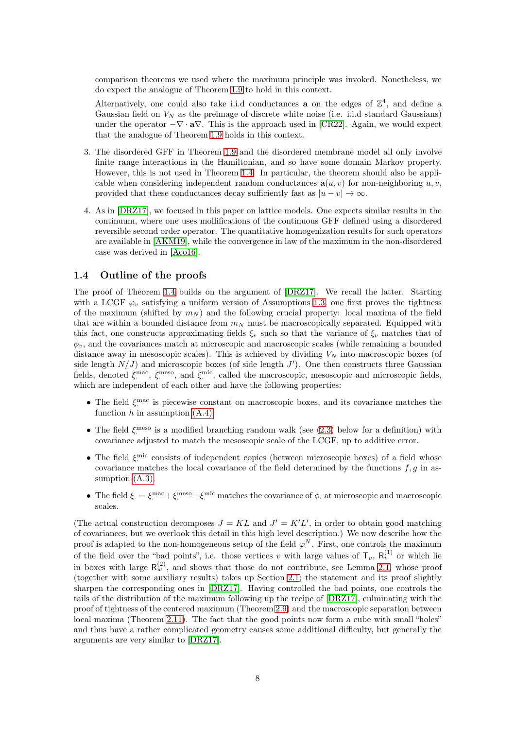comparison theorems we used where the maximum principle was invoked. Nonetheless, we do expect the analogue of Theorem [1.9](#page-5-0) to hold in this context.

Alternatively, one could also take i.i.d conductances **a** on the edges of  $\mathbb{Z}^4$ , and define a Gaussian field on  $V_N$  as the preimage of discrete white noise (i.e. i.i.d standard Gaussians) under the operator  $-\nabla \cdot a\nabla$ . This is the approach used in [\[CR22\]](#page-61-14). Again, we would expect that the analogue of Theorem [1.9](#page-5-0) holds in this context.

- 3. The disordered GFF in Theorem [1.9](#page-5-0) and the disordered membrane model all only involve finite range interactions in the Hamiltonian, and so have some domain Markov property. However, this is not used in Theorem [1.4.](#page-3-0) In particular, the theorem should also be applicable when considering independent random conductances  $\mathbf{a}(u, v)$  for non-neighboring  $u, v$ , provided that these conductances decay sufficiently fast as  $|u - v| \to \infty$ .
- 4. As in [\[DRZ17\]](#page-62-0), we focused in this paper on lattice models. One expects similar results in the continuum, where one uses mollifications of the continuous GFF defined using a disordered reversible second order operator. The quantitative homogenization results for such operators are available in [\[AKM19\]](#page-61-13), while the convergence in law of the maximum in the non-disordered case was derived in [\[Aco16\]](#page-60-2).

#### 1.4 Outline of the proofs

The proof of Theorem [1.4](#page-3-0) builds on the argument of [\[DRZ17\]](#page-62-0). We recall the latter. Starting with a LCGF  $\varphi_v$  satisfying a uniform version of Assumptions [1.3,](#page-2-0) one first proves the tightness of the maximum (shifted by  $m_N$ ) and the following crucial property: local maxima of the field that are within a bounded distance from  $m_N$  must be macroscopically separated. Equipped with this fact, one constructs approximating fields  $\xi_v$  such so that the variance of  $\xi_v$  matches that of  $\phi_v$ , and the covariances match at microscopic and macroscopic scales (while remaining a bounded distance away in mesoscopic scales). This is achieved by dividing  $V_N$  into macroscopic boxes (of side length  $N/J$  and microscopic boxes (of side length J'). One then constructs three Gaussian fields, denoted  $\xi^{\text{mac}}$ ,  $\xi^{\text{meso}}$ , and  $\xi^{\text{mic}}$ , called the macroscopic, mesoscopic and microscopic fields, which are independent of each other and have the following properties:

- The field  $\xi^{\text{mac}}$  is piecewise constant on macroscopic boxes, and its covariance matches the function  $h$  in assumption  $(A.4)$ .
- The field  $\xi$ <sup>neso</sup> is a modified branching random walk (see [\(2.3\)](#page-9-0) below for a definition) with covariance adjusted to match the mesoscopic scale of the LCGF, up to additive error.
- The field  $\xi^{\text{mic}}$  consists of independent copies (between microscopic boxes) of a field whose  $\frac{1}{2}$  consists of material copies (see the field determined by the functions  $f, g$  in assumption  $(A.3)$ .
- The field  $\xi = \xi^{\text{mac}} + \xi^{\text{meso}} + \xi^{\text{mic}}$  matches the covariance of  $\phi$ . at microscopic and macroscopic scales.

(The actual construction decomposes  $J = KL$  and  $J' = K'L'$ , in order to obtain good matching of covariances, but we overlook this detail in this high level description.) We now describe how the proof is adapted to the non-homogeneous setup of the field  $\varphi^N$ . First, one controls the maximum of the field over the "bad points", i.e. those vertices v with large values of  $\mathsf{T}_v$ ,  $\mathsf{R}_v^{(1)}$  or which lie in boxes with large  $R_w^{(2)}$ , and shows that those do not contribute, see Lemma [2.1,](#page-9-1) whose proof (together with some auxiliary results) takes up Section [2.1;](#page-9-2) the statement and its proof slightly sharpen the corresponding ones in [\[DRZ17\]](#page-62-0). Having controlled the bad points, one controls the tails of the distribution of the maximum following up the recipe of [\[DRZ17\]](#page-62-0), culminating with the proof of tightness of the centered maximum (Theorem [2.9\)](#page-18-0) and the macroscopic separation between local maxima (Theorem [2.11\)](#page-19-0). The fact that the good points now form a cube with small "holes" and thus have a rather complicated geometry causes some additional difficulty, but generally the arguments are very similar to [\[DRZ17\]](#page-62-0).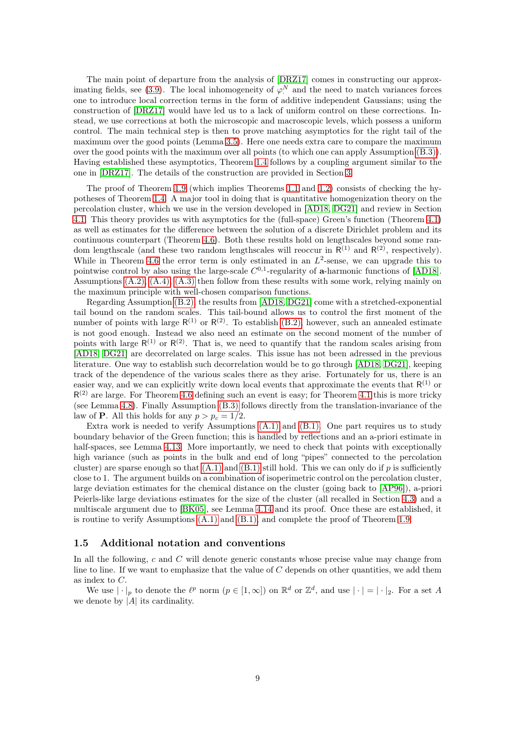The main point of departure from the analysis of [\[DRZ17\]](#page-62-0) comes in constructing our approx-imating fields, see [\(3.9\)](#page-25-0). The local inhomogeneity of  $\varphi^N$  and the need to match variances forces one to introduce local correction terms in the form of additive independent Gaussians; using the construction of [\[DRZ17\]](#page-62-0) would have led us to a lack of uniform control on these corrections. Instead, we use corrections at both the microscopic and macroscopic levels, which possess a uniform control. The main technical step is then to prove matching asymptotics for the right tail of the maximum over the good points (Lemma [3.5\)](#page-27-0). Here one needs extra care to compare the maximum over the good points with the maximum over all points (to which one can apply Assumption [\(B.3\)\)](#page-3-4). Having established these asymptotics, Theorem [1.4](#page-3-0) follows by a coupling argument similar to the one in [\[DRZ17\]](#page-62-0). The details of the construction are provided in Section [3.](#page-20-0)

The proof of Theorem [1.9](#page-5-0) (which implies Theorems [1.1](#page-1-1) and [1.2\)](#page-1-2) consists of checking the hypotheses of Theorem [1.4.](#page-3-0) A major tool in doing that is quantitative homogenization theory on the percolation cluster, which we use in the version developed in [\[AD18,](#page-60-3) [DG21\]](#page-61-19) and review in Section [4.1.](#page-36-1) This theory provides us with asymptotics for the (full-space) Green's function (Theorem [4.1\)](#page-37-0) as well as estimates for the difference between the solution of a discrete Dirichlet problem and its continuous counterpart (Theorem [4.6\)](#page-40-0). Both these results hold on lengthscales beyond some random lengthscale (and these two random lengthscales will reoccur in  $R^{(1)}$  and  $R^{(2)}$ , respectively). While in Theorem [4.6](#page-40-0) the error term is only estimated in an  $L^2$ -sense, we can upgrade this to pointwise control by also using the large-scale  $C^{0,1}$ -regularity of **a**-harmonic functions of [\[AD18\]](#page-60-3). Assumptions  $(A.2)$ ,  $(A.4)$ ,  $(A.3)$  then follow from these results with some work, relying mainly on the maximum principle with well-chosen comparison functions.

Regarding Assumption [\(B.2\),](#page-3-3) the results from [\[AD18,](#page-60-3) [DG21\]](#page-61-19) come with a stretched-exponential tail bound on the random scales. This tail-bound allows us to control the first moment of the number of points with large  $R^{(1)}$  or  $R^{(2)}$ . To establish [\(B.2\),](#page-3-3) however, such an annealed estimate is not good enough. Instead we also need an estimate on the second moment of the number of points with large  $R^{(1)}$  or  $R^{(2)}$ . That is, we need to quantify that the random scales arising from [\[AD18,](#page-60-3) [DG21\]](#page-61-19) are decorrelated on large scales. This issue has not been adressed in the previous literature. One way to establish such decorrelation would be to go through [\[AD18,](#page-60-3) [DG21\]](#page-61-19), keeping track of the dependence of the various scales there as they arise. Fortunately for us, there is an easier way, and we can explicitly write down local events that approximate the events that  $R^{(1)}$  or  $R^{(2)}$  are large. For Theorem [4.6](#page-40-0) defining such an event is easy; for Theorem [4.1](#page-37-0) this is more tricky (see Lemma [4.8\)](#page-41-0). Finally Assumption [\(B.3\)](#page-3-4) follows directly from the translation-invariance of the law of **P**. All this holds for any  $p > p_c = 1/2$ .

Extra work is needed to verify Assumptions [\(A.1\)](#page-2-1) and [\(B.1\).](#page-3-1) One part requires us to study boundary behavior of the Green function; this is handled by reflections and an a-priori estimate in half-spaces, see Lemma [4.13.](#page-54-0) More importantly, we need to check that points with exceptionally high variance (such as points in the bulk and end of long "pipes" connected to the percolation cluster) are sparse enough so that  $(A.1)$  and  $(B.1)$  still hold. This we can only do if p is sufficiently close to 1. The argument builds on a combination of isoperimetric control on the percolation cluster, large deviation estimates for the chemical distance on the cluster (going back to [\[AP96\]](#page-61-20)), a-priori Peierls-like large deviations estimates for the size of the cluster (all recalled in Section [4.3\)](#page-51-0) and a multiscale argument due to [\[BK05\]](#page-61-21), see Lemma [4.14](#page-55-0) and its proof. Once these are established, it is routine to verify Assumptions  $(A.1)$  and  $(B.1)$ , and complete the proof of Theorem [1.9.](#page-5-0)

#### 1.5 Additional notation and conventions

In all the following, c and C will denote generic constants whose precise value may change from line to line. If we want to emphasize that the value of  $C$  depends on other quantities, we add them as index to C.

We use  $|\cdot|_p$  to denote the  $\ell^p$  norm  $(p \in [1,\infty])$  on  $\mathbb{R}^d$  or  $\mathbb{Z}^d$ , and use  $|\cdot| = |\cdot|_2$ . For a set A we denote by  $\overline{A}$  its cardinality.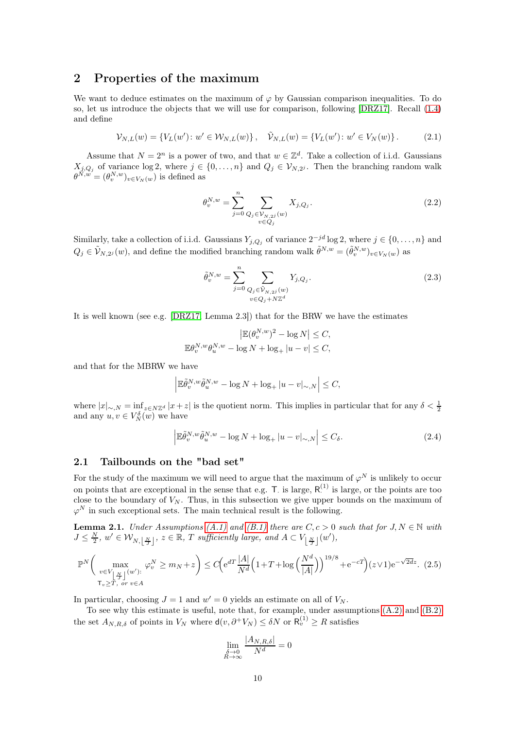## 2 Properties of the maximum

We want to deduce estimates on the maximum of  $\varphi$  by Gaussian comparison inequalities. To do so, let us introduce the objects that we will use for comparison, following [\[DRZ17\]](#page-62-0). Recall [\(1.4\)](#page-2-4) and define

$$
\mathcal{V}_{N,L}(w) = \{ V_L(w') : w' \in \mathcal{W}_{N,L}(w) \}, \quad \tilde{\mathcal{V}}_{N,L}(w) = \{ V_L(w') : w' \in V_N(w) \}.
$$
 (2.1)

Assume that  $N = 2^n$  is a power of two, and that  $w \in \mathbb{Z}^d$ . Take a collection of i.i.d. Gaussians  $X_{j,Q_j}$  of variance  $\log 2$ , where  $j \in \{0,\ldots,n\}$  and  $Q_j \in V_{N,2^j}$ . Then the branching random walk  $\theta^{N,w} = (\theta_v^{N,w})_{v \in V_N(w)}$  is defined as

$$
\theta_v^{N,w} = \sum_{j=0}^n \sum_{\substack{Q_j \in \mathcal{V}_{N,2^j}(w) \\ v \in Q_j}} X_{j,Q_j}.
$$
\n(2.2)

Similarly, take a collection of i.i.d. Gaussians  $Y_{j,Q_j}$  of variance  $2^{-jd} \log 2$ , where  $j \in \{0,\ldots,n\}$  and  $Q_j \in \tilde{\mathcal{V}}_{N,2^j}(w)$ , and define the modified branching random walk  $\tilde{\theta}^{N,w} = (\tilde{\theta}_v^{N,w})_{v \in V_N(w)}$  as

<span id="page-9-0"></span>
$$
\tilde{\theta}_{v}^{N,w} = \sum_{j=0}^{n} \sum_{\substack{Q_j \in \tilde{\mathcal{V}}_{N,2j}(w) \\ v \in Q_j + N\mathbb{Z}^d}} Y_{j,Q_j}.
$$
\n(2.3)

It is well known (see e.g. [\[DRZ17,](#page-62-0) Lemma 2.3]) that for the BRW we have the estimates

$$
\left| \mathbb{E}(\theta_{v}^{N,w})^{2} - \log N \right| \leq C,
$$
  

$$
\mathbb{E} \theta_{v}^{N,w} \theta_{u}^{N,w} - \log N + \log_{+} |u - v| \leq C,
$$

and that for the MBRW we have

$$
\left| \mathbb{E} \tilde{\theta}_{v}^{N,w} \tilde{\theta}_{u}^{N,w} - \log N + \log_+ |u - v|_{\sim, N} \right| \leq C,
$$

where  $|x|_{\sim, N} = \inf_{z \in N\mathbb{Z}^d} |x+z|$  is the quotient norm. This implies in particular that for any  $\delta < \frac{1}{2}$ and any  $u, v \in V_N^{\delta}(w)$  we have

<span id="page-9-3"></span>
$$
\left| \mathbb{E}\tilde{\theta}_{v}^{N,w}\tilde{\theta}_{u}^{N,w} - \log N + \log_{+}|u-v|_{\sim,N} \right| \leq C_{\delta}.\tag{2.4}
$$

### <span id="page-9-2"></span>2.1 Tailbounds on the "bad set"

For the study of the maximum we will need to argue that the maximum of  $\varphi^N$  is unlikely to occur on points that are exceptional in the sense that e.g.  $T$  is large,  $R<sup>(1)</sup>$  is large, or the points are too close to the boundary of  $V_N$ . Thus, in this subsection we give upper bounds on the maximum of  $\varphi^N$  in such exceptional sets. The main technical result is the following.

<span id="page-9-1"></span>**Lemma 2.1.** Under Assumptions [\(A.1\)](#page-2-1) and [\(B.1\)](#page-3-1) there are  $C, c > 0$  such that for  $J, N \in \mathbb{N}$  with  $J \leq \frac{N}{2}$ ,  $w' \in \mathcal{W}_{N, \lfloor \frac{N}{J} \rfloor}$ ,  $z \in \mathbb{R}$ , T sufficiently large, and  $A \subset V_{\lfloor \frac{N}{J} \rfloor}(w')$ ,

$$
\mathbb{P}^N\bigg(\max_{\substack{v\in V_{\lfloor \frac{N}{A} \rfloor}(w'):\\ \tau_v\geq T, \text{ or } v\in A}} \varphi_v^N \geq m_N + z\bigg) \leq C \bigg(e^{dT} \frac{|A|}{N^d} \Big(1 + T + \log\Big(\frac{N^d}{|A|}\Big)\Big)^{19/8} + e^{-cT}\bigg)(z \vee 1)e^{-\sqrt{2dz}}.\tag{2.5}
$$

In particular, choosing  $J = 1$  and  $w' = 0$  yields an estimate on all of  $V_N$ .

To see why this estimate is useful, note that, for example, under assumptions [\(A.2\)](#page-2-2) and [\(B.2\)](#page-3-3) the set  $A_{N,R,\delta}$  of points in  $V_N$  where  $d(v,\partial^+ V_N) \leq \delta N$  or  $R_v^{(1)} \geq R$  satisfies

$$
\lim_{\substack{\delta \to 0 \\ R \to \infty}} \frac{|A_{N,R,\delta}|}{N^d} = 0
$$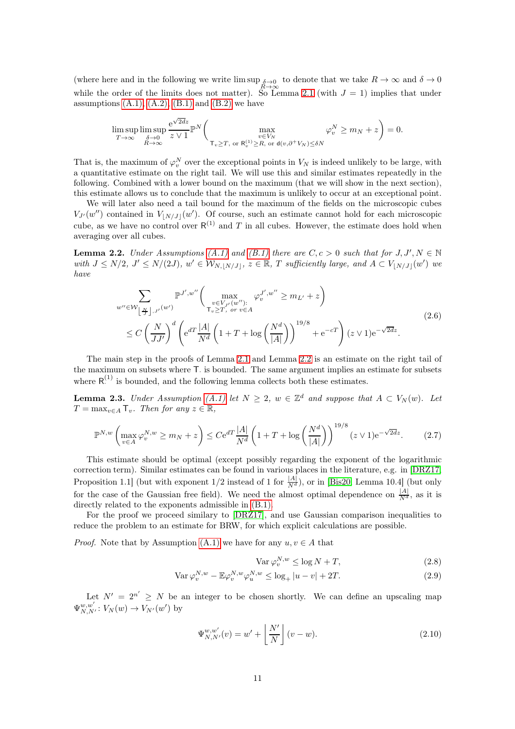(where here and in the following we write  $\limsup_{R\to\infty} \delta \to 0$  to denote that we take  $R \to \infty$  and  $\delta \to 0$ while the order of the limits does not matter). So Lemma [2.1](#page-9-1) (with  $J = 1$ ) implies that under assumptions  $(A.1)$ ,  $(A.2)$ ,  $(B.1)$  and  $(B.2)$  we have

$$
\limsup_{T \to \infty} \limsup_{\substack{\delta \to 0 \\ R \to \infty}} \frac{e^{\sqrt{2d}z}}{z \vee 1} \mathbb{P}^N \bigg( \max_{\substack{v \in V_N \\ T_v \ge T, \text{ or } \mathsf{R}_v^{(1)} \ge R, \text{ or } \mathsf{d}(v, \partial^+ V_N) \le \delta N}} \varphi_v^N \ge m_N + z \bigg) = 0.
$$

That is, the maximum of  $\varphi_v^N$  over the exceptional points in  $V_N$  is indeed unlikely to be large, with a quantitative estimate on the right tail. We will use this and similar estimates repeatedly in the following. Combined with a lower bound on the maximum (that we will show in the next section), this estimate allows us to conclude that the maximum is unlikely to occur at an exceptional point.

We will later also need a tail bound for the maximum of the fields on the microscopic cubes  $V_{J'}(w'')$  contained in  $V_{\lfloor N/J\rfloor}(w')$ . Of course, such an estimate cannot hold for each microscopic cube, as we have no control over  $R^{(1)}$  and T in all cubes. However, the estimate does hold when averaging over all cubes.

<span id="page-10-0"></span>**Lemma 2.2.** Under Assumptions [\(A.1\)](#page-2-1) and [\(B.1\)](#page-3-1) there are  $C, c > 0$  such that for  $J, J', N \in \mathbb{N}$ with  $J \le N/2$ ,  $J' \le N/(2J)$ ,  $w' \in W_{N, [N/J]}, z \in \mathbb{R}$ , T sufficiently large, and  $A \subset V_{[N/J]}(w')$  we have

$$
\sum_{w'' \in \mathcal{W} \underset{\mathcal{I}}{\left[\frac{N}{J}\right], J'} } \mathbb{P}^{J',w''} \bigg( \max_{\substack{v \in V_{J'}(w'') : \\ \tau_v \ge T, \text{ or } v \in A}} \varphi_v^{J',w''} \ge m_{L'} + z \bigg) \n\le C \left( \frac{N}{JJ'} \right)^d \left( e^{dT} \frac{|A|}{N^d} \left( 1 + T + \log \left( \frac{N^d}{|A|} \right) \right)^{19/8} + e^{-cT} \right) (z \vee 1) e^{-\sqrt{2dz}}.
$$
\n(2.6)

The main step in the proofs of Lemma [2.1](#page-9-1) and Lemma [2.2](#page-10-0) is an estimate on the right tail of the maximum on subsets where  $\mathsf{T}$  is bounded. The same argument implies an estimate for subsets where  $R^{(1)}$  is bounded, and the following lemma collects both these estimates.

<span id="page-10-2"></span>**Lemma 2.3.** Under Assumption [\(A.1\)](#page-2-1) let  $N \geq 2$ ,  $w \in \mathbb{Z}^d$  and suppose that  $A \subset V_N(w)$ . Let  $T = \max_{v \in A} T_v$ . Then for any  $z \in \mathbb{R}$ ,

<span id="page-10-1"></span>
$$
\mathbb{P}^{N,w}\left(\max_{v\in A}\varphi_v^{N,w}\geq m_N+z\right)\leq Ce^{dT}\frac{|A|}{N^d}\left(1+T+\log\left(\frac{N^d}{|A|}\right)\right)^{19/8}(z\vee 1)e^{-\sqrt{2d}z}.\tag{2.7}
$$

This estimate should be optimal (except possibly regarding the exponent of the logarithmic correction term). Similar estimates can be found in various places in the literature, e.g. in [\[DRZ17,](#page-62-0) Proposition 1.1] (but with exponent  $1/2$  instead of 1 for  $\frac{|A|}{N^d}$ ), or in [\[Bis20,](#page-61-6) Lemma 10.4] (but only for the case of the Gaussian free field). We need the almost optimal dependence on  $\frac{|A|}{N^d}$ , as it is directly related to the exponents admissible in [\(B.1\).](#page-3-1)

For the proof we proceed similary to [\[DRZ17\]](#page-62-0), and use Gaussian comparison inequalities to reduce the problem to an estimate for BRW, for which explicit calculations are possible.

*Proof.* Note that by Assumption [\(A.1\)](#page-2-1) we have for any  $u, v \in A$  that

<span id="page-10-4"></span><span id="page-10-3"></span>
$$
\text{Var}\,\varphi_v^{N,w} \le \log N + T,\tag{2.8}
$$

$$
\text{Var}\,\varphi_v^{N,w} - \mathbb{E}\varphi_v^{N,w}\varphi_u^{N,w} \le \log_+|u-v| + 2T. \tag{2.9}
$$

Let  $N' = 2^{n'} \geq N$  be an integer to be chosen shortly. We can define an upscaling map  $\Psi_{N,N'}^{w,w'}: V_N(w) \to V_{N'}(w')$  by

<span id="page-10-5"></span>
$$
\Psi_{N,N'}^{w,w'}(v) = w' + \left\lfloor \frac{N'}{N} \right\rfloor (v - w). \tag{2.10}
$$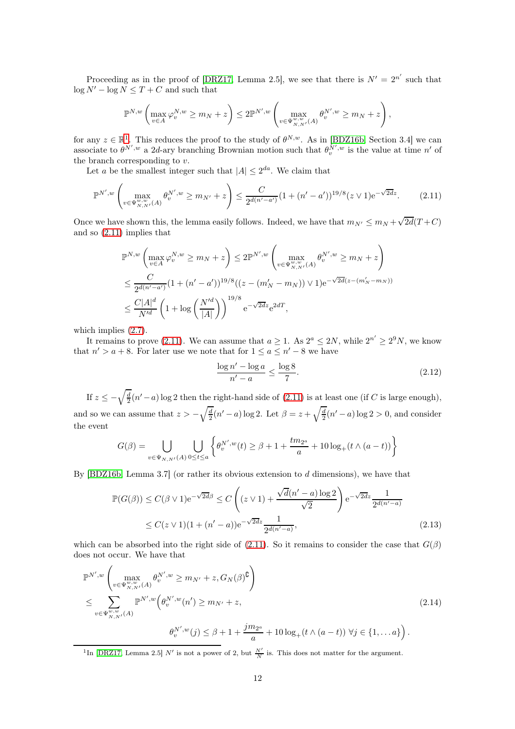Proceeding as in the proof of [\[DRZ17,](#page-62-0) Lemma 2.5], we see that there is  $N' = 2^{n'}$  such that  $\log N' - \log N \leq T + C$  and such that

$$
\mathbb{P}^{N,w}\left(\max_{v\in A}\varphi_v^{N,w}\geq m_N+z\right)\leq 2\mathbb{P}^{N',w}\left(\max_{v\in\Psi_{N,N'}^{w,w}}\theta_v^{N',w}\geq m_N+z\right),
$$

for any  $z \in \mathbb{R}^1$  $z \in \mathbb{R}^1$ . This reduces the proof to the study of  $\theta^{N,w}$ . As in [\[BDZ16b,](#page-61-7) Section 3.4] we can associate to  $\theta^{N',w}$  a 2d-ary branching Brownian motion such that  $\theta^{N',w}_v$  is the value at time n' of the branch corresponding to  $v$ .

Let a be the smallest integer such that  $|A| \leq 2^{da}$ . We claim that

<span id="page-11-1"></span>
$$
\mathbb{P}^{N',w}\left(\max_{v\in\Psi_{N,N'}^{w,w}(A)}\theta_v^{N',w} \ge m_{N'}+z\right) \le \frac{C}{2^{d(n'-a')}}(1+(n'-a'))^{19/8}(z\vee 1)e^{-\sqrt{2d}z}.\tag{2.11}
$$

Once we have shown this, the lemma easily follows. Indeed, we have that  $m_{N'} \le m_N + \sqrt{2d}(T+C)$ and so [\(2.11\)](#page-11-1) implies that

$$
\mathbb{P}^{N,w}\left(\max_{v \in A} \varphi_v^{N,w} \ge m_N + z\right) \le 2\mathbb{P}^{N',w}\left(\max_{v \in \Psi_{N,N'}^{w,w}(A)} \theta_v^{N',w} \ge m_N + z\right)
$$
  

$$
\le \frac{C}{2^{d(n'-a')}} \left(1 + (n'-a')\right)^{19/8} \left((z - (m'_N - m_N)) \vee 1\right) e^{-\sqrt{2d}(z - (m'_N - m_N))}
$$
  

$$
\le \frac{C|A|^d}{N'^d} \left(1 + \log\left(\frac{N'^d}{|A|}\right)\right)^{19/8} e^{-\sqrt{2d}z} e^{2dT},
$$

which implies [\(2.7\)](#page-10-1).

It remains to prove [\(2.11\)](#page-11-1). We can assume that  $a \ge 1$ . As  $2^a \le 2N$ , while  $2^{n'} \ge 2^9 N$ , we know that  $n' > a + 8$ . For later use we note that for  $1 \le a \le n' - 8$  we have

<span id="page-11-4"></span><span id="page-11-3"></span>
$$
\frac{\log n' - \log a}{n' - a} \le \frac{\log 8}{7}.\tag{2.12}
$$

If  $z \le -\sqrt{\frac{d}{2}}(n'-a)\log 2$  then the right-hand side of  $(2.11)$  is at least one (if C is large enough), and so we can assume that  $z > -\sqrt{\frac{d}{2}}(n'-a)\log 2$ . Let  $\beta = z + \sqrt{\frac{d}{2}}(n'-a)\log 2 > 0$ , and consider the event

$$
G(\beta) = \bigcup_{v \in \Psi_{N,N'}(A)} \bigcup_{0 \le t \le a} \left\{ \theta_v^{N',w}(t) \ge \beta + 1 + \frac{tm_{2^a}}{a} + 10 \log_+(t \wedge (a - t)) \right\}
$$

By  $[BDZ16b, Lemma 3.7]$  (or rather its obvious extension to d dimensions), we have that

$$
\mathbb{P}(G(\beta)) \le C(\beta \vee 1)e^{-\sqrt{2d}\beta} \le C\left((z \vee 1) + \frac{\sqrt{d}(n'-a)\log 2}{\sqrt{2}}\right)e^{-\sqrt{2d}z}\frac{1}{2^{d(n'-a)}}\n\le C(z \vee 1)(1+(n'-a))e^{-\sqrt{2d}z}\frac{1}{2^{d(n'-a)}},
$$
\n(2.13)

which can be absorbed into the right side of [\(2.11\)](#page-11-1). So it remains to consider the case that  $G(\beta)$ does not occur. We have that

<span id="page-11-2"></span>
$$
\mathbb{P}^{N',w}\left(\max_{v \in \Psi_{N,N'}^{w,w}(A)} \theta_v^{N',w} \ge m_{N'} + z, G_N(\beta)^{\complement}\right) \n\le \sum_{v \in \Psi_{N,N'}^{w,w}(A)} \mathbb{P}^{N',w}\left(\theta_v^{N',w}(n') \ge m_{N'} + z, \qquad (2.14)
$$
\n
$$
\theta_v^{N',w}(j) \le \beta + 1 + \frac{jm_{2^a}}{a} + 10\log_+(t \wedge (a-t)) \ \forall j \in \{1, \dots a\}\right).
$$

<span id="page-11-0"></span><sup>1</sup>In [\[DRZ17,](#page-62-0) Lemma 2.5] N' is not a power of 2, but  $\frac{N'}{N}$  is. This does not matter for the argument.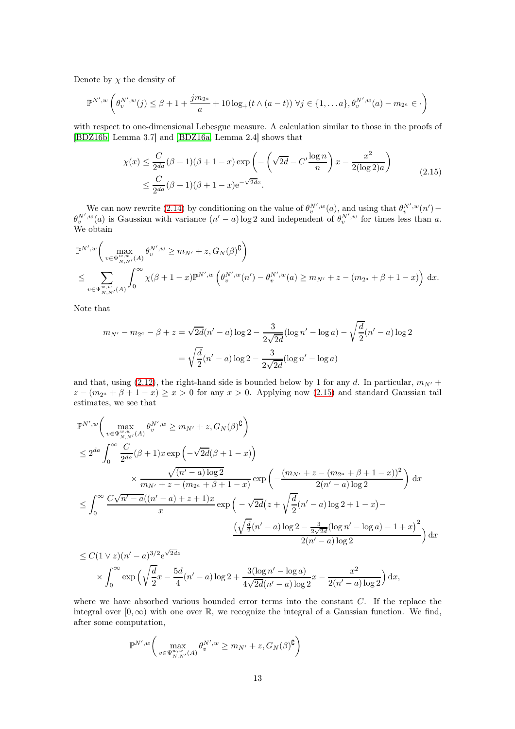Denote by  $\chi$  the density of

$$
\mathbb{P}^{N',w}\left(\theta_{v}^{N',w}(j) \leq \beta + 1 + \frac{jm_{2^a}}{a} + 10\log_{+}(t \wedge (a-t)) \ \forall j \in \{1,\ldots a\}, \theta_{v}^{N',w}(a) - m_{2^a} \in \cdot\right)
$$

with respect to one-dimensional Lebesgue measure. A calculation similar to those in the proofs of [\[BDZ16b,](#page-61-7) Lemma 3.7] and [\[BDZ16a,](#page-61-4) Lemma 2.4] shows that

$$
\chi(x) \le \frac{C}{2^{da}} (\beta + 1)(\beta + 1 - x) \exp\left(-\left(\sqrt{2d} - C'\frac{\log n}{n}\right)x - \frac{x^2}{2(\log 2)a}\right)
$$
  
 
$$
\le \frac{C}{2^{da}} (\beta + 1)(\beta + 1 - x)e^{-\sqrt{2d}x}.
$$
 (2.15)

<span id="page-12-0"></span>We can now rewrite [\(2.14\)](#page-11-2) by conditioning on the value of  $\theta_{v}^{N',w}(a)$ , and using that  $\theta_{v}^{N',w}(n')$  –  $\theta_v^{N',w}(a)$  is Gaussian with variance  $(n'-a)\log 2$  and independent of  $\theta_v^{N',w}$  for times less than a. We obtain

$$
\mathbb{P}^{N',w} \bigg( \max_{v \in \Psi_{N,N'}^{w,w}(A)} \theta_v^{N',w} \ge m_{N'} + z, G_N(\beta)^{\complement} \bigg)
$$
  
\$\le \sum\_{v \in \Psi\_{N,N'}^{w,w}(A)} \int\_0^\infty \chi(\beta + 1 - x) \mathbb{P}^{N',w} \left( \theta\_v^{N',w}(n') - \theta\_v^{N',w}(a) \ge m\_{N'} + z - (m\_{2^a} + \beta + 1 - x) \right) dx.\$

Note that

$$
m_{N'} - m_{2^a} - \beta + z = \sqrt{2d}(n' - a)\log 2 - \frac{3}{2\sqrt{2d}}(\log n' - \log a) - \sqrt{\frac{d}{2}}(n' - a)\log 2
$$

$$
= \sqrt{\frac{d}{2}}(n' - a)\log 2 - \frac{3}{2\sqrt{2d}}(\log n' - \log a)
$$

and that, using [\(2.12\)](#page-11-3), the right-hand side is bounded below by 1 for any d. In particular,  $m_{N'}$  +  $z - (m_{2^a} + \beta + 1 - x) \ge x > 0$  for any  $x > 0$ . Applying now [\(2.15\)](#page-12-0) and standard Gaussian tail estimates, we see that

$$
\mathbb{P}^{N',w}\bigg(\max_{v \in \Psi_{N,N'}^{w,w}(A)} \theta_v^{N',w} \ge m_{N'} + z, G_N(\beta)^{\complement}\bigg)
$$
  
\n
$$
\le 2^{da} \int_0^{\infty} \frac{C}{2^{da}} (\beta + 1)x \exp\left(-\sqrt{2d}(\beta + 1 - x)\right)
$$
  
\n
$$
\times \frac{\sqrt{(n'-a)\log 2}}{m_{N'} + z - (m_{2^a} + \beta + 1 - x)} \exp\left(-\frac{(m_{N'} + z - (m_{2^a} + \beta + 1 - x))^2}{2(n'-a)\log 2}\right) dx
$$
  
\n
$$
\le \int_0^{\infty} \frac{C\sqrt{n'-a}((n'-a) + z + 1)x}{x} \exp\left(-\sqrt{2d}\left(z + \sqrt{\frac{d}{2}}(n'-a)\log 2 + 1 - x\right) - \frac{(\sqrt{\frac{d}{2}}(n'-a)\log 2 - \frac{3}{2\sqrt{2d}}(\log n' - \log a) - 1 + x)^2}{2(n'-a)\log 2}\right) dx
$$

$$
\leq C(1 \vee z)(n'-a)^{3/2} e^{\sqrt{2d}z}
$$
  
\$\times \int\_0^\infty \exp\left(\sqrt{\frac{d}{2}}x - \frac{5d}{4}(n'-a)\log 2 + \frac{3(\log n'-\log a)}{4\sqrt{2d}(n'-a)\log 2}x - \frac{x^2}{2(n'-a)\log 2}\right) dx\$,

where we have absorbed various bounded error terms into the constant  $C$ . If the replace the integral over  $[0, \infty)$  with one over  $\mathbb{R}$ , we recognize the integral of a Gaussian function. We find, after some computation,

$$
\mathbb{P}^{N',w}\bigg(\max_{v\in\Psi^{w,w}_{N,N'}(A)}\theta_v^{N',w}\geq m_{N'}+z,G_N(\beta)^{\complement}\bigg)
$$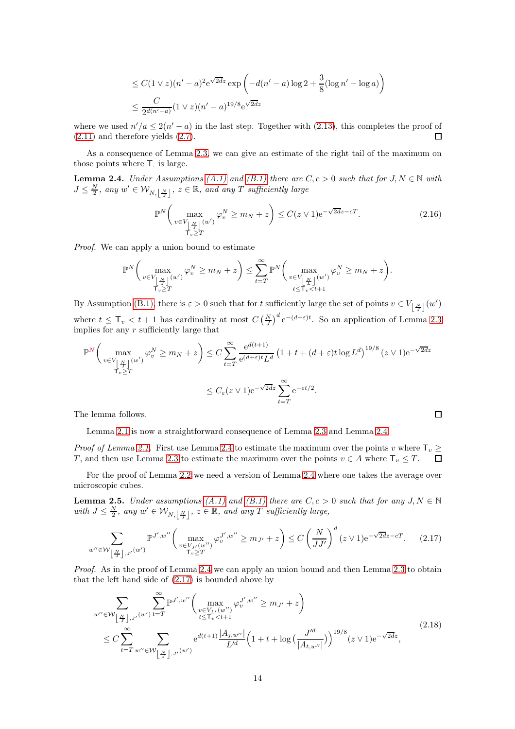$$
\leq C(1 \vee z)(n'-a)^2 e^{\sqrt{2d}z} \exp\left(-d(n'-a)\log 2 + \frac{3}{8}(\log n' - \log a)\right)
$$
  

$$
\leq \frac{C}{2^{d(n'-a)}}(1 \vee z)(n'-a)^{19/8} e^{\sqrt{2d}z}
$$

where we used  $n'/a \leq 2(n'-a)$  in the last step. Together with [\(2.13\)](#page-11-4), this completes the proof of [\(2.11\)](#page-11-1) and therefore yields [\(2.7\)](#page-10-1).

As a consequence of Lemma [2.3,](#page-10-2) we can give an estimate of the right tail of the maximum on those points where  $T<sub>·</sub>$  is large.

<span id="page-13-0"></span>**Lemma 2.4.** Under Assumptions [\(A.1\)](#page-2-1) and [\(B.1\)](#page-3-1) there are  $C, c > 0$  such that for  $J, N \in \mathbb{N}$  with  $J \leq \frac{N}{2}$ , any  $w' \in \mathcal{W}_{N, \lfloor \frac{N}{J} \rfloor}$ ,  $z \in \mathbb{R}$ , and any T sufficiently large

$$
\mathbb{P}^N\left(\max_{v\in V_{\left\lfloor \frac{N}{2}\right\rfloor}(w')} \varphi_v^N \ge m_N + z\right) \le C(z \vee 1)e^{-\sqrt{2dz} - cT}.\tag{2.16}
$$

 $\Box$ 

Proof. We can apply a union bound to estimate

$$
\mathbb{P}^N\bigg(\max_{\substack{v\in V_{\left\lfloor \frac{N}{L}\right\rfloor}(w')\\ \mathsf{T}_v\geq T}}\varphi^N_v\geq m_N+z\bigg)\leq \sum_{t=T}^{\infty}\mathbb{P}^N\bigg(\max_{\substack{v\in V_{\left\lfloor \frac{N}{L}\right\rfloor}(w')\\t\leq \mathsf{T}_v
$$

By Assumption [\(B.1\),](#page-3-1) there is  $\varepsilon > 0$  such that for t sufficiently large the set of points  $v \in V_{\lfloor \frac{N}{J} \rfloor}(w')$ where  $t \leq T_v < t+1$  has cardinality at most  $C\left(\frac{N}{J}\right)^d e^{-(d+\varepsilon)t}$ . So an application of Lemma [2.3](#page-10-2) implies for any  $r$  sufficiently large that

$$
\mathbb{P}^N\left(\max_{v\in V_{\lfloor \frac{N}{2} \rfloor}(w')} \varphi_v^N \ge m_N + z\right) \le C \sum_{t=T}^{\infty} \frac{e^{d(t+1)}}{e^{(d+\varepsilon)t}L^d} \left(1 + t + (d+\varepsilon)t\log L^d\right)^{19/8}(z \vee 1)e^{-\sqrt{2dz}}
$$
  

$$
\le C_{\varepsilon}(z \vee 1)e^{-\sqrt{2dz}} \sum_{t=T}^{\infty} e^{-\varepsilon t/2}.
$$

The lemma follows.

Lemma [2.1](#page-9-1) is now a straightforward consequence of Lemma [2.3](#page-10-2) and Lemma [2.4.](#page-13-0)

*Proof of Lemma [2.1.](#page-9-1)* First use Lemma [2.4](#page-13-0) to estimate the maximum over the points v where  $\mathsf{T}_v \geq T$ , and then use Lemma 2.3 to estimate the maximum over the points  $v \in A$  where  $\mathsf{T}_v \leq T$ . T, and then use Lemma [2.3](#page-10-2) to estimate the maximum over the points  $v \in A$  where  $\mathsf{T}_v \leq T$ .

For the proof of Lemma [2.2](#page-10-0) we need a version of Lemma [2.4](#page-13-0) where one takes the average over microscopic cubes.

<span id="page-13-3"></span>**Lemma 2.5.** Under assumptions  $(A.1)$  and  $(B.1)$  there are  $C, c > 0$  such that for any  $J, N \in \mathbb{N}$ with  $J \leq \frac{N}{2}$ , any  $w' \in \mathcal{W}_{N, \lfloor \frac{N}{J} \rfloor}$ ,  $z \in \mathbb{R}$ , and any T sufficiently large,

<span id="page-13-1"></span>
$$
\sum_{w'' \in \mathcal{W} \left\lfloor \frac{N}{J} \right\rfloor, J'} \mathbb{P}^{J', w''} \left( \max_{\substack{v \in V_{J'}(w'') \\ \mathsf{T}_v \ge T}} \varphi_v^{J', w''} \ge m_{J'} + z \right) \le C \left( \frac{N}{JJ'} \right)^d (z \vee 1) e^{-\sqrt{2d}z - cT}.
$$
 (2.17)

Proof. As in the proof of Lemma [2.4](#page-13-0) we can apply an union bound and then Lemma [2.3](#page-10-2) to obtain that the left hand side of  $(2.17)$  is bounded above by

<span id="page-13-2"></span>
$$
\sum_{w'' \in \mathcal{W} \left[ \frac{N}{J} \right], J'} \sum_{t=T}^{\infty} \mathbb{P}^{J',w''} \bigg( \max_{\substack{v \in V_{L'}(w'') \\ t \leq T_v < t+1}} \varphi_v^{J',w''} \geq m_{J'} + z \bigg) \n\leq C \sum_{t=T}^{\infty} \sum_{w'' \in \mathcal{W} \left[ \frac{N}{J} \right], J'} \mathbb{P}^{(w')} \bigg( e^{d(t+1)} \frac{|A_{j,w''}|}{L'^d} \bigg( 1 + t + \log \big( \frac{J'^d}{|A_{t,w''}|} \big) \bigg)^{19/8} (z \vee 1) e^{-\sqrt{2dz}},
$$
\n(2.18)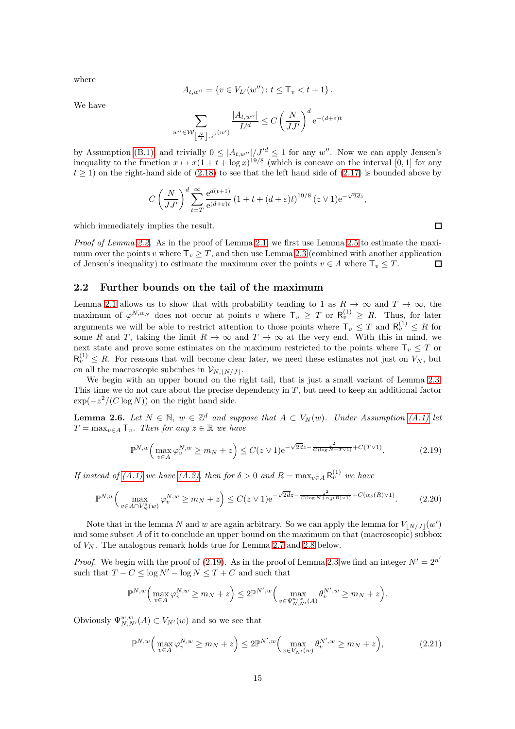$$
A_{t,w''} = \{ v \in V_{L'}(w'') \colon t \leq T_v < t + 1 \}.
$$

We have

where

$$
\sum_{w''\in \mathcal{W}_{\left\lfloor \frac{N}{J}\right\rfloor,J'}(w')} \frac{|A_{t,w''}|}{L'^{d}}\leq C\left(\frac{N}{JJ'}\right)^{d}\mathrm{e}^{-(d+\varepsilon)t}
$$

by Assumption [\(B.1\),](#page-3-1) and trivially  $0 \leq |A_{t,w''}|/J'^{d} \leq 1$  for any w''. Now we can apply Jensen's inequality to the function  $x \mapsto x(1 + t + \log x)^{19/8}$  (which is concave on the interval [0, 1] for any  $t \ge 1$ ) on the right-hand side of [\(2.18\)](#page-13-2) to see that the left hand side of [\(2.17\)](#page-13-1) is bounded above by

$$
C\left(\frac{N}{JJ'}\right)^d \sum_{t=T}^{\infty} \frac{e^{d(t+1)}}{e^{(d+\varepsilon)t}} \left(1+t+(d+\varepsilon)t\right)^{19/8} (z \vee 1)e^{-\sqrt{2d}z},
$$

which immediately implies the result.

Proof of Lemma [2.2.](#page-10-0) As in the proof of Lemma [2.1,](#page-9-1) we first use Lemma [2.5](#page-13-3) to estimate the maximum over the points v where  $\mathsf{T}_v \geq T$ , and then use Lemma [2.3](#page-10-2) (combined with another application of Jensen's inequality) to estimate the maximum over the points  $v \in A$  where  $\mathsf{T}_v \leq T$ . of Jensen's inequality) to estimate the maximum over the points  $v \in A$  where  $\mathsf{T}_v \leq T$ .

#### 2.2 Further bounds on the tail of the maximum

Lemma [2.1](#page-9-1) allows us to show that with probability tending to 1 as  $R \to \infty$  and  $T \to \infty$ , the maximum of  $\varphi^{N,w_N}$  does not occur at points v where  $\mathsf{T}_v \geq T$  or  $\mathsf{R}_v^{(1)} \geq R$ . Thus, for later arguments we will be able to restrict attention to those points where  $\mathsf{T}_v \leq T$  and  $\mathsf{R}_v^{(1)} \leq R$  for some R and T, taking the limit  $R \to \infty$  and  $T \to \infty$  at the very end. With this in mind, we next state and prove some estimates on the maximum restricted to the points where  $\mathsf{T}_v \leq T$  or  $R_v^{(1)} \n\t\leq R$ . For reasons that will become clear later, we need these estimates not just on  $V_N$ , but on all the macroscopic subcubes in  $\mathcal{V}_{N, |N/J|}$ .

We begin with an upper bound on the right tail, that is just a small variant of Lemma [2.3.](#page-10-2) This time we do not care about the precise dependency in  $T$ , but need to keep an additional factor  $\exp(-z^2/(C \log N))$  on the right hand side.

<span id="page-14-3"></span>**Lemma 2.6.** Let  $N \in \mathbb{N}$ ,  $w \in \mathbb{Z}^d$  and suppose that  $A \subset V_N(w)$ . Under Assumption [\(A.1\)](#page-2-1) let  $T = \max_{v \in A} T_v$ . Then for any  $z \in \mathbb{R}$  we have

<span id="page-14-0"></span>
$$
\mathbb{P}^{N,w}\Big(\max_{v \in A} \varphi_v^{N,w} \ge m_N + z\Big) \le C(z \vee 1)e^{-\sqrt{2dz} - \frac{z^2}{C(\log N + T \vee 1)} + C(T \vee 1)}.\tag{2.19}
$$

If instead of [\(A.1\)](#page-2-1) we have [\(A.2\),](#page-2-2) then for  $\delta > 0$  and  $R = \max_{v \in A} R_v^{(1)}$  we have

<span id="page-14-2"></span>
$$
\mathbb{P}^{N,w}\Big(\max_{v\in A\cap V_N^{\delta}(w)}\varphi_v^{N,w}\geq m_N+z\Big)\leq C(z\vee 1)e^{-\sqrt{2dz}-\frac{z^2}{C(\log N+\alpha_{\delta}(R)\vee 1)}+C(\alpha_{\delta}(R)\vee 1)}.\tag{2.20}
$$

Note that in the lemma N and w are again arbitrary. So we can apply the lemma for  $V_{\lfloor N/J\rfloor}(w')$ and some subset A of it to conclude an upper bound on the maximum on that (macroscopic) subbox of  $V_N$ . The analogous remark holds true for Lemma [2.7](#page-15-0) and [2.8](#page-17-0) below.

*Proof.* We begin with the proof of [\(2.19\)](#page-14-0). As in the proof of Lemma [2.3](#page-10-2) we find an integer  $N' = 2^{n'}$ such that  $T - C \le \log N' - \log N \le T + C$  and such that

$$
\mathbb{P}^{N,w}\Big(\max_{v\in A}\varphi_v^{N,w}\geq m_N+z\Big)\leq 2\mathbb{P}^{N',w}\Big(\max_{v\in\Psi_{N,N'}^{w,w}(A)}\theta_v^{N',w}\geq m_N+z\Big).
$$

Obviously  $\Psi_{N,N'}^{w,w}(A) \subset V_{N'}(w)$  and so we see that

<span id="page-14-1"></span>
$$
\mathbb{P}^{N,w}\Big(\max_{v\in A}\varphi_v^{N,w}\geq m_N+z\Big)\leq 2\mathbb{P}^{N',w}\Big(\max_{v\in V_{N'}(w)}\theta_v^{N',w}\geq m_N+z\Big),\tag{2.21}
$$

 $\Box$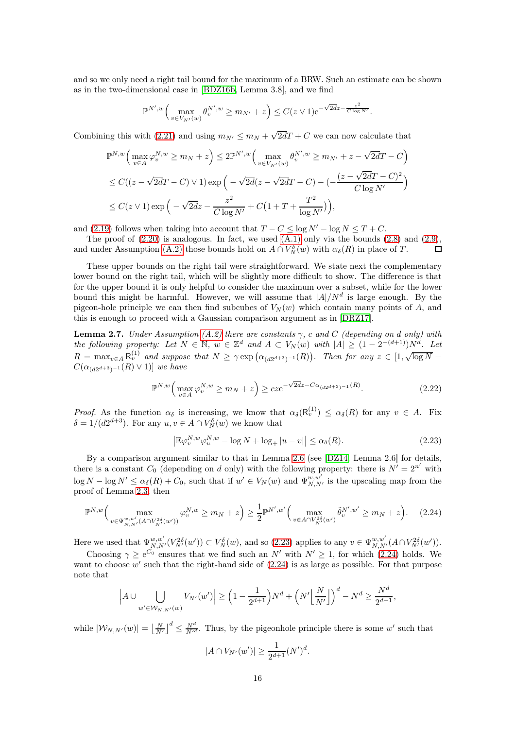and so we only need a right tail bound for the maximum of a BRW. Such an estimate can be shown as in the two-dimensional case in [\[BDZ16b,](#page-61-7) Lemma 3.8], and we find

$$
\mathbb{P}^{N',w}\Big(\max_{v\in V_{N'}(w)}\theta_v^{N',w}\geq m_{N'}+z\Big)\leq C(z\vee 1)\mathrm{e}^{-\sqrt{2dz}-\frac{z^2}{C\log N'}}.
$$

Combining this with [\(2.21\)](#page-14-1) and using  $m_{N'} \le m_N + \sqrt{2d}T + C$  we can now calculate that

$$
\mathbb{P}^{N,w}\Big(\max_{v\in A}\varphi_v^{N,w}\geq m_N+z\Big)\leq 2\mathbb{P}^{N',w}\Big(\max_{v\in V_{N'}(w)}\theta_v^{N',w}\geq m_{N'}+z-\sqrt{2d}T-C\Big)
$$
  

$$
\leq C((z-\sqrt{2d}T-C)\vee 1)\exp\Big(-\sqrt{2d}(z-\sqrt{2d}T-C)-(-\frac{(z-\sqrt{2d}T-C)^2}{C\log N'}\Big)
$$
  

$$
\leq C(z\vee 1)\exp\Big(-\sqrt{2d}z-\frac{z^2}{C\log N'}+C\big(1+T+\frac{T^2}{\log N'}\big)\Big),
$$

and [\(2.19\)](#page-14-0) follows when taking into account that  $T - C \le \log N' - \log N \le T + C$ .

The proof of  $(2.20)$  is analogous. In fact, we used  $(A.1)$  only via the bounds  $(2.8)$  and  $(2.9)$ , and under Assumption [\(A.2\)](#page-2-2) those bounds hold on  $A \cap V_N^{\delta}(w)$  with  $\alpha_{\delta}(R)$  in place of T.  $\Box$ 

These upper bounds on the right tail were straightforward. We state next the complementary lower bound on the right tail, which will be slightly more difficult to show. The difference is that for the upper bound it is only helpful to consider the maximum over a subset, while for the lower bound this might be harmful. However, we will assume that  $|A|/N^d$  is large enough. By the pigeon-hole principle we can then find subcubes of  $V_N(w)$  which contain many points of A, and this is enough to proceed with a Gaussian comparison argument as in [\[DRZ17\]](#page-62-0).

<span id="page-15-0"></span>**Lemma 2.7.** Under Assumption [\(A.2\)](#page-2-2) there are constants  $\gamma$ , c and C (depending on d only) with the following property: Let  $N \in \mathbb{N}$ ,  $w \in \mathbb{Z}^d$  and  $A \subset V_N(w)$  with  $|A| \geq (1 - 2^{-(d+1)})N^d$ . Let  $R = \max_{v \in A} R_v^{(1)}$  and suppose that  $N \ge \gamma \exp(\alpha_{(d2^{d+3})^{-1}}(R))$ . Then for any  $z \in [1, \sqrt{\log N} - \sqrt{\log N}]$  $C(\alpha_{(d2^{d+3})^{-1}}(R) \vee 1)]$  we have

<span id="page-15-3"></span>
$$
\mathbb{P}^{N,w}\Big(\max_{v\in A} \varphi_v^{N,w} \ge m_N + z\Big) \ge cze^{-\sqrt{2d}z - C\alpha_{(d2^{d+3})^{-1}}(R)}.\tag{2.22}
$$

Proof. As the function  $\alpha_{\delta}$  is increasing, we know that  $\alpha_{\delta}(\mathsf{R}_{v}^{(1)}) \leq \alpha_{\delta}(R)$  for any  $v \in A$ . Fix  $\delta = 1/(d2^{d+3})$ . For any  $u, v \in A \cap V^{\delta}_N(w)$  we know that

<span id="page-15-1"></span>
$$
\left| \mathbb{E}\varphi_v^{N,w} \varphi_u^{N,w} - \log N + \log_+ |u - v| \right| \le \alpha_\delta(R). \tag{2.23}
$$

By a comparison argument similar to that in Lemma [2.6](#page-14-3) (see [\[DZ14,](#page-62-18) Lemma 2.6] for details, there is a constant  $C_0$  (depending on d only) with the following property: there is  $N' = 2^{n'}$  with  $\log N - \log N' \leq \alpha_{\delta}(R) + C_0$ , such that if  $w' \in V_N(w)$  and  $\Psi_{N,N'}^{w,w'}$  is the upscaling map from the proof of Lemma [2.3,](#page-10-2) then

<span id="page-15-2"></span>
$$
\mathbb{P}^{N,w}\Big(\max_{v \in \Psi_{N,N'}^{w,w'}(A \cap V_{N'}^{2\delta}(w'))} \varphi_v^{N,w} \ge m_N + z\Big) \ge \frac{1}{2} \mathbb{P}^{N',w'}\Big(\max_{v \in A \cap V_{N'}^{2\delta}(w')} \tilde{\theta}_v^{N',w'} \ge m_N + z\Big). \tag{2.24}
$$

Here we used that  $\Psi_{N,N'}^{w,w'}(V_{N'}^{2\delta}(w')) \subset V_N^{\delta}(w)$ , and so [\(2.23\)](#page-15-1) applies to any  $v \in \Psi_{N,N'}^{w,w'}(A \cap V_{N'}^{2\delta}(w'))$ .

Choosing  $\gamma \geq e^{C_0}$  ensures that we find such an N' with  $N' \geq 1$ , for which [\(2.24\)](#page-15-2) holds. We want to choose  $w'$  such that the right-hand side of  $(2.24)$  is as large as possible. For that purpose note that

$$
\left| A \cup \bigcup_{w' \in \mathcal{W}_{N,N'}(w)} V_{N'}(w') \right| \ge \left(1 - \frac{1}{2^{d+1}}\right) N^d + \left(N' \left\lfloor \frac{N}{N'} \right\rfloor \right)^d - N^d \ge \frac{N^d}{2^{d+1}},
$$

while  $|W_{N,N'}(w)| = \left\lfloor \frac{N}{N'} \right\rfloor^d \leq \frac{N^d}{N'^d}$ . Thus, by the pigeonhole principle there is some w' such that

$$
|A \cap V_{N'}(w')| \ge \frac{1}{2^{d+1}} (N')^d.
$$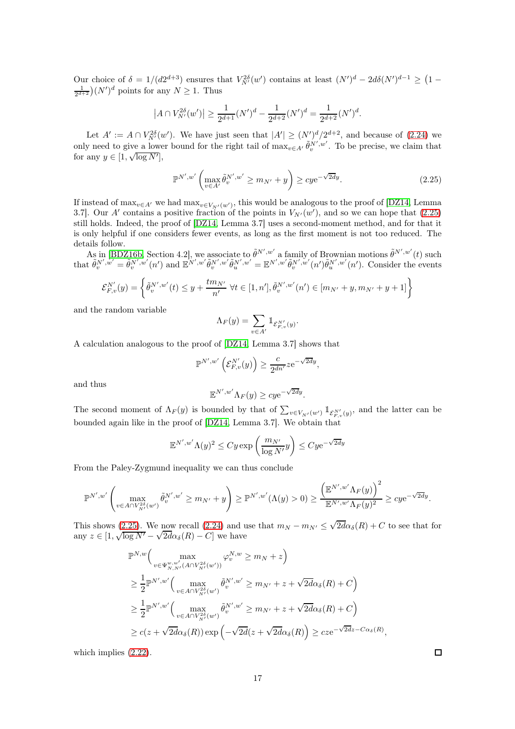Our choice of  $\delta = 1/(d2^{d+3})$  ensures that  $V_{N'}^{2\delta}(w')$  contains at least  $(N')^d - 2d\delta(N')^{d-1} \geq (1 \frac{1}{2^{d+2}}(N')^d$  points for any  $N \geq 1$ . Thus

$$
\left|A \cap V_{N'}^{2\delta}(w')\right| \ge \frac{1}{2^{d+1}}(N')^d - \frac{1}{2^{d+2}}(N')^d = \frac{1}{2^{d+2}}(N')^d.
$$

Let  $A' := A \cap V_{N'}^{2\delta}(w')$ . We have just seen that  $|A'| \geq (N'')_{N'}^{d}/2^{d+2}$ , and because of [\(2.24\)](#page-15-2) we only need to give a lower bound for the right tail of  $\max_{v \in A'} \tilde{\theta}_v^{N',w'}$ . To be precise, we claim that for any  $y \in [1, \sqrt{\log N'}],$ 

<span id="page-16-0"></span>
$$
\mathbb{P}^{N',w'}\left(\max_{v\in A'} \tilde{\theta}_v^{N',w'} \ge m_{N'} + y\right) \ge c y e^{-\sqrt{2d}y}.\tag{2.25}
$$

If instead of  $\max_{v \in A'}$  we had  $\max_{v \in V_{N'}(w')}$ , this would be analogous to the proof of [\[DZ14,](#page-62-18) Lemma 3.7. Our A' contains a positive fraction of the points in  $V_{N'}(w')$ , and so we can hope that  $(2.25)$ still holds. Indeed, the proof of [\[DZ14,](#page-62-18) Lemma 3.7] uses a second-moment method, and for that it is only helpful if one considers fewer events, as long as the first moment is not too reduced. The details follow.

As in [\[BDZ16b,](#page-61-7) Section 4.2], we associate to  $\tilde{\theta}^{N',w'}$  a family of Brownian motions  $\tilde{\theta}^{N',w'}(t)$  such that  $\tilde{\theta}_{v}^{N',w'} = \tilde{\theta}_{v}^{N',w'}(n')$  and  $\mathbb{E}^{N',w'}\tilde{\theta}_{v}^{N',w'}\tilde{\theta}_{u}^{N',w'} = \mathbb{E}^{N',w'}\tilde{\theta}_{v}^{N',w'}(n')\tilde{\theta}_{u}^{N',w'}(n')$ . Consider the events

$$
\mathcal{E}_{F,v}^{N'}(y) = \left\{ \tilde{\theta}_v^{N',w'}(t) \le y + \frac{tm_{N'}}{n'} \ \forall t \in [1,n'], \tilde{\theta}_v^{N',w'}(n') \in [m_{N'} + y, m_{N'} + y + 1] \right\}
$$

and the random variable

$$
\Lambda_F(y) = \sum_{v \in A'} \mathbbm{1}_{\mathcal{E}^{N'}_{F,v}(y)}.
$$

A calculation analogous to the proof of [\[DZ14,](#page-62-18) Lemma 3.7] shows that

$$
\mathbb{P}^{N',w'}\left(\mathcal{E}_{F,v}^{N'}(y)\right) \geq \frac{c}{2^{dn'}}ze^{-\sqrt{2d}y},
$$

and thus

$$
\mathbb{E}^{N',w'}\Lambda_F(y) \ge c y e^{-\sqrt{2d}y}.
$$

The second moment of  $\Lambda_F(y)$  is bounded by that of  $\sum_{v \in V_{N'}(w')} \mathbb{1}_{\mathcal{E}_{F,v}^{N'}(y)}$ , and the latter can be bounded again like in the proof of [\[DZ14,](#page-62-18) Lemma 3.7]. We obtain that

$$
\mathbb{E}^{N',w'} \Lambda(y)^2 \le C y \exp\left(\frac{m_{N'}}{\log N'}y\right) \le C y \mathrm{e}^{-\sqrt{2d}y}
$$

From the Paley-Zygmund inequality we can thus conclude

$$
\mathbb{P}^{N',w'}\left(\max_{v\in A\cap V_{N'}^{2\delta}(w')} \tilde{\theta}_v^{N',w'} \ge m_{N'}+y\right) \ge \mathbb{P}^{N',w'}(\Lambda(y)>0) \ge \frac{\left(\mathbb{E}^{N',w'}\Lambda_F(y)\right)^2}{\mathbb{E}^{N',w'}\Lambda_F(y)^2} \ge c y \mathrm{e}^{-\sqrt{2d}y}.
$$

This shows [\(2.25\)](#page-16-0). We now recall [\(2.24\)](#page-15-2) and use that  $m_N - m_{N'} \leq \sqrt{2d\alpha_{\delta}(R)} + C$  to see that for any  $z \in [1, \sqrt{\log N'} - \sqrt{2d\alpha_{\delta}(R)} - C]$  we have

$$
\mathbb{P}^{N,w}\Big(\max_{v \in \Psi_{N,N'}^{w,w'}(A \cap V_{N'}^{2\delta}(w'))} \varphi_v^{N,w} \ge m_N + z\Big)
$$
\n
$$
\ge \frac{1}{2} \mathbb{P}^{N',w'}\Big(\max_{v \in A \cap V_{N'}^{2\delta}(w')} \tilde{\theta}_v^{N',w'} \ge m_{N'} + z + \sqrt{2d\alpha_{\delta}(R)} + C\Big)
$$
\n
$$
\ge \frac{1}{2} \mathbb{P}^{N',w'}\Big(\max_{v \in A \cap V_{N'}^{2\delta}(w')} \tilde{\theta}_v^{N',w'} \ge m_{N'} + z + \sqrt{2d\alpha_{\delta}(R)} + C\Big)
$$
\n
$$
\ge c(z + \sqrt{2d\alpha_{\delta}(R)}) \exp\Big(-\sqrt{2d}(z + \sqrt{2d\alpha_{\delta}(R)})\Big) \ge cze^{-\sqrt{2d}z - C\alpha_{\delta}(R)},
$$

which implies [\(2.22\)](#page-15-3).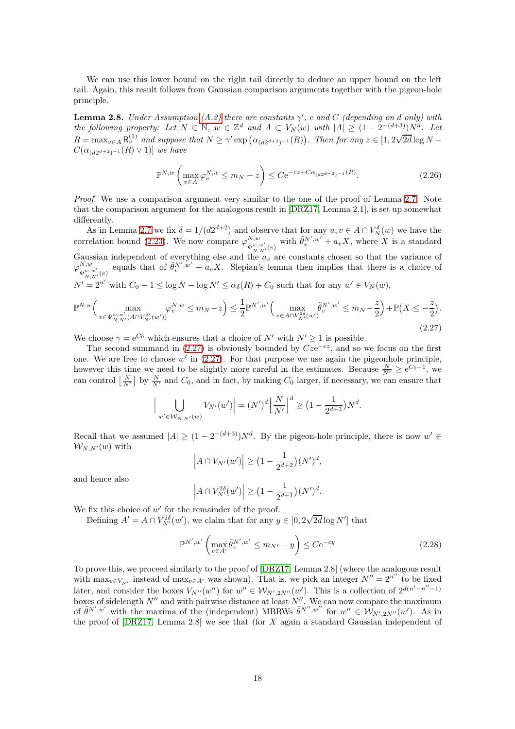We can use this lower bound on the right tail directly to deduce an upper bound on the left tail. Again, this result follows from Gaussian comparison arguments together with the pigeon-hole principle.

<span id="page-17-0"></span>**Lemma 2.8.** Under Assumption [\(A.2\)](#page-2-2) there are constants  $\gamma'$ , c and C (depending on d only) with the following property: Let  $N \in \mathbb{N}$ ,  $w \in \mathbb{Z}^d$  and  $A \subset V_N(w)$  with  $|A| \geq (1 - 2^{-(d+3)})N^d$ . Let  $R = \max_{v \in A} R_v^{(1)}$  and suppose that  $N \ge \gamma' \exp(\alpha_{(d2^{d+2})^{-1}}(R))$ . Then for any  $z \in [1, 2\sqrt{2d} \log N C(\alpha_{(d2^{d+2})^{-1}}(R) \vee 1)]$  we have

<span id="page-17-3"></span>
$$
\mathbb{P}^{N,w}\left(\max_{v\in A} \varphi_v^{N,w} \le m_N - z\right) \le C e^{-cz + C\alpha_{(d2^{d+2})^{-1}}(R)}.
$$
\n(2.26)

Proof. We use a comparison argument very similar to the one of the proof of Lemma [2.7.](#page-15-0) Note that the comparison argument for the analogous result in [\[DRZ17,](#page-62-0) Lemma 2.1], is set up somewhat differently.

As in Lemma [2.7](#page-15-0) we fix  $\delta = 1/(d2^{d+2})$  and observe that for any  $u, v \in A \cap V^{\delta}_N(w)$  we have the correlation bound [\(2.23\)](#page-15-1). We now compare  $\varphi_{x,w}^{N,w}$  $W_{w,w'}^{W,w'}$  with  $\tilde{\theta}_{v}^{N',w'} + a_v X$ , where X is a standard Gaussian independent of everything else and the  $a_v$  are constants chosen so that the variance of  $\varphi_{x,w}^{N,w}$  $W_{W,w'}^{W,w'}$  equals that of  $\tilde{\theta}_v^{N',w'} + a_v X$ . Slepian's lemma then implies that there is a choice of  $N' = 2^{n'}$  with  $C_0 - 1 \le \log N - \log N' \le \alpha_{\delta}(R) + C_0$  such that for any  $w' \in V_N(w)$ ,

<span id="page-17-1"></span>
$$
\mathbb{P}^{N,w}\Big(\max_{v \in \Psi_{N,N'}^{w,w'}(A \cap V_{N'}^{2\delta}(w'))} \varphi_v^{N,w} \le m_N - z\Big) \le \frac{1}{2} \mathbb{P}^{N',w'}\Big(\max_{v \in A \cap V_{N'}^{2\delta}(w')} \tilde{\theta}_v^{N',w'} \le m_N - \frac{z}{2}\Big) + \mathbb{P}\big(X \le -\frac{z}{2}\big). \tag{2.27}
$$

We choose  $\gamma = e^{C_0}$  which ensures that a choice of N' with  $N' \ge 1$  is possible.

The second summand in  $(2.27)$  is obviously bounded by  $Cze^{-cz}$ , and so we focus on the first one. We are free to choose  $w'$  in  $(2.27)$ . For that purpose we use again the pigeonhole principle, however this time we need to be slightly more careful in the estimates. Because  $\frac{N}{N'} \ge e^{C_0 - 1}$ , we can control  $\lfloor \frac{N}{N'} \rfloor$  by  $\frac{N}{N'}$  and  $C_0$ , and in fact, by making  $C_0$  larger, if necessary, we can ensure that

$$
\Big| \bigcup_{w' \in \mathcal{W}_{N,N'}(w)} V_{N'}(w') \Big| = (N')^d \Big| \frac{N}{N'} \Big|^d \ge \Big( 1 - \frac{1}{2^{d+3}} \Big) N^d.
$$

Recall that we assumed  $|A| \geq (1 - 2^{-(d+3)})N^d$ . By the pigeon-hole principle, there is now  $w' \in$  $W_{N,N'}(w)$  with

$$
\left| A \cap V_{N'}(w') \right| \ge (1 - \frac{1}{2^{d+2}})(N')^d,
$$

and hence also

$$
\left| A \cap V_{N'}^{2\delta}(w') \right| \ge \left(1 - \frac{1}{2^{d+1}}\right) (N')^d.
$$

We fix this choice of  $w'$  for the remainder of the proof.

Defining  $A' = A \cap V_{N'}^{2\delta}(w')$ , we claim that for any  $y \in [0, 2\sqrt{2d} \log N']$  that

<span id="page-17-2"></span>
$$
\mathbb{P}^{N',w'}\left(\max_{v\in A'}\tilde{\theta}_v^{N',w'}\leq m_{N'}-y\right)\leq C\mathrm{e}^{-cy}\tag{2.28}
$$

To prove this, we proceed similarly to the proof of [\[DRZ17,](#page-62-0) Lemma 2.8] (where the analogous result with  $\max_{v \in V_{N'}}$  instead of  $\max_{v \in A'}$  was shown). That is, we pick an integer  $N'' = 2^{n''}$  to be fixed later, and consider the boxes  $V_{N''}(w'')$  for  $w'' \in \mathcal{W}_{N',2N''}(w')$ . This is a collection of  $2^{d(n'-n''-1)}$ boxes of sidelength  $N''$  and with pairwise distance at least  $N''$ . We can now compare the maximum of  $\tilde{\theta}^{N',w'}$  with the maxima of the (independent) MBRWs  $\tilde{\theta}^{N'',w''}$  for  $w'' \in \mathcal{W}_{N',2N''}(w')$ . As in the proof of  $[DRZ17, Lemma 2.8]$  we see that (for X again a standard Gaussian independent of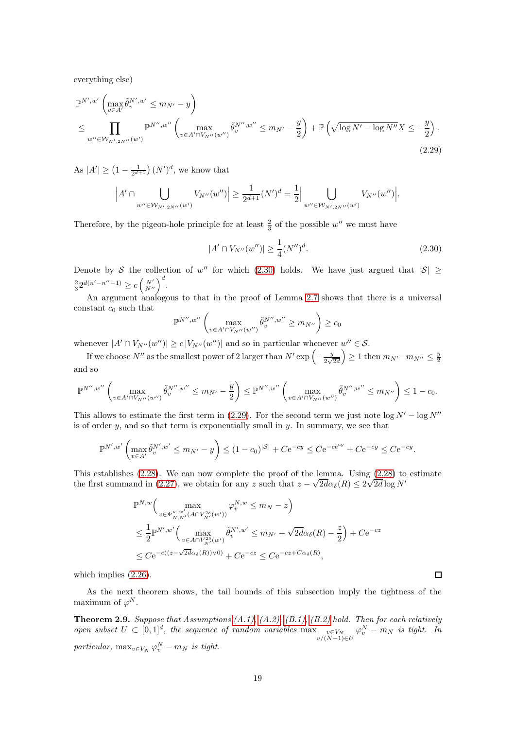everything else)

<span id="page-18-2"></span>
$$
\mathbb{P}^{N',w'} \left( \max_{v \in A'} \tilde{\theta}_v^{N',w'} \le m_{N'} - y \right)
$$
  
\n
$$
\le \prod_{w'' \in \mathcal{W}_{N',2N''}(w')} \mathbb{P}^{N'',w''} \left( \max_{v \in A' \cap V_{N''}(w'')} \tilde{\theta}_v^{N'',w''} \le m_{N'} - \frac{y}{2} \right) + \mathbb{P} \left( \sqrt{\log N' - \log N''} X \le -\frac{y}{2} \right).
$$
\n(2.29)

As  $|A'| \ge (1 - \frac{1}{2^{d+1}}) (N')^d$ , we know that

$$
\left| A' \cap \bigcup_{w'' \in \mathcal{W}_{N',2N''}(w')} V_{N''}(w'') \right| \ge \frac{1}{2^{d+1}} (N')^d = \frac{1}{2} \Big| \bigcup_{w'' \in \mathcal{W}_{N',2N''}(w')} V_{N''}(w'') \Big|.
$$

Therefore, by the pigeon-hole principle for at least  $\frac{2}{3}$  of the possible w'' we must have

<span id="page-18-1"></span>
$$
|A' \cap V_{N''}(w'')| \ge \frac{1}{4} (N'')^d. \tag{2.30}
$$

Denote by S the collection of w'' for which [\(2.30\)](#page-18-1) holds. We have just argued that  $|S| \ge$  $\frac{2}{3}2^{d(n'-n''-1)} \geq c \left(\frac{N'}{N''}\right)^d.$ 

An argument analogous to that in the proof of Lemma [2.7](#page-15-0) shows that there is a universal constant  $c_0$  such that

$$
\mathbb{P}^{N'',w''}\left(\max_{v\in A'\cap V_{N''}(w'')} \tilde{\theta}_v^{N'',w''}\geq m_{N''}\right)\geq c_0
$$

whenever  $|A' \cap V_{N''}(w'')| \ge c |V_{N''}(w'')|$  and so in particular whenever  $w'' \in S$ .

If we choose  $N''$  as the smallest power of 2 larger than  $N' \exp\left(-\frac{y}{2\sqrt{N}}\right)$  $\left(\frac{y}{2\sqrt{2d}}\right) \geq 1$  then  $m_{N'}-m_{N''} \leq \frac{y}{2}$ and so

$$
\mathbb{P}^{N'',w''} \left( \max_{v \in A' \cap V_{N''}(w'')} \tilde{\theta}^{N'',w''}_{v} \leq m_{N'}-\frac{y}{2} \right) \leq \mathbb{P}^{N'',w''} \left( \max_{v \in A' \cap V_{N''}(w'')} \tilde{\theta}^{N'',w''}_{v} \leq m_{N''} \right) \leq 1-c_0.
$$

This allows to estimate the first term in [\(2.29\)](#page-18-2). For the second term we just note  $\log N' - \log N''$ is of order  $y$ , and so that term is exponentially small in  $y$ . In summary, we see that

$$
\mathbb{P}^{N',w'}\left(\max_{v\in A'} \tilde{\theta}_v^{N',w'} \le m_{N'} - y\right) \le (1-c_0)^{|\mathcal{S}|} + Ce^{-cy} \le Ce^{-ce^y} + Ce^{-cy} \le Ce^{-cy}.
$$

This establishes [\(2.28\)](#page-17-2). We can now complete the proof of the lemma. Using [\(2.28\)](#page-17-2) to estimate the first summand in [\(2.27\)](#page-17-1), we obtain for any z such that  $z - \sqrt{2d\alpha} \delta(R) \leq 2\sqrt{2d\log N'}$ 

$$
\mathbb{P}^{N,w}\Big(\max_{v\in\Psi_{N,N'}^{w,w'}(A\cap V_{N'}^{2\delta}(w'))}\varphi_v^{N,w}\leq m_N-z\Big)
$$
  

$$
\leq \frac{1}{2}\mathbb{P}^{N',w'}\Big(\max_{v\in A\cap V_{N'}^{2\delta}(w')}\tilde{\theta}_v^{N',w'}\leq m_{N'}+\sqrt{2d\alpha_{\delta}}(R)-\frac{z}{2}\Big)+Ce^{-cz}
$$
  

$$
\leq Ce^{-c((z-\sqrt{2d\alpha_{\delta}}(R))\vee 0)}+Ce^{-cz}\leq Ce^{-cz+C\alpha_{\delta}(R)},
$$

which implies  $(2.26)$ .

As the next theorem shows, the tail bounds of this subsection imply the tightness of the maximum of  $\varphi^N$ .

<span id="page-18-0"></span>**Theorem 2.9.** Suppose that Assumptions  $(A.1)$ ,  $(A.2)$ ,  $(B.1)$ ,  $(B.2)$  hold. Then for each relatively open subset  $U \subset [0,1]^d$ , the sequence of random variables  $\max_{v \in V_N} v \in V_N$  $\varphi^N_v - m_N$  is tight. In particular,  $\max_{v \in V_N} \varphi_v^N - m_N$  is tight.

 $\Box$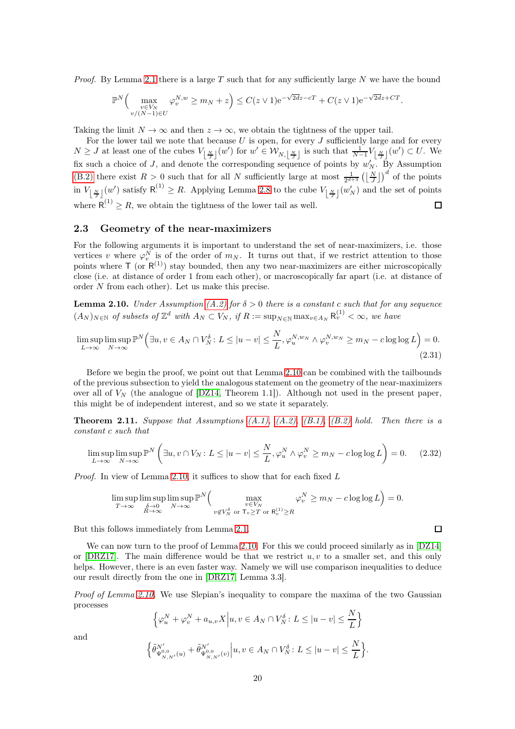*Proof.* By Lemma [2.1](#page-9-1) there is a large  $T$  such that for any sufficiently large  $N$  we have the bound

$$
\mathbb{P}^N\Big(\max_{\substack{v\in V_N\\v/(N-1)\in U}}\varphi_v^{N,w}\geq m_N+z\Big)\leq C(z\vee 1)\mathrm{e}^{-\sqrt{2dz}-cT}+C(z\vee 1)\mathrm{e}^{-\sqrt{2dz}+CT}.
$$

Taking the limit  $N \to \infty$  and then  $z \to \infty$ , we obtain the tightness of the upper tail.

For the lower tail we note that because  $U$  is open, for every  $J$  sufficiently large and for every  $N \geq J$  at least one of the cubes  $V_{\lfloor \frac{N}{J} \rfloor}(w')$  for  $w' \in \mathcal{W}_{N,\lfloor \frac{N}{J} \rfloor}$  is such that  $\frac{1}{N-1}V_{\lfloor \frac{N}{J} \rfloor}(w') \subset U$ . We fix such a choice of J, and denote the corresponding sequence of points by  $w'_{N}$ . By Assumption [\(B.2\)](#page-3-3) there exist  $R > 0$  such that for all N sufficiently large at most  $\frac{1}{2^{d+3}} \left( \left\lfloor \frac{N}{J} \right\rfloor \right)^d$  of the points in  $V_{\lfloor \frac{N}{J} \rfloor}(w')$  satisfy  $\mathsf{R}^{(1)} \geq R$ . Applying Lemma [2.8](#page-17-0) to the cube  $V_{\lfloor \frac{N}{J} \rfloor}(w'_N)$  and the set of points where  $R^{(1)} \ge R$ , we obtain the tightness of the lower tail as well. П

#### 2.3 Geometry of the near-maximizers

For the following arguments it is important to understand the set of near-maximizers, i.e. those vertices v where  $\varphi_v^N$  is of the order of  $m_N$ . It turns out that, if we restrict attention to those points where  $\mathsf{T}$  (or  $\mathsf{R}^{(1)}$ ) stay bounded, then any two near-maximizers are either microscopically close (i.e. at distance of order 1 from each other), or macroscopically far apart (i.e. at distance of order N from each other). Let us make this precise.

<span id="page-19-1"></span>**Lemma 2.10.** Under Assumption [\(A.2\)](#page-2-2) for  $\delta > 0$  there is a constant c such that for any sequence  $(A_N)_{N \in \mathbb{N}}$  of subsets of  $\mathbb{Z}^d$  with  $A_N \subset V_N$ , if  $R := \sup_{N \in \mathbb{N}} \max_{v \in A_N} R_v^{(1)} < \infty$ , we have

<span id="page-19-2"></span>
$$
\limsup_{L \to \infty} \limsup_{N \to \infty} \mathbb{P}^N \Big( \exists u, v \in A_N \cap V_N^{\delta} \colon L \le |u - v| \le \frac{N}{L}, \varphi_u^{N, w_N} \wedge \varphi_v^{N, w_N} \ge m_N - c \log \log L \Big) = 0. \tag{2.31}
$$

Before we begin the proof, we point out that Lemma [2.10](#page-19-1) can be combined with the tailbounds of the previous subsection to yield the analogous statement on the geometry of the near-maximizers over all of  $V_N$  (the analogue of  $[DZ14, Theorem 1.1]$ ). Although not used in the present paper, this might be of independent interest, and so we state it separately.

<span id="page-19-0"></span>**Theorem 2.11.** Suppose that Assumptions  $(A.1)$ ,  $(A.2)$ ,  $(B.1)$ ,  $(B.2)$  hold. Then there is a constant c such that

$$
\limsup_{L \to \infty} \limsup_{N \to \infty} \mathbb{P}^N \left( \exists u, v \cap V_N : L \le |u - v| \le \frac{N}{L}, \varphi_u^N \wedge \varphi_v^N \ge m_N - c \log \log L \right) = 0. \tag{2.32}
$$

*Proof.* In view of Lemma [2.10,](#page-19-1) it suffices to show that for each fixed  $L$ 

$$
\limsup_{T \to \infty} \limsup_{\substack{\delta \to 0 \\ R \to \infty}} \limsup_{N \to \infty} \mathbb{P}^N \Big( \max_{\substack{v \in V_N \\ v \notin V_N^{\delta} \text{ or } \mathsf{T}_v \ge T \text{ or } \mathsf{R}_v^{(1)} \ge R}} \varphi_v^N \ge m_N - c \log \log L \Big) = 0.
$$

But this follows immediately from Lemma [2.1.](#page-9-1)

We can now turn to the proof of Lemma [2.10.](#page-19-1) For this we could proceed similarly as in [\[DZ14\]](#page-62-18) or [\[DRZ17\]](#page-62-0). The main difference would be that we restrict  $u, v$  to a smaller set, and this only helps. However, there is an even faster way. Namely we will use comparison inequalities to deduce our result directly from the one in [\[DRZ17,](#page-62-0) Lemma 3.3].

Proof of Lemma [2.10.](#page-19-1) We use Slepian's inequality to compare the maxima of the two Gaussian processes

$$
\left\{\varphi_u^N + \varphi_v^N + a_{u,v}X \middle| u, v \in A_N \cap V_N^{\delta} : L \le |u - v| \le \frac{N}{L}\right\}
$$
  

$$
\left\{\tilde{\theta}_{\Psi_{v,v}^{0,0}(u)}^{N'} + \tilde{\theta}_{\Psi_{v,v}^{0,0}(v)}^{N'}\middle| u, v \in A_N \cap V_N^{\delta} : L \le |u - v| \le \frac{N}{L}\right\}.
$$

and

$$
\left\{\tilde{\theta}_{\Psi_{N,N'}^{0,0}}^{N'}(u)+\tilde{\theta}_{\Psi_{N,N'}^{0,0}}^{N'}(v)\middle| u,v\in A_N\cap V_N^\delta\colon L\leq |u-v|\leq \frac{N}{L}\right\}
$$

 $\Box$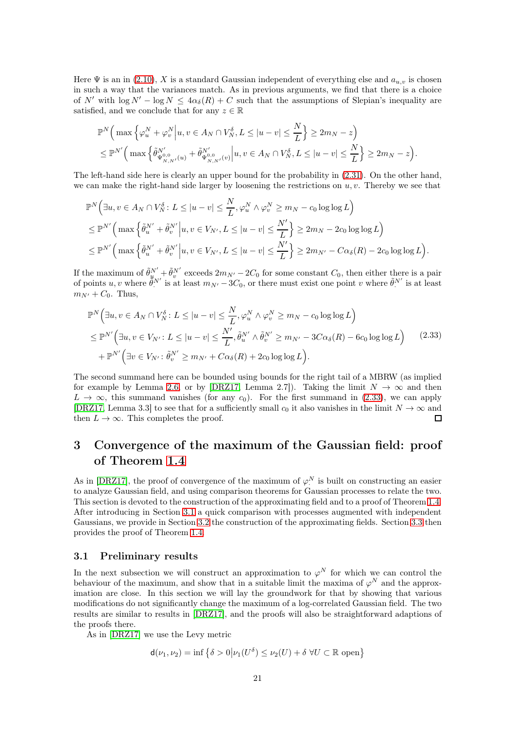Here  $\Psi$  is an in [\(2.10\)](#page-10-5), X is a standard Gaussian independent of everything else and  $a_{u,v}$  is chosen in such a way that the variances match. As in previous arguments, we find that there is a choice of N' with  $\log N' - \log N \leq 4\alpha_{\delta}(R) + C$  such that the assumptions of Slepian's inequality are satisfied, and we conclude that for any  $z \in \mathbb{R}$ 

$$
\mathbb{P}^N\Big(\max\Big\{\varphi_u^N+\varphi_v^N\Big|u,v\in A_N\cap V_N^\delta,L\leq |u-v|\leq \frac{N}{L}\Big\}\geq 2m_N-z\Big)\leq \mathbb{P}^{N'}\Big(\max\Big\{\tilde{\theta}_{\Psi_{N,N'}^{N'}(u)}^{N'}+\tilde{\theta}_{\Psi_{N,N'}^{N'}(v)}^{N'}\Big|u,v\in A_N\cap V_N^\delta,L\leq |u-v|\leq \frac{N}{L}\Big\}\geq 2m_N-z\Big).
$$

The left-hand side here is clearly an upper bound for the probability in [\(2.31\)](#page-19-2). On the other hand, we can make the right-hand side larger by loosening the restrictions on  $u, v$ . Thereby we see that

$$
\mathbb{P}^N\Big(\exists u,v\in A_N\cap V_N^{\delta}\colon L\leq |u-v|\leq \frac{N}{L},\varphi_u^N\wedge\varphi_v^N\geq m_N-c_0\log\log L\Big)\\ \leq \mathbb{P}^{N'}\Big(\max\Big\{\tilde{\theta}_u^{N'}+\tilde{\theta}_v^{N'}\Big|u,v\in V_{N'}, L\leq |u-v|\leq \frac{N'}{L}\Big\}\geq 2m_N-2c_0\log\log L\Big)\\ \leq \mathbb{P}^{N'}\Big(\max\Big\{\tilde{\theta}_u^{N'}+\tilde{\theta}_v^{N'}\Big|u,v\in V_{N'}, L\leq |u-v|\leq \frac{N'}{L}\Big\}\geq 2m_{N'}-C\alpha_{\delta}(R)-2c_0\log\log L\Big).
$$

If the maximum of  $\tilde{\theta}_{\psi_{N'}}^{N'} + \tilde{\theta}_{\psi}^{N'}$  exceeds  $2m_{N'} - 2C_0$  for some constant  $C_0$ , then either there is a pair of points  $u, v$  where  $\tilde{\theta}^{N'}$ <sup>N'</sup> is at least  $m_{N'}$  – 3 $C_0$ , or there must exist one point v where  $\tilde{\theta}^{N'}$ .  $i^N$  is at least  $m_{N'} + C_0$ . Thus,

<span id="page-20-1"></span>
$$
\mathbb{P}^N\Big(\exists u,v\in A_N\cap V_N^\delta\colon L\leq |u-v|\leq \frac{N}{L},\varphi_u^N\wedge\varphi_v^N\geq m_N-c_0\log\log L\Big) \leq \mathbb{P}^N'\Big(\exists u,v\in V_{N'}\colon L\leq |u-v|\leq \frac{N'}{L},\tilde{\theta}_u^{N'}\wedge\tilde{\theta}_v^{N'}\geq m_{N'}-3C\alpha_\delta(R)-6c_0\log\log L\Big) \qquad (2.33) +\mathbb{P}^{N'}\Big(\exists v\in V_{N'}\colon\tilde{\theta}_v^{N'}\geq m_{N'}+C\alpha_\delta(R)+2c_0\log\log L\Big).
$$

The second summand here can be bounded using bounds for the right tail of a MBRW (as implied for example by Lemma [2.6,](#page-14-3) or by [\[DRZ17,](#page-62-0) Lemma 2.7]). Taking the limit  $N \to \infty$  and then  $L \to \infty$ , this summand vanishes (for any c<sub>0</sub>). For the first summand in [\(2.33\)](#page-20-1), we can apply [\[DRZ17,](#page-62-0) Lemma 3.3] to see that for a sufficiently small  $c_0$  it also vanishes in the limit  $N \to \infty$  and then  $L \to \infty$ . This completes the proof. then  $L \to \infty$ . This completes the proof.

# <span id="page-20-0"></span>3 Convergence of the maximum of the Gaussian field: proof of Theorem [1.4](#page-3-0)

As in [\[DRZ17\]](#page-62-0), the proof of convergence of the maximum of  $\varphi^N$  is built on constructing an easier · to analyze Gaussian field, and using comparison theorems for Gaussian processes to relate the two. This section is devoted to the construction of the approximating field and to a proof of Theorem [1.4.](#page-3-0) After introducing in Section [3.1](#page-20-2) a quick comparison with processes augmented with independent Gaussians, we provide in Section [3.2](#page-22-0) the construction of the approximating fields. Section [3.3](#page-26-0) then provides the proof of Theorem [1.4.](#page-3-0)

#### <span id="page-20-2"></span>3.1 Preliminary results

In the next subsection we will construct an approximation to  $\varphi^N$  for which we can control the behaviour of the maximum, and show that in a suitable limit the maxima of  $\varphi^N$  and the approximation are close. In this section we will lay the groundwork for that by showing that various modifications do not significantly change the maximum of a log-correlated Gaussian field. The two results are similar to results in [\[DRZ17\]](#page-62-0), and the proofs will also be straightforward adaptions of the proofs there.

As in [\[DRZ17\]](#page-62-0) we use the Levy metric

$$
\mathsf{d}(\nu_1, \nu_2) = \inf \left\{ \delta > 0 \middle| \nu_1(U^{\delta}) \le \nu_2(U) + \delta \ \forall U \subset \mathbb{R} \text{ open} \right\}
$$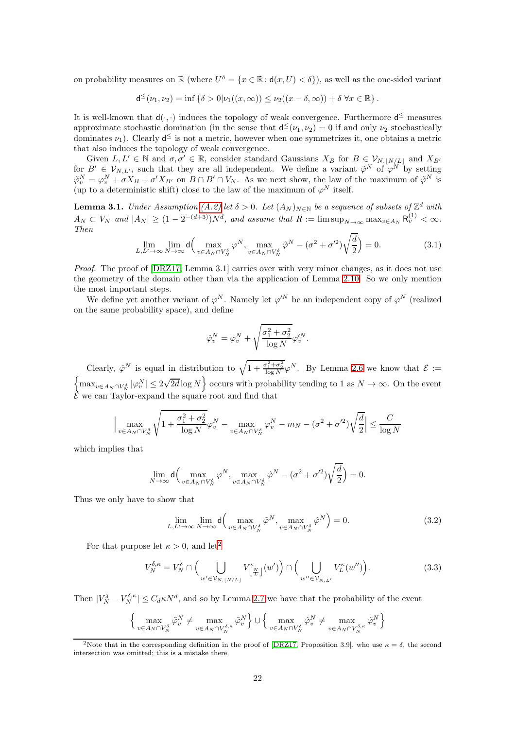on probability measures on  $\mathbb{R}$  (where  $U^{\delta} = \{x \in \mathbb{R} : d(x, U) < \delta\}$ ), as well as the one-sided variant

$$
\mathsf{d}^\leq(\nu_1,\nu_2)=\inf\left\{\delta>0|\nu_1((x,\infty))\leq\nu_2((x-\delta,\infty))+\delta\;\forall x\in\mathbb{R}\right\}.
$$

It is well-known that  $d(\cdot, \cdot)$  induces the topology of weak convergence. Furthermore  $d^{\leq}$  measures approximate stochastic domination (in the sense that  $d^{\leq}(\nu_1, \nu_2) = 0$  if and only  $\nu_2$  stochastically dominates  $\nu_1$ ). Clearly  $d^{\leq}$  is not a metric, however when one symmetrizes it, one obtains a metric that also induces the topology of weak convergence.

Given  $L, L' \in \mathbb{N}$  and  $\sigma, \sigma' \in \mathbb{R}$ , consider standard Gaussians  $X_B$  for  $B \in \mathcal{V}_{N, |N/L|}$  and  $X_{B'}$ for  $B' \in V_{N,L'}$ , such that they are all independent. We define a variant  $\tilde{\varphi}^N$  of  $\varphi^N$  by setting  $\tilde{\varphi}^N_v = \varphi^N_v + \sigma X_B + \sigma' X_{B'}$  on  $B \cap B' \cap V_N$ . As we next show, the law of the maximum of  $\tilde{\varphi}^N$  is (up to a deterministic shift) close to the law of the maximum of  $\varphi^N$  itself.

<span id="page-21-3"></span>**Lemma 3.1.** Under Assumption [\(A.2\)](#page-2-2) let  $\delta > 0$ . Let  $(A_N)_{N \in \mathbb{N}}$  be a sequence of subsets of  $\mathbb{Z}^d$  with  $A_N \subset V_N$  and  $|A_N| \geq (1 - 2^{-(d+3)})N^d$ , and assume that  $R := \limsup_{N \to \infty} \max_{v \in A_N} R_v^{(1)} < \infty$ . Then

$$
\lim_{L,L'\to\infty} \lim_{N\to\infty} \mathsf{d}\Big(\max_{v\in A_N\cap V_N^{\delta}} \varphi^N, \max_{v\in A_N\cap V_N^{\delta}} \tilde{\varphi}^N - (\sigma^2 + \sigma^2) \sqrt{\frac{d}{2}}\Big) = 0.
$$
\n(3.1)

Proof. The proof of [\[DRZ17,](#page-62-0) Lemma 3.1] carries over with very minor changes, as it does not use the geometry of the domain other than via the application of Lemma [2.10.](#page-19-1) So we only mention the most important steps.

We define yet another variant of  $\varphi^N$ . Namely let  $\varphi'^N$  be an independent copy of  $\varphi^N$  (realized on the same probability space), and define

$$
\hat{\varphi}^N_v = \varphi^N_v + \sqrt{\frac{\sigma_1^2 + \sigma_2^2}{\log N}} \varphi'^N_v.
$$

Clearly,  $\hat{\varphi}^N$  is equal in distribution to  $\sqrt{1+\frac{\sigma_1^2+\sigma_2^2}{\log N}}\varphi^N$ . By Lemma [2.6](#page-14-3) we know that  $\mathcal{E}$  :=  $\left\{\max_{v\in A_N\cap V_N^{\delta}}|\varphi^N_v|\leq 2\sqrt{2d}\log N\right\}$  occurs with probability tending to 1 as  $N\to\infty$ . On the event  $\mathcal E$  we can Taylor-expand the square root and find that

$$
\Big|\max_{v \in A_N \cap V_N^\delta} \sqrt{1+\frac{\sigma_1^2+\sigma_2^2}{\log N}}\varphi_v^N - \max_{v \in A_N \cap V_N^\delta} \varphi_v^N - m_N - (\sigma^2+\sigma'^2)\sqrt{\frac{d}{2}} \Big| \leq \frac{C}{\log N}
$$

which implies that

$$
\lim_{N \to \infty} \mathsf{d} \Big( \max_{v \in A_N \cap V_N^{\delta}} \varphi^N, \max_{v \in A_N \cap V_N^{\delta}} \hat{\varphi}^N - (\sigma^2 + \sigma^2) \sqrt{\frac{d}{2}} \Big) = 0.
$$

Thus we only have to show that

<span id="page-21-1"></span>
$$
\lim_{L,L'\to\infty} \lim_{N\to\infty} \mathsf{d}\Big(\max_{v\in A_N\cap V_N^\delta} \tilde{\varphi}^N, \max_{v\in A_N\cap V_N^\delta} \hat{\varphi}^N\Big) = 0.
$$
\n(3.2)

For that purpose let  $\kappa > 0$ , and let<sup>[2](#page-21-0)</sup>

<span id="page-21-2"></span>
$$
V_N^{\delta,\kappa} = V_N^{\delta} \cap \Big(\bigcup_{w' \in \mathcal{V}_{N, \lfloor N/L \rfloor}} V_{\lfloor \frac{N}{L} \rfloor}^{\kappa}(w')\Big) \cap \Big(\bigcup_{w'' \in \mathcal{V}_{N,L'}} V_L^{\kappa}(w'')\Big). \tag{3.3}
$$

Then  $|V_N^{\delta} - V_N^{\delta,\kappa}| \leq C_d \kappa N^d$ , and so by Lemma [2.7](#page-10-1) we have that the probability of the event

$$
\Big\{\max_{v\in A_N\cap V_N^\delta}\tilde{\varphi}_v^N\neq \max_{v\in A_N\cap V_N^{\delta,\kappa}}\tilde{\varphi}_v^N\Big\}\cup \Big\{\max_{v\in A_N\cap V_N^\delta}\hat{\varphi}_v^N\neq \max_{v\in A_N\cap V_N^{\delta,\kappa}}\hat{\varphi}_v^N\Big\}
$$

<span id="page-21-0"></span><sup>&</sup>lt;sup>2</sup>Note that in the corresponding definition in the proof of [\[DRZ17,](#page-62-0) Proposition 3.9], who use  $\kappa = \delta$ , the second intersection was omitted; this is a mistake there.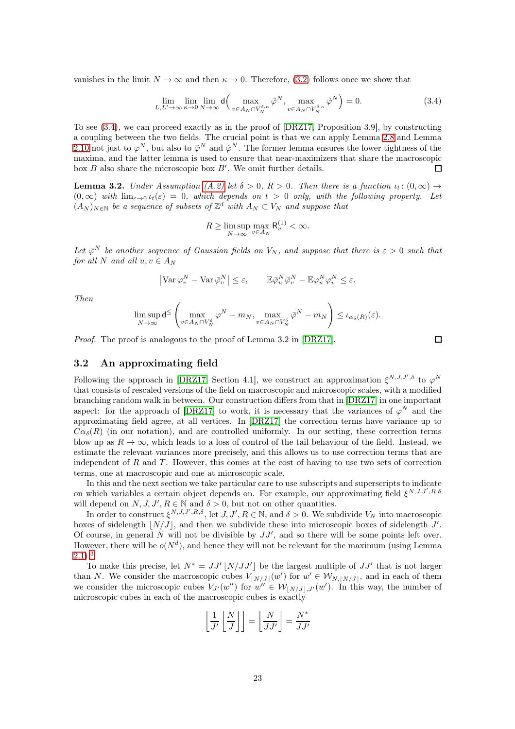vanishes in the limit  $N \to \infty$  and then  $\kappa \to 0$ . Therefore, [\(3.2\)](#page-21-1) follows once we show that

<span id="page-22-1"></span>
$$
\lim_{L,L'\to\infty} \lim_{\kappa\to 0} \lim_{N\to\infty} \mathsf{d}\Big(\max_{v\in A_N \cap V_N^{\delta,\kappa}} \tilde{\varphi}^N, \max_{v\in A_N \cap V_N^{\delta,\kappa}} \hat{\varphi}^N\Big) = 0. \tag{3.4}
$$

To see [\(3.4\)](#page-22-1), we can proceed exactly as in the proof of [\[DRZ17,](#page-62-0) Proposition 3.9], by constructing a coupling between the two fields. The crucial point is that we can apply Lemma [2.8](#page-17-0) and Lemma [2.10](#page-19-1) not just to  $\varphi^N$ , but also to  $\tilde{\varphi}^N$  and  $\hat{\varphi}^N$ . The former lemma ensures the lower tightness of the maxima, and the latter lemma is used to ensure that near-maximizers that share the macroscopic box  $B$  also share the microscopic box  $B'$ . We omit further details.  $\Box$ 

**Lemma 3.2.** Under Assumption [\(A.2\)](#page-2-2) let  $\delta > 0$ ,  $R > 0$ . Then there is a function  $u_t$ :  $(0, \infty) \rightarrow$  $(0, \infty)$  with  $\lim_{\varepsilon \to 0} \iota_t(\varepsilon) = 0$ , which depends on  $t > 0$  only, with the following property. Let  $(A_N)_{N \in \mathbb{N}}$  be a sequence of subsets of  $\mathbb{Z}^d$  with  $A_N \subset V_N$  and suppose that

$$
R \ge \limsup_{N \to \infty} \max_{v \in A_N} \mathsf{R}_v^{(1)} < \infty.
$$

Let  $\bar{\varphi}^N$  be another sequence of Gaussian fields on  $V_N$ , and suppose that there is  $\varepsilon > 0$  such that for all N and all  $u, v \in A_N$ 

$$
\left| \operatorname{Var} \varphi^N_v - \operatorname{Var} \bar{\varphi}^N_v \right| \leq \varepsilon, \qquad \mathbb{E} \bar{\varphi}^N_u \bar{\varphi}^N_v - \mathbb{E} \varphi^N_u \varphi^N_v \leq \varepsilon.
$$

Then

$$
\limsup_{N\to\infty} d^{\leq}\left(\max_{v\in A_N\cap V_N^{\delta}} \varphi^N - m_N, \max_{v\in A_N\cap V_N^{\delta}} \bar{\varphi}^N - m_N\right) \leq \iota_{\alpha_{\delta}(R)}(\varepsilon).
$$

Proof. The proof is analogous to the proof of Lemma 3.2 in [\[DRZ17\]](#page-62-0).

$$
\overline{a}
$$

#### <span id="page-22-0"></span>3.2 An approximating field

Following the approach in [\[DRZ17,](#page-62-0) Section 4.1], we construct an approximation  $\xi^{N,J,J',\delta}$  to  $\varphi^N$ that consists of rescaled versions of the field on macroscopic and microscopic scales, with a modified branching random walk in between. Our construction differs from that in [\[DRZ17\]](#page-62-0) in one important aspect: for the approach of [\[DRZ17\]](#page-62-0) to work, it is necessary that the variances of  $\varphi^N$  and the approximating field agree, at all vertices. In [\[DRZ17\]](#page-62-0) the correction terms have variance up to  $C\alpha_{\delta}(R)$  (in our notation), and are controlled uniformly. In our setting, these correction terms blow up as  $R \to \infty$ , which leads to a loss of control of the tail behaviour of the field. Instead, we estimate the relevant variances more precisely, and this allows us to use correction terms that are independent of  $R$  and  $T$ . However, this comes at the cost of having to use two sets of correction terms, one at macroscopic and one at microscopic scale.

In this and the next section we take particular care to use subscripts and superscripts to indicate on which variables a certain object depends on. For example, our approximating field  $\xi^{N,J,J',R,\delta}$ will depend on  $N, J, J', R \in \mathbb{N}$  and  $\delta > 0$ , but not on other quantities.

In order to construct  $\xi^{N,J,J',R,\delta}$ , let  $J, J', R \in \mathbb{N}$ , and  $\delta > 0$ . We subdivide  $V_N$  into macroscopic boxes of sidelength  $[N/J]$ , and then we subdivide these into microscopic boxes of sidelength J'. Of course, in general N will not be divisible by  $JJ'$ , and so there will be some points left over. However, there will be  $o(N^d)$ , and hence they will not be relevant for the maximum (using Lemma  $(2.1).<sup>3</sup>$  $(2.1).<sup>3</sup>$  $(2.1).<sup>3</sup>$  $(2.1).<sup>3</sup>$  $(2.1).<sup>3</sup>$ 

To make this precise, let  $N^* = JJ' \lfloor N/JJ' \rfloor$  be the largest multiple of  $JJ'$  that is not larger than N. We consider the macroscopic cubes  $V_{\lfloor N/J\rfloor}(w')$  for  $w' \in \mathcal{W}_{N,\lfloor N/J\rfloor}$ , and in each of them we consider the microscopic cubes  $V_{J'}(w'')$  for  $w'' \in W_{\lfloor N/J\rfloor,J'}(w')$ . In this way, the number of microscopic cubes in each of the macroscopic cubes is exactly

$$
\left\lfloor \frac{1}{J'} \left\lfloor \frac{N}{J} \right\rfloor \right\rfloor = \left\lfloor \frac{N}{JJ'} \right\rfloor = \frac{N^*}{JJ'}
$$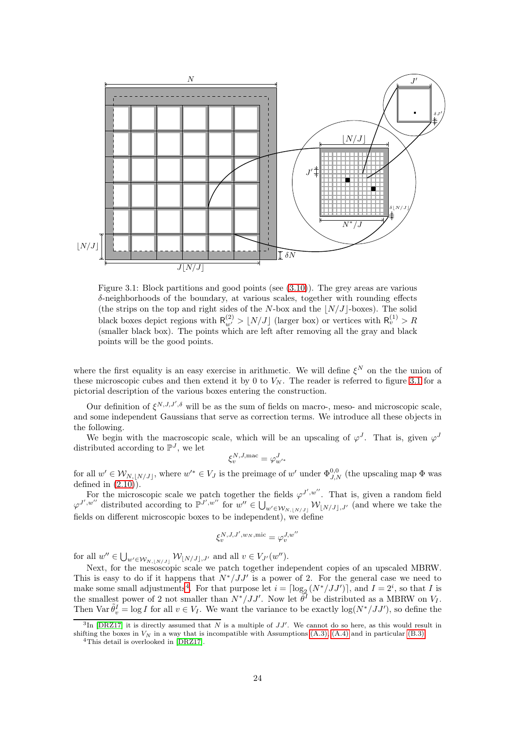<span id="page-23-1"></span>

Figure 3.1: Block partitions and good points (see [\(3.10\)](#page-26-1)). The grey areas are various  $\delta$ -neighborhoods of the boundary, at various scales, together with rounding effects (the strips on the top and right sides of the N-box and the  $|N/J|$ -boxes). The solid black boxes depict regions with  $R_{w'}^{(2)} > \lfloor N/J \rfloor$  (larger box) or vertices with  $R_{v}^{(1)} > R$ (smaller black box). The points which are left after removing all the gray and black points will be the good points.

where the first equality is an easy exercise in arithmetic. We will define  $\xi^N$  on the the union of these microscopic cubes and then extend it by 0 to  $V_N$ . The reader is referred to figure [3.1](#page-23-1) for a pictorial description of the various boxes entering the construction.

Our definition of  $\xi^{N,J,J',\delta}$  will be as the sum of fields on macro-, meso- and microscopic scale, and some independent Gaussians that serve as correction terms. We introduce all these objects in the following.

We begin with the macroscopic scale, which will be an upscaling of  $\varphi^J$ . That is, given  $\varphi^J$ distributed according to  $\mathbb{P}^{J}$ , we let

$$
\xi^{N,J,\mathrm{mac}}_v = \varphi^J_{w'^*}
$$

for all  $w' \in W_{N, \lfloor N/J \rfloor}$ , where  $w'^* \in V_J$  is the preimage of  $w'$  under  $\Phi_{J,N}^{0,0}$  (the upscaling map  $\Phi$  was defined in  $(2.10)$ .

For the microscopic scale we patch together the fields  $\varphi^{J',w''}$ . That is, given a random field  $\varphi^{J',w''}$  distributed according to  $\mathbb{P}^{J',w''}$  for  $w'' \in \bigcup_{w' \in \mathcal{W}_{N, [N',J]}} \mathcal{W}_{[N/J],J'}$  (and where we take the fields on different microscopic boxes to be independent), we define

$$
\xi_v^{N,J,J',w_N,\text{mic}}=\varphi_v^{J,w''}
$$

for all  $w'' \in \bigcup_{w' \in \mathcal{W}_{N, [N/J]}} \mathcal{W}_{\lfloor N/J \rfloor, J'}$  and all  $v \in V_{J'}(w'')$ .

Next, for the mesoscopic scale we patch together independent copies of an upscaled MBRW. This is easy to do if it happens that  $N^*/JJ'$  is a power of 2. For the general case we need to make some small adjustments<sup>[4](#page-23-2)</sup>. For that purpose let  $i = \lceil \log_2(N^*/JJ') \rceil$ , and  $I = 2^i$ , so that I is the smallest power of 2 not smaller than  $N^*/JJ'$ . Now let  $\widetilde{\theta}^I$  be distributed as a MBRW on  $V_I$ . Then  $\text{Var} \tilde{\theta}_v^I = \log I$  for all  $v \in V_I$ . We want the variance to be exactly  $\log(N^*/JJ')$ , so define the

<sup>&</sup>lt;sup>3</sup>In [\[DRZ17\]](#page-62-0) it is directly assumed that N is a multiple of  $JJ'$ . We cannot do so here, as this would result in shifting the boxes in  $V_N$  in a way that is incompatible with Assumptions [\(A.3\),](#page-2-3) [\(A.4\)](#page-3-2) and in particular [\(B.3\).](#page-3-4)

<span id="page-23-2"></span><span id="page-23-0"></span><sup>4</sup>This detail is overlooked in [\[DRZ17\]](#page-62-0).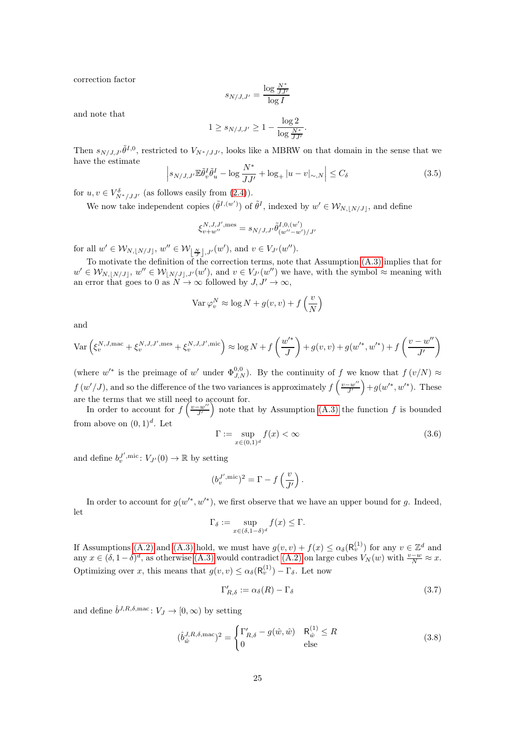correction factor

$$
s_{N/J,J'} = \frac{\log \frac{N^*}{JJ'}}{\log I}
$$

and note that

$$
1 \ge s_{N/J,J'} \ge 1 - \frac{\log 2}{\log \frac{N^*}{JJ'}}.
$$

Then  $s_{N/J,J'}\tilde{\theta}^{I,0}$ , restricted to  $V_{N^*/JJ'}$ , looks like a MBRW on that domain in the sense that we have the estimate

$$
\left| s_{N/J,J'} \mathbb{E} \tilde{\theta}_v^I \tilde{\theta}_u^I - \log \frac{N^*}{JJ'} + \log_+ |u - v|_{\sim, N} \right| \le C_\delta \tag{3.5}
$$

for  $u, v \in V^{\delta}_{N^*/JJ'}$  (as follows easily from [\(2.4\)](#page-9-3)).

We now take independent copies  $(\tilde{\theta}^{I,(w')})$  of  $\tilde{\theta}^{I}$ , indexed by  $w' \in \mathcal{W}_{N, [N/J]}$ , and define

$$
\xi_{v+w''}^{N,J,J',\text{mes}}=s_{N/J,J'}\tilde{\theta}_{(w''-w')/J'}^{I,0,(w')}
$$

for all  $w' \in \mathcal{W}_{N, [N/J]}, w'' \in \mathcal{W}_{\left\lfloor \frac{N}{J} \right\rfloor, J'}(w'), \text{ and } v \in V_{J'}(w'').$ 

To motivate the definition of the correction terms, note that Assumption [\(A.3\)](#page-2-3) implies that for  $w' \in \mathcal{W}_{N, [N/J]}, w'' \in \mathcal{W}_{\lfloor N/J \rfloor, J'}(w'), \text{ and } v \in V_{J'}(w'')$  we have, with the symbol  $\approx$  meaning with an error that goes to 0 as  $N \to \infty$  followed by  $J, J' \to \infty$ ,

$$
\text{Var }\varphi_v^N \approx \log N + g(v, v) + f\left(\frac{v}{N}\right)
$$

and

$$
\text{Var}\left(\xi_v^{N,J,\text{mac}} + \xi_v^{N,J,J',\text{mes}} + \xi_v^{N,J,J',\text{mic}}\right) \approx \log N + f\left(\frac{w'^*}{J}\right) + g(v,v) + g(w'^*,w'^*) + f\left(\frac{v - w''}{J'}\right)
$$

(where  $w'^*$  is the preimage of  $w'$  under  $\Phi_{J,N}^{0,0}$ ). By the continuity of f we know that  $f(v/N) \approx$  $f(w'/J)$ , and so the difference of the two variances is approximately  $f\left(\frac{v-w''}{J'}\right) + g(w'^*, w'^*)$ . These are the terms that we still need to account for.

In order to account for  $f\left(\frac{v-w''}{J'}\right)$  note that by Assumption [\(A.3\)](#page-2-3) the function f is bounded from above on  $(0,1)^d$ . Let

<span id="page-24-0"></span>
$$
\Gamma := \sup_{x \in (0,1)^d} f(x) < \infty \tag{3.6}
$$

and define  $b_v^{J',\text{mic}}$ :  $V_{J'}(0) \to \mathbb{R}$  by setting

$$
(b_v^{J',\text{mic}})^2 = \Gamma - f\left(\frac{v}{J'}\right).
$$

In order to account for  $g(w^*, w'^*)$ , we first observe that we have an upper bound for g. Indeed, let

$$
\Gamma_{\delta} := \sup_{x \in (\delta, 1 - \delta)^d} f(x) \le \Gamma.
$$

If Assumptions [\(A.2\)](#page-2-2) and [\(A.3\)](#page-2-3) hold, we must have  $g(v, v) + f(x) \leq \alpha_{\delta}(\mathsf{R}_{v}^{(1)})$  for any  $v \in \mathbb{Z}^{d}$  and any  $x \in (\delta, 1-\delta)^d$ , as otherwise [\(A.3\)](#page-2-3) would contradict [\(A.2\)](#page-2-2) on large cubes  $V_N(w)$  with  $\frac{v-w}{N} \approx x$ . Optimizing over x, this means that  $g(v, v) \leq \alpha_{\delta}(\mathsf{R}_v^{(1)}) - \Gamma_{\delta}$ . Let now

<span id="page-24-1"></span>
$$
\Gamma'_{R,\delta} := \alpha_{\delta}(R) - \Gamma_{\delta} \tag{3.7}
$$

and define  $\hat{b}^{J,R,\delta,\text{mac}}$ :  $V_J \to [0,\infty)$  by setting

<span id="page-24-2"></span>
$$
(\hat{b}_{\hat{w}}^{J,R,\delta,\text{mac}})^2 = \begin{cases} \Gamma'_{R,\delta} - g(\hat{w}, \hat{w}) & \mathsf{R}_{\hat{w}}^{(1)} \le R \\ 0 & \text{else} \end{cases}
$$
(3.8)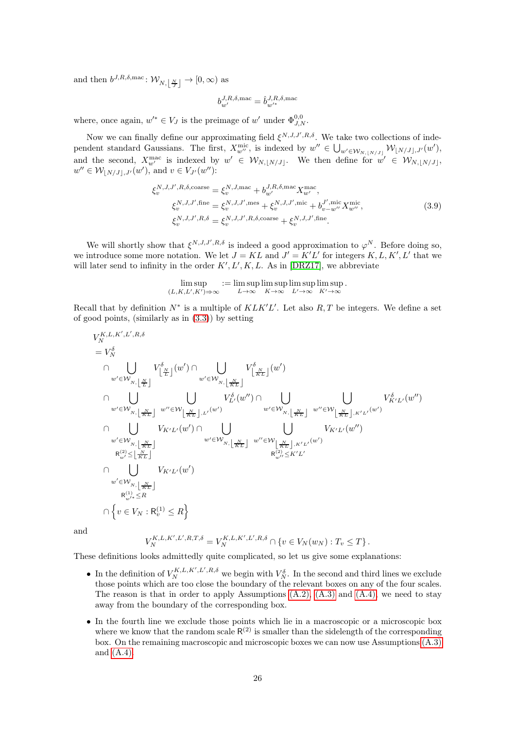and then  $b^{J,R,\delta,\text{mac}}: \mathcal{W}_{N,\lfloor \frac{N}{J} \rfloor} \to [0,\infty)$  as

<span id="page-25-0"></span>
$$
b_{w'}^{J,R,\delta,\mathrm{mac}} = \hat{b}_{w'^*}^{J,R,\delta,\mathrm{mac}}
$$

where, once again,  $w'^* \in V_J$  is the preimage of  $w'$  under  $\Phi_{J,N}^{0,0}$ .

Now we can finally define our approximating field  $\xi^{N,J,J',R,\delta}$ . We take two collections of independent standard Gaussians. The first,  $X_{w''}^{\text{mic}}$ , is indexed by  $w'' \in \bigcup_{w' \in \mathcal{W}_{N, \lfloor N/J \rfloor}} \mathcal{W}_{\lfloor N/J \rfloor, J'}(w'),$ and the second,  $X_{w'}^{\text{mac}}$  is indexed by  $w' \in \mathcal{W}_{N, [N/J]}$ . We then define for  $w' \in \mathcal{W}_{N, [N/J]}$ ,  $w'' \in \mathcal{W}_{\lfloor N/J \rfloor, J'}(w'), \text{ and } v \in V_{J'}(w'')$ :

$$
\xi_v^{N,J,J',R,\delta,\text{coarse}} = \xi_v^{N,J,\text{mac}} + b_{w'}^{J,R,\delta,\text{mac}} X_{w'}^{\text{mac}}, \xi_v^{N,J,J',\text{fine}} = \xi_v^{N,J,J',\text{mes}} + \xi_v^{N,J,J',\text{mic}} + b_{v-w''}^{J',\text{mic}} X_{w''}^{\text{mic}}, \xi_v^{N,J,J',R,\delta} = \xi_v^{N,J,J',R,\delta,\text{coarse}} + \xi_v^{N,J,J',\text{fine}}.
$$
\n(3.9)

We will shortly show that  $\xi^{N,J,J',R,\delta}$  is indeed a good approximation to  $\varphi^N$ . Before doing so, we introduce some more notation. We let  $J = KL$  and  $J' = K'L'$  for integers  $K, L, K', L'$  that we will later send to infinity in the order  $K', L', K, L$ . As in [\[DRZ17\]](#page-62-0), we abbreviate

$$
\limsup_{(L,K,L',K')\to\infty} := \limsup_{L\to\infty} \limsup_{K\to\infty} \limsup_{L'\to\infty} \limsup_{K'\to\infty}.
$$

Recall that by definition  $N^*$  is a multiple of  $KLK'L'$ . Let also  $R, T$  be integers. We define a set of good points, (similarly as in  $(3.3)$ ) by setting

$$
V_N^{K,L,K',L',R,\delta}
$$
\n
$$
= V_N^{\delta}
$$
\n
$$
\bigcap \bigcup_{w' \in \mathcal{W}_{N,\lfloor \frac{N}{KL} \rfloor}} V_{\lfloor \frac{N}{L} \rfloor}^{\delta}(w') \bigcap \bigcup_{w' \in \mathcal{W}_{N,\lfloor \frac{N}{KL} \rfloor}} V_{\lfloor \frac{N}{KL} \rfloor}^{\delta}(w')
$$
\n
$$
\bigcap \bigcup_{w' \in \mathcal{W}_{N,\lfloor \frac{N}{KL} \rfloor}} \bigcup_{w'' \in \mathcal{W}_{\lfloor \frac{N}{KL} \rfloor,L'}(w')} V_{L'}^{\delta}(w'') \bigcap \bigcup_{w' \in \mathcal{W}_{N,\lfloor \frac{N}{KL} \rfloor}} \bigcup_{w'' \in \mathcal{W}_{\lfloor \frac{N}{KL} \rfloor,L''}(w')} V_{K'L'}^{\delta}(w'')
$$
\n
$$
\bigcap \bigcup_{w' \in \mathcal{W}_{N,\lfloor \frac{N}{KL} \rfloor}} V_{K'L'}(w') \bigcap \bigcup_{w' \in \mathcal{W}_{N,\lfloor \frac{N}{KL} \rfloor}} \bigcup_{w'' \in \mathcal{W}_{\lfloor \frac{N}{KL} \rfloor,L''L'}(w') \setminus V_{K'L'}(w'')
$$
\n
$$
\bigcap \bigcup_{w' \in \mathcal{W}_{N,\lfloor \frac{N}{KL} \rfloor}} V_{K'L'}(w')
$$
\n
$$
\bigcap \bigcup_{w' \in \mathcal{W}_{N,\lfloor \frac{N}{KL} \rfloor}} V_{K'L'}(w')
$$
\n
$$
\bigcap \bigg\{ v \in V_N : \mathbb{R}_v^{(1)} \leq R \bigg\}
$$

and

$$
V_N^{K,L,K',L',R,T,\delta} = V_N^{K,L,K',L',R,\delta} \cap \{v \in V_N(w_N) : T_v \le T\}.
$$

These definitions looks admittedly quite complicated, so let us give some explanations:

- In the definition of  $V_N^{K,L,K',L',R,\delta}$  we begin with  $V_N^{\delta}$ . In the second and third lines we exclude those points which are too close the boundary of the relevant boxes on any of the four scales. The reason is that in order to apply Assumptions  $(A.2)$ ,  $(A.3)$  and  $(A.4)$ , we need to stay away from the boundary of the corresponding box.
- In the fourth line we exclude those points which lie in a macroscopic or a microscopic box where we know that the random scale  $R^{(2)}$  is smaller than the sidelength of the corresponding box. On the remaining macroscopic and microscopic boxes we can now use Assumptions [\(A.3\)](#page-2-3) and [\(A.4\).](#page-3-2)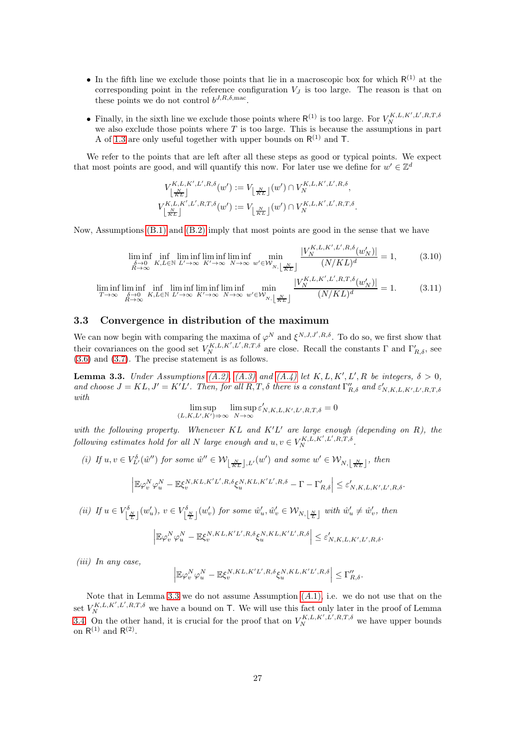- In the fifth line we exclude those points that lie in a macroscopic box for which  $R^{(1)}$  at the corresponding point in the reference configuration  $V_J$  is too large. The reason is that on these points we do not control  $b^{J,R,\delta,\text{mac}}$ .
- Finally, in the sixth line we exclude those points where  $R^{(1)}$  is too large. For  $V_N^{K,L,K',L',R,T,\delta}$  we also exclude those points where T is too large. This is because the assumptions in part A of [1.3](#page-2-0) are only useful together with upper bounds on  $R^{(1)}$  and T.

We refer to the points that are left after all these steps as good or typical points. We expect that most points are good, and will quantify this now. For later use we define for  $w' \in \mathbb{Z}^d$ 

<span id="page-26-1"></span>
$$
V_{\lfloor \frac{N}{KL} \rfloor}^{K,L,K',L',R,\delta}(w') := V_{\lfloor \frac{N}{KL} \rfloor}(w') \cap V_N^{K,L,K',L',R,\delta},
$$
  

$$
V_{\lfloor \frac{N}{KL} \rfloor}^{K,L,K',L',R,T,\delta}(w') := V_{\lfloor \frac{N}{KL} \rfloor}(w') \cap V_N^{K,L,K',L',R,T,\delta}.
$$

Now, Assumptions [\(B.1\)](#page-3-1) and [\(B.2\)](#page-3-3) imply that most points are good in the sense that we have

$$
\liminf_{\substack{\delta \to 0 \\ R \to \infty}} \inf_{K, L \in \mathbb{N}} \liminf_{L' \to \infty} \liminf_{K' \to \infty} \liminf_{N \to \infty} \min_{w' \in \mathcal{W}_{N, \left\lfloor \frac{N}{KL} \right\rfloor}} \frac{|V_N^{K, L, K', L', R, \delta}(w_N')|}{(N/KL)^d} = 1,
$$
\n(3.10)

$$
\liminf_{T \to \infty} \liminf_{\substack{\delta \to 0 \\ R \to \infty}} \liminf_{K, L \in \mathbb{N}} \liminf_{L' \to \infty} \liminf_{K' \to \infty} \liminf_{N \to \infty} \lim_{w' \in W_{N, \left\lfloor \frac{N}{KL} \right\rfloor}} \frac{|V_N^{K, L, K', L', R, T, \delta}(w'_N)|}{(N/KL)^d} = 1.
$$
 (3.11)

#### <span id="page-26-0"></span>3.3 Convergence in distribution of the maximum

We can now begin with comparing the maxima of  $\varphi^N$  and  $\xi^{N,J,J',R,\delta}$ . To do so, we first show that their covariances on the good set  $V_N^{K,L,K',L',R,T,\delta}$  are close. Recall the constants  $\Gamma$  and  $\Gamma'_{R,\delta}$ , see [\(3.6\)](#page-24-0) and [\(3.7\)](#page-24-1). The precise statement is as follows.

<span id="page-26-2"></span>**Lemma 3.3.** Under Assumptions [\(A.2\),](#page-2-2) [\(A.3\)](#page-2-3) and [\(A.4\)](#page-3-2) let K, L, K', L', R be integers,  $\delta > 0$ , and choose  $J = KL, J' = K'L'$ . Then, for all  $R, T, \delta$  there is a constant  $\Gamma''_{R,\delta}$  and  $\varepsilon'_{N,K,L,K',L',R,T,\delta}$ with

$$
\limsup_{(L,K,L',K')\to\infty} \limsup_{N\to\infty} \varepsilon'_{N,K,L,K',L',R,T,\delta} = 0
$$

with the following property. Whenever  $KL$  and  $K'L'$  are large enough (depending on R), the following estimates hold for all N large enough and  $u, v \in V_N^{K, L, K', L', R, T, \delta}$ .

(i) If 
$$
u, v \in V_L^{\delta}(\hat{w}'')
$$
 for some  $\hat{w}'' \in \mathcal{W}_{\lfloor \frac{N}{KL} \rfloor, L'}(w')$  and some  $w' \in \mathcal{W}_{N, \lfloor \frac{N}{KL} \rfloor}$ , then  

$$
\left| \mathbb{E} \varphi_v^N \varphi_u^N - \mathbb{E} \xi_v^{N, KL, K'L', R, \delta} \xi_u^{N, KL, K'L', R, \delta} - \Gamma - \Gamma'_{R, \delta} \right| \leq \varepsilon'_{N, K, L, K', L', R, \delta}.
$$

(ii) If 
$$
u \in V_{\lfloor \frac{N}{L} \rfloor}^{\delta}(w_u')
$$
,  $v \in V_{\lfloor \frac{N}{L} \rfloor}^{\delta}(w_v')$  for some  $\hat{w}_u', \hat{w}_v' \in \mathcal{W}_{N, \lfloor \frac{N}{L} \rfloor}$  with  $\hat{w}_u' \neq \hat{w}_v'$ , then  

$$
\left| \mathbb{E}\varphi_v^N \varphi_u^N - \mathbb{E}\xi_v^{N, KL, K'L', R, \delta} \xi_u^{N, KL, K'L', R, \delta} \right| \le \varepsilon'_{N, K, L, K', L', R, \delta}.
$$

(iii) In any case,

$$
\left| \mathbb{E}\varphi_v^N \varphi_u^N - \mathbb{E}\xi_v^{N,KL,K'L',R,\delta} \xi_u^{N,KL,K'L',R,\delta} \right| \leq \Gamma_{R,\delta}''.
$$

Note that in Lemma [3.3](#page-26-2) we do not assume Assumption  $(A.1)$  $(A.1)$  $(A.1)$ , i.e. we do not use that on the set  $V_{N}^{K,L,K',L',R,T,\delta}$  we have a bound on T. We will use this fact only later in the proof of Lemma [3.4.](#page-27-1) On the other hand, it is crucial for the proof that on  $V_N^{K,L,K',L',R,T,\delta}$  we have upper bounds on  $R^{(1)}$  and  $R^{(2)}$ .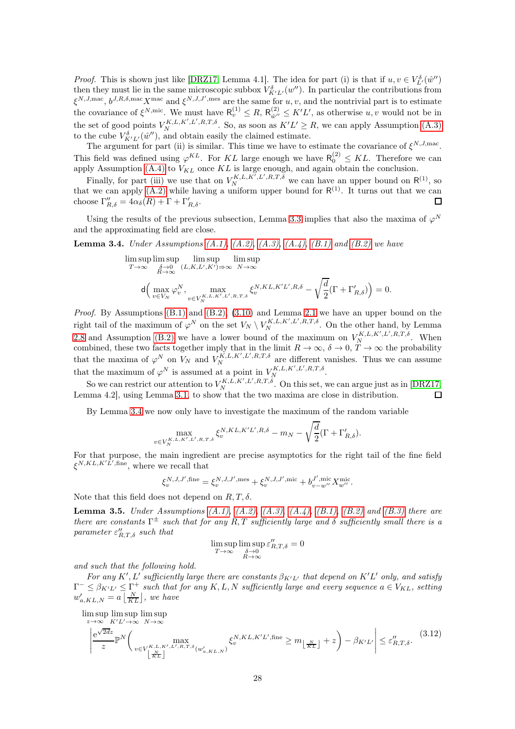*Proof.* This is shown just like [\[DRZ17,](#page-62-0) Lemma 4.1]. The idea for part (i) is that if  $u, v \in V_{L'}^{\delta}(\hat{w}'')$ then they must lie in the same microscopic subbox  $V_{K'L'}^{\delta}(w'')$ . In particular the contributions from  $\xi^{N,J,\text{mac}}, b^{J,R,\delta,\text{mac}}X^{\text{mac}}$  and  $\xi^{N,J,J',\text{mes}}$  are the same for  $u, v$ , and the nontrivial part is to estimate the covariance of  $\xi^{N,\text{mic}}$ . We must have  $R_v^{(1)} \leq R$ ,  $R_{\hat{w}''}^{(2)}$  $\omega'' \leq K'L'$ , as otherwise  $u, v$  would not be in the set of good points  $V_1^{K,L,K',L',R,T,\delta}$ . So, as soon as  $K'L' \geq R$ , we can apply Assumption [\(A.3\)](#page-2-3) to the cube  $V_{K'L'}^{\delta}(\hat{w}'')$ , and obtain easily the claimed estimate.

The argument for part (ii) is similar. This time we have to estimate the covariance of  $\xi^{N,J,\text{mac}}$ . This field was defined using  $\varphi^{KL}$ . For KL large enough we have  $\mathsf{R}_0^{(2)} \leq KL$ . Therefore we can apply Assumption [\(A.4\)](#page-3-2) to  $V_{KL}$  once KL is large enough, and again obtain the conclusion.

Finally, for part (iii) we use that on  $V_N^{K,L,K',L',R,T,\delta}$  we can have an upper bound on  $\mathsf{R}^{(1)}$ , so that we can apply  $(A.2)$  while having a uniform upper bound for  $R^{(1)}$ . It turns out that we can choose  $\Gamma''_{R,\delta} = 4\alpha_{\delta}(R) + \Gamma + \Gamma'_{R,\delta}$ .  $\Box$ 

Using the results of the previous subsection, Lemma [3.3](#page-26-2) implies that also the maxima of  $\varphi^N$ and the approximating field are close.

<span id="page-27-1"></span>**Lemma 3.4.** Under Assumptions  $(A.1)$ ,  $(A.2)$ ,  $(A.3)$ ,  $(A.4)$ ,  $(B.1)$  and  $(B.2)$  we have

$$
\limsup_{T \to \infty} \limsup_{\substack{\delta \to 0 \\ R \to \infty}} \limsup_{(L, K, L', K') \to \infty} \limsup_{N \to \infty} \exp
$$
\n
$$
\mathsf{d}\left(\max_{v \in V_N} \varphi_v^N, \max_{v \in V_N^{K, L, K', L', R, T, \delta}} \xi_v^{N, KL, K'L', R, \delta} - \sqrt{\frac{d}{2}} (\Gamma + \Gamma_{R, \delta}')\right) = 0.
$$

Proof. By Assumptions [\(B.1\)](#page-3-1) and [\(B.2\),](#page-3-3) [\(3.10\)](#page-26-1) and Lemma [2.1](#page-9-1) we have an upper bound on the right tail of the maximum of  $\varphi^N$  on the set  $V_N \setminus V_N^{K,L,K',L',R,T,\delta}$ . On the other hand, by Lemma [2.8](#page-17-0) and Assumption [\(B.2\)](#page-3-3) we have a lower bound of the maximum on  $V_N^{K,L,K',L',R,T,\delta}$ . When combined, these two facts together imply that in the limit  $R \to \infty$ ,  $\delta \to 0$ ,  $T \to \infty$  the probability that the maxima of  $\varphi^N$  on  $V_N$  and  $V_N^{K,L,K',L',R,T,\delta}$  are different vanishes. Thus we can assume that the maximum of  $\varphi^N$  is assumed at a point in  $V_N^{K,L,K',L',R,T,\delta}$ .

So we can restrict our attention to  $V_N^{K,L,K',L',R,T,\delta}$ . On this set, we can argue just as in [\[DRZ17,](#page-62-0) Lemma 4.2], using Lemma [3.1,](#page-21-3) to show that the two maxima are close in distribution. П

By Lemma [3.4](#page-27-1) we now only have to investigate the maximum of the random variable

$$
\max_{v \in V_N^{K, L, K', L', R, T, \delta}} \xi_v^{N, KL, K'L', R, \delta} - m_N - \sqrt{\frac{d}{2}} (\Gamma + \Gamma_{R, \delta}').
$$

For that purpose, the main ingredient are precise asymptotics for the right tail of the fine field  $\xi^{N,KL,K'L',\text{fine}},$  where we recall that

$$
\xi_v^{N,J,J',\text{fine}} = \xi_v^{N,J,J',\text{mes}} + \xi_v^{N,J,J',\text{mic}} + b_{v-w''}^{J',\text{mic}} X_{w''}^{\text{mic}}.
$$

Note that this field does not depend on  $R, T, \delta$ .

<span id="page-27-0"></span>**Lemma 3.5.** Under Assumptions  $(A.1)$ ,  $(A.2)$ ,  $(A.3)$ ,  $(A.4)$ ,  $(B.1)$ ,  $(B.2)$  and  $(B.3)$  there are there are constants  $\Gamma^{\pm}$  such that for any  $R, T$  sufficiently large and  $\delta$  sufficiently small there is a parameter  $\varepsilon_{R,T,\delta}^{\prime\prime}$  such that

$$
\limsup_{T \to \infty} \limsup_{\substack{\delta \to 0 \\ R \to \infty}} \varepsilon''_{R,T,\delta} = 0
$$

and such that the following hold.

For any K', L' sufficiently large there are constants  $\beta_{K'L'}$  that depend on K'L' only, and satisfy  $\Gamma^- \leq \beta_{K'L'} \leq \Gamma^+$  such that for any K, L, N sufficiently large and every sequence  $a \in V_{KL}$ , setting  $w'_{a,KL,N} = a \left\lfloor \frac{N}{KL} \right\rfloor$ , we have

lim sup lim sup lim sup

<span id="page-27-2"></span>
$$
\left| \frac{e^{\sqrt{2d}z}}{z} \mathbb{P}^N \left( \max_{v \in V_{\lfloor \frac{K}{KL} \rfloor}^{K,L,K',L',R,T,\delta}(w'_{a,KL,N})} \xi_v^{N,KL,K'L',\text{fine}} \ge m_{\lfloor \frac{N}{KL} \rfloor} + z \right) - \beta_{K'L'} \right| \le \varepsilon_{R,T,\delta}''.
$$
\n(3.12)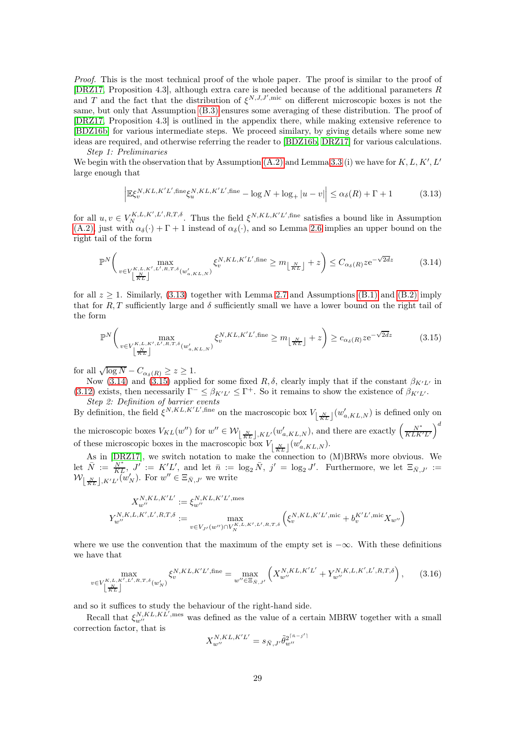Proof. This is the most technical proof of the whole paper. The proof is similar to the proof of [\[DRZ17,](#page-62-0) Proposition 4.3], although extra care is needed because of the additional parameters R and T and the fact that the distribution of  $\xi^{N,J,J',\text{mic}}$  on different microscopic boxes is not the same, but only that Assumption [\(B.3\)](#page-3-4) ensures some averaging of these distribution. The proof of [\[DRZ17,](#page-62-0) Proposition 4.3] is outlined in the appendix there, while making extensive reference to [\[BDZ16b\]](#page-61-7) for various intermediate steps. We proceed similary, by giving details where some new ideas are required, and otherwise referring the reader to [\[BDZ16b,](#page-61-7) [DRZ17\]](#page-62-0) for various calculations. Step 1: Preliminaries

We begin with the observation that by Assumption  $(A.2)$  and Lemma [3.3](#page-26-2) (i) we have for  $K, L, K', L'$ large enough that

<span id="page-28-0"></span>
$$
\left| \mathbb{E}\xi_v^{N,KL,K'L',\text{fine}}\xi_u^{N,KL,K'L',\text{fine}} - \log N + \log_+|u-v| \right| \le \alpha_\delta(R) + \Gamma + 1 \tag{3.13}
$$

for all  $u, v \in V_N^{K, L, K', L', R, T, \delta}$ . Thus the field  $\xi^{N, KL, K'L', \text{fine}}$  satisfies a bound like in Assumption  $(A.2)$ , just with  $\alpha_{\delta}(\cdot) + \Gamma + 1$  instead of  $\alpha_{\delta}(\cdot)$ , and so Lemma [2.6](#page-14-3) implies an upper bound on the right tail of the form

<span id="page-28-1"></span>
$$
\mathbb{P}^N\left(\max_{\substack{v \in V_{\lfloor K,L,K',L',R,T,\delta}^{\{K,L,K',L',R,T,\delta}(w'_{a,KL,N})\\ \lfloor K\rfloor}} \xi_v^{N,KL,K'L',\text{fine}} \ge m_{\lfloor K\rfloor} + z\right) \le C_{\alpha_\delta(R)} z e^{-\sqrt{2dz}} \tag{3.14}
$$

for all  $z \geq 1$ . Similarly, [\(3.13\)](#page-28-0) together with Lemma [2.7](#page-15-0) and Assumptions [\(B.1\)](#page-3-1) and [\(B.2\)](#page-3-3) imply that for R, T sufficiently large and  $\delta$  sufficiently small we have a lower bound on the right tail of the form

<span id="page-28-2"></span>
$$
\mathbb{P}^N\left(\max_{\substack{v \in V_{\lfloor K,L,K',L',R,T,\delta}(w'_{a,KL,N})\\ \lfloor K\rfloor}} \xi_v^{N,KL,K'L',\text{fine}} \ge m_{\lfloor K\rfloor} + z\right) \ge c_{\alpha_\delta(R)} z e^{-\sqrt{2dz}}\tag{3.15}
$$

for all  $\sqrt{\log N} - C_{\alpha_{\delta}(R)} \ge z \ge 1$ .

Now [\(3.14\)](#page-28-1) and [\(3.15\)](#page-28-2) applied for some fixed R, δ, clearly imply that if the constant  $\beta_{K'L'}$  in [\(3.12\)](#page-27-2) exists, then necessarily  $\Gamma^- \leq \beta_{K'L'} \leq \Gamma^+$ . So it remains to show the existence of  $\beta_{K'L'}$ . Step 2: Definition of barrier events

By definition, the field  $\xi^{N,KL,K'L',\text{fine}}$  on the macroscopic box  $V_{\lfloor \frac{N}{KL} \rfloor}(w'_{a,KL,N})$  is defined only on the microscopic boxes  $V_{KL}(w'')$  for  $w'' \in \mathcal{W}_{\lfloor \frac{N}{KL} \rfloor, KL}(w'_{a, KL,N})$ , and there are exactly  $\left(\frac{N^*}{KLK'L'}\right)^d$ of these microscopic boxes in the macroscopic box  $V_{\lfloor \frac{N}{KL} \rfloor}(w'_{a,KL,N}).$ 

As in [\[DRZ17\]](#page-62-0), we switch notation to make the connection to (M)BRWs more obvious. We  $\mathrm{let} \ \ \bar{N} := \frac{N^*}{KL}, \ J' := K'L', \ \mathrm{and} \ \mathrm{let} \ \ \bar{n} := \log_2 \bar{N}, \ j' = \log_2 J'. \ \ \mathrm{Furthermore,} \ \mathrm{we} \ \mathrm{let} \ \ \Xi_{\bar{N}, J'} :=$  $\mathcal{W}_{\left\lfloor \frac{N}{KL} \right\rfloor, K'L'}(w_N')$ . For  $w'' \in \Xi_{\bar{N},J'}$  we write

$$
\begin{split} X_{w''}^{N,KL,K'L'} &:= \xi_{w''}^{N,KL,K'L',\text{mes}} \\ Y_{w''}^{N,K,L,K',L',R,T,\delta} &:= \max_{v\in V_{J'}(w'')\cap V_{N}^{K,L,K',L',R,T,\delta}} \left( \xi_{v}^{N,KL,K'L',\text{mic}} + b_{v}^{K'L',\text{mic}} X_{w''} \right) \end{split}
$$

where we use the convention that the maximum of the empty set is  $-\infty$ . With these definitions we have that

<span id="page-28-3"></span>
$$
\max_{v \in V_{\lfloor \frac{N}{KL} \rfloor}^{K,L,K',L',R,T,\delta}(w_N')} \xi_v^{N,KL,K'L',\text{fine}} = \max_{w'' \in \Xi_{\bar{N},J'}} \left( X_{w''}^{N,KL,K'L'} + Y_{w''}^{N,K,L,K',L',R,T,\delta} \right), \tag{3.16}
$$

and so it suffices to study the behaviour of the right-hand side.

Recall that  $\xi_{w''}^{N,KL,KL',\text{mes}}$  was defined as the value of a certain MBRW together with a small correction factor, that is

$$
X_{w''}^{N,KL,K'L'}=s_{\bar{N},J'}\tilde{\theta}_{w''}^{2^{\lceil \bar{n}-j' \rceil}}
$$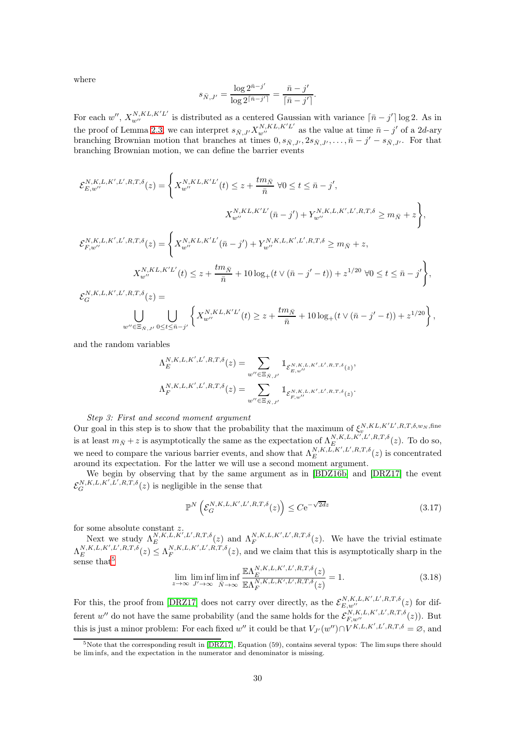where

$$
s_{\bar{N},J'} = \frac{\log 2^{\bar{n}-j'}}{\log 2^{\lceil \bar{n}-j' \rceil}} = \frac{\bar{n}-j'}{\lceil \bar{n}-j' \rceil}.
$$

For each  $w''$ ,  $X_{w''}^{N,KL,K'L'}$  is distributed as a centered Gaussian with variance  $\lceil \bar{n} - j' \rceil \log 2$ . As in the proof of Lemma [2.3,](#page-10-2) we can interpret  $s_{\bar{N},J'} X_{w''}^{N,KL,K'L'}$  as the value at time  $\bar{n} - j'$  of a 2d-ary branching Brownian motion that branches at times  $0, s_{\bar{N},J'}$ ,  $2s_{\bar{N},J'}$ ,  $\ldots$ ,  $\bar{n}-j'-s_{\bar{N},J'}$ . For that branching Brownian motion, we can define the barrier events

$$
\mathcal{E}_{E,w''}^{N,K,L,K',L',R,T,\delta}(z) = \left\{ X_{w''}^{N,KL,K'L'}(t) \leq z + \frac{tm_{\bar{N}}}{\bar{n}} \ \forall 0 \leq t \leq \bar{n} - j',
$$

$$
X_{w''}^{N,KL,K'L'}(\bar{n} - j') + Y_{w''}^{N,K,L,K',L',R,T,\delta} \geq m_{\bar{N}} + z \right\},
$$

$$
\mathcal{E}_{F,w''}^{N,K,L,K',L',R,T,\delta}(z) = \left\{ X_{w''}^{N,KL,K'L'}(\bar{n} - j') + Y_{w''}^{N,K,L,K',L',R,T,\delta} \geq m_{\bar{N}} + z,
$$

$$
X_{w''}^{N,KL,K'L'}(t) \leq z + \frac{tm_{\bar{N}}}{\bar{n}} + 10 \log_{+} (t \vee (\bar{n} - j' - t)) + z^{1/20} \ \forall 0 \leq t \leq \bar{n} - j' \right\},
$$

$$
\mathcal{E}_{G}^{N,K,L,K',L',R,T,\delta}(z) =
$$

$$
\bigcup_{w''\in \Xi_{\bar{N},J'}}\bigcup_{0\leq t\leq \bar{n}-j'}\left\{X^{N,KL,K'L'}_{w''}(t)\geq z+\frac{tm_{\bar{N}}}{\bar{n}}+10\log_+(t\vee(\bar{n}-j'-t))+z^{1/20}\right\},\,
$$

and the random variables

$$
\begin{split} \Lambda_{E}^{N,K,L,K',L',R,T,\delta}(z) &= \sum_{w^{\prime\prime}\in \Xi_{\bar{N},J'}} \mathbbm{1}_{\mathcal{E}_{E,w^{\prime\prime}}^{N,K,L,K',L',R,T,\delta}(z)},\\ \Lambda_{F}^{N,K,L,K',L',R,T,\delta}(z) &= \sum_{w^{\prime\prime}\in \Xi_{\bar{N},J'}} \mathbbm{1}_{\mathcal{E}_{F,w^{\prime\prime}}^{N,K,L,K',L',R,T,\delta}(z)}. \end{split}
$$

#### Step 3: First and second moment argument

Our goal in this step is to show that the probability that the maximum of  $\xi_v^{N,KL,K'L',R,T,\delta,w_N,\text{fine}}$ is at least  $m_{\bar{N}} + z$  is asymptotically the same as the expectation of  $\Lambda_E^{N,K,L,K',L',R,T,\delta}(z)$ . To do so, we need to compare the various barrier events, and show that  $\Lambda_E^{N,K,L,K',L',R,T,\delta}(z)$  is concentrated around its expectation. For the latter we will use a second moment argument.

We begin by observing that by the same argument as in [\[BDZ16b\]](#page-61-7) and [\[DRZ17\]](#page-62-0) the event  $\mathcal{E}_G^{N,K,L,K',L',R,T,\delta}(z)$  is negligible in the sense that

<span id="page-29-2"></span>
$$
\mathbb{P}^N\left(\mathcal{E}_G^{N,K,L,K',L',R,T,\delta}(z)\right) \le C e^{-\sqrt{2dz}}\tag{3.17}
$$

for some absolute constant  $z$ .

Next we study  $\Lambda_E^{N,K,L,K',L',R,T,\delta}(z)$  and  $\Lambda_F^{N,K,L,K',L',R,T,\delta}(z)$ . We have the trivial estimate  $\Lambda_E^{N,K,L,K',L',R,T,\delta}(z) \leq \Lambda_F^{N,K,L,K',L',R,T,\delta}(z)$ , and we claim that this is asymptotically sharp in the sense that<sup>[5](#page-29-0)</sup>

<span id="page-29-1"></span>
$$
\lim_{z \to \infty} \liminf_{J' \to \infty} \liminf_{\bar{N} \to \infty} \frac{\mathbb{E}\Lambda_E^{N,K,L,K',L',R,T,\delta}(z)}{\mathbb{E}\Lambda_F^{N,K,L,K',L',R,T,\delta}(z)} = 1.
$$
\n(3.18)

For this, the proof from [\[DRZ17\]](#page-62-0) does not carry over directly, as the  $\mathcal{E}_{E,w''}^{N,K,L,K',L',R,T,\delta}(z)$  for different w'' do not have the same probability (and the same holds for the  $\mathcal{E}_{F,w''}^{N,K,L,K',L',R,T,\delta}(z)$ ). But this is just a minor problem: For each fixed w'' it could be that  $V_{J'}(w'') \cap V^{K,L,K',L',R,T,\delta} = \varnothing$ , and

<span id="page-29-0"></span> $5$ Note that the corresponding result in [\[DRZ17\]](#page-62-0), Equation (59), contains several typos: The lim sups there should be lim infs, and the expectation in the numerator and denominator is missing.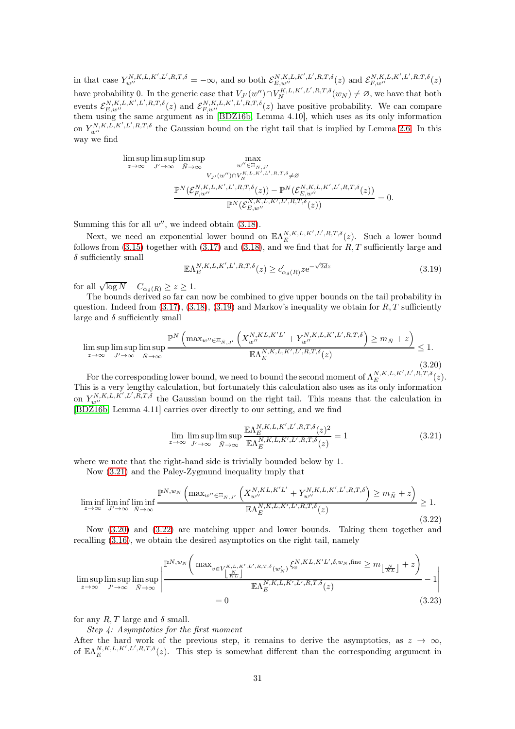in that case  $Y_{w''}^{N,K,L,K',L',R,T,\delta} = -\infty$ , and so both  $\mathcal{E}_{E,w''}^{N,K,L,K',L',R,T,\delta}(z)$  and  $\mathcal{E}_{F,w''}^{N,K,L,K',L',R,T,\delta}(z)$ have probability 0. In the generic case that  $V_{J'}(w'') \cap V_N^{K,L,K',L',R,T,\delta}(w_N) \neq \emptyset$ , we have that both events  $\mathcal{E}_{E,w''}^{N,K,L,K',L',R,T,\delta}(z)$  and  $\mathcal{E}_{F,w''}^{N,K,L,K',L',R,T,\delta}(z)$  have positive probability. We can compare them using the same argument as in [\[BDZ16b,](#page-61-7) Lemma 4.10], which uses as its only information on  $Y_{w''}^{N,K,L,K',L',R,T,\delta}$  the Gaussian bound on the right tail that is implied by Lemma [2.6.](#page-14-3) In this way we find

$$
\limsup_{z \to \infty} \limsup_{J' \to \infty} \max_{\bar{N} \to \infty} \max_{w'' \in \Xi_{\bar{N},J'}} \max_{w'' \in \Xi_{\bar{N},J'}} \sum_{V_{J'}(w'') \cap V_N^{K,L,K',L',R,T,\delta} \neq \varnothing} \underline{\mathbb{P}^N(\mathcal{E}_{F,w''}^{N,K,L,K',L',R,T,\delta}(z)) - \mathbb{P}^N(\mathcal{E}_{E,w''}^{N,K,L,K',L',R,T,\delta}(z))} = 0.
$$

Summing this for all  $w''$ , we indeed obtain  $(3.18)$ .

Next, we need an exponential lower bound on  $\mathbb{E}\Lambda_E^{N,K,L,K',L',R,T,\delta}(z)$ . Such a lower bound follows from  $(3.15)$  together with  $(3.17)$  and  $(3.18)$ , and we find that for R, T sufficiently large and  $\delta$  sufficiently small

<span id="page-30-0"></span>
$$
\mathbb{E}\Lambda_E^{N,K,L,K',L',R,T,\delta}(z) \ge c'_{\alpha_\delta(R)} z e^{-\sqrt{2dz}} \tag{3.19}
$$

for all  $\sqrt{\log N} - C_{\alpha_{\delta}(R)} \ge z \ge 1$ .

The bounds derived so far can now be combined to give upper bounds on the tail probability in question. Indeed from  $(3.17), (3.18), (3.19)$  $(3.17), (3.18), (3.19)$  $(3.17), (3.18), (3.19)$  $(3.17), (3.18), (3.19)$  and Markov's inequality we obtain for  $R, T$  sufficiently large and  $\delta$  sufficiently small

<span id="page-30-2"></span>
$$
\limsup_{z \to \infty} \limsup_{J' \to \infty} \limsup_{\bar{N} \to \infty} \frac{\mathbb{P}^N \left( \max_{w'' \in \Xi_{\bar{N}, J'}} \left( X_{w''}^{N, KL, K'L'} + Y_{w''}^{N, K, L, K', L', R, T, \delta} \right) \ge m_{\bar{N}} + z \right)}{\mathbb{E} \Lambda_E^{N, K, L, K', L', R, T, \delta}(z)} \le 1.
$$
\n(3.20)

For the corresponding lower bound, we need to bound the second moment of  $\Lambda_E^{N,K,L,K',L',R,T,\delta}(z)$ . This is a very lengthy calculation, but fortunately this calculation also uses as its only information on  $Y_{w''}^{N,K,L,K',L',R,T,\delta}$  the Gaussian bound on the right tail. This means that the calculation in [\[BDZ16b,](#page-61-7) Lemma 4.11] carries over directly to our setting, and we find

<span id="page-30-4"></span><span id="page-30-1"></span>
$$
\lim_{z \to \infty} \limsup_{J' \to \infty} \limsup_{\bar{N} \to \infty} \frac{\mathbb{E}\Lambda_E^{N,K,L,K',L',R,T,\delta}(z)^2}{\mathbb{E}\Lambda_E^{N,K,L,K',L',R,T,\delta}(z)} = 1
$$
\n(3.21)

where we note that the right-hand side is trivially bounded below by 1.

Now [\(3.21\)](#page-30-1) and the Paley-Zygmund inequality imply that

<span id="page-30-3"></span>
$$
\liminf_{z \to \infty} \liminf_{J' \to \infty} \liminf_{\bar{N} \to \infty} \frac{\mathbb{P}^{N,w_N} \left( \max_{w'' \in \Xi_{\bar{N},J'}} \left( X_{w''}^{N,K,L,K'L'} + Y_{w''}^{N,K,L,K',L',R,T,\delta} \right) \ge m_{\bar{N}} + z \right)}{\mathbb{E} \Lambda_E^{N,K,L,K',L',R,T,\delta}(z)} \ge 1.
$$
\n(3.22)

Now [\(3.20\)](#page-30-2) and [\(3.22\)](#page-30-3) are matching upper and lower bounds. Taking them together and recalling [\(3.16\)](#page-28-3), we obtain the desired asymptotics on the right tail, namely

$$
\limsup_{z \to \infty} \limsup_{J' \to \infty} \limsup_{\bar{N} \to \infty} \left| \frac{\mathbb{P}^{N,w} \left( \max_{v \in V_{\lfloor \frac{N}{KL} \rfloor}} \left( \max_{v \in V_{\lfloor \frac{N}{KL} \rfloor}} \mathcal{K}^{N,KL,K'L',\delta,w_N,\text{fine}}_{v} \right) \ge m_{\lfloor \frac{N}{KL} \rfloor} + z \right)}{\mathbb{E} \Lambda_E^{N,K,L,K',L',R,T,\delta}(z)} - 1 \right|
$$
\n
$$
= 0 \tag{3.23}
$$

for any  $R, T$  large and  $\delta$  small.

Step 4: Asymptotics for the first moment

After the hard work of the previous step, it remains to derive the asymptotics, as  $z \to \infty$ , of  $\mathbb{E}\Lambda_E^{N,K,L,K',L',R,T,\delta}(z)$ . This step is somewhat different than the corresponding argument in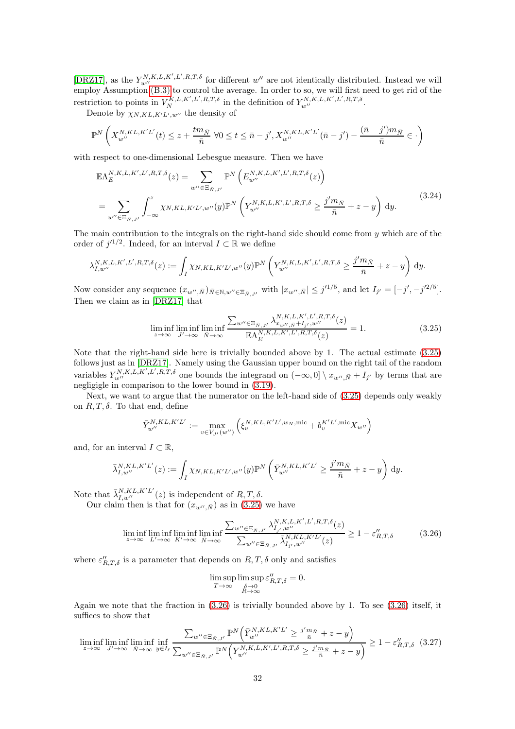[\[DRZ17\]](#page-62-0), as the  $Y_{w''}^{N,K,L,K',L',R,T,\delta}$  for different  $w''$  are not identically distributed. Instead we will employ Assumption [\(B.3\)](#page-3-4) to control the average. In order to so, we will first need to get rid of the restriction to points in  $V_N^{K,L,K',L',R,T,\delta}$  in the definition of  $Y_{w''}^{N,K,L,K',L',R,T,\delta}$ .

Denote by  $\chi_{N,KL,K'L',w''}$  the density of

$$
\mathbb{P}^N\left(X_{w''}^{N,KL,K'L'}(t) \leq z + \frac{tm_{\bar{N}}}{\bar{n}} \ \forall 0 \leq t \leq \bar{n} - j', X_{w''}^{N,KL,K'L'}(\bar{n} - j') - \frac{(\bar{n} - j')m_{\bar{N}}}{\bar{n}} \in \cdot\right)
$$

with respect to one-dimensional Lebesgue measure. Then we have

$$
\mathbb{E}\Lambda_{E}^{N,K,L,K',L',R,T,\delta}(z) = \sum_{w'' \in \Xi_{\bar{N},J'}} \mathbb{P}^{N}\left(E_{w''}^{N,K,L,K',L',R,T,\delta}(z)\right)
$$
  
= 
$$
\sum_{w'' \in \Xi_{\bar{N},J'}} \int_{-\infty}^{z} \chi_{N,K,L,K'L',w''}(y) \mathbb{P}^{N}\left(Y_{w''}^{N,K,L,K',L',R,T,\delta} \ge \frac{j'm_{\bar{N}}}{\bar{n}} + z - y\right) dy.
$$
 (3.24)

The main contribution to the integrals on the right-hand side should come from  $\gamma$  which are of the order of  $j'^{1/2}$ . Indeed, for an interval  $I \subset \mathbb{R}$  we define

$$
\lambda_{I,w''}^{N,K,L,K',L',R,T,\delta}(z):=\int_I \chi_{N,KL,K'L',w''}(y)\mathbb{P}^N\left(Y_{w''}^{N,K,L,K',L',R,T,\delta}\geq \frac{j'm_{\bar{N}}}{\bar{n}}+z-y\right)\,\mathrm{d}y.
$$

Now consider any sequence  $(x_{w'',\bar{N}})_{\bar{N}\in\mathbb{N},w''\in\Xi_{\bar{N},J'}}$  with  $|x_{w'',\bar{N}}| \leq j'^{1/5}$ , and let  $I_{j'} = [-j', -j'^{2/5}]$ . Then we claim as in [\[DRZ17\]](#page-62-0) that

<span id="page-31-0"></span>
$$
\liminf_{z \to \infty} \liminf_{J' \to \infty} \liminf_{\bar{N} \to \infty} \frac{\sum_{w'' \in \Xi_{\bar{N},J'}} \lambda_{x_{w'',\bar{N}} + I_{j'},w''}^{N,K,L,K',L',R,T,\delta}(z)}{\mathbb{E}\Lambda_E^{N,K,L,K',L',R,T,\delta}(z)} = 1.
$$
\n(3.25)

Note that the right-hand side here is trivially bounded above by 1. The actual estimate [\(3.25\)](#page-31-0) follows just as in [\[DRZ17\]](#page-62-0). Namely using the Gaussian upper bound on the right tail of the random variables  $Y_{w''}^{N,K,L,K',L',R,T,\delta}$  one bounds the integrand on  $(-\infty,0] \setminus x_{w'',\bar{N}} + I_{j'}$  by terms that are negligigle in comparison to the lower bound in [\(3.19\)](#page-30-0).

Next, we want to argue that the numerator on the left-hand side of [\(3.25\)](#page-31-0) depends only weakly on  $R, T, \delta$ . To that end, define

$$
\bar{Y}^{N,KL,K'L'}_{w''}:=\max_{v\in V_{J'}(w'')} \left(\xi^{N,KL,K'L',w_N,\text{mic}}_v + b^{K'L',\text{mic}}_vX_{w''}\right)
$$

and, for an interval  $I \subset \mathbb{R}$ ,

$$
\bar{\lambda}_{I,w''}^{N,KL,K'L'}(z) := \int_I \chi_{N,KL,K'L',w''}(y) \mathbb{P}^N \left( \bar{Y}_{w''}^{N,KL,K'L'} \ge \frac{j'm_{\bar{N}}}{\bar{n}} + z - y \right) dy.
$$

Note that  $\bar{\lambda}_{I,w''}^{N,KL,K'L'}(z)$  is independent of  $R,T,\delta$ .

Our claim then is that for  $(x_{w'',\bar{N}})$  as in [\(3.25\)](#page-31-0) we have

<span id="page-31-1"></span>
$$
\liminf_{z \to \infty} \liminf_{L' \to \infty} \liminf_{K' \to \infty} \frac{\sum_{w'' \in \Xi_{\bar{N},J'}} \lambda_{I_{j'},w''}^{N,K,L,K',L',R,T,\delta}(z)}{\sum_{w'' \in \Xi_{\bar{N},J'}} \bar{\lambda}_{I_{j'},w''}^{N,K,L,K'L'}(z)} \ge 1 - \varepsilon_{R,T,\delta}'' \tag{3.26}
$$

where  $\varepsilon''_{R,T,\delta}$  is a parameter that depends on  $R,T,\delta$  only and satisfies

$$
\limsup_{T \to \infty} \limsup_{\substack{\delta \to 0 \\ R \to \infty}} \varepsilon_{R,T,\delta}'' = 0.
$$

Again we note that the fraction in  $(3.26)$  is trivially bounded above by 1. To see  $(3.26)$  itself, it suffices to show that

<span id="page-31-2"></span>
$$
\liminf_{z \to \infty} \liminf_{J' \to \infty} \liminf_{\bar{N} \to \infty} \inf_{y \in I_{\ell}} \frac{\sum_{w'' \in \Xi_{\bar{N},J'}} \mathbb{P}^N \left( \bar{Y}_{w''}^{N,K,L,K'L'} \ge \frac{j' m_{\bar{N}}}{\bar{n}} + z - y \right)}{\sum_{w'' \in \Xi_{\bar{N},J'}} \mathbb{P}^N \left( Y_{w''}^{N,K,L,K',L',R,T,\delta} \ge \frac{j' m_{\bar{N}}}{\bar{n}} + z - y \right)} \ge 1 - \varepsilon_{R,T,\delta}' \tag{3.27}
$$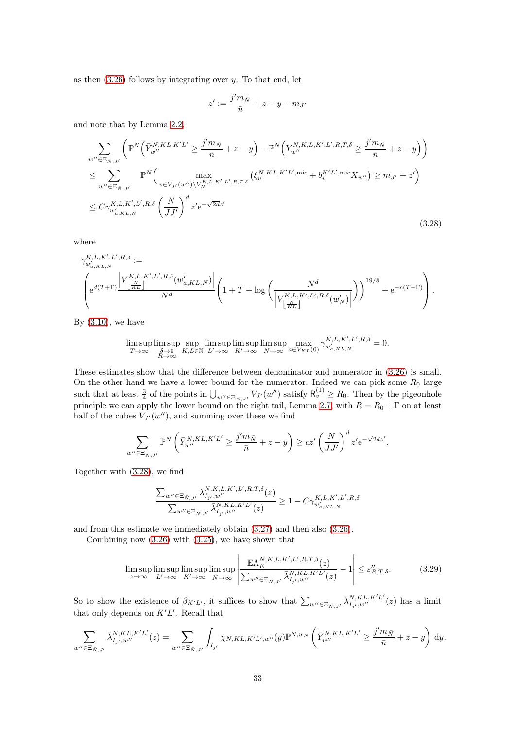as then  $(3.26)$  follows by integrating over y. To that end, let

$$
z' := \frac{j'm_{\bar{N}}}{\bar{n}} + z - y - m_{J'}
$$

and note that by Lemma [2.2,](#page-10-0)

<span id="page-32-0"></span>
$$
\sum_{w'' \in \Xi_{\bar{N},J'}} \left( \mathbb{P}^N \Big( \bar{Y}_{w''}^{N,KL,K'L'} \geq \frac{j'm_{\bar{N}}}{\bar{n}} + z - y \Big) - \mathbb{P}^N \Big( Y_{w''}^{N,KL,K',L',R,T,\delta} \geq \frac{j'm_{\bar{N}}}{\bar{n}} + z - y \Big) \right)
$$
\n
$$
\leq \sum_{w'' \in \Xi_{\bar{N},J'}} \mathbb{P}^N \Big( \max_{v \in V_{J'}(w'') \backslash V_N^{K,L,K',L',R,T,\delta}} \left( \xi_v^{N,KL,K'L',\text{mic}} + b_v^{K'L',\text{mic}} X_{w''} \right) \geq m_{J'} + z' \Big)
$$
\n
$$
\leq C \gamma_{w'_{a,KL,N}}^{K,L,K',L',R,\delta} \left( \frac{N}{JJ'} \right)^d z' e^{-\sqrt{2dz'}} \tag{3.28}
$$

where

$$
\begin{split} &\gamma_{w'_{a,KL,N}}^{K,L,K',L',R,\delta}:= \\ &\left(\mathrm{e}^{d(T+\Gamma)}\frac{\left|V_{\left\lfloor \frac{N}{KL}\right\rfloor}^{K,L,K',L',R,\delta}(w'_{a,KL,N})\right|}{N^d}\right(\mathbf{1}+T+\log\left(\frac{N^d}{\left|V_{\left\lfloor \frac{N}{KL}\right\rfloor}^{K,L,K',L',R,\delta}(w'_{N})\right|}\right)\right)^{19/8}+\mathrm{e}^{-c(T-\Gamma)}\right). \end{split}
$$

By  $(3.10)$ , we have

$$
\limsup_{T \to \infty} \limsup_{\substack{\delta \to 0 \\ R \to \infty}} \sup_{K,L \in \mathbb{N}} \limsup_{L' \to \infty} \limsup_{K' \to \infty} \limsup_{N \to \infty} \max_{a \in V_{KL}(0)} \gamma_{w'_{a,KL,N}}^{K,L,K',L',R,\delta} = 0.
$$

These estimates show that the difference between denominator and numerator in [\(3.26\)](#page-31-1) is small. On the other hand we have a lower bound for the numerator. Indeed we can pick some  $R_0$  large such that at least  $\frac{3}{4}$  of the points in  $\bigcup_{w'' \in \Xi_{\bar{N},J'}} V_{J'}(w'')$  satisfy  $\mathsf{R}^{(1)}_v \geq R_0$ . Then by the pigeonhole principle we can apply the lower bound on the right tail, Lemma [2.7,](#page-15-0) with  $R = R_0 + \Gamma$  on at least half of the cubes  $V_{J'}(w'')$ , and summing over these we find

$$
\sum_{w'' \in \Xi_{\bar{N},J'}} \mathbb{P}^N\left(\bar{Y}_{w''}^{N,KL,K'L'} \ge \frac{j'm_{\bar{N}}}{\bar{n}} + z - y\right) \ge cz'\left(\frac{N}{JJ'}\right)^d z' e^{-\sqrt{2dz'}}.
$$

Together with [\(3.28\)](#page-32-0), we find

$$
\frac{\sum_{w'' \in \Xi_{\bar{N},J'}} \lambda_{I_{j'},w''}^{N,K,L,K',L',R,T,\delta}(z)}{\sum_{w'' \in \Xi_{\bar{N},J'}} \bar{\lambda}_{I_{j'},w''}^{N,KL,K'L'}(z)} \ge 1 - C\gamma_{w'_{a,KL,N}}^{K,L,K',L',R,\delta}
$$

and from this estimate we immediately obtain [\(3.27\)](#page-31-2) and then also [\(3.26\)](#page-31-1).

Combining now [\(3.26\)](#page-31-1) with [\(3.25\)](#page-31-0), we have shown that

<span id="page-32-1"></span>
$$
\limsup_{z \to \infty} \limsup_{L' \to \infty} \limsup_{K' \to \infty} \limsup_{\bar{N} \to \infty} \left| \frac{\mathbb{E}\Lambda_E^{N,K,L,K',L',R,T,\delta}(z)}{\sum_{w'' \in \Xi_{\bar{N},J'}} \bar{\lambda}_{I_{j'},w''}^{N,K,L,K'L'}(z)} - 1 \right| \leq \varepsilon_{R,T,\delta}''.
$$
\n(3.29)

So to show the existence of  $\beta_{K'L'}$ , it suffices to show that  $\sum_{w'' \in \Xi_{\tilde{N},J'}} \bar{\lambda}_{I_{j'},w''}^{N,KL,K'L'}(z)$  has a limit that only depends on  $K'L'$ . Recall that

$$
\sum_{w'' \in \Xi_{\bar{N},J'}} \bar{\lambda}_{I_{j'},w''}^{N,KL,K'L'}(z) = \sum_{w'' \in \Xi_{\bar{N},J'}} \int_{I_{j'}} \chi_{N,KL,K'L',w''}(y) \mathbb{P}^{N,w_N} \left( \bar{Y}_{w''}^{N,KL,K'L'} \ge \frac{j'm_{\bar{N}}}{\bar{n}} + z - y \right) dy.
$$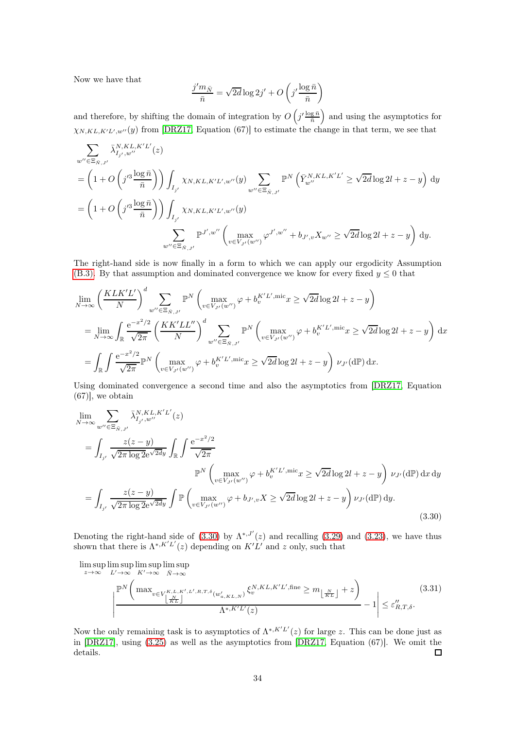Now we have that

$$
\frac{j'm_{\bar{N}}}{\bar{n}} = \sqrt{2d} \log 2j' + O\left(j'\frac{\log \bar{n}}{\bar{n}}\right)
$$

and therefore, by shifting the domain of integration by  $O(j' \frac{\log \bar{n}}{\bar{n}})$  and using the asymptotics for  $\chi_{N,KL,K'L',w''}(y)$  from [\[DRZ17,](#page-62-0) Equation (67)] to estimate the change in that term, we see that

$$
\sum_{w'' \in \Xi_{\bar{N},J'}} \bar{\lambda}_{I_{j'},w''}^{\bar{N},KL,K'L'}(z)
$$
\n
$$
= \left(1 + O\left(j'^3 \frac{\log \bar{n}}{\bar{n}}\right)\right) \int_{I_{j'}} \chi_{N,KL,K'L',w''}(y) \sum_{w'' \in \Xi_{\bar{N},J'}} \mathbb{P}^N\left(\bar{Y}_{w''}^{\bar{N},KL,K'L'} \ge \sqrt{2d} \log 2l + z - y\right) dy
$$
\n
$$
= \left(1 + O\left(j'^3 \frac{\log \bar{n}}{\bar{n}}\right)\right) \int_{I_{j'}} \chi_{N,KL,K'L',w''}(y)
$$
\n
$$
\sum_{w'' \in \Xi_{\bar{N},J'}} \mathbb{P}^{J',w''}\left(\max_{v \in V_{J'}(w'')} \varphi^{J',w''} + b_{J',v} X_{w''} \ge \sqrt{2d} \log 2l + z - y\right) dy.
$$

The right-hand side is now finally in a form to which we can apply our ergodicity Assumption [\(B.3\).](#page-3-4) By that assumption and dominated convergence we know for every fixed  $y \leq 0$  that

$$
\lim_{N \to \infty} \left( \frac{KLK'L'}{N} \right)^d \sum_{w'' \in \Xi_{\tilde{N},J'}} \mathbb{P}^N \left( \max_{v \in V_{J'}(w'')} \varphi + b_v^{K'L', \text{mic}} x \ge \sqrt{2d} \log 2l + z - y \right)
$$
\n
$$
= \lim_{N \to \infty} \int_{\mathbb{R}} \frac{e^{-x^2/2}}{\sqrt{2\pi}} \left( \frac{KK'LL''}{N} \right)^d \sum_{w'' \in \Xi_{\tilde{N},J'}} \mathbb{P}^N \left( \max_{v \in V_{J'}(w'')} \varphi + b_v^{K'L', \text{mic}} x \ge \sqrt{2d} \log 2l + z - y \right) dx
$$
\n
$$
= \int_{\mathbb{R}} \int \frac{e^{-x^2/2}}{\sqrt{2\pi}} \mathbb{P}^N \left( \max_{v \in V_{J'}(w'')} \varphi + b_v^{K'L', \text{mic}} x \ge \sqrt{2d} \log 2l + z - y \right) \nu_{J'}(\text{d}\mathbb{P}) dx.
$$

Using dominated convergence a second time and also the asymptotics from [\[DRZ17,](#page-62-0) Equation (67)], we obtain

<span id="page-33-0"></span>
$$
\lim_{N \to \infty} \sum_{w'' \in \Xi_{\bar{N},J'}} \bar{\lambda}_{I_{j'},w''}^{N,KL,K'L'}(z)
$$
\n
$$
= \int_{I_{j'}} \frac{z(z-y)}{\sqrt{2\pi \log 2}e^{\sqrt{2d}y}} \int_{\mathbb{R}} \int \frac{e^{-x^2/2}}{\sqrt{2\pi}} \mathbb{P}^N \left( \max_{v \in V_{J'}(w'')} \varphi + b_v^{K'L',\text{mic}} x \ge \sqrt{2d} \log 2l + z - y \right) \nu_{J'}(\text{d}\mathbb{P}) \, \text{d}x \, \text{d}y
$$
\n
$$
= \int_{I_{j'}} \frac{z(z-y)}{\sqrt{2\pi \log 2}e^{\sqrt{2d}y}} \int \mathbb{P} \left( \max_{v \in V_{J'}(w'')} \varphi + b_{J',v} X \ge \sqrt{2d} \log 2l + z - y \right) \nu_{J'}(\text{d}\mathbb{P}) \, \text{d}y. \tag{3.30}
$$

Denoting the right-hand side of [\(3.30\)](#page-33-0) by  $\Lambda^{*,J'}(z)$  and recalling [\(3.29\)](#page-32-1) and [\(3.23\)](#page-30-4), we have thus shown that there is  $\Lambda^{*,K'L'}(z)$  depending on  $K'L'$  and z only, such that

$$
\limsup_{z \to \infty} \limsup_{L' \to \infty} \limsup_{K' \to \infty} K' \to \infty
$$
\n
$$
\frac{\mathbb{P}^N \left( \max_{v \in V_{\lfloor \frac{N}{KL} \rfloor}} \sum_{j \in L, K', L', K', L', R, T, \delta} (w'_{a, KL, N}) \xi_v^{N, KL, K'L', \text{fine}} \ge m_{\lfloor \frac{N}{KL} \rfloor} + z \right)}{\Lambda^{*, K'L'}(z)} - 1 \le \varepsilon_{R, T, \delta}''.
$$
\n(3.31)

Now the only remaining task is to asymptotics of  $\Lambda^{*,K'L'}(z)$  for large z. This can be done just as in [\[DRZ17\]](#page-62-0), using [\(3.25\)](#page-31-0) as well as the asymptotics from [\[DRZ17,](#page-62-0) Equation (67)]. We omit the details.  $\Box$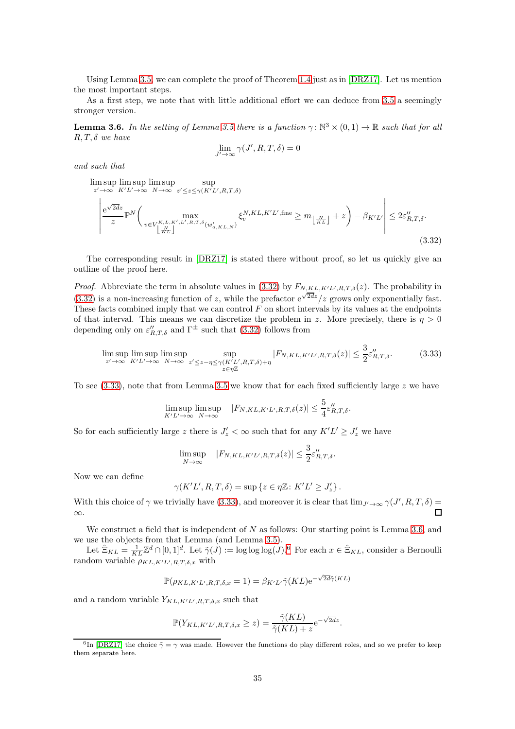Using Lemma [3.5,](#page-27-0) we can complete the proof of Theorem [1.4](#page-3-0) just as in [\[DRZ17\]](#page-62-0). Let us mention the most important steps.

As a first step, we note that with little additional effort we can deduce from [3.5](#page-27-0) a seemingly stronger version.

<span id="page-34-2"></span>**Lemma 3.6.** In the setting of Lemma [3.5](#page-27-0) there is a function  $\gamma: \mathbb{N}^3 \times (0,1) \to \mathbb{R}$  such that for all  $R, T, \delta$  we have

$$
\lim_{J' \to \infty} \gamma(J', R, T, \delta) = 0
$$

and such that

<span id="page-34-0"></span>
$$
\limsup_{z' \to \infty} \limsup_{K'L' \to \infty} \limsup_{N \to \infty} \sup_{z' \le z \le \gamma(K'L', R, T, \delta)} \sup_{\begin{subarray}{c} e^{\sqrt{2d}z} \\ z \end{subarray}} \sup_{\begin{subarray}{c} \mathbb{R}^N, K L, K'L', \text{fine} \ge m_{\lfloor \frac{N}{KL} \rfloor} + z \end{subarray}} \sum_{j} \beta_{K'L}^{N, KL, K'L', \text{fine} \ge m_{\lfloor \frac{N}{KL} \rfloor} + z \end{subarray} - \beta_{K'L'} \le 2\varepsilon_{R, T, \delta}''.
$$
\n(3.32)

The corresponding result in [\[DRZ17\]](#page-62-0) is stated there without proof, so let us quickly give an outline of the proof here.

*Proof.* Abbreviate the term in absolute values in  $(3.32)$  by  $F_{N,K,L,K'L',R,T,\delta}(z)$ . The probability in  $(3.32)$  is a non-increasing function of z, while the prefactor  $e^{\sqrt{2dz}}/z$  grows only exponentially fast. These facts combined imply that we can control  $F$  on short intervals by its values at the endpoints of that interval. This means we can discretize the problem in z. More precisely, there is  $\eta > 0$ depending only on  $\varepsilon''_{R,T,\delta}$  and  $\Gamma^{\pm}$  such that [\(3.32\)](#page-34-0) follows from

<span id="page-34-1"></span>
$$
\limsup_{z' \to \infty} \limsup_{K' L' \to \infty} \limsup_{N \to \infty} \sup_{z' \le z - \eta \le \gamma(K' L', R, T, \delta) + \eta} |F_{N, KL, K' L', R, T, \delta}(z)| \le \frac{3}{2} \varepsilon_{R, T, \delta}^{\prime\prime}.
$$
\n(3.33)

To see  $(3.33)$ , note that from Lemma [3.5](#page-27-0) we know that for each fixed sufficiently large z we have

$$
\limsup_{K'L' \to \infty} \limsup_{N \to \infty} |F_{N,KL,K'L',R,T,\delta}(z)| \leq \frac{5}{4} \varepsilon''_{R,T,\delta}.
$$

So for each sufficiently large z there is  $J'_z < \infty$  such that for any  $K'L' \geq J'_z$  we have

$$
\limsup_{N \to \infty} |F_{N,KL,K'L',R,T,\delta}(z)| \leq \frac{3}{2} \varepsilon''_{R,T,\delta}.
$$

Now we can define

$$
\gamma(K'L', R, T, \delta) = \sup \{ z \in \eta \mathbb{Z} \colon K'L' \ge J_z' \} .
$$

With this choice of  $\gamma$  we trivially have [\(3.33\)](#page-34-1), and moreover it is clear that  $\lim_{J'\to\infty} \gamma(J',R,T,\delta) =$ ∞.

We construct a field that is independent of  $N$  as follows: Our starting point is Lemma [3.6,](#page-34-2) and we use the objects from that Lemma (and Lemma [3.5\)](#page-27-0).

Let  $\hat{\Xi}_{KL} = \frac{1}{KL} \mathbb{Z}^d \cap [0,1]^d$ . Let  $\tilde{\gamma}(J) := \log \log \log(J)$ .<sup>[6](#page-34-3)</sup> For each  $x \in \hat{\Xi}_{KL}$ , consider a Bernoulli random variable  $\rho_{KL,K'L',R,T,\delta,x}$  with

$$
\mathbb{P}(\rho_{KL,K'L',R,T,\delta,x}=1) = \beta_{K'L'}\tilde{\gamma}(KL) e^{-\sqrt{2d}\tilde{\gamma}(KL)}
$$

and a random variable  $Y_{KL,K'L',R,T,\delta,x}$  such that

$$
\mathbb{P}(Y_{KL,K'L',R,T,\delta,x} \geq z) = \frac{\tilde{\gamma}(KL)}{\tilde{\gamma}(KL) + z} e^{-\sqrt{2dz}}.
$$

<span id="page-34-3"></span><sup>&</sup>lt;sup>6</sup>In [\[DRZ17\]](#page-62-0) the choice  $\tilde{\gamma} = \gamma$  was made. However the functions do play different roles, and so we prefer to keep them separate here.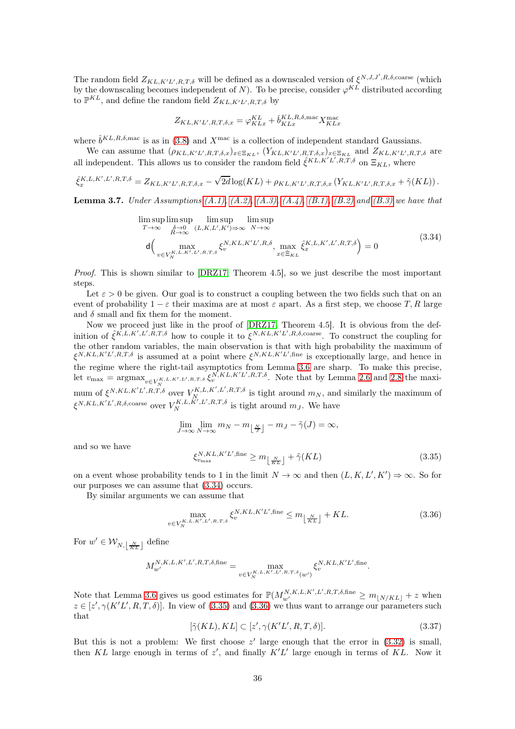The random field  $Z_{KL,K'L',R,T,\delta}$  will be defined as a downscaled version of  $\xi^{N,J,J',R,\delta,\text{coarse}}$  (which by the downscaling becomes independent of N). To be precise, consider  $\varphi^{KL}$  distributed according to  $\mathbb{P}^{KL}$ , and define the random field  $Z_{KL,K'L',R,T,\delta}$  by

$$
Z_{KL,K'L',R,T,\delta,x} = \varphi_{KLx}^{KL} + \hat{b}_{KLx}^{KL,R,\delta,\max} X_{KLx}^{\max}
$$

where  $\hat{b}^{KL,R,\delta,\text{mac}}$  is as in [\(3.8\)](#page-24-2) and  $X^{\text{mac}}$  is a collection of independent standard Gaussians.

We can assume that  $(\rho_{KL,K'L',R,T,\delta,x})_{x \in \Xi_{KL}}$ ,  $(Y_{KL,K'L',R,T,\delta,x})_{x \in \Xi_{KL}}$  and  $Z_{KL,K'L',R,T,\delta}$  are all independent. This allows us to consider the random field  $\hat{\xi}^{KL,K'L',R,T,\delta}$  on  $\Xi_{KL}$ , where

$$
\hat{\xi}_x^{K,L,K',L',R,T,\delta} = Z_{KL,K'L',R,T,\delta,x} - \sqrt{2d} \log(KL) + \rho_{KL,K'L',R,T,\delta,x} \left( Y_{KL,K'L',R,T,\delta,x} + \tilde{\gamma}(KL) \right).
$$

<span id="page-35-4"></span><span id="page-35-0"></span>**Lemma 3.7.** Under Assumptions  $(A.1)$ ,  $(A.2)$ ,  $(A.3)$ ,  $(A.4)$ ,  $(B.1)$ ,  $(B.2)$  and  $(B.3)$  we have that

$$
\limsup_{T \to \infty} \limsup_{\substack{\delta \to 0 \\ R \to \infty}} \limsup_{(L, K, L', K') \to \infty} \limsup_{N \to \infty} \exp \left( \frac{2 \pi}{L} \sum_{\substack{k,l \\ k \in \mathbb{Z}_{KL}}} \sum_{\substack{k,l \\ k,l}} \sum_{\substack{k,l \\ k,l}} \sum_{\substack{k,l \\ k,l}} \sum_{\substack{k,l \\ k,l}} \sum_{\substack{k,l \\ k,l}} \sum_{\substack{k,l \\ k,l}} \sum_{\substack{k,l \\ k,l}} \sum_{\substack{k,l \\ k,l}} \sum_{\substack{k,l \\ k,l}} \sum_{\substack{k,l \\ k,l}} \sum_{\substack{k,l \\ k,l}} \sum_{\substack{k,l \\ k,l}} \sum_{\substack{k,l \\ k,l}} \sum_{\substack{k,l \\ k,l}} \sum_{\substack{k,l \\ k,l}} \sum_{\substack{k,l \\ k,l}} \sum_{\substack{k,l \\ k,l}} \sum_{\substack{k,l \\ k,l}} \sum_{\substack{k,l \\ k,l}} \sum_{\substack{k,l \\ k,l}} \sum_{\substack{k,l \\ k,l}} \sum_{\substack{k,l \\ k,l}} \sum_{\substack{k,l \\ k,l}} \sum_{\substack{k,l \\ k,l}} \sum_{\substack{k,l \\ k,l}} \sum_{\substack{k,l \\ k,l}} \sum_{\substack{k,l \\ k,l}} \sum_{\substack{k,l \\ k,l}} \sum_{\substack{k,l \\ k,l}} \sum_{\substack{k,l \\ k,l}} \sum_{\substack{k,l \\ k,l}} \sum_{\substack{k,l \\ k,l}} \sum_{\substack{k,l \\ k,l}} \sum_{\substack{k,l \\ k,l}} \sum_{\substack{k,l \\ k,l}} \sum_{\substack{k,l \\ k,l}} \sum_{\substack{k,l \\ k,l}} \sum_{\substack{k,l \\ k,l}} \sum_{\substack{k,l \\ k,l}} \sum_{\substack{k,l \\ k,l}} \sum_{\substack{k,l \\ k,l}} \sum_{\substack{k,l \\ k,l}} \sum_{\substack{k,l \\ k,l}} \sum_{\substack{k,l \\ k,l}} \sum_{\substack{k,l \\ k,l}} \sum_{\substack{k,l \\ k,l}} \sum_{\substack{k,l \\ k,l}} \sum_{\substack{k,l \\ k,l}} \sum_{\substack{k,l \\ k,l}} \sum_{\substack{k,l \\ k,l}} \sum_{\substack{k,l \\ k,l}} \sum_{\substack{k,l \\ k,l}} \sum_{\substack{k,l \\ k,l}} \sum_{\substack{k,l \\ k,l}} \sum_{\substack{k,l \\ k,l}} \sum_{\
$$

Proof. This is shown similar to [\[DRZ17,](#page-62-0) Theorem 4.5], so we just describe the most important steps.

Let  $\varepsilon > 0$  be given. Our goal is to construct a coupling between the two fields such that on an event of probability  $1 - \varepsilon$  their maxima are at most  $\varepsilon$  apart. As a first step, we choose T, R large and  $\delta$  small and fix them for the moment.

Now we proceed just like in the proof of [\[DRZ17,](#page-62-0) Theorem 4.5]. It is obvious from the definition of  $\hat{\xi}^{K,L,K',L',R,T,\delta}$  how to couple it to  $\xi^{N,KL,K'L',R,\delta,\text{coarse}}$ . To construct the coupling for the other random variables, the main observation is that with high probability the maximum of  $\xi^{N,KL,K'L',R,T,\delta}$  is assumed at a point where  $\xi^{N,KL,K'L',\text{fine}}$  is exceptionally large, and hence in the regime where the right-tail asymptotics from Lemma [3.6](#page-34-2) are sharp. To make this precise, let  $v_{\text{max}} = \operatorname{argmax}_{v \in V_N^{K, L, K', L', R, T, \delta}} \xi_v^{N, KL, K', L', R, T, \delta}$ . Note that by Lemma [2.6](#page-14-3) and [2.8](#page-17-0) the maximum of  $\xi^{N,KL,K'L',R,T,\delta}$  over  $V_{N}^{K,L,K',L',R,T,\delta}$  is tight around  $m_N$ , and similarly the maximum of  $\xi^{N,KL,K'L',R,\delta,\text{coarse}}$  over  $V_N^{K,L,K',L',R,T,\delta}$  is tight around  $m_J$ . We have

$$
\lim_{J \to \infty} \lim_{N \to \infty} m_N - m_{\lfloor \frac{N}{J} \rfloor} - m_J - \tilde{\gamma}(J) = \infty,
$$

and so we have

<span id="page-35-1"></span>
$$
\xi_{v_{\text{max}}}^{N,KL,K'L',\text{fine}} \ge m_{\left\lfloor \frac{N}{KL} \right\rfloor} + \tilde{\gamma}(KL) \tag{3.35}
$$

on a event whose probability tends to 1 in the limit  $N \to \infty$  and then  $(L, K, L', K') \to \infty$ . So for our purposes we can assume that [\(3.34\)](#page-35-0) occurs.

By similar arguments we can assume that

<span id="page-35-2"></span>
$$
\max_{v \in V_N^{K, L, K', L', R, T, \delta}} \xi_v^{N, KL, K'L', \text{fine}} \le m_{\lfloor \frac{N}{KL} \rfloor} + KL. \tag{3.36}
$$

For  $w' \in \mathcal{W}_{N,\lfloor \frac{N}{KL} \rfloor}$  define

$$
M_{w'}^{N,K,L,K',L',R,T,\delta,\text{fine}} = \max_{v \in V_N^{K,L,K',L',R,T,\delta}(w')} \xi_v^{N,KL,K'L',\text{fine}}.
$$

Note that Lemma [3.6](#page-34-2) gives us good estimates for  $\mathbb{P}(M_{w'}^{N,K,L,K',L',R,T,\delta,\text{fine}} \ge m_{\lfloor N/KL\rfloor} + z$  when  $z \in [z', \gamma(K'L', R, T, \delta)]$ . In view of [\(3.35\)](#page-35-1) and [\(3.36\)](#page-35-2) we thus want to arrange our parameters such that

<span id="page-35-3"></span>
$$
[\tilde{\gamma}(KL), KL] \subset [z', \gamma(K'L', R, T, \delta)].
$$
\n(3.37)

But this is not a problem: We first choose  $z'$  large enough that the error in  $(3.32)$  is small, then KL large enough in terms of  $z'$ , and finally  $K'L'$  large enough in terms of KL. Now it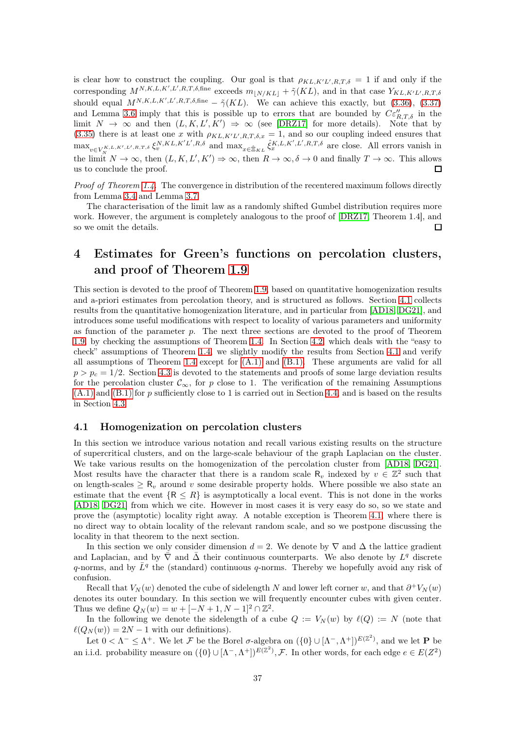is clear how to construct the coupling. Our goal is that  $\rho_{KL,K'L',R,T,\delta} = 1$  if and only if the corresponding  $M^{N,K,L,K',L',R,T,\delta,\text{fine}}$  exceeds  $m_{\lfloor N/KL \rfloor} + \tilde{\gamma}(KL)$ , and in that case  $Y_{KL,K'L',R,T,\delta}$ should equal  $M^{N,K,L,K',L',R,T,\delta,\text{fine}} - \tilde{\gamma}(KL)$ . We can achieve this exactly, but [\(3.36\)](#page-35-2), [\(3.37\)](#page-35-3) and Lemma [3.6](#page-34-2) imply that this is possible up to errors that are bounded by  $C\varepsilon_{R,T,\delta}''$  in the limit  $N \to \infty$  and then  $(L, K, L', K') \Rightarrow \infty$  (see [\[DRZ17\]](#page-62-0) for more details). Note that by [\(3.35\)](#page-35-1) there is at least one x with  $\rho_{KL,K'L',R,T,\delta,x} = 1$ , and so our coupling indeed ensures that  $\max_{v \in V_N^{K,L,K',L',R,T,\delta}} \xi_v^{N,KL,K'L',R,\delta}$  and  $\max_{x \in \hat{\Xi}_{KL}} \hat{\xi}_x^{K,L,K',L',R,T,\delta}$  are close. All errors vanish in the limit  $N \to \infty$ , then  $(L, K, L', K') \to \infty$ , then  $R \to \infty$ ,  $\delta \to 0$  and finally  $T \to \infty$ . This allows us to conclude the proof.

*Proof of Theorem [1.4.](#page-3-0)* The convergence in distribution of the recentered maximum follows directly from Lemma [3.4](#page-27-1) and Lemma [3.7.](#page-35-4)

The characterisation of the limit law as a randomly shifted Gumbel distribution requires more work. However, the argument is completely analogous to the proof of [\[DRZ17,](#page-62-0) Theorem 1.4], and so we omit the details. П

# <span id="page-36-0"></span>4 Estimates for Green's functions on percolation clusters, and proof of Theorem [1.9](#page-5-0)

This section is devoted to the proof of Theorem [1.9,](#page-5-0) based on quantitative homogenization results and a-priori estimates from percolation theory, and is structured as follows. Section [4.1](#page-36-1) collects results from the quantitative homogenization literature, and in particular from [\[AD18,](#page-60-3) [DG21\]](#page-61-19), and introduces some useful modifications with respect to locality of various parameters and uniformity as function of the parameter  $p$ . The next three sections are devoted to the proof of Theorem [1.9,](#page-5-0) by checking the assumptions of Theorem [1.4.](#page-3-0) In Section [4.2,](#page-41-1) which deals with the "easy to check" assumptions of Theorem [1.4,](#page-3-0) we slightly modify the results from Section [4.1](#page-36-1) and verify all assumptions of Theorem [1.4](#page-3-0) except for [\(A.1\)](#page-2-1) and [\(B.1\).](#page-3-1) These arguments are valid for all  $p > p_c = 1/2$ . Section [4.3](#page-51-0) is devoted to the statements and proofs of some large deviation results for the percolation cluster  $\mathcal{C}_{\infty}$ , for p close to 1. The verification of the remaining Assumptions  $(A.1)$  and  $(B.1)$  for p sufficiently close to 1 is carried out in Section [4.4,](#page-53-0) and is based on the results in Section [4.3.](#page-51-0)

#### <span id="page-36-1"></span>4.1 Homogenization on percolation clusters

In this section we introduce various notation and recall various existing results on the structure of supercritical clusters, and on the large-scale behaviour of the graph Laplacian on the cluster. We take various results on the homogenization of the percolation cluster from [\[AD18,](#page-60-3) [DG21\]](#page-61-19). Most results have the character that there is a random scale  $R_v$  indexed by  $v \in \mathbb{Z}^2$  such that on length-scales  $\geq R_v$  around v some desirable property holds. Where possible we also state an estimate that the event  ${R \leq R}$  is asymptotically a local event. This is not done in the works [\[AD18,](#page-60-3) [DG21\]](#page-61-19) from which we cite. However in most cases it is very easy do so, so we state and prove the (asymptotic) locality right away. A notable exception is Theorem [4.1,](#page-37-0) where there is no direct way to obtain locality of the relevant random scale, and so we postpone discussing the locality in that theorem to the next section.

In this section we only consider dimension  $d = 2$ . We denote by  $\nabla$  and  $\Delta$  the lattice gradient and Laplacian, and by  $\overline{\nabla}$  and  $\overline{\Delta}$  their continuous counterparts. We also denote by  $L^q$  discrete q-norms, and by  $\bar{L}^q$  the (standard) continuous q-norms. Thereby we hopefully avoid any risk of confusion.

Recall that  $V_N(w)$  denoted the cube of sidelength N and lower left corner w, and that  $\partial^+ V_N(w)$ denotes its outer boundary. In this section we will frequently encounter cubes with given center. Thus we define  $Q_N(w) = w + [-N + 1, N - 1]^2 \cap \mathbb{Z}^2$ .

In the following we denote the sidelength of a cube  $Q := V_N(w)$  by  $\ell(Q) := N$  (note that  $\ell(Q_N(w)) = 2N - 1$  with our definitions).

Let  $0 < \Lambda^- \leq \Lambda^+$ . We let F be the Borel  $\sigma$ -algebra on  $({0} \cup [\Lambda^-,\Lambda^+]^{E(\mathbb{Z}^2)}$ , and we let **P** be an i.i.d. probability measure on  $(\{0\} \cup [\Lambda^-, \Lambda^+])^{E(\mathbb{Z}^2)}$ , F. In other words, for each edge  $e \in E(Z^2)$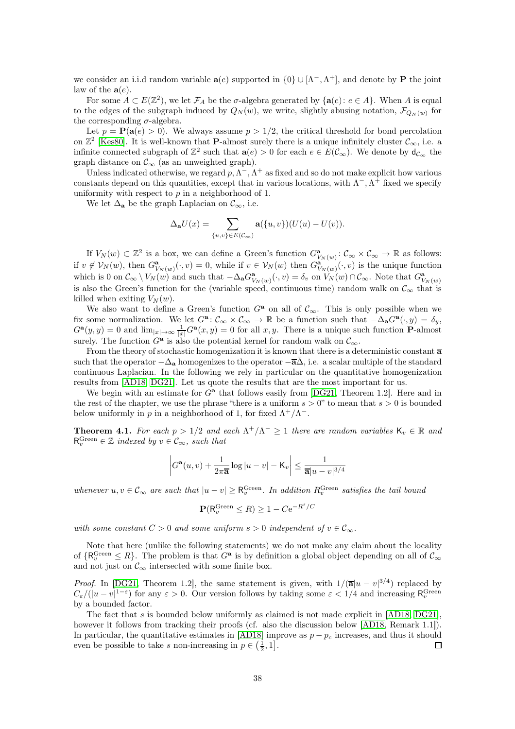we consider an i.i.d random variable  $a(e)$  supported in  $\{0\} \cup [\Lambda^-, \Lambda^+]$ , and denote by **P** the joint law of the  $a(e)$ .

For some  $A \subset E(\mathbb{Z}^2)$ , we let  $\mathcal{F}_A$  be the  $\sigma$ -algebra generated by  $\{a(e): e \in A\}$ . When A is equal to the edges of the subgraph induced by  $Q_N(w)$ , we write, slightly abusing notation,  $\mathcal{F}_{Q_N(w)}$  for the corresponding  $\sigma$ -algebra.

Let  $p = P(a(e) > 0)$ . We always assume  $p > 1/2$ , the critical threshold for bond percolation on  $\mathbb{Z}^2$  [\[Kes80\]](#page-62-11). It is well-known that **P**-almost surely there is a unique infinitely cluster  $\mathcal{C}_{\infty}$ , i.e. a infinite connected subgraph of  $\mathbb{Z}^2$  such that  $\mathbf{a}(e) > 0$  for each  $e \in E(\mathcal{C}_{\infty})$ . We denote by  $\mathsf{d}_{\mathcal{C}_{\infty}}$  the graph distance on  $\mathcal{C}_{\infty}$  (as an unweighted graph).

Unless indicated otherwise, we regard  $p, \Lambda^-, \Lambda^+$  as fixed and so do not make explicit how various constants depend on this quantities, except that in various locations, with  $\Lambda^{-}$ ,  $\Lambda^{+}$  fixed we specify uniformity with respect to  $p$  in a neighborhood of 1.

We let  $\Delta_{\mathbf{a}}$  be the graph Laplacian on  $\mathcal{C}_{\infty}$ , i.e.

$$
\Delta_{\mathbf{a}}U(x) = \sum_{\{u,v\} \in E(\mathcal{C}_{\infty})} \mathbf{a}(\{u,v\})(U(u) - U(v)).
$$

If  $V_N(w) \subset \mathbb{Z}^2$  is a box, we can define a Green's function  $G^{\mathbf{a}}_{V_N(w)} \colon \mathcal{C}_{\infty} \times \mathcal{C}_{\infty} \to \mathbb{R}$  as follows: if  $v \notin V_N(w)$ , then  $G^{\mathbf{a}}_{V_N(w)}(\cdot, v) = 0$ , while if  $v \in V_N(w)$  then  $G^{\mathbf{a}}_{V_N(w)}(\cdot, v)$  is the unique function which is 0 on  $\mathcal{C}_{\infty} \setminus V_N(w)$  and such that  $-\Delta_{\mathbf{a}} G_{V_N(w)}^{\mathbf{a}}(\cdot, v) = \delta_v$  on  $V_N(w) \cap \mathcal{C}_{\infty}$ . Note that  $G_{V_N(w)}^{\mathbf{a}}$ is also the Green's function for the (variable speed, continuous time) random walk on  $\mathcal{C}_{\infty}$  that is killed when exiting  $V_N(w)$ .

We also want to define a Green's function  $G^a$  on all of  $\mathcal{C}_{\infty}$ . This is only possible when we fix some normalization. We let  $G^{\mathbf{a}}: \mathcal{C}_{\infty} \times \mathcal{C}_{\infty} \to \mathbb{R}$  be a function such that  $-\Delta_{\mathbf{a}}G^{\mathbf{a}}(\cdot, y) = \delta_y$ ,  $G^{\mathbf{a}}(y, y) = 0$  and  $\lim_{|x| \to \infty} \frac{1}{|x|} G^{\mathbf{a}}(x, y) = 0$  for all  $x, y$ . There is a unique such function **P**-almost surely. The function  $G^{\mathbf{a}}$  is also the potential kernel for random walk on  $\mathcal{C}_{\infty}$ .

From the theory of stochastic homogenization it is known that there is a deterministic constant  $\overline{a}$ such that the operator  $-\Delta_{\bf a}$  homogenizes to the operator  $-\overline{\bf a}\Delta$ , i.e. a scalar multiple of the standard continuous Laplacian. In the following we rely in particular on the quantitative homogenization results from [\[AD18,](#page-60-3) [DG21\]](#page-61-19). Let us quote the results that are the most important for us.

We begin with an estimate for  $G^a$  that follows easily from [\[DG21,](#page-61-19) Theorem 1.2]. Here and in the rest of the chapter, we use the phrase "there is a uniform  $s > 0$ " to mean that  $s > 0$  is bounded below uniformly in p in a neighborhood of 1, for fixed  $\Lambda^+/\Lambda^-$ .

<span id="page-37-0"></span>**Theorem 4.1.** For each  $p > 1/2$  and each  $\Lambda^+/\Lambda^- \geq 1$  there are random variables  $K_v \in \mathbb{R}$  and  $\mathsf{R}_{v}^{\text{Green}} \in \mathbb{Z}$  indexed by  $v \in \mathcal{C}_{\infty}$ , such that

$$
\left|G^{\mathbf{a}}(u,v) + \frac{1}{2\pi \overline{\mathbf{a}}} \log|u-v| - \mathsf{K}_v\right| \le \frac{1}{\overline{\mathbf{a}}|u-v|^{3/4}}
$$

whenever  $u, v \in \mathcal{C}_{\infty}$  are such that  $|u - v| \geq R_v^{\text{Green}}$ . In addition  $R_v^{\text{Green}}$  satisfies the tail bound

$$
\mathbf{P}(R_v^{\text{Green}} \le R) \ge 1 - Ce^{-R^s/C}
$$

with some constant  $C > 0$  and some uniform  $s > 0$  independent of  $v \in \mathcal{C}_{\infty}$ .

Note that here (unlike the following statements) we do not make any claim about the locality of  $\{R_v^{\text{Green}} \leq R\}$ . The problem is that  $G^{\mathbf{a}}$  is by definition a global object depending on all of  $\mathcal{C}_\infty$ and not just on  $\mathcal{C}_{\infty}$  intersected with some finite box.

*Proof.* In [\[DG21,](#page-61-19) Theorem 1.2], the same statement is given, with  $1/(\overline{\mathbf{a}}|u - v|^{3/4})$  replaced by  $C_{\varepsilon}/(|u-v|^{1-\varepsilon})$  for any  $\varepsilon > 0$ . Our version follows by taking some  $\varepsilon < 1/4$  and increasing  $\mathsf{R}_{v}^{\text{Green}}$ by a bounded factor.

The fact that s is bounded below uniformly as claimed is not made explicit in [\[AD18,](#page-60-3) [DG21\]](#page-61-19), however it follows from tracking their proofs (cf. also the discussion below [\[AD18,](#page-60-3) Remark 1.1]). In particular, the quantitative estimates in [\[AD18\]](#page-60-3) improve as  $p - p_c$  increases, and thus it should even be possible to take s non-increasing in  $p \in (\frac{1}{5}, 1]$ . even be possible to take s non-increasing in  $p \in \left(\frac{1}{2}, 1\right]$ .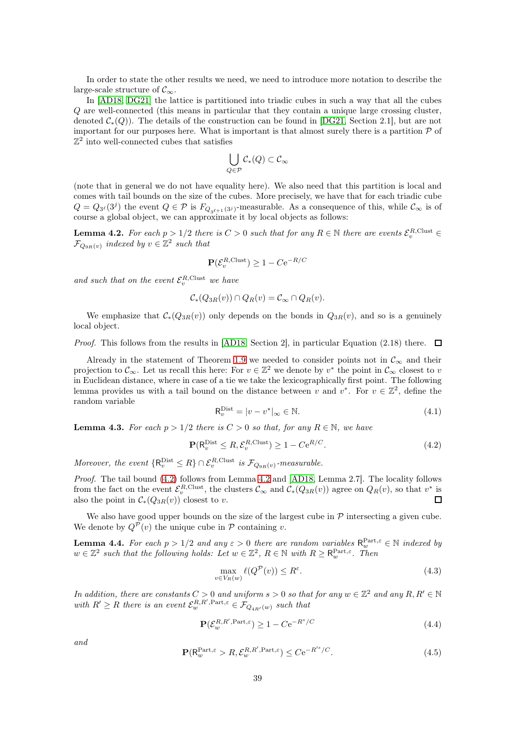In order to state the other results we need, we need to introduce more notation to describe the large-scale structure of  $\mathcal{C}_{\infty}$ .

In [\[AD18,](#page-60-3) [DG21\]](#page-61-19) the lattice is partitioned into triadic cubes in such a way that all the cubes Q are well-connected (this means in particular that they contain a unique large crossing cluster, denoted  $\mathcal{C}_*(Q)$ ). The details of the construction can be found in [\[DG21,](#page-61-19) Section 2.1], but are not important for our purposes here. What is important is that almost surely there is a partition  $P$  of  $\mathbb{Z}^2$  into well-connected cubes that satisfies

$$
\bigcup_{Q\in \mathcal{P}}\mathcal{C}_*(Q)\subset \mathcal{C}_\infty
$$

(note that in general we do not have equality here). We also need that this partition is local and comes with tail bounds on the size of the cubes. More precisely, we have that for each triadic cube  $Q = Q_{3^{\ell}}(3^j)$  the event  $Q \in \mathcal{P}$  is  $F_{Q_{3^{\ell+1}}(3^j)}$ -measurable. As a consequence of this, while  $\mathcal{C}_{\infty}$  is of course a global object, we can approximate it by local objects as follows:

<span id="page-38-1"></span>**Lemma 4.2.** For each  $p > 1/2$  there is  $C > 0$  such that for any  $R \in \mathbb{N}$  there are events  $\mathcal{E}_v^{R,\text{Clust}} \in \mathbb{N}$  $\mathcal{F}_{Q_{9R}(v)}$  indexed by  $v \in \mathbb{Z}^2$  such that

$$
\mathbf{P}(\mathcal{E}_v^{R,\text{Clust}}) \ge 1 - C e^{-R/C}
$$

and such that on the event  $\mathcal{E}_v^{R,\text{Clust}}$  we have

$$
\mathcal{C}_*(Q_{3R}(v)) \cap Q_R(v) = \mathcal{C}_{\infty} \cap Q_R(v).
$$

We emphasize that  $C_*(Q_{3R}(v))$  only depends on the bonds in  $Q_{3R}(v)$ , and so is a genuinely local object.

*Proof.* This follows from the results in [\[AD18,](#page-60-3) Section 2], in particular Equation (2.18) there.  $\Box$ 

Already in the statement of Theorem [1.9](#page-5-0) we needed to consider points not in  $\mathcal{C}_{\infty}$  and their projection to  $\mathcal{C}_{\infty}$ . Let us recall this here: For  $v \in \mathbb{Z}^2$  we denote by  $v^*$  the point in  $\mathcal{C}_{\infty}$  closest to v in Euclidean distance, where in case of a tie we take the lexicographically first point. The following lemma provides us with a tail bound on the distance between v and  $v^*$ . For  $v \in \mathbb{Z}^2$ , define the random variable

<span id="page-38-6"></span>
$$
\mathsf{R}_v^{\text{Dist}} = |v - v^*|_{\infty} \in \mathbb{N}.\tag{4.1}
$$

<span id="page-38-7"></span>**Lemma 4.3.** For each  $p > 1/2$  there is  $C > 0$  so that, for any  $R \in \mathbb{N}$ , we have

<span id="page-38-0"></span>
$$
\mathbf{P}(\mathsf{R}_v^{\text{Dist}} \leq R, \mathcal{E}_v^{\text{R,Clust}}) \geq 1 - C e^{R/C}.
$$
\n(4.2)

Moreover, the event  $\{R_v^{\text{Dist}} \leq R\} \cap \mathcal{E}_v^{R,\text{Clust}}$  is  $\mathcal{F}_{Q_{9R}(v)}$ -measurable.

Proof. The tail bound [\(4.2\)](#page-38-0) follows from Lemma [4.2](#page-38-1) and [\[AD18,](#page-60-3) Lemma 2.7]. The locality follows from the fact on the event  $\mathcal{E}_{v}^{R,\text{Clust}}$ , the clusters  $\mathcal{C}_{\infty}$  and  $\mathcal{C}_{*}(Q_{3R}(v))$  agree on  $Q_{R}(v)$ , so that  $v^*$  is also the point in  $C_*(Q_{3R}(v))$  closest to v.  $\Box$ 

We also have good upper bounds on the size of the largest cube in  $P$  intersecting a given cube. We denote by  $Q^{\mathcal{P}}(v)$  the unique cube in  $\mathcal P$  containing v.

<span id="page-38-5"></span>**Lemma 4.4.** For each  $p > 1/2$  and any  $\varepsilon > 0$  there are random variables  $\mathsf{R}_{w}^{\text{Part},\varepsilon} \in \mathbb{N}$  indexed by  $w \in \mathbb{Z}^2$  such that the following holds: Let  $w \in \mathbb{Z}^2$ ,  $R \in \mathbb{N}$  with  $R \ge R_w^{\text{Part},\varepsilon}$ . Then

<span id="page-38-4"></span>
$$
\max_{v \in V_R(w)} \ell(Q^{\mathcal{P}}(v)) \le R^{\varepsilon}.\tag{4.3}
$$

In addition, there are constants  $C > 0$  and uniform  $s > 0$  so that for any  $w \in \mathbb{Z}^2$  and any  $R, R' \in \mathbb{N}$ with  $R' \ge R$  there is an event  $\mathcal{E}_{w}^{R,R',\text{Part},\varepsilon} \in \mathcal{F}_{Q_{4R'}(w)}$  such that

<span id="page-38-3"></span>
$$
\mathbf{P}(\mathcal{E}_w^{R,R',\mathrm{Part},\varepsilon}) \ge 1 - C e^{-R^s/C} \tag{4.4}
$$

and

<span id="page-38-2"></span>
$$
\mathbf{P}(\mathsf{R}_{w}^{\text{Part},\varepsilon} > R, \mathcal{E}_{w}^{R,R',\text{Part},\varepsilon}) \leq C e^{-R'^{s}/C}.
$$
\n(4.5)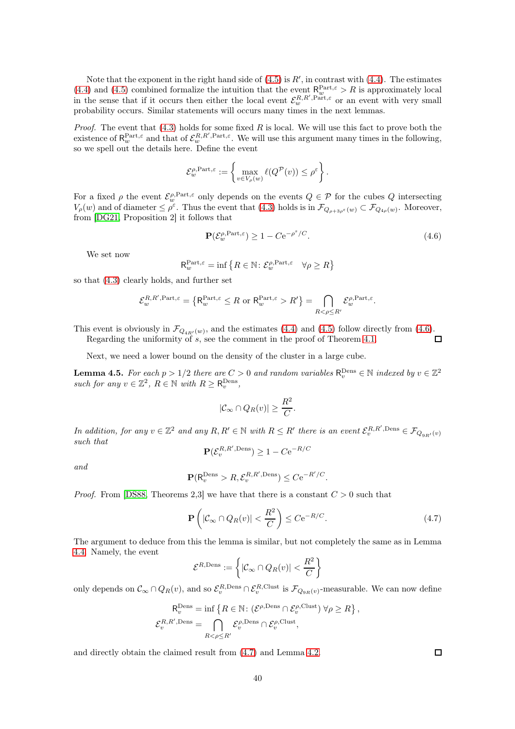Note that the exponent in the right hand side of  $(4.5)$  is  $R'$ , in contrast with  $(4.4)$ . The estimates [\(4.4\)](#page-38-3) and [\(4.5\)](#page-38-2) combined formalize the intuition that the event  $R_w^{\text{Part},\varepsilon} > R$  is approximately local in the sense that if it occurs then either the local event  $\mathcal{E}_w^{R,R',\text{Part},\varepsilon}$  or an event with very small probability occurs. Similar statements will occurs many times in the next lemmas.

*Proof.* The event that  $(4.3)$  holds for some fixed R is local. We will use this fact to prove both the existence of  $\mathsf{R}_w^{\text{Part},\varepsilon}$  and that of  $\mathcal{E}_w^{\text{R},\text{R}',\text{Part},\varepsilon}$ . We will use this argument many times in the following, so we spell out the details here. Define the event

$$
\mathcal{E}^{\rho, \mathrm{Part}, \varepsilon}_w := \left\{ \max_{v \in V_{\rho}(w)} \ell(Q^{\mathcal{P}}(v)) \leq \rho^{\varepsilon} \right\}.
$$

For a fixed  $\rho$  the event  $\mathcal{E}_{w}^{\rho, Part, \varepsilon}$  only depends on the events  $Q \in \mathcal{P}$  for the cubes  $Q$  intersecting  $V_{\rho}(w)$  and of diameter  $\leq \rho^{\varepsilon}$ . Thus the event that [\(4.3\)](#page-38-4) holds is in  $\mathcal{F}_{Q_{\rho+3\rho^{\varepsilon}}(w)} \subset \mathcal{F}_{Q_{4\rho}(w)}$ . Moreover, from [\[DG21,](#page-61-19) Proposition 2] it follows that

<span id="page-39-0"></span>
$$
\mathbf{P}(\mathcal{E}_w^{\rho,\mathrm{Part},\varepsilon}) \ge 1 - C e^{-\rho^s/C}.\tag{4.6}
$$

We set now

$$
\mathsf{R}_w^{\mathsf{Part},\varepsilon} = \inf \left\{ R \in \mathbb{N} \colon \mathcal{E}_w^{\rho,\mathsf{Part},\varepsilon} \quad \forall \rho \ge R \right\}
$$

so that [\(4.3\)](#page-38-4) clearly holds, and further set

$$
\mathcal{E}_{w}^{R,R',\text{Part},\varepsilon} = \left\{ \mathsf{R}_{w}^{\text{Part},\varepsilon} \leq R \text{ or } \mathsf{R}_{w}^{\text{Part},\varepsilon} > R' \right\} = \bigcap_{R < \rho \leq R'} \mathcal{E}_{w}^{\rho,\text{Part},\varepsilon}.
$$

This event is obviously in  $\mathcal{F}_{Q_{4R'}(w)}$ , and the estimates [\(4.4\)](#page-38-3) and [\(4.5\)](#page-38-2) follow directly from [\(4.6\)](#page-39-0).

Regarding the uniformity of s, see the comment in the proof of Theorem [4.1.](#page-37-0)

Next, we need a lower bound on the density of the cluster in a large cube.

<span id="page-39-2"></span>**Lemma 4.5.** For each  $p > 1/2$  there are  $C > 0$  and random variables  $\mathsf{R}_v^{\text{Dens}} \in \mathbb{N}$  indexed by  $v \in \mathbb{Z}^2$ such for any  $v \in \mathbb{Z}^2$ ,  $R \in \mathbb{N}$  with  $R \ge R_v^{\text{Dens}}$ ,

$$
|\mathcal{C}_{\infty} \cap Q_R(v)| \geq \frac{R^2}{C}.
$$

In addition, for any  $v \in \mathbb{Z}^2$  and any  $R, R' \in \mathbb{N}$  with  $R \leq R'$  there is an event  $\mathcal{E}_v^{R,R',\text{Dens}} \in \mathcal{F}_{Q_{9R'}(v)}$ such that

$$
\mathbf{P}(\mathcal{E}_v^{R,R',\mathrm{Dens}}) \ge 1 - C e^{-R/C}
$$

and

$$
\mathbf{P}(\mathsf{R}_v^{\text{Dens}} > R, \mathcal{E}_v^{R,R',\text{Dens}}) \leq C e^{-R'/C}.
$$

*Proof.* From [\[DS88,](#page-62-19) Theorems 2,3] we have that there is a constant  $C > 0$  such that

<span id="page-39-1"></span>
$$
\mathbf{P}\left(|\mathcal{C}_{\infty} \cap Q_{R}(v)| < \frac{R^2}{C}\right) \leq C e^{-R/C}.\tag{4.7}
$$

The argument to deduce from this the lemma is similar, but not completely the same as in Lemma [4.4.](#page-38-5) Namely, the event

$$
\mathcal{E}^{R,\text{Dens}} := \left\{ |\mathcal{C}_{\infty} \cap Q_R(v)| < \frac{R^2}{C} \right\}
$$

only depends on  $\mathcal{C}_{\infty} \cap Q_{R}(v)$ , and so  $\mathcal{E}_{v}^{R,\text{Dens}} \cap \mathcal{E}_{v}^{R,\text{Clust}}$  is  $\mathcal{F}_{Q_{9R}(v)}$ -measurable. We can now define

$$
\mathsf{R}_{v}^{\text{Dens}} = \inf \left\{ R \in \mathbb{N} : (\mathcal{E}^{\rho, \text{Dens}} \cap \mathcal{E}_{v}^{\rho, \text{Clust}}) \,\forall \rho \geq R \right\},
$$
  

$$
\mathcal{E}_{v}^{R,R', \text{Dens}} = \bigcap_{R < \rho \leq R'} \mathcal{E}_{v}^{\rho, \text{Dens}} \cap \mathcal{E}_{v}^{\rho, \text{Clust}},
$$

and directly obtain the claimed result from [\(4.7\)](#page-39-1) and Lemma [4.2.](#page-38-1)

 $\Box$ 

 $\Box$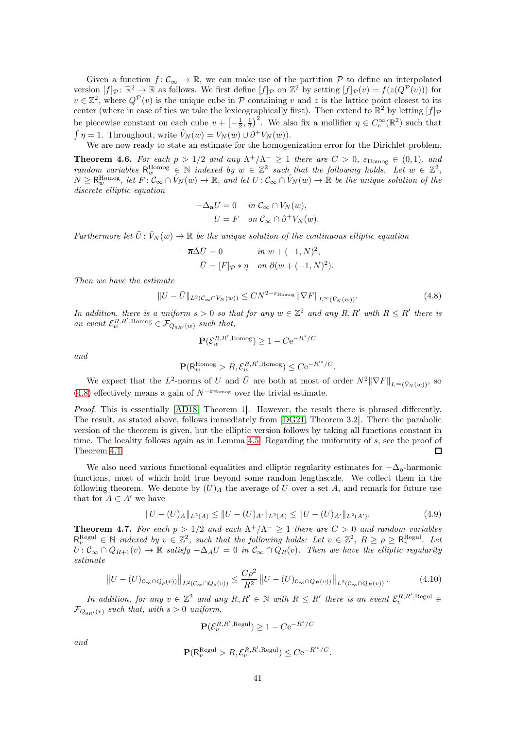Given a function  $f: \mathcal{C}_{\infty} \to \mathbb{R}$ , we can make use of the partition  $\mathcal P$  to define an interpolated version  $[f]_p : \mathbb{R}^2 \to \mathbb{R}$  as follows. We first define  $[f]_p$  on  $\mathbb{Z}^2$  by setting  $[f]_p(v) = f(z(Q^p(v)))$  for  $v \in \mathbb{Z}^2$ , where  $Q^{\mathcal{P}}(v)$  is the unique cube in  $\mathcal P$  containing v and z is the lattice point closest to its center (where in case of ties we take the lexicographically first). Then extend to  $\mathbb{R}^2$  by letting  $[f]_{\mathcal{P}}$ be piecewise constant on each cube  $v + \left[-\frac{1}{2},\frac{1}{2}\right]^2$ . We also fix a mollifier  $\eta \in C_c^{\infty}(\mathbb{R}^2)$  such that  $\int \eta = 1$ . Throughout, write  $\hat{V}_N(w) = V_N(w) \cup \partial^+ V_N(w)$ .

We are now ready to state an estimate for the homogenization error for the Dirichlet problem.

<span id="page-40-0"></span>**Theorem 4.6.** For each  $p > 1/2$  and any  $\Lambda^+/\Lambda^- \geq 1$  there are  $C > 0$ ,  $\varepsilon_{\text{Homog}} \in (0,1)$ , and random variables  $R_w^{\text{Homog}} \in \mathbb{N}$  indexed by  $w \in \mathbb{Z}^2$  such that the following holds. Let  $w \in \mathbb{Z}^2$ ,  $N \geq R_w^{\text{Homog}}$ , let  $F: \mathcal{C}_{\infty} \cap \hat{V}_N(w) \to \mathbb{R}$ , and let  $U: \mathcal{C}_{\infty} \cap \hat{V}_N(w) \to \mathbb{R}$  be the unique solution of the discrete elliptic equation

$$
-\Delta_{\mathbf{a}}U = 0 \quad in \ \mathcal{C}_{\infty} \cap V_N(w),
$$

$$
U = F \quad on \ \mathcal{C}_{\infty} \cap \partial^+ V_N(w).
$$

Furthermore let  $\bar{U}$ :  $\hat{V}_N(w) \to \mathbb{R}$  be the unique solution of the continuous elliptic equation

$$
-\overline{\mathbf{a}}\overline{\Delta}\overline{U} = 0 \quad in \ w + (-1, N)^2,
$$
  

$$
\overline{U} = [F]_{\mathcal{P}} * \eta \quad on \ \partial(w + (-1, N)^2).
$$

Then we have the estimate

<span id="page-40-1"></span>
$$
||U - \bar{U}||_{L^{2}(\mathcal{C}_{\infty} \cap V_{N}(w))} \leq CN^{2-\varepsilon_{\text{Homog}}} ||\nabla F||_{L^{\infty}(\hat{V}_{N}(w))}.
$$
\n(4.8)

In addition, there is a uniform  $s > 0$  so that for any  $w \in \mathbb{Z}^2$  and any  $R, R'$  with  $R \leq R'$  there is an event  $\mathcal{E}_{w}^{R,R',\text{Homog}} \in \mathcal{F}_{Q_{9R'}(w)}$  such that,

$$
\mathbf{P}(\mathcal{E}_w^{R,R',\mathrm{Homog}}) \ge 1 - C e^{-R^s/C}
$$

and

$$
\mathbf{P}(\mathsf{R}_w^{\mathrm{Homog}} > R, \mathcal{E}_w^{R,R',\mathrm{Homog}}) \leq C e^{-R'^s/C}.
$$

We expect that the  $L^2$ -norms of U and  $\overline{U}$  are both at most of order  $N^2 \|\nabla F\|_{L^\infty(\hat{V}_N(w))}$ , so [\(4.8\)](#page-40-1) effectively means a gain of  $N^{-\epsilon_{\text{Homog}}}$  over the trivial estimate.

Proof. This is essentially [\[AD18,](#page-60-3) Theorem 1]. However, the result there is phrased differently. The result, as stated above, follows immediately from [\[DG21,](#page-61-19) Theorem 3.2]. There the parabolic version of the theorem is given, but the elliptic version follows by taking all functions constant in time. The locality follows again as in Lemma [4.5.](#page-39-2) Regarding the uniformity of s, see the proof of Theorem [4.1.](#page-37-0) □

We also need various functional equalities and elliptic regularity estimates for  $-\Delta_{a}$ -harmonic functions, most of which hold true beyond some random lengthscale. We collect them in the following theorem. We denote by  $(U)_A$  the average of U over a set A, and remark for future use that for  $A \subset A'$  we have

<span id="page-40-3"></span>
$$
||U - (U)_{A}||_{L^{2}(A)} \le ||U - (U)_{A'}||_{L^{2}(A)} \le ||U - (U)_{A'}||_{L^{2}(A')}.
$$
\n(4.9)

<span id="page-40-4"></span>**Theorem 4.7.** For each  $p > 1/2$  and each  $\Lambda^+/\Lambda^- \ge 1$  there are  $C > 0$  and random variables  $\mathsf{R}^{\text{Regul}}_{v} \in \mathbb{N}$  indexed by  $v \in \mathbb{Z}^{2}$ , such that the following holds: Let  $v \in \mathbb{Z}^{2}$ ,  $R \geq \rho \geq \mathsf{R}^{\text{Regul}}_{v}$ . Let  $U: \mathcal{C}_{\infty} \cap Q_{R+1}(v) \to \mathbb{R}$  satisfy  $-\Delta_A U = 0$  in  $\mathcal{C}_{\infty} \cap Q_R(v)$ . Then we have the elliptic regularity estimate

<span id="page-40-2"></span>
$$
\left\| U - (U)_{\mathcal{C}_{\infty} \cap Q_{\rho}(v))} \right\|_{L^2(\mathcal{C}_{\infty} \cap Q_{\rho}(v))} \le \frac{C\rho^2}{R^2} \left\| U - (U)_{\mathcal{C}_{\infty} \cap Q_R(v))} \right\|_{L^2(\mathcal{C}_{\infty} \cap Q_R(v))}.
$$
\n(4.10)

In addition, for any  $v \in \mathbb{Z}^2$  and any  $R, R' \in \mathbb{N}$  with  $R \leq R'$  there is an event  $\mathcal{E}_v^{R,R',\text{Regul}} \in$  $\mathcal{F}_{Q_{\alpha_{R'}}(v)}$  such that, with  $s > 0$  uniform,

$$
\mathbf{P}(\mathcal{E}_v^{R,R',\mathrm{Regul}}) \ge 1 - C e^{-R^s/C}
$$

and

$$
\mathbf{P}(\mathsf{R}_v^{\text{Regul}} > R, \mathcal{E}_v^{R,R',\text{Regul}}) \leq C e^{-R'^s/C}.
$$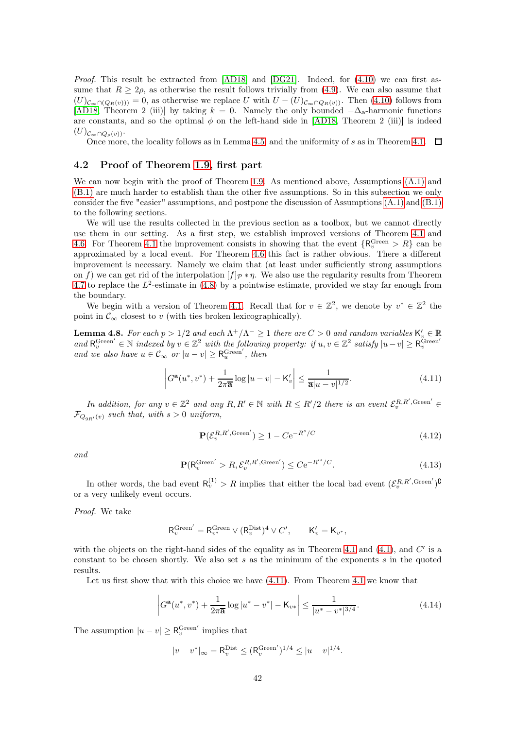Proof. This result be extracted from [\[AD18\]](#page-60-3) and [\[DG21\]](#page-61-19). Indeed, for [\(4.10\)](#page-40-2) we can first assume that  $R \geq 2\rho$ , as otherwise the result follows trivially from [\(4.9\)](#page-40-3). We can also assume that  $(U)_{\mathcal{C}_{\infty}\cap(Q_R(v))}=0$ , as otherwise we replace U with  $U-(U)_{\mathcal{C}_{\infty}\cap Q_R(v)}$ . Then [\(4.10\)](#page-40-2) follows from [\[AD18,](#page-60-3) Theorem 2 (iii)] by taking  $k = 0$ . Namely the only bounded  $-\Delta_{a}$ -harmonic functions are constants, and so the optimal  $\phi$  on the left-hand side in [\[AD18,](#page-60-3) Theorem 2 (iii)] is indeed  $(U)_{\mathcal{C}_{\infty}\cap Q_{\rho}(v)}$ .

Once more, the locality follows as in Lemma [4.5,](#page-39-2) and the uniformity of s as in Theorem [4.1.](#page-37-0)  $\Box$ 

#### <span id="page-41-1"></span>4.2 Proof of Theorem [1.9,](#page-5-0) first part

We can now begin with the proof of Theorem [1.9.](#page-5-0) As mentioned above, Assumptions  $(A.1)$  and [\(B.1\)](#page-3-1) are much harder to establish than the other five assumptions. So in this subsection we only consider the five "easier" assumptions, and postpone the discussion of Assumptions [\(A.1\)](#page-2-1) and [\(B.1\)](#page-3-1) to the following sections.

We will use the results collected in the previous section as a toolbox, but we cannot directly use them in our setting. As a first step, we establish improved versions of Theorem [4.1](#page-37-0) and [4.6.](#page-40-0) For Theorem [4.1](#page-37-0) the improvement consists in showing that the event  $\{R_v^{\text{Green}} > R\}$  can be approximated by a local event. For Theorem [4.6](#page-40-0) this fact is rather obvious. There a different improvement is necessary. Namely we claim that (at least under sufficiently strong assumptions on f) we can get rid of the interpolation  $[f]_P * \eta$ . We also use the regularity results from Theorem [4.7](#page-40-4) to replace the  $L^2$ -estimate in [\(4.8\)](#page-40-1) by a pointwise estimate, provided we stay far enough from the boundary.

We begin with a version of Theorem [4.1.](#page-37-0) Recall that for  $v \in \mathbb{Z}^2$ , we denote by  $v^* \in \mathbb{Z}^2$  the point in  $\mathcal{C}_{\infty}$  closest to v (with ties broken lexicographically).

<span id="page-41-0"></span>**Lemma 4.8.** For each  $p > 1/2$  and each  $\Lambda^+/\Lambda^- \ge 1$  there are  $C > 0$  and random variables  $K'_v \in \mathbb{R}$ and  $R_v^{\text{Green'}} \in \mathbb{N}$  indexed by  $v \in \mathbb{Z}^2$  with the following property: if  $u, v \in \mathbb{Z}^2$  satisfy  $|u - v| \geq R_v^{\text{Green'}}$ and we also have  $u \in \mathcal{C}_{\infty}$  or  $|u - v| \geq R_u^{\text{Green}'}, \text{ then}$ 

<span id="page-41-2"></span>
$$
\left| G^{\mathbf{a}}(u^*, v^*) + \frac{1}{2\pi \overline{\mathbf{a}}} \log |u - v| - \mathsf{K}'_v \right| \le \frac{1}{\overline{\mathbf{a}} |u - v|^{1/2}}.
$$
 (4.11)

In addition, for any  $v \in \mathbb{Z}^2$  and any  $R, R' \in \mathbb{N}$  with  $R \leq R'/2$  there is an event  $\mathcal{E}_v^{R,R',\text{Green}'} \in$  $\mathcal{F}_{Q_{\alpha P'}(v)}$  such that, with  $s > 0$  uniform,

<span id="page-41-4"></span>
$$
\mathbf{P}(\mathcal{E}_v^{R,R',\text{Green}'}) \ge 1 - C e^{-R^s/C} \tag{4.12}
$$

and

<span id="page-41-5"></span>
$$
\mathbf{P}(\mathsf{R}_v^{\text{Green}'} > R, \mathcal{E}_v^{R,R',\text{Green}'}) \le C e^{-R'^s/C}.
$$
\n(4.13)

In other words, the bad event  $R_v^{(1)} > R$  implies that either the local bad event  $(\mathcal{E}_v^{R,R',\text{Green}'})^{\complement}$ or a very unlikely event occurs.

Proof. We take

$$
\mathsf{R}_v^{\mathsf{Green}'} = \mathsf{R}_{v^*}^{\mathsf{Green}} \vee (\mathsf{R}_v^{\mathsf{Dist}})^4 \vee C', \qquad \mathsf{K}_v' = \mathsf{K}_{v^*},
$$

with the objects on the right-hand sides of the equality as in Theorem [4.1](#page-37-0) and  $(4.1)$ , and  $C'$  is a constant to be chosen shortly. We also set  $s$  as the minimum of the exponents  $s$  in the quoted results.

Let us first show that with this choice we have [\(4.11\)](#page-41-2). From Theorem [4.1](#page-37-0) we know that

<span id="page-41-3"></span>
$$
\left| G^{\mathbf{a}}(u^*, v^*) + \frac{1}{2\pi \overline{\mathbf{a}}} \log |u^* - v^*| - \mathsf{K}_{v*} \right| \le \frac{1}{|u^* - v^*|^{3/4}}.
$$
\n(4.14)

The assumption  $|u - v| \geq R_v^{\text{Green'}}$  implies that

$$
|v - v^*|_{\infty} = \mathsf{R}_v^{\text{Dist}} \leq (\mathsf{R}_v^{\text{Green}'})^{1/4} \leq |u - v|^{1/4}.
$$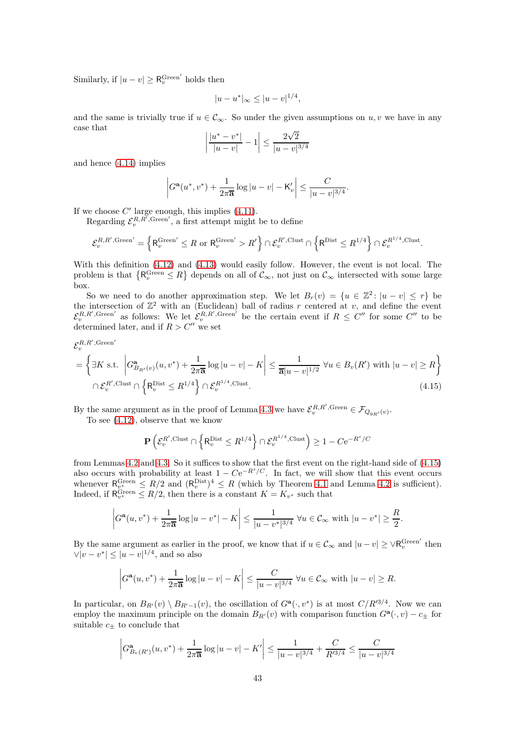Similarly, if  $|u - v| \geq R_v^{\text{Green'}}$  holds then

$$
|u - u^*|_{\infty} \le |u - v|^{1/4},
$$

and the same is trivially true if  $u \in \mathcal{C}_{\infty}$ . So under the given assumptions on  $u, v$  we have in any case that √

$$
\left| \frac{|u^* - v^*|}{|u - v|} - 1 \right| \le \frac{2\sqrt{2}}{|u - v|^{3/4}}
$$

and hence [\(4.14\)](#page-41-3) implies

$$
\left| G^{\mathbf{a}}(u^*, v^*) + \frac{1}{2\pi \overline{\mathbf{a}}} \log |u - v| - \mathsf{K}'_v \right| \leq \frac{C}{|u - v|^{3/4}}.
$$

If we choose  $C'$  large enough, this implies  $(4.11)$ .

Regarding  $\mathcal{E}_v^{R,R',\text{Green}'},$  a first attempt might be to define

$$
\mathcal{E}^{R,R',\mathrm{Green}'}_v=\left\{\mathsf{R}^{\mathrm{Green}'}_v\leq R~\text{or}~\mathsf{R}^{\mathrm{Green}'}_v>R'\right\}\cap\mathcal{E}^{R',\mathrm{Clust}}_v\cap\left\{\mathsf{R}^{\mathrm{Dist}}\leq R^{1/4}\right\}\cap\mathcal{E}^{R^{1/4},\mathrm{Clust}}_v.
$$

With this definition [\(4.12\)](#page-41-4) and [\(4.13\)](#page-41-5) would easily follow. However, the event is not local. The problem is that  $\{R_v^{\text{Green}} \leq R\}$  depends on all of  $\mathcal{C}_{\infty}$ , not just on  $\mathcal{C}_{\infty}$  intersected with some large box.

So we need to do another approximation step. We let  $B_r(v) = \{u \in \mathbb{Z}^2 : |u - v| \leq r\}$  be the intersection of  $\mathbb{Z}^2$  with an (Euclidean) ball of radius r centered at v, and define the event  $\mathcal{E}_v^{R,R',\text{Green'}}$  as follows: We let  $\mathcal{E}_v^{R,R',\text{Green'}}$  be the certain event if  $R \leq C''$  for some  $C''$  to be determined later, and if  $R > C''$  we set

$$
\mathcal{E}_v^{R,R',\mathrm{Green}'}
$$

$$
= \left\{ \exists K \text{ s.t. } \left| G_{B_{R'}(v)}^{\mathbf{a}}(u, v^*) + \frac{1}{2\pi \overline{\mathbf{a}}} \log |u - v| - K \right| \le \frac{1}{\overline{\mathbf{a}} |u - v|^{1/2}} \,\forall u \in B_v(R') \text{ with } |u - v| \ge R \right\}
$$
  

$$
\cap \mathcal{E}_v^{R', \text{Clust}} \cap \left\{ \mathsf{R}_v^{\text{Dist}} \le R^{1/4} \right\} \cap \mathcal{E}_v^{R^{1/4}, \text{Clust}}.
$$
  
(4.15)

By the same argument as in the proof of Lemma [4.3](#page-38-7) we have  $\mathcal{E}_v^{R,R',\text{Green}} \in \mathcal{F}_{Q_{9R'}(v)}$ .

To see [\(4.12\)](#page-41-4), observe that we know

<span id="page-42-0"></span>
$$
\mathbf{P}\left(\mathcal{E}^{R',\mathrm{Clust}}_v \cap \left\{\mathsf{R}^{\mathrm{Dist}}_v \leq R^{1/4}\right\} \cap \mathcal{E}^{R^{1/4},\mathrm{Clust}}_v\right) \geq 1-C\mathrm{e}^{-R^s/C}
$$

from Lemmas [4.2](#page-38-1) and [4.3.](#page-38-7) So it suffices to show that the first event on the right-hand side of [\(4.15\)](#page-42-0) also occurs with probability at least  $1 - Ce^{-R^s/C}$ . In fact, we will show that this event occurs whenever  $R_v^{\text{Green}} \leq R/2$  and  $(R_v^{\text{Dist}})^4 \leq R$  (which by Theorem [4.1](#page-37-0) and Lemma [4.2](#page-38-1) is sufficient). Indeed, if  $R_{v^*}^{\text{Green}} \leq R/2$ , then there is a constant  $K = K_{v^*}$  such that

$$
\left|G^{\mathbf{a}}(u, v^{*}) + \frac{1}{2\pi \overline{\mathbf{a}}}\log|u - v^{*}| - K\right| \leq \frac{1}{|u - v^{*}|^{3/4}} \,\forall u \in \mathcal{C}_{\infty} \text{ with } |u - v^{*}| \geq \frac{R}{2}.
$$

By the same argument as earlier in the proof, we know that if  $u \in \mathcal{C}_{\infty}$  and  $|u - v| \geq \sqrt{R_v^{\text{Green}'}}$  then  $\|\nabla |v - v^*\| \leq |u - v|^{1/4}$ , and so also

$$
\left|G^{\mathbf{a}}(u, v^*) + \frac{1}{2\pi \overline{\mathbf{a}}} \log |u - v| - K\right| \le \frac{C}{|u - v|^{3/4}} \,\forall u \in \mathcal{C}_{\infty} \text{ with } |u - v| \ge R.
$$

In particular, on  $B_{R'}(v) \setminus B_{R'-1}(v)$ , the oscillation of  $G^{\mathbf{a}}(\cdot, v^*)$  is at most  $C/R'^{3/4}$ . Now we can employ the maximum principle on the domain  $B_{R'}(v)$  with comparison function  $G^{\mathbf{a}}(\cdot,v) - c_{\pm}$  for suitable  $c_{\pm}$  to conclude that

$$
\left| G^{\mathbf{a}}_{B_v(R')}(u, v^*) + \frac{1}{2\pi \overline{\mathbf{a}}} \log |u - v| - K' \right| \le \frac{1}{|u - v|^{3/4}} + \frac{C}{R'^{3/4}} \le \frac{C}{|u - v|^{3/4}}
$$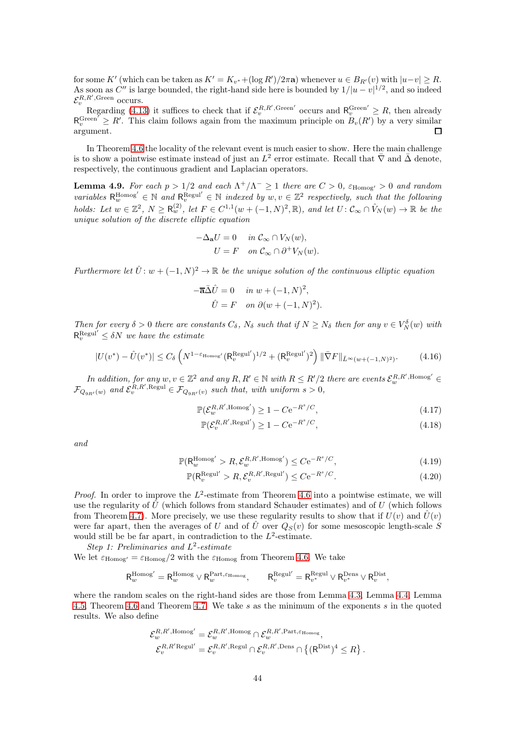for some K' (which can be taken as  $K' = K_{v^*} + (\log R')/2\pi a$ ) whenever  $u \in B_{R'}(v)$  with  $|u-v| \ge R$ . As soon as C'' is large bounded, the right-hand side here is bounded by  $1/|u-v|^{1/2}$ , and so indeed  $\mathcal{E}_v^{R,R'$ , Green occurs.

Regarding [\(4.13\)](#page-41-5) it suffices to check that if  $\mathcal{E}_v^{R,R',\text{Green'}}$  occurs and  $R_v^{\text{Green'}} \geq R$ , then already  $R_v^{\text{Green'}} \geq R'$ . This claim follows again from the maximum principle on  $B_v(R')$  by a very similar argument. п

In Theorem [4.6](#page-40-0) the locality of the relevant event is much easier to show. Here the main challenge is to show a pointwise estimate instead of just an  $L^2$  error estimate. Recall that  $\bar{\nabla}$  and  $\bar{\Delta}$  denote, respectively, the continuous gradient and Laplacian operators.

<span id="page-43-5"></span>**Lemma 4.9.** For each  $p > 1/2$  and each  $\Lambda^+/\Lambda^- \ge 1$  there are  $C > 0$ ,  $\varepsilon_{\text{Homog'}} > 0$  and random variables  $R_w^{\text{Homog}'} \in \mathbb{N}$  and  $R_v^{\text{Regul}'} \in \mathbb{N}$  indexed by  $w, v \in \mathbb{Z}^2$  respectively, such that the following holds: Let  $w \in \mathbb{Z}^2$ ,  $N \geq R_w^{(2)}$ , let  $F \in C^{1,1}(w + (-1,N)^2, \mathbb{R})$ , and let  $U: \mathcal{C}_{\infty} \cap \hat{V}_N(w) \to \mathbb{R}$  be the unique solution of the discrete elliptic equation

$$
-\Delta_{\mathbf{a}}U = 0 \quad in \ \mathcal{C}_{\infty} \cap V_N(w),
$$

$$
U = F \quad on \ \mathcal{C}_{\infty} \cap \partial^+ V_N(w).
$$

Furthermore let  $\hat{U}$ :  $w + (-1, N)^2 \to \mathbb{R}$  be the unique solution of the continuous elliptic equation

$$
-\overline{\mathbf{a}}\overline{\Delta}\hat{U} = 0 \quad in \ w + (-1, N)^2,
$$

$$
\hat{U} = F \quad on \ \partial(w + (-1, N)^2).
$$

Then for every  $\delta > 0$  there are constants  $C_{\delta}$ ,  $N_{\delta}$  such that if  $N \ge N_{\delta}$  then for any  $v \in V_N^{\delta}(w)$  with  $\mathsf{R}_v^{\text{Regul}'} \leq \delta N$  we have the estimate

<span id="page-43-4"></span>
$$
|U(v^*) - \hat{U}(v^*)| \le C_\delta \left( N^{1 - \varepsilon_{\text{Homog}'}} (\mathsf{R}_v^{\text{Regul}'})^{1/2} + (\mathsf{R}_v^{\text{Regul}'})^2 \right) \| \bar{\nabla} F \|_{\bar{L}^\infty(w + (-1, N)^2)}.
$$
 (4.16)

In addition, for any  $w, v \in \mathbb{Z}^2$  and any  $R, R' \in \mathbb{N}$  with  $R \le R'/2$  there are events  $\mathcal{E}_w^{R,R',\text{Homog}'} \in$  $\mathcal{F}_{Q_{9R'}(w)}$  and  $\mathcal{E}_{v}^{R,R',\text{Regul}} \in \mathcal{F}_{Q_{9R'}(v)}$  such that, with uniform  $s > 0$ ,

$$
\mathbb{P}(\mathcal{E}_w^{R,R',\text{Homog}'}) \ge 1 - C e^{-R^s/C},\tag{4.17}
$$

<span id="page-43-3"></span><span id="page-43-2"></span><span id="page-43-1"></span><span id="page-43-0"></span>
$$
\mathbb{P}(\mathcal{E}_v^{R,R',\text{Regul}'} ) \ge 1 - C e^{-R^s/C},\tag{4.18}
$$

and

$$
\mathbb{P}(\mathsf{R}_{w}^{\mathrm{Homog}'} > R, \mathcal{E}_{w}^{R,R',\mathrm{Homog}'}) \leq C e^{-R^{s}/C},\tag{4.19}
$$

$$
\mathbb{P}(\mathsf{R}_v^{\text{Regul}'} > R, \mathcal{E}_v^{R,R',\text{Regul}'} ) \le C e^{-R^s/C}.
$$
\n(4.20)

*Proof.* In order to improve the  $L^2$ -estimate from Theorem [4.6](#page-40-0) into a pointwise estimate, we will use the regularity of  $\hat{U}$  (which follows from standard Schauder estimates) and of U (which follows from Theorem [4.7\)](#page-40-4). More precisely, we use these regularity results to show that if  $U(v)$  and  $\hat{U}(v)$ were far apart, then the averages of U and of  $\hat{U}$  over  $Q_S(v)$  for some mesoscopic length-scale S would still be be far apart, in contradiction to the  $L^2$ -estimate. Step 1: Preliminaries and  $L^2$ -estimate

We let  $\varepsilon_{\text{Homog}} = \varepsilon_{\text{Homog}}/2$  with the  $\varepsilon_{\text{Homog}}$  from Theorem [4.6.](#page-40-0) We take

$$
\mathsf{R}_w^{\mathrm{Homog}'} = \mathsf{R}_w^{\mathrm{Homog}} \vee \mathsf{R}_w^{\mathrm{Part}, \varepsilon_{\mathrm{Homog}}}, \qquad \mathsf{R}_v^{\mathrm{Regul}'} = \mathsf{R}_{v^*}^{\mathrm{Regul}} \vee \mathsf{R}_{v^*}^{\mathrm{Dens}} \vee \mathsf{R}_v^{\mathrm{Dist}},
$$

where the random scales on the right-hand sides are those from Lemma [4.3,](#page-38-7) Lemma [4.4,](#page-38-5) Lemma [4.5,](#page-39-2) Theorem [4.6](#page-40-0) and Theorem [4.7.](#page-40-4) We take s as the minimum of the exponents s in the quoted results. We also define

$$
\mathcal{E}_{w}^{R,R',\text{Homog}'} = \mathcal{E}_{w}^{R,R',\text{Homog}} \cap \mathcal{E}_{w}^{R,R',\text{Part},\varepsilon_{\text{Homog}}},
$$
  

$$
\mathcal{E}_{v}^{R,R'\text{Regul}'} = \mathcal{E}_{v}^{R,R',\text{Regul}} \cap \mathcal{E}_{v}^{R,R',\text{Dens}} \cap \{(\mathsf{R}^{\text{Dist}})^{4} \leq R\}.
$$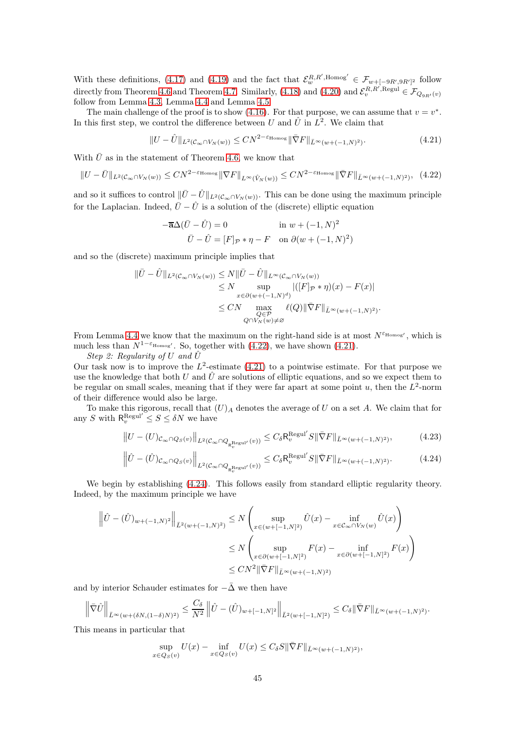With these definitions, [\(4.17\)](#page-43-0) and [\(4.19\)](#page-43-1) and the fact that  $\mathcal{E}_w^{R,R',\text{Homog}'} \in \mathcal{F}_{w+[-9R',9R']^2}$  follow directly from Theorem [4.6](#page-40-0) and Theorem [4.7.](#page-40-4) Similarly, [\(4.18\)](#page-43-2) and [\(4.20\)](#page-43-3) and  $\mathcal{E}_v^{R,R',\text{Regul}} \in \mathcal{F}_{Q_{9R'}(v)}$ follow from Lemma [4.3,](#page-38-7) Lemma [4.4](#page-38-5) and Lemma [4.5.](#page-39-2)

The main challenge of the proof is to show [\(4.16\)](#page-43-4). For that purpose, we can assume that  $v = v^*$ . In this first step, we control the difference between U and  $\hat{U}$  in  $L^2$ . We claim that

<span id="page-44-1"></span>
$$
||U - \hat{U}||_{L^2(\mathcal{C}_{\infty} \cap V_N(w))} \leq CN^{2-\varepsilon_{\text{Homog}}} ||\nabla F||_{\bar{L}^{\infty}(w + (-1, N)^2)}.
$$
\n(4.21)

With  $\bar{U}$  as in the statement of Theorem [4.6,](#page-40-0) we know that

<span id="page-44-0"></span>
$$
||U - \bar{U}||_{L^{2}(\mathcal{C}_{\infty} \cap V_{N}(w))} \le CN^{2-\varepsilon_{\text{Homog}}} ||\nabla F||_{L^{\infty}(\hat{V}_{N}(w))} \le CN^{2-\varepsilon_{\text{Homog}}} ||\bar{\nabla}F||_{\bar{L}^{\infty}(w+(-1,N)^{2})}, \tag{4.22}
$$

and so it suffices to control  $\|\bar{U} - \hat{U}\|_{L^2(\mathcal{C}_{\infty} \cap V_N(w))}$ . This can be done using the maximum principle for the Laplacian. Indeed,  $\bar{U} - \hat{U}$  is a solution of the (discrete) elliptic equation

$$
-\overline{\mathbf{a}}\Delta(\overline{U} - \hat{U}) = 0 \qquad \text{in } w + (-1, N)^2
$$

$$
\overline{U} - \hat{U} = [F]_{\mathcal{P}} * \eta - F \quad \text{on } \partial(w + (-1, N)^2)
$$

and so the (discrete) maximum principle implies that

$$
\|\bar{U} - \hat{U}\|_{L^2(\mathcal{C}_{\infty} \cap V_N(w))} \le N \|\bar{U} - \hat{U}\|_{L^{\infty}(\mathcal{C}_{\infty} \cap V_N(w))}
$$
  
\n
$$
\le N \sup_{x \in \partial (w + (-1, N)^d)} |([F]_{\mathcal{P}} * \eta)(x) - F(x)|
$$
  
\n
$$
\le CN \max_{\substack{Q \in \mathcal{P} \\ Q \cap V_N(w) \ne \varnothing}} \ell(Q) \|\bar{\nabla} F\|_{\bar{L}^{\infty}(w + (-1, N)^2)}.
$$

From Lemma [4.4](#page-38-5) we know that the maximum on the right-hand side is at most  $N^{\varepsilon_{\text{Homog}'}}$ , which is much less than  $N^{1-\epsilon_{\text{Homog}'}}$ . So, together with [\(4.22\)](#page-44-0), we have shown [\(4.21\)](#page-44-1).

Step 2: Regularity of U and  $\hat{U}$ 

Our task now is to improve the  $L^2$ -estimate [\(4.21\)](#page-44-1) to a pointwise estimate. For that purpose we use the knowledge that both U and  $\hat{U}$  are solutions of elliptic equations, and so we expect them to be regular on small scales, meaning that if they were far apart at some point  $u$ , then the  $L^2$ -norm of their difference would also be large.

To make this rigorous, recall that  $(U)_A$  denotes the average of U on a set A. We claim that for any S with  $R_v^{\text{Regul}'} \leq S \leq \delta N$  we have

<span id="page-44-3"></span>
$$
||U - (U)c_{\infty} \cap Q_S(v)||_{L^2(\mathcal{C}_{\infty} \cap Q_{\mathcal{R}_v^{\text{Regul}'}}(v))} \leq C_{\delta} \mathcal{R}_v^{\text{Regul}'} S || \bar{\nabla} F ||_{\bar{L}^{\infty}(w + (-1, N)^2)},
$$
(4.23)

<span id="page-44-2"></span>
$$
\left\|\hat{U} - (\hat{U})_{\mathcal{C}_{\infty} \cap Q_S(v)}\right\|_{L^2(\mathcal{C}_{\infty} \cap Q_{R_v^{\text{Regul}'}}(v))} \leq C_{\delta} R_v^{\text{Regul}'} S \|\bar{\nabla} F\|_{\bar{L}^{\infty}(w+(-1,N)^2)}.
$$
\n(4.24)

We begin by establishing  $(4.24)$ . This follows easily from standard elliptic regularity theory. Indeed, by the maximum principle we have

$$
\left\| \hat{U} - (\hat{U})_{w + (-1,N)^2} \right\|_{\bar{L}^2(w + (-1,N)^2)} \le N \left( \sup_{x \in (w + [-1,N]^2)} \hat{U}(x) - \inf_{x \in C_{\infty} \cap V_N(w)} \hat{U}(x) \right)
$$
  

$$
\le N \left( \sup_{x \in \partial (w + [-1,N]^2)} F(x) - \inf_{x \in \partial (w + [-1,N]^2)} F(x) \right)
$$
  

$$
\le CN^2 \|\bar{\nabla}F\|_{\bar{L}^\infty(w + (-1,N)^2)}
$$

and by interior Schauder estimates for  $-\bar{\Delta}$  we then have

$$
\left\|\bar{\nabla}\hat{U}\right\|_{\bar{L}^{\infty}(w+(\delta N,(1-\delta)N)^2)} \leq \frac{C_{\delta}}{N^2}\left\|\hat{U}-(\hat{U})_{w+[-1,N]^2}\right\|_{\bar{L}^2(w+[-1,N]^2)} \leq C_{\delta}\|\bar{\nabla}F\|_{\bar{L}^{\infty}(w+(-1,N)^2)}.
$$

This means in particular that

$$
\sup_{x \in Q_S(v)} U(x) - \inf_{x \in Q_S(v)} U(x) \leq C_{\delta} S \|\overline{\nabla} F\|_{\overline{L}^{\infty}(w + (-1, N)^2)},
$$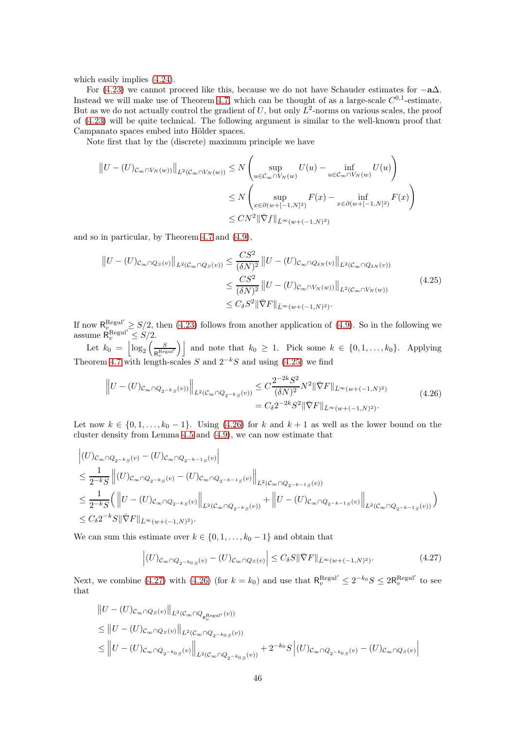which easily implies [\(4.24\)](#page-44-2).

For [\(4.23\)](#page-44-3) we cannot proceed like this, because we do not have Schauder estimates for  $-\mathbf{a}\Delta$ . Instead we will make use of Theorem [4.7,](#page-40-4) which can be thought of as a large-scale  $C^{0,1}$ -estimate. But as we do not actually control the gradient of  $U$ , but only  $L^2$ -norms on various scales, the proof of [\(4.23\)](#page-44-3) will be quite technical. The following argument is similar to the well-known proof that Campanato spaces embed into Hölder spaces.

Note first that by the (discrete) maximum principle we have

$$
||U - (U)c_{\infty} \cap V_N(w))||_{L^2(C_{\infty} \cap V_N(w))} \le N \left( \sup_{u \in C_{\infty} \cap V_N(w)} U(u) - \inf_{u \in C_{\infty} \cap V_N(w)} U(u) \right)
$$
  

$$
\le N \left( \sup_{x \in \partial (w + [-1, N]^2)} F(x) - \inf_{x \in \partial (w + [-1, N]^2)} F(x) \right)
$$
  

$$
\le CN^2 ||\overline{\nabla} f||_{L^{\infty}(w + (-1, N)^2)}
$$

and so in particular, by Theorem [4.7](#page-40-4) and [\(4.9\)](#page-40-3),

<span id="page-45-0"></span>
$$
||U - (U)c_{\infty} \cap Q_{S}(v)||_{L^{2}(C_{\infty} \cap Q_{S}(v))} \le \frac{CS^{2}}{(\delta N)^{2}} ||U - (U)c_{\infty} \cap Q_{\delta N}(v)||_{L^{2}(C_{\infty} \cap Q_{\delta N}(v))}
$$
  

$$
\le \frac{CS^{2}}{(\delta N)^{2}} ||U - (U)c_{\infty} \cap V_{N}(w))||_{L^{2}(C_{\infty} \cap V_{N}(w))}
$$
(4.25)  

$$
\le C_{\delta} S^{2} ||\bar{\nabla}F||_{\bar{L}^{\infty}(w + (-1, N)^{2})}.
$$

If now  $R_{v_{\text{Darm}}}^{\text{Regul}} \geq S/2$ , then [\(4.23\)](#page-44-3) follows from another application of [\(4.9\)](#page-40-3). So in the following we assume  $\mathsf{R}_v^{\text{Regul}'} \leq S/2$ .

Let  $k_0 = \left| \log_2 \left( \frac{S}{R_{\text{P}} R_{\text{e}}}\right) \right|$  $\left[\mathbb{R}^{\text{Regul'}}_{v} \right]$  and note that  $k_0 \geq 1$ . Pick some  $k \in \{0, 1, \ldots, k_0\}$ . Applying Theorem [4.7](#page-40-4) with length-scales S and  $2^{-k}S$  and using [\(4.25\)](#page-45-0) we find

$$
\|U - (U)c_{\infty} \cap Q_{2^{-k}S}(v))\|_{L^{2}(C_{\infty} \cap Q_{2^{-k}S}(v))} \leq C \frac{2^{-2k} S^{2}}{(\delta N)^{2}} N^{2} \|\bar{\nabla} F\|_{\bar{L}^{\infty}(w + (-1, N)^{2})}
$$
\n
$$
= C_{\delta} 2^{-2k} S^{2} \|\bar{\nabla} F\|_{\bar{L}^{\infty}(w + (-1, N)^{2})}.
$$
\n(4.26)

<span id="page-45-1"></span>Let now  $k \in \{0, 1, \ldots, k_0 - 1\}$ . Using [\(4.26\)](#page-45-1) for k and  $k + 1$  as well as the lower bound on the cluster density from Lemma [4.5](#page-39-2) and [\(4.9\)](#page-40-3), we can now estimate that

$$
\begin{split} & \left| (U)_{\mathcal{C}_{\infty} \cap Q_{2-kS}(v)} - (U)_{\mathcal{C}_{\infty} \cap Q_{2-k-1S}(v)} \right| \\ & \leq \frac{1}{2^{-k}S} \left\| (U)_{\mathcal{C}_{\infty} \cap Q_{2-kS}(v)} - (U)_{\mathcal{C}_{\infty} \cap Q_{2-k-1S}(v)} \right\|_{L^{2}(\mathcal{C}_{\infty} \cap Q_{2-k-1S}(v))} \\ & \leq \frac{1}{2^{-k}S} \Big( \left\| U - (U)_{\mathcal{C}_{\infty} \cap Q_{2-kS}(v)} \right\|_{L^{2}(\mathcal{C}_{\infty} \cap Q_{2-kS}(v))} + \left\| U - (U)_{\mathcal{C}_{\infty} \cap Q_{2-k-1S}(v)} \right\|_{L^{2}(\mathcal{C}_{\infty} \cap Q_{2-k-1S}(v))} \Big) \\ & \leq C_{\delta} 2^{-k} S \|\bar{\nabla} F\|_{\bar{L}^{\infty}(w+(-1,N)^{2})}. \end{split}
$$

We can sum this estimate over  $k \in \{0, 1, \ldots, k_0 - 1\}$  and obtain that

 $\ddot{\phantom{a}}$ 

<span id="page-45-2"></span>
$$
\left| (U)_{\mathcal{C}_{\infty} \cap Q_{2^{-k_0}S}(v)} - (U)_{\mathcal{C}_{\infty} \cap Q_S(v)} \right| \leq C_{\delta} S \|\bar{\nabla} F\|_{\bar{L}^{\infty}(w + (-1, N)^2)}.
$$
\n(4.27)

Next, we combine [\(4.27\)](#page-45-2) with [\(4.26\)](#page-45-1) (for  $k = k_0$ ) and use that  $\mathsf{R}_v^{\text{Regul}'} \leq 2^{-k_0} S \leq 2\mathsf{R}_v^{\text{Regul}'}$  to see that

$$
\label{eq:21} \begin{aligned} &\left\|U-(U)c_\infty\cap Q_S(v)\right\|_{L^2(\mathcal{C}_\infty\cap Q_{R_v^{\mathrm{Regul}'}}(v))}\\ &\leq \left\|U-(U)c_\infty\cap Q_S(v)\right\|_{L^2(\mathcal{C}_\infty\cap Q_{2^{-k_0}S}(v))}\\ &\leq \left\|U-(U)c_\infty\cap Q_{2^{-k_0}S}(v)\right\|_{L^2(\mathcal{C}_\infty\cap Q_{2^{-k_0}S}(v))}+2^{-k_0}S\left|(U)c_\infty\cap Q_{2^{-k_0}S}(v)-(U)c_\infty\cap Q_S(v)\right|\\ \end{aligned}
$$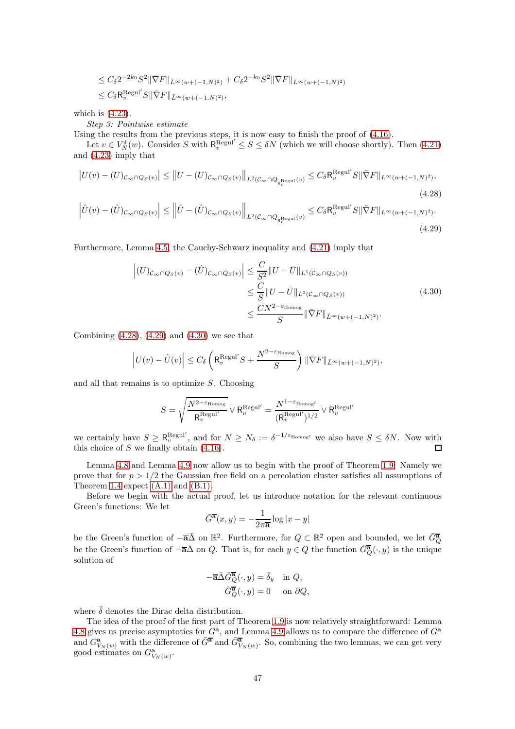$$
\leq C_{\delta} 2^{-2k_0} S^2 \|\bar{\nabla} F\|_{\bar{L}^{\infty}(w+(-1,N)^2)} + C_{\delta} 2^{-k_0} S^2 \|\bar{\nabla} F\|_{\bar{L}^{\infty}(w+(-1,N)^2)}
$$
  

$$
\leq C_{\delta} \mathsf{R}_{v}^{\mathrm{Regul}} S \|\bar{\nabla} F\|_{\bar{L}^{\infty}(w+(-1,N)^2)},
$$

which is [\(4.23\)](#page-44-3).

Step 3: Pointwise estimate

Using the results from the previous steps, it is now easy to finish the proof of [\(4.16\)](#page-43-4).

Let  $v \in V_N^{\delta}(w)$ . Consider S with  $\mathsf{R}_v^{\text{Regul}'} \leq S \leq \delta N$  (which we will choose shortly). Then [\(4.21\)](#page-44-1) and [\(4.23\)](#page-44-3) imply that

$$
\left| U(v) - (U)_{\mathcal{C}_{\infty} \cap Q_S(v)} \right| \le \left\| U - (U)_{\mathcal{C}_{\infty} \cap Q_S(v)} \right\|_{L^2(\mathcal{C}_{\infty} \cap Q_{R_v^{\text{Regul}}}(v))} \le C_{\delta} R_v^{\text{Regul}} S \|\bar{\nabla} F\|_{L^{\infty}(w + (-1, N)^2)},
$$
\n(4.28)

$$
\left|\hat{U}(v) - (\hat{U})_{\mathcal{C}_{\infty} \cap Q_S(v)}\right| \le \left\|\hat{U} - (\hat{U})_{\mathcal{C}_{\infty} \cap Q_S(v)}\right\|_{L^2(\mathcal{C}_{\infty} \cap Q_{\mathbf{R}_v^{\mathrm{Regul}}}(v))} \le C_{\delta} \mathbf{R}_v^{\mathrm{Regul}} S \|\bar{\nabla} F\|_{L^{\infty}(w + (-1, N)^2)}.
$$
\n(4.29)

Furthermore, Lemma [4.5,](#page-39-2) the Cauchy-Schwarz inequality and [\(4.21\)](#page-44-1) imply that

<span id="page-46-1"></span><span id="page-46-0"></span>
$$
\left| (U)_{\mathcal{C}_{\infty} \cap Q_S(v)} - (\hat{U})_{\mathcal{C}_{\infty} \cap Q_S(v)} \right| \leq \frac{C}{S^2} \| U - \bar{U} \|_{L^1(\mathcal{C}_{\infty} \cap Q_S(v))}
$$
\n
$$
\leq \frac{C}{S} \| U - \bar{U} \|_{L^2(\mathcal{C}_{\infty} \cap Q_S(v))}
$$
\n
$$
\leq \frac{CN^{2-\varepsilon_{\text{Homog}}}}{S} \| \bar{\nabla} F \|_{\bar{L}^{\infty}(w+(-1,N)^2)}.
$$
\n(4.30)

<span id="page-46-2"></span>Combining  $(4.28)$ ,  $(4.29)$  and  $(4.30)$  we see that

$$
\Big|U(v)-\hat{U}(v)\Big|\leq C_\delta \left(\mathsf{R}_v^{\text{Regul}'}S+\frac{N^{2-\varepsilon_{\text{Homog}}}}{S}\right)\|\bar{\nabla}F\|_{\bar{L}^\infty(w+(-1,N)^2)},
$$

and all that remains is to optimize  $S$ . Choosing

$$
S = \sqrt{\frac{N^{2-\varepsilon_{\text{Homog}}}}{R_v^{\text{Regul}'}}} \vee R_v^{\text{Regul}'} = \frac{N^{1-\varepsilon_{\text{Homog}'}}}{(R_v^{\text{Regul}'})^{1/2}} \vee R_v^{\text{Regul}'}
$$

we certainly have  $S \geq R_v^{\text{Regul}}$ , and for  $N \geq N_\delta := \delta^{-1/\varepsilon_{\text{Homog}}}$  we also have  $S \leq \delta N$ . Now with this choice of  $S$  we finally obtain  $(4.16)$ .

Lemma [4.8](#page-41-0) and Lemma [4.9](#page-43-5) now allow us to begin with the proof of Theorem [1.9.](#page-5-0) Namely we prove that for  $p > 1/2$  the Gaussian free field on a percolation cluster satisfies all assumptions of Theorem [1.4](#page-3-0) expect  $(A.1)$  and  $(B.1)$ .

Before we begin with the actual proof, let us introduce notation for the relevant continuous Green's functions: We let

$$
\bar{G}^{\overline{\mathbf{a}}}(x,y) = -\frac{1}{2\pi \overline{\mathbf{a}}}\log|x-y|
$$

be the Green's function of  $-\overline{\mathbf{a}}\overline{\mathbf{A}}$  on  $\mathbb{R}^2$ . Furthermore, for  $Q \subset \mathbb{R}^2$  open and bounded, we let  $\overline{G_Q^{\mathbf{a}}}$ be the Green's function of  $-\overline{\mathbf{a}}\overline{\Delta}$  on Q. That is, for each  $y \in Q$  the function  $\overline{G_Q^{\mathbf{a}}}(\cdot, y)$  is the unique solution of

$$
-\overline{\mathbf{a}}\overline{\Delta}\overline{G}_{Q}^{\overline{\mathbf{a}}}(\cdot,y) = \overline{\delta}_{y} \quad \text{in } Q,
$$

$$
\overline{G}_{Q}^{\overline{\mathbf{a}}}(\cdot,y) = 0 \quad \text{on } \partial Q,
$$

where  $\bar{\delta}$  denotes the Dirac delta distribution.

The idea of the proof of the first part of Theorem [1.9](#page-5-0) is now relatively straightforward: Lemma [4.8](#page-41-0) gives us precise asymptotics for  $G^a$ , and Lemma [4.9](#page-43-5) allows us to compare the difference of  $G^a$ and  $G^{\mathbf{a}}_{V_N(w)}$  with the difference of  $\bar{G}^{\overline{\mathbf{a}}}$  and  $\bar{G}^{\overline{\mathbf{a}}}_{V_N(w)}$ . So, combining the two lemmas, we can get very good estimates on  $G^{\mathbf{a}}_{V_N(w)}$ .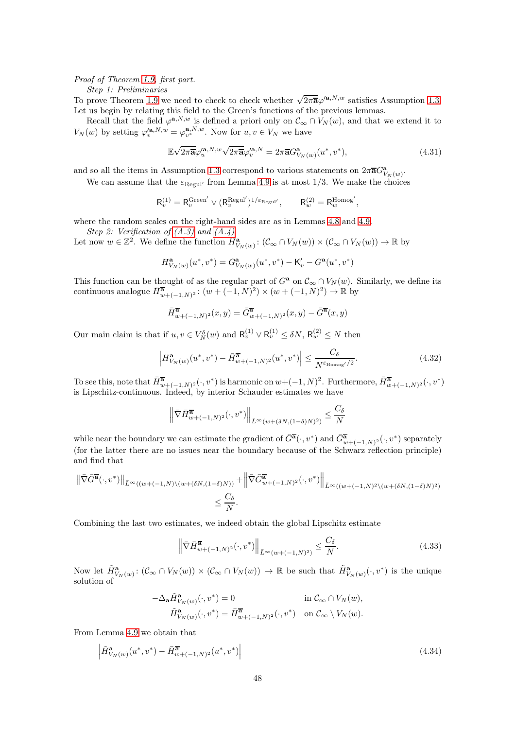### Proof of Theorem [1.9,](#page-5-0) first part.

Step 1: Preliminaries

To prove Theorem [1.9](#page-5-0) we need to check to check whether  $\sqrt{2\pi\mathbf{a}}\varphi'^{\mathbf{a},N,w}$  satisfies Assumption [1.3.](#page-2-0) Let us begin by relating this field to the Green's functions of the previous lemmas.

Recall that the field  $\varphi^{a,N,w}$  is defined a priori only on  $\mathcal{C}_{\infty} \cap V_N(w)$ , and that we extend it to  $V_N(w)$  by setting  $\varphi_v'^{\mathbf{a},N,w} = \varphi_{v^*}^{\mathbf{a},N,w}$ . Now for  $u, v \in V_N$  we have

<span id="page-47-2"></span>
$$
\mathbb{E}\sqrt{2\pi\overline{\mathbf{a}}}\varphi_u^{\prime\mathbf{a},N,w}\sqrt{2\pi\overline{\mathbf{a}}}\varphi_v^{\prime\mathbf{a},N} = 2\pi\overline{\mathbf{a}}G_{V_N(w)}^{\mathbf{a}}(u^*,v^*),\tag{4.31}
$$

and so all the items in Assumption [1.3](#page-2-0) correspond to various statements on  $2\pi\overline{a}G_{V_N(w)}^{\bf a}$ .

We can assume that the  $\varepsilon_{\text{Regul'}}$  from Lemma [4.9](#page-43-5) is at most 1/3. We make the choices

$$
\mathsf{R}_v^{(1)} = \mathsf{R}_v^{\mathrm{Green}'} \vee (\mathsf{R}_v^{\mathrm{Regul}'})^{1/\varepsilon_{\mathrm{Regul}'}}, \qquad \mathsf{R}_w^{(2)} = \mathsf{R}_w^{\mathrm{Homog}'},
$$

where the random scales on the right-hand sides are as in Lemmas [4.8](#page-41-0) and [4.9.](#page-43-5)

Step 2: Verification of  $(A.3)$  and  $(A.4)$ 

Let now  $w \in \mathbb{Z}^2$ . We define the function  $H^{\mathbf{a}}_{V_N(w)}: (\mathcal{C}_{\infty} \cap V_N(w)) \times (\mathcal{C}_{\infty} \cap V_N(w)) \to \mathbb{R}$  by

$$
H^{\bf a}_{V_N(w)}(u^*,v^*)=G^{\bf a}_{V_N(w)}(u^*,v^*)-{\sf K}'_v-G^{\bf a}(u^*,v^*)
$$

This function can be thought of as the regular part of  $G^a$  on  $\mathcal{C}_{\infty} \cap V_N(w)$ . Similarly, we define its continuous analogue  $\overline{H}_{w+(-1,N)^2}^{\overline{\mathbf{a}}}$ :  $(w + (-1,N)^2) \times (w + (-1,N)^2) \to \mathbb{R}$  by

$$
\overline{H}^{\overline{\mathbf{a}}}_{w+(-1,N)^2}(x,y) = \overline{G}^{\overline{\mathbf{a}}}_{w+(-1,N)^2}(x,y) - \overline{G}^{\overline{\mathbf{a}}}(x,y)
$$

Our main claim is that if  $u, v \in V_N^{\delta}(w)$  and  $\mathsf{R}_v^{(1)} \vee \mathsf{R}_v^{(1)} \leq \delta N$ ,  $\mathsf{R}_w^{(2)} \leq N$  then

<span id="page-47-1"></span>
$$
\left| H_{V_N(w)}^{\mathbf{a}}(u^*, v^*) - \bar{H}_{w+(-1,N)^2}^{\overline{\mathbf{a}}}(u^*, v^*) \right| \le \frac{C_{\delta}}{N^{\varepsilon_{\text{Homog}}/2}}.
$$
\n(4.32)

To see this, note that  $\overline{H}^{\overline{a}}_{w+(-1,N)^2}(\cdot,v^*)$  is harmonic on  $w+(-1,N)^2$ . Furthermore,  $\overline{H}^{\overline{a}}_{w+(-1,N)^2}(\cdot,v^*)$ is Lipschitz-continuous. Indeed, by interior Schauder estimates we have

$$
\left\|\bar{\nabla}\bar{H}^{\overline{\mathbf{a}}}_{w+(-1,N)^2}(\cdot,v^*)\right\|_{\bar{L}^\infty(w+(\delta N,(1-\delta)N)^2)}\leq \frac{C_\delta}{N}
$$

while near the boundary we can estimate the gradient of  $\overline{G}^{\overline{\mathbf{a}}}(\cdot,v^*)$  and  $\overline{G}^{\overline{\mathbf{a}}}_{w+(-1,N)^2}(\cdot,v^*)$  separately (for the latter there are no issues near the boundary because of the Schwarz reflection principle) and find that

$$
\begin{aligned} \left\| \bar{\nabla} \bar{G}^{\overline{\mathbf{a}}}(\cdot,v^*) \right\|_{\bar{L}^{\infty}((w+(-1,N)\backslash (w+(\delta N,(1-\delta)N))} + \left\| \bar{\nabla} \bar{G}^{\overline{\mathbf{a}}}_{w+(-1,N)^2}(\cdot,v^*) \right\|_{\bar{L}^{\infty}((w+(-1,N)^2\backslash (w+(\delta N,(1-\delta)N)^2))} \\ &\leq \frac{C_{\delta}}{N} . \end{aligned}
$$

Combining the last two estimates, we indeed obtain the global Lipschitz estimate

<span id="page-47-0"></span>
$$
\left\| \nabla \bar{H}_{w+(-1,N)^2}^{\overline{\mathbf{a}}}(\cdot, v^*) \right\|_{\bar{L}^\infty(w+(-1,N)^2)} \le \frac{C_\delta}{N}.
$$
\n(4.33)

Now let  $\tilde{H}_{V_N(w)}^{\mathbf{a}}: (\mathcal{C}_{\infty} \cap V_N(w)) \times (\mathcal{C}_{\infty} \cap V_N(w)) \to \mathbb{R}$  be such that  $\tilde{H}_{V_N(w)}^{\mathbf{a}}(\cdot, v^*)$  is the unique solution of

$$
\begin{aligned} -\Delta_{\mathbf{a}} \tilde{H}^\mathbf{a}_{V_N(w)}(\cdot, v^*) &= 0 &\text{in } \mathcal{C}_{\infty} \cap V_N(w),\\ \tilde{H}^\mathbf{a}_{V_N(w)}(\cdot, v^*) &= \bar{H}^{\overline{\mathbf{a}}}_{w+(-1,N)^2}(\cdot, v^*) &\text{on } \mathcal{C}_{\infty} \setminus V_N(w). \end{aligned}
$$

From Lemma [4.9](#page-43-5) we obtain that

$$
\left| \tilde{H}_{V_N(w)}^{\mathbf{a}}(u^*, v^*) - \bar{H}_{w+(-1,N)^2}^{\overline{\mathbf{a}}}(u^*, v^*) \right| \tag{4.34}
$$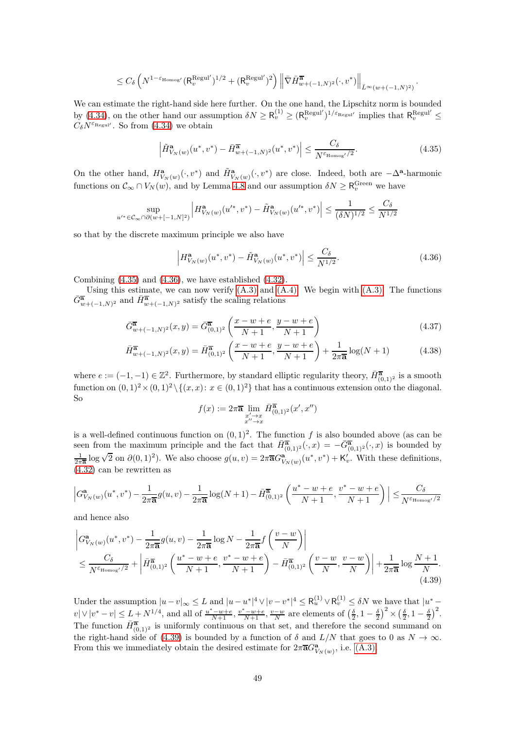$$
\leq C_\delta \left( N^{1-\varepsilon_{\mathrm{Homog}'}} (\mathsf{R}_v^{\mathrm{Regul}'} )^{1/2} + (\mathsf{R}_v^{\mathrm{Regul}'} )^2 \right) \left\| \bar{\nabla} \bar{H}^{\overline{\mathbf{a}}}_{w+(-1,N)^2} (\cdot, v^*) \right\|_{\bar{L}^\infty (w+(-1,N)^2)}
$$

We can estimate the right-hand side here further. On the one hand, the Lipschitz norm is bounded by [\(4.34\)](#page-47-0), on the other hand our assumption  $\delta N \geq R_v^{(1)} \geq (R_v^{\text{Regul}'})^{1/\varepsilon_{\text{Regul}'} }$  implies that  $R_v^{\text{Regul}'} \leq$  $C_{\delta}N^{\varepsilon_{\text{Regul}}}$ . So from [\(4.34\)](#page-47-0) we obtain

<span id="page-48-0"></span>
$$
\left| \tilde{H}_{V_N(w)}^{\mathbf{a}}(u^*, v^*) - \bar{H}_{w+(-1,N)^2}^{\overline{\mathbf{a}}}(u^*, v^*) \right| \le \frac{C_{\delta}}{N^{\varepsilon_{\text{Homog}}/2}}.
$$
\n(4.35)

.

On the other hand,  $H^{\mathbf{a}}_{V_N(w)}(\cdot, v^*)$  and  $\tilde{H}^{\mathbf{a}}_{V_N(w)}(\cdot, v^*)$  are close. Indeed, both are  $-\Delta^{\mathbf{a}}$ -harmonic functions on  $\mathcal{C}_{\infty} \cap V_N(w)$ , and by Lemma [4.8](#page-41-0) and our assumption  $\delta N \geq R_v^{\text{Green}}$  we have

$$
\sup_{u'^* \in \mathcal{C}_\infty \cap \partial (w+[-1,N]^2)} \left| H_{V_N(w)}^{\mathbf{a}}(u'^*,v^*) - \tilde{H}_{V_N(w)}^{\mathbf{a}}(u'^*,v^*) \right| \leq \frac{1}{(\delta N)^{1/2}} \leq \frac{C_\delta}{N^{1/2}}
$$

so that by the discrete maximum principle we also have

<span id="page-48-1"></span>
$$
\left| H_{V_N(w)}^{\mathbf{a}}(u^*, v^*) - \tilde{H}_{V_N(w)}^{\mathbf{a}}(u^*, v^*) \right| \le \frac{C_\delta}{N^{1/2}}.
$$
\n(4.36)

Combining [\(4.35\)](#page-48-0) and [\(4.36\)](#page-48-1), we have established [\(4.32\)](#page-47-1).

Using this estimate, we can now verify  $(A.3)$  and  $(A.4)$ . We begin with  $(A.3)$ . The functions  $\bar{G}_{w+(-1,N)^2}^{\overline{\mathbf{a}}}$  and  $\bar{H}_{w+(-1,N)^2}^{\overline{\mathbf{a}}}$  satisfy the scaling relations

$$
\bar{G}_{w+(-1,N)^2}^{\overline{\mathbf{a}}}(x,y) = \bar{G}_{(0,1)^2}^{\overline{\mathbf{a}}}\left(\frac{x-w+e}{N+1}, \frac{y-w+e}{N+1}\right)
$$
\n(4.37)

$$
\bar{H}_{w+(-1,N)^2}^{\overline{\mathbf{a}}}(x,y) = \bar{H}_{(0,1)^2}^{\overline{\mathbf{a}}}\left(\frac{x-w+e}{N+1}, \frac{y-w+e}{N+1}\right) + \frac{1}{2\pi\overline{\mathbf{a}}}\log(N+1)
$$
(4.38)

where  $e := (-1, -1) \in \mathbb{Z}^2$ . Furthermore, by standard elliptic regularity theory,  $\bar{H}_{(0,1)^2}^{\overline{\mathbf{a}}}$  is a smooth function on  $(0, 1)^2 \times (0, 1)^2 \setminus \{(x, x): x \in (0, 1)^2\}$  that has a continuous extension onto the diagonal. So

<span id="page-48-3"></span>
$$
f(x) := 2\pi \overline{\mathbf{a}} \lim_{\substack{x' \to x \\ x'' \to x}} \overline{H}_{(0,1)^2}^{\overline{\mathbf{a}}}(x', x'')
$$

is a well-defined continuous function on  $(0, 1)^2$ . The function f is also bounded above (as can be seen from the maximum principle and the fact that  $\overline{H}_{(0,1)^2}^{\overline{\mathbf{a}}}(\cdot,x) = -\overline{G}_{(0,1)^2}^{\overline{\mathbf{a}}}(\cdot,x)$  is bounded by  $\frac{1}{2\pi\overline{\mathbf{a}}}$  log  $\sqrt{2}$  on  $\partial(0,1)^2$ ). We also choose  $g(u,v) = 2\pi\overline{\mathbf{a}}G^{\mathbf{a}}_{V_N(w)}(u^*,v^*) + \mathsf{K}'_v$ . With these definitions, [\(4.32\)](#page-47-1) can be rewritten as

$$
\left| G_{V_N(w)}^{\mathbf{a}}(u^*, v^*) - \frac{1}{2\pi \overline{\mathbf{a}}} g(u, v) - \frac{1}{2\pi \overline{\mathbf{a}}} \log(N+1) - \bar{H}_{(0,1)^2}^{\overline{\mathbf{a}}} \left( \frac{u^* - w + e}{N+1}, \frac{v^* - w + e}{N+1} \right) \right| \le \frac{C_{\delta}}{N^{\varepsilon_{\text{Homog}}/2}}
$$

and hence also

<span id="page-48-2"></span>
$$
\left| G_{V_N(w)}^{\mathbf{a}}(u^*, v^*) - \frac{1}{2\pi \overline{\mathbf{a}}} g(u, v) - \frac{1}{2\pi \overline{\mathbf{a}}}\log N - \frac{1}{2\pi \overline{\mathbf{a}}} f\left(\frac{v - w}{N}\right) \right|
$$
\n
$$
\leq \frac{C_{\delta}}{N^{\varepsilon_{\text{Homog'}}/2}} + \left| \bar{H}_{(0,1)^2}^{\overline{\mathbf{a}}}\left(\frac{u^* - w + e}{N + 1}, \frac{v^* - w + e}{N + 1}\right) - \bar{H}_{(0,1)^2}^{\overline{\mathbf{a}}}\left(\frac{v - w}{N}, \frac{v - w}{N}\right) \right| + \frac{1}{2\pi \overline{\mathbf{a}}}\log \frac{N + 1}{N}.
$$
\n(4.39)

Under the assumption  $|u-v|_{\infty} \leq L$  and  $|u-u^*|^4 \vee |v-v^*|^4 \leq R_u^{(1)} \vee R_v^{(1)} \leq \delta N$  we have that  $|u^*-\rangle$  $v|\vee|v^*-v| \leq L+N^{1/4}$ , and all of  $\frac{u^*-w+e}{N+1}, \frac{v^*-w+e}{N+1}, \frac{v-w}{N}$  are elements of  $\left(\frac{\delta}{2}, 1-\frac{\delta}{2}\right)^2 \times \left(\frac{\delta}{2}, 1-\frac{\delta}{2}\right)^2$ . The function  $\overline{H}_{(0,1)^2}^{\overline{a}}$  is uniformly continuous on that set, and therefore the second summand on the right-hand side of [\(4.39\)](#page-48-2) is bounded by a function of  $\delta$  and  $L/N$  that goes to 0 as  $N \to \infty$ . From this we immediately obtain the desired estimate for  $2\pi\overline{a}G_{V_N(w)}^{\mathbf{a}},$  i.e.  $(A.3)$ .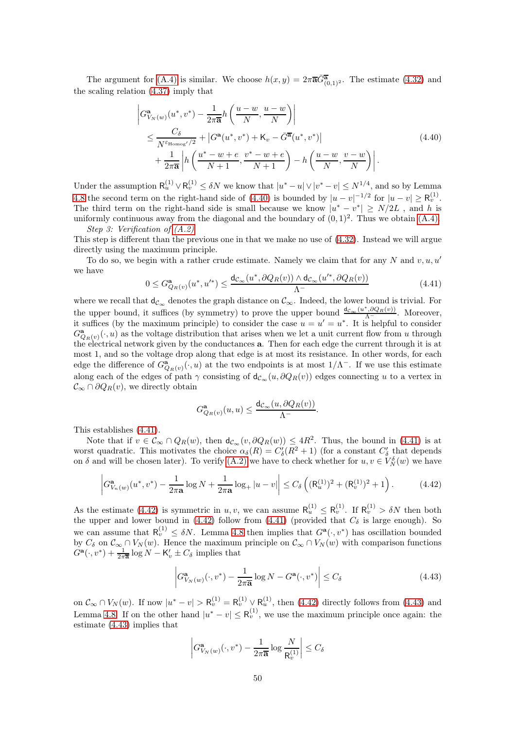The argument for [\(A.4\)](#page-3-2) is similar. We choose  $h(x,y) = 2\pi \overline{\mathbf{a}} \overline{G}_{(0,1)^2}^{\overline{\mathbf{a}}}$ . The estimate [\(4.32\)](#page-47-1) and the scaling relation [\(4.37\)](#page-48-3) imply that

$$
\begin{split} &\left| G_{V_N(w)}^{\mathbf{a}}(u^*,v^*) - \frac{1}{2\pi\overline{\mathbf{a}}}h\left(\frac{u-w}{N},\frac{u-w}{N}\right) \right| \\ &\leq \frac{C_\delta}{N^{\varepsilon_{\text{Homog}'}/2}} + \left| G^{\mathbf{a}}(u^*,v^*) + \mathsf{K}_v - \bar{G}^{\overline{\mathbf{a}}}(u^*,v^*) \right| \\ &+ \frac{1}{2\pi\overline{\mathbf{a}}} \left| h\left(\frac{u^*-w+e}{N+1},\frac{v^*-w+e}{N+1}\right) - h\left(\frac{u-w}{N},\frac{v-w}{N}\right) \right|. \end{split} \tag{4.40}
$$

<span id="page-49-0"></span>Under the assumption  $\mathsf{R}_u^{(1)} \vee \mathsf{R}_v^{(1)} \leq \delta N$  we know that  $|u^* - u| \vee |v^* - v| \leq N^{1/4}$ , and so by Lemma [4.8](#page-41-0) the second term on the right-hand side of [\(4.40\)](#page-49-0) is bounded by  $|u - v|^{-1/2}$  for  $|u - v| \ge R_v^{(1)}$ . The third term on the right-hand side is small because we know  $|u^* - v^*| \ge N/2L$ , and h is uniformly continuous away from the diagonal and the boundary of  $(0, 1)^2$ . Thus we obtain  $(A.4)$ . Step 3: Verification of [\(A.2\)](#page-2-2)

This step is different than the previous one in that we make no use of [\(4.32\)](#page-47-1). Instead we will argue directly using the maximum principle.

To do so, we begin with a rather crude estimate. Namely we claim that for any N and  $v, u, u'$ we have

<span id="page-49-1"></span>
$$
0 \leq G_{Q_R(v)}^{\mathbf{a}}(u^*, u'^*) \leq \frac{\mathsf{d}_{\mathcal{C}_{\infty}}(u^*, \partial Q_R(v)) \wedge \mathsf{d}_{\mathcal{C}_{\infty}}(u'^*, \partial Q_R(v))}{\Lambda^{-}} \tag{4.41}
$$

where we recall that  $d_{\mathcal{C}_{\infty}}$  denotes the graph distance on  $\mathcal{C}_{\infty}$ . Indeed, the lower bound is trivial. For the upper bound, it suffices (by symmetry) to prove the upper bound  $\frac{d_{c_{\infty}}(u^*, \partial Q_R(v))}{\Lambda}$ . Moreover, it suffices (by the maximum principle) to consider the case  $u = u' = u^*$ . It is helpful to consider  $G_{Q_R(v)}^{\mathbf{a}}(\cdot,u)$  as the voltage distribution that arises when we let a unit current flow from u through the electrical network given by the conductances a. Then for each edge the current through it is at most 1, and so the voltage drop along that edge is at most its resistance. In other words, for each edge the difference of  $G^{\mathbf{a}}_{Q_R(v)}(\cdot, u)$  at the two endpoints is at most  $1/\Lambda^-$ . If we use this estimate along each of the edges of path  $\gamma$  consisting of  $d_{\mathcal{C}_{\infty}}(u, \partial Q_R(v))$  edges connecting u to a vertex in  $\mathcal{C}_{\infty} \cap \partial Q_R(v)$ , we directly obtain

$$
G^{\mathbf{a}}_{Q_R(v)}(u,u)\leq \frac{\mathsf{d}_{\mathcal{C}_\infty}(u,\partial Q_R(v))}{\Lambda^-}
$$

This establishes [\(4.41\)](#page-49-1).

Note that if  $v \in \mathcal{C}_{\infty} \cap Q_{R}(w)$ , then  $d_{\mathcal{C}_{\infty}}(v, \partial Q_{R}(w)) \leq 4R^2$ . Thus, the bound in [\(4.41\)](#page-49-1) is at worst quadratic. This motivates the choice  $\alpha_{\delta}(R) = C'_{\delta}(R^2 + 1)$  (for a constant  $C'_{\delta}$  that depends on  $\delta$  and will be chosen later). To verify [\(A.2\)](#page-2-2) we have to check whether for  $u, v \in V_N^{\delta}(w)$  we have

<span id="page-49-2"></span>
$$
\left| G_{V_n(w)}^{\mathbf{a}}(u^*, v^*) - \frac{1}{2\pi \mathbf{a}} \log N + \frac{1}{2\pi \mathbf{a}} \log_+ |u - v| \right| \le C_\delta \left( (\mathsf{R}_u^{(1)})^2 + (\mathsf{R}_v^{(1)})^2 + 1 \right). \tag{4.42}
$$

As the estimate [\(4.42\)](#page-49-2) is symmetric in u, v, we can assume  $R_u^{(1)} \n\t\leq R_v^{(1)}$ . If  $R_v^{(1)} > \delta N$  then both the upper and lower bound in  $(4.42)$  follow from  $(4.41)$  (provided that  $C_{\delta}$  is large enough). So we can assume that  $R_v^{(1)} \leq \delta N$ . Lemma [4.8](#page-41-0) then implies that  $G^{\mathbf{a}}(\cdot, v^*)$  has oscillation bounded by  $C_\delta$  on  $\mathcal{C}_\infty \cap V_N(w)$ . Hence the maximum principle on  $\mathcal{C}_\infty \cap V_N(w)$  with comparison functions  $\ddot{G}^{\mathbf{a}}(\cdot,v^*) + \frac{1}{2\pi\overline{\mathbf{a}}}\log N - \mathsf{K}_{v}' \pm C_{\delta}$  implies that

<span id="page-49-3"></span>
$$
\left| G_{V_N(w)}^{\mathbf{a}}(\cdot, v^*) - \frac{1}{2\pi \overline{\mathbf{a}}} \log N - G^{\mathbf{a}}(\cdot, v^*) \right| \le C_{\delta}
$$
\n(4.43)

.

on  $\mathcal{C}_{\infty} \cap V_N(w)$ . If now  $|u^* - v| > \mathsf{R}_v^{(1)} = \mathsf{R}_v^{(1)} \vee \mathsf{R}_u^{(1)}$ , then [\(4.42\)](#page-49-2) directly follows from [\(4.43\)](#page-49-3) and Lemma [4.8.](#page-41-0) If on the other hand  $|u^* - v| \leq R_v^{(1)}$ , we use the maximum principle once again: the estimate [\(4.43\)](#page-49-3) implies that

$$
\left|G_{V_N(w)}^{\mathbf{a}}(\cdot,v^*) - \frac{1}{2\pi\overline{\mathbf{a}}}\log\frac{N}{\mathsf{R}_v^{(1)}}\right| \leq C_\delta
$$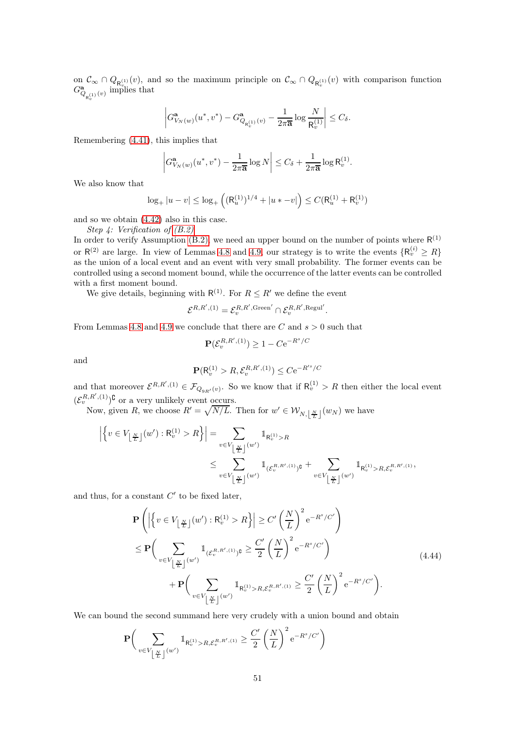on  $\mathcal{C}_{\infty} \cap Q_{\mathsf{R}_{v}^{(1)}}(v)$ , and so the maximum principle on  $\mathcal{C}_{\infty} \cap Q_{\mathsf{R}_{v}^{(1)}}(v)$  with comparison function  $G^{\mathbf{a}}_{Q_{\mathsf{R}_v^{(1)}}(v)}$  implies that

$$
\left|G_{V_N(w)}^{\mathbf{a}}(u^*, v^*) - G_{Q_{R_v^{(1)}}(v)}^{\mathbf{a}} - \frac{1}{2\pi \overline{\mathbf{a}}}\log \frac{N}{R_v^{(1)}}\right| \leq C_{\delta}.
$$

Remembering [\(4.41\)](#page-49-1), this implies that

$$
\left|G_{V_N(w)}^{\mathbf{a}}(u^*,v^*) - \frac{1}{2\pi\overline{\mathbf{a}}}\log N\right| \leq C_\delta + \frac{1}{2\pi\overline{\mathbf{a}}}\log\mathsf{R}_v^{(1)}.
$$

We also know that

$$
\log_+|u-v|\leq \log_+\left((\mathsf{R}^{(1)}_u)^{1/4}+|u*-v|\right)\leq C(\mathsf{R}^{(1)}_u+\mathsf{R}^{(1)}_v)
$$

and so we obtain [\(4.42\)](#page-49-2) also in this case.

Step 4: Verification of [\(B.2\)](#page-3-3)

In order to verify Assumption [\(B.2\),](#page-3-3) we need an upper bound on the number of points where  $R^{(1)}$ or  $R^{(2)}$  are large. In view of Lemmas [4.8](#page-41-0) and [4.9,](#page-43-5) our strategy is to write the events  $\{R_v^{(i)} \geq R\}$ as the union of a local event and an event with very small probability. The former events can be controlled using a second moment bound, while the occurrence of the latter events can be controlled with a first moment bound.

We give details, beginning with  $R^{(1)}$ . For  $R \leq R'$  we define the event

$$
\mathcal{E}^{R,R', (1)} = \mathcal{E}_v^{R,R',\text{Green}'} \cap \mathcal{E}_v^{R,R',\text{Regul}'}.
$$

From Lemmas [4.8](#page-41-0) and [4.9](#page-43-5) we conclude that there are  $C$  and  $s > 0$  such that

$$
\mathbf{P}(\mathcal{E}_v^{R,R',(1)}) \ge 1 - C e^{-R^s/C}
$$

and

$$
\mathbf{P}(\mathsf{R}_v^{(1)}>R,\mathcal{E}_v^{R,R',(1)})\leq C\mathrm{e}^{-R'^s/C}
$$

and that moreover  $\mathcal{E}^{R,R',(1)} \in \mathcal{F}_{Q_{9R'}(v)}$ . So we know that if  $R_v^{(1)} > R$  then either the local event  $(\mathcal{E}_v^{R,R',(1)})^{\complement}$  or a very unlikely event occurs.

Now, given R, we choose  $R' = \sqrt{N/L}$ . Then for  $w' \in W_{N, \lfloor \frac{N}{L} \rfloor}(w_N)$  we have

$$
\left| \left\{ v \in V_{\left\lfloor \frac{N}{L} \right\rfloor}(w') : \mathsf{R}_v^{(1)} > R \right\} \right| = \sum_{v \in V_{\left\lfloor \frac{N}{L} \right\rfloor}(w')} \mathbb{1}_{\mathsf{R}_v^{(1)} > R} \n\leq \sum_{v \in V_{\left\lfloor \frac{N}{L} \right\rfloor}(w')} \mathbb{1}_{\left\{ \mathcal{E}_v^{R,R',(1)} \right\}^6} + \sum_{v \in V_{\left\lfloor \frac{N}{L} \right\rfloor}(w')} \mathbb{1}_{\mathsf{R}_v^{(1)} > R, \mathcal{E}_v^{R,R',(1)}},
$$

and thus, for a constant  $C'$  to be fixed later,

$$
\mathbf{P}\left(\left|\left\{v \in V_{\left\lfloor \frac{N}{L}\right\rfloor}(w'): \mathsf{R}_{v}^{(1)} > R\right\}\right| \geq C'\left(\frac{N}{L}\right)^{2} e^{-R^{s}/C'}\right) \n\leq \mathbf{P}\left(\sum_{v \in V_{\left\lfloor \frac{N}{L}\right\rfloor}(w')} \mathbb{1}_{\left(\mathcal{E}_{v}^{R,R',(1)}\right)^{0}} \geq \frac{C'}{2}\left(\frac{N}{L}\right)^{2} e^{-R^{s}/C'}\right) \n+ \mathbf{P}\left(\sum_{v \in V_{\left\lfloor \frac{N}{L}\right\rfloor}(w')} \mathbb{1}_{\mathsf{R}_{v}^{(1)} > R,\mathcal{E}_{v}^{R,R',(1)}} \geq \frac{C'}{2}\left(\frac{N}{L}\right)^{2} e^{-R^{s}/C'}\right).
$$
\n(4.44)

<span id="page-50-0"></span>We can bound the second summand here very crudely with a union bound and obtain

$$
\mathbf{P}\bigg(\sum_{v\in V_{\left\lfloor\frac{N}{L}\right\rfloor}(w')} \mathbb{1}_{\mathsf{R}_v^{(1)}>R,\mathcal{E}_v^{R,R',(1)}}\geq \frac{C'}{2}\left(\frac{N}{L}\right)^2 \mathrm{e}^{-R^s/C'}\bigg)
$$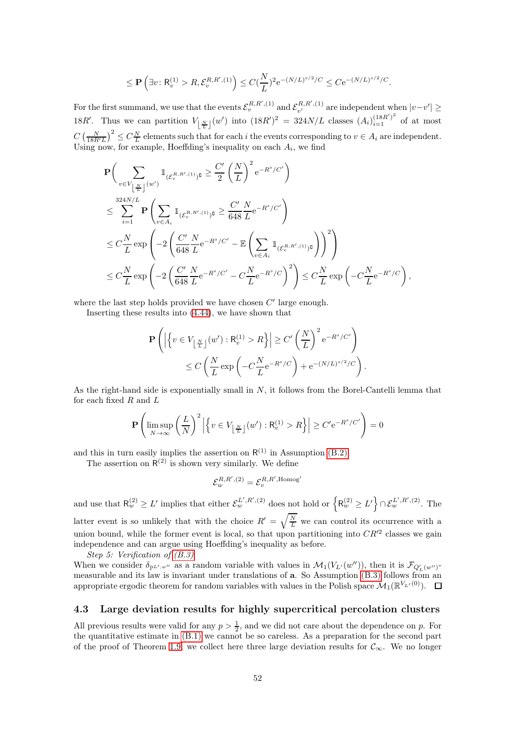$$
\leq \mathbf{P}\left(\exists v\colon \mathsf{R}_v^{(1)} > R, \mathcal{E}_v^{R,R',(1)}\right) \leq C(\frac{N}{L})^2 e^{-(N/L)^{s/2}/C} \leq C e^{-(N/L)^{s/2}/C}.
$$

For the first summand, we use that the events  $\mathcal{E}_v^{R,R', (1)}$  and  $\mathcal{E}_{v'}^{R,R', (1)}$  are independent when  $|v-v'| \ge$ 18R'. Thus we can partition  $V_{\lfloor \frac{N}{L} \rfloor}(w')$  into  $(18R')^2 = 324N/L$  classes  $(A_i)_{i=1}^{(18R')^2}$  of at most  $C\left(\frac{N}{18R'L}\right)^2 \leq C\frac{N}{L}$  elements such that for each i the events corresponding to  $v \in A_i$  are independent. Using now, for example, Hoeffding's inequality on each  $A_i$ , we find

$$
\begin{split} &\mathbf{P}\Big(\sum_{v\in V_{\left\lfloor\frac{N}{L}\right\rfloor}(w')}\mathbbm{1}_{(\mathcal{E}_v^{R,R',(1)})\mathbf{G}}\geq \frac{C'}{2}\left(\frac{N}{L}\right)^2\mathrm{e}^{-R^s/C'}\Big)\\ &\leq \sum_{i=1}^{324N/L}\mathbf{P}\Bigg(\sum_{v\in A_i}\mathbbm{1}_{(\mathcal{E}_v^{R,R',(1)})\mathbf{G}}\geq \frac{C'}{648}\frac{N}{L}\mathrm{e}^{-R^s/C'}\Bigg)\\ &\leq C\frac{N}{L}\exp\Bigg(-2\left(\frac{C'}{648}\frac{N}{L}\mathrm{e}^{-R^s/C'}-\mathbb{E}\left(\sum_{v\in A_i}\mathbbm{1}_{(\mathcal{E}_v^{R,R',(1)})\mathbf{G}}\right)\right)^2\Bigg)\\ &\leq C\frac{N}{L}\exp\Bigg(-2\left(\frac{C'}{648}\frac{N}{L}\mathrm{e}^{-R^s/C'}-C\frac{N}{L}\mathrm{e}^{-R^s/C}\right)^2\Bigg)\leq C\frac{N}{L}\exp\Bigg(-C\frac{N}{L}\mathrm{e}^{-R^s/C}\Bigg)\,, \end{split}
$$

where the last step holds provided we have chosen  $C'$  large enough.

Inserting these results into [\(4.44\)](#page-50-0), we have shown that

$$
\mathbf{P}\left(\left|\left\{v \in V_{\left\lfloor \frac{N}{L} \right\rfloor}(w') : \mathsf{R}_v^{(1)} > R\right\}\right| \ge C'\left(\frac{N}{L}\right)^2 e^{-R^s/C'}\right) \le C\left(\frac{N}{L}\exp\left(-C\frac{N}{L}e^{-R^s/C}\right) + e^{-(N/L)^{s/2}/C}\right).
$$

As the right-hand side is exponentially small in  $N$ , it follows from the Borel-Cantelli lemma that for each fixed  $R$  and  $L$ 

$$
\mathbf{P}\left(\limsup_{N\to\infty}\left(\frac{L}{N}\right)^2 \left|\left\{v\in V_{\left\lfloor\frac{N}{L}\right\rfloor}(w'): \mathsf{R}_v^{(1)}>R\right\}\right|\geq C'e^{-R^s/C'}\right)=0
$$

and this in turn easily implies the assertion on  $R^{(1)}$  in Assumption [\(B.2\).](#page-3-3)

The assertion on  $R^{(2)}$  is shown very similarly. We define

$$
\mathcal{E}^{R,R', (2)}_w = \mathcal{E}^{R,R',\mathrm{Homog}'}_v
$$

and use that  $R_w^{(2)} \ge L'$  implies that either  $\mathcal{E}_w^{L', R', (2)}$  does not hold or  $\left\{ R_w^{(2)} \ge L' \right\} \cap \mathcal{E}_w^{L', R', (2)}$ . The latter event is so unlikely that with the choice  $R' = \sqrt{\frac{N}{L}}$  we can control its occurrence with a union bound, while the former event is local, so that upon partitioning into  $CR'^2$  classes we gain independence and can argue using Hoeffding's inequality as before.

Step 5: Verification of [\(B.3\)](#page-3-4)

When we consider  $\delta_{\mathbb{P}^{L'}}, w''$  as a random variable with values in  $\mathcal{M}_1(V_{L'}(w''))$ , then it is  $\mathcal{F}_{Q'_{L}(w'')}$ measurable and its law is invariant under translations of a. So Assumption [\(B.3\)](#page-3-4) follows from an appropriate ergodic theorem for random variables with values in the Polish space  $\mathcal{M}_1(\mathbb{R}^{V_{L'}(0)})$ .

#### <span id="page-51-0"></span>4.3 Large deviation results for highly supercritical percolation clusters

All previous results were valid for any  $p > \frac{1}{2}$ , and we did not care about the dependence on p. For the quantitative estimate in [\(B.1\)](#page-3-1) we cannot be so careless. As a preparation for the second part of the proof of Theorem [1.9,](#page-5-0) we collect here three large deviation results for  $\mathcal{C}_{\infty}$ . We no longer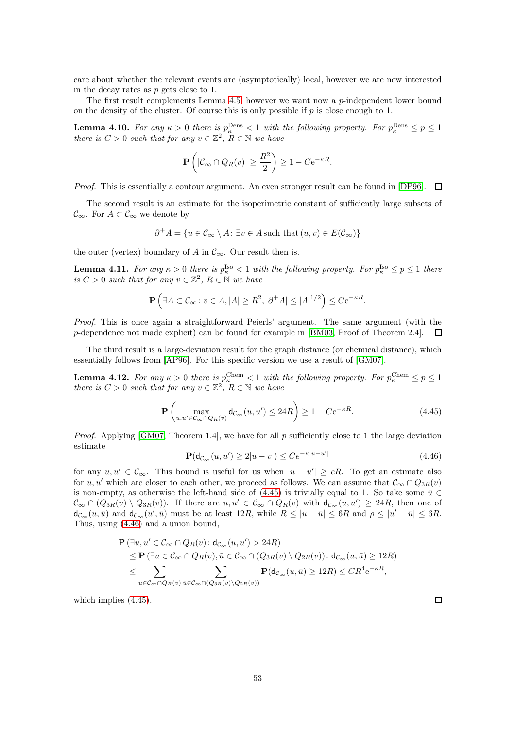care about whether the relevant events are (asymptotically) local, however we are now interested in the decay rates as p gets close to 1.

The first result complements Lemma  $4.5$ , however we want now a  $p$ -independent lower bound on the density of the cluster. Of course this is only possible if  $p$  is close enough to 1.

<span id="page-52-2"></span>**Lemma 4.10.** For any  $\kappa > 0$  there is  $p_{\kappa}^{\text{Dens}} < 1$  with the following property. For  $p_{\kappa}^{\text{Dens}} \leq p \leq 1$ there is  $C > 0$  such that for any  $v \in \mathbb{Z}^2$ ,  $R \in \mathbb{N}$  we have

$$
\mathbf{P}\left(|\mathcal{C}_{\infty} \cap Q_{R}(v)| \geq \frac{R^2}{2}\right) \geq 1 - Ce^{-\kappa R}.
$$

*Proof.* This is essentially a contour argument. An even stronger result can be found in [\[DP96\]](#page-62-20).  $\Box$ 

The second result is an estimate for the isoperimetric constant of sufficiently large subsets of  $\mathcal{C}_{\infty}$ . For  $A \subset \mathcal{C}_{\infty}$  we denote by

$$
\partial^+ A = \{ u \in \mathcal{C}_\infty \setminus A \colon \exists v \in A \text{ such that } (u, v) \in E(\mathcal{C}_\infty) \}
$$

the outer (vertex) boundary of A in  $\mathcal{C}_{\infty}$ . Our result then is.

<span id="page-52-3"></span>**Lemma 4.11.** For any  $\kappa > 0$  there is  $p_{\kappa}^{\text{Iso}} < 1$  with the following property. For  $p_{\kappa}^{\text{Iso}} \le p \le 1$  there is  $C > 0$  such that for any  $v \in \mathbb{Z}^2$ ,  $R \in \mathbb{N}$  we have

$$
\mathbf{P}\left(\exists A\subset\mathcal{C}_{\infty}\colon v\in A, |A|\geq R^2, |\partial^+A|\leq |A|^{1/2}\right)\leq C\mathrm{e}^{-\kappa R}.
$$

Proof. This is once again a straightforward Peierls' argument. The same argument (with the p-dependence not made explicit) can be found for example in [\[BM03,](#page-61-22) Proof of Theorem 2.4]. 口

The third result is a large-deviation result for the graph distance (or chemical distance), which essentially follows from [\[AP96\]](#page-61-20). For this specific version we use a result of [\[GM07\]](#page-62-21).

<span id="page-52-4"></span>**Lemma 4.12.** For any  $\kappa > 0$  there is  $p_{\kappa}^{\text{Chem}} \leq 1$  with the following property. For  $p_{\kappa}^{\text{Chem}} \leq p \leq 1$ there is  $C > 0$  such that for any  $v \in \mathbb{Z}^2$ ,  $R \in \mathbb{N}$  we have

<span id="page-52-0"></span>
$$
\mathbf{P}\left(\max_{u,u' \in \mathcal{C}_{\infty} \cap Q_R(v)} \mathsf{d}_{\mathcal{C}_{\infty}}(u,u') \le 24R\right) \ge 1 - C e^{-\kappa R}.\tag{4.45}
$$

*Proof.* Applying [\[GM07,](#page-62-21) Theorem 1.4], we have for all  $p$  sufficiently close to 1 the large deviation estimate

<span id="page-52-1"></span>
$$
\mathbf{P}(\mathsf{d}_{\mathcal{C}_{\infty}}(u, u') \ge 2|u - v|) \le C e^{-\kappa |u - u'|} \tag{4.46}
$$

for any  $u, u' \in \mathcal{C}_{\infty}$ . This bound is useful for us when  $|u - u'| \geq cR$ . To get an estimate also for u, u' which are closer to each other, we proceed as follows. We can assume that  $\mathcal{C}_{\infty} \cap Q_{3R}(v)$ is non-empty, as otherwise the left-hand side of [\(4.45\)](#page-52-0) is trivially equal to 1. So take some  $\bar{u} \in$  $\mathcal{C}_{\infty} \cap (Q_{3R}(v) \setminus Q_{3R}(v))$ . If there are  $u, u' \in \mathcal{C}_{\infty} \cap Q_R(v)$  with  $d_{\mathcal{C}_{\infty}}(u, u') \geq 24R$ , then one of  $d_{\mathcal{C}_{\infty}}(u, \bar{u})$  and  $d_{\mathcal{C}_{\infty}}(u', \bar{u})$  must be at least  $12R$ , while  $R \leq |u - \bar{u}| \leq 6R$  and  $\rho \leq |u' - \bar{u}| \leq 6R$ . Thus, using [\(4.46\)](#page-52-1) and a union bound,

$$
\begin{split} &\mathbf{P}\left(\exists u,u'\in\mathcal{C}_{\infty}\cap Q_{R}(v)\colon\mathsf{d}_{\mathcal{C}_{\infty}}(u,u')>24R\right)\\ &\leq\mathbf{P}\left(\exists u\in\mathcal{C}_{\infty}\cap Q_{R}(v),\bar{u}\in\mathcal{C}_{\infty}\cap\left(Q_{3R}(v)\setminus Q_{2R}(v)\right)\colon\mathsf{d}_{\mathcal{C}_{\infty}}(u,\bar{u})\geq12R\right)\\ &\leq\sum_{u\in\mathcal{C}_{\infty}\cap Q_{R}(v)}\sum_{\bar{u}\in\mathcal{C}_{\infty}\cap\left(Q_{3R}(v)\setminus Q_{2R}(v)\right)}\mathbf{P}(\mathsf{d}_{\mathcal{C}_{\infty}}(u,\bar{u})\geq12R)\leq CR^{4}\mathrm{e}^{-\kappa R}, \end{split}
$$

which implies [\(4.45\)](#page-52-0).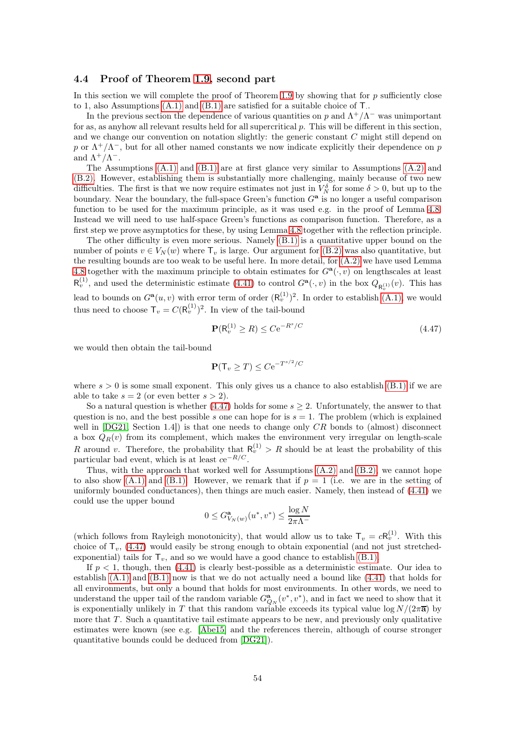#### <span id="page-53-0"></span>4.4 Proof of Theorem [1.9,](#page-5-0) second part

In this section we will complete the proof of Theorem [1.9](#page-5-0) by showing that for  $p$  sufficiently close to 1, also Assumptions  $(A.1)$  and  $(B.1)$  are satisfied for a suitable choice of  $T$ .

In the previous section the dependence of various quantities on p and  $\Lambda^+/\Lambda^-$  was unimportant for as, as anyhow all relevant results held for all supercritical  $p$ . This will be different in this section, and we change our convention on notation slightly: the generic constant C might still depend on p or  $\Lambda^+/\Lambda^-$ , but for all other named constants we now indicate explicitly their dependence on p and  $\Lambda^+/\Lambda^-$ .

The Assumptions [\(A.1\)](#page-2-1) and [\(B.1\)](#page-3-1) are at first glance very similar to Assumptions [\(A.2\)](#page-2-2) and [\(B.2\).](#page-3-3) However, establishing them is substantially more challenging, mainly because of two new difficulties. The first is that we now require estimates not just in  $V_N^{\delta}$  for some  $\delta > 0$ , but up to the boundary. Near the boundary, the full-space Green's function  $G^{\mathbf{a}}$  is no longer a useful comparison function to be used for the maximum principle, as it was used e.g. in the proof of Lemma [4.8.](#page-41-0) Instead we will need to use half-space Green's functions as comparison function. Therefore, as a first step we prove asymptotics for these, by using Lemma [4.8](#page-41-0) together with the reflection principle.

The other difficulty is even more serious. Namely [\(B.1\)](#page-3-1) is a quantitative upper bound on the number of points  $v \in V_N(w)$  where  $\mathsf{T}_v$  is large. Our argument for [\(B.2\)](#page-3-3) was also quantitative, but the resulting bounds are too weak to be useful here. In more detail, for [\(A.2\)](#page-2-2) we have used Lemma [4.8](#page-41-0) together with the maximum principle to obtain estimates for  $G^{\mathbf{a}}(\cdot,v)$  on lengthscales at least  $\mathsf{R}_{v}^{(1)}$ , and used the deterministic estimate [\(4.41\)](#page-49-1) to control  $G^{\mathbf{a}}(\cdot,v)$  in the box  $Q_{\mathsf{R}_{v}^{(1)}}(v)$ . This has lead to bounds on  $G^{\mathbf{a}}(u, v)$  with error term of order  $(\mathsf{R}_v^{(1)})^2$ . In order to establish  $(A.1)$ , we would thus need to choose  $\mathsf{T}_v = C(\mathsf{R}_v^{(1)})^2$ . In view of the tail-bound

<span id="page-53-1"></span>
$$
\mathbf{P}(\mathsf{R}_v^{(1)} \ge R) \le C \mathrm{e}^{-R^s/C} \tag{4.47}
$$

we would then obtain the tail-bound

$$
\mathbf{P}(\mathsf{T}_v \geq T) \leq C e^{-T^{s/2}/C}
$$

where  $s > 0$  is some small exponent. This only gives us a chance to also establish [\(B.1\)](#page-3-1) if we are able to take  $s = 2$  (or even better  $s > 2$ ).

So a natural question is whether [\(4.47\)](#page-53-1) holds for some  $s \geq 2$ . Unfortunately, the answer to that question is no, and the best possible s one can hope for is  $s = 1$ . The problem (which is explained well in  $[DG21, Section 1.4]$  is that one needs to change only  $CR$  bonds to (almost) disconnect a box  $Q_R(v)$  from its complement, which makes the environment very irregular on length-scale R around v. Therefore, the probability that  $R_v^{(1)} > R$  should be at least the probability of this particular bad event, which is at least  $ce^{-R/C}$ .

Thus, with the approach that worked well for Assumptions  $(A.2)$  and  $(B.2)$ , we cannot hope to also show [\(A.1\)](#page-2-1) and [\(B.1\).](#page-3-1) However, we remark that if  $p = 1$  (i.e. we are in the setting of uniformly bounded conductances), then things are much easier. Namely, then instead of [\(4.41\)](#page-49-1) we could use the upper bound

$$
0 \le G^{\mathbf{a}}_{V_N(w)}(u^*, v^*) \le \frac{\log N}{2\pi\Lambda^-}
$$

(which follows from Rayleigh monotonicity), that would allow us to take  $T_v = cR_v^{(1)}$ . With this choice of  $T_v$ , [\(4.47\)](#page-53-1) would easily be strong enough to obtain exponential (and not just stretchedexponential) tails for  $T_v$ , and so we would have a good chance to establish [\(B.1\).](#page-3-1)

If  $p < 1$ , though, then  $(4.41)$  is clearly best-possible as a deterministic estimate. Our idea to establish  $(A.1)$  and  $(B.1)$  now is that we do not actually need a bound like  $(4.41)$  that holds for all environments, but only a bound that holds for most environments. In other words, we need to understand the upper tail of the random variable  $G_{Q_N}^{\mathbf{a}}(v^*, v^*)$ , and in fact we need to show that it is exponentially unlikely in T that this random variable exceeds its typical value  $\log N/(2\pi\overline{a})$  by more that  $T$ . Such a quantitative tail estimate appears to be new, and previously only qualitative estimates were known (see e.g. [\[Abe15\]](#page-60-4) and the references therein, although of course stronger quantitative bounds could be deduced from [\[DG21\]](#page-61-19)).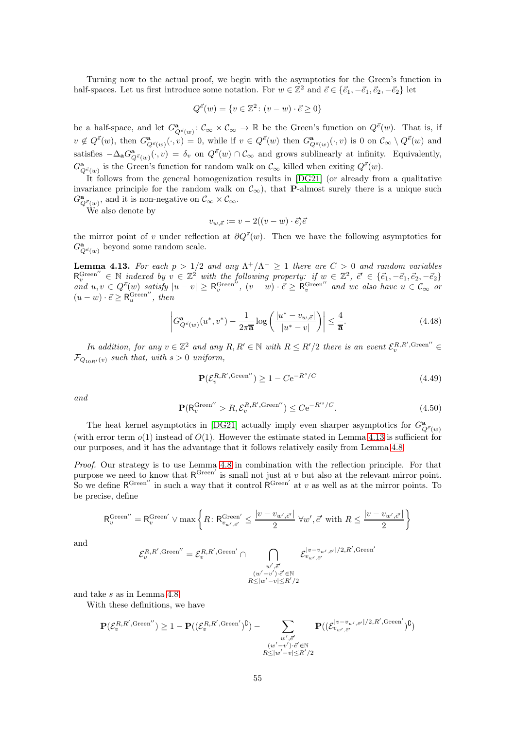Turning now to the actual proof, we begin with the asymptotics for the Green's function in half-spaces. Let us first introduce some notation. For  $w \in \mathbb{Z}^2$  and  $\vec{e} \in {\vec{e_1}, -\vec{e_1}, \vec{e_2}, -\vec{e_2}}$  let

$$
Q^{\vec{e}}(w) = \{ v \in \mathbb{Z}^2 \colon (v - w) \cdot \vec{e} \ge 0 \}
$$

be a half-space, and let  $G^{\mathbf{a}}_{Q^{\vec{e}}(w)}: \mathcal{C}_{\infty} \times \mathcal{C}_{\infty} \to \mathbb{R}$  be the Green's function on  $Q^{\vec{e}}(w)$ . That is, if  $v \notin Q^{\vec{e}}(w)$ , then  $G^{\mathbf{a}}_{Q^{\vec{e}}(w)}(\cdot, v) = 0$ , while if  $v \in Q^{\vec{e}}(w)$  then  $G^{\mathbf{a}}_{Q^{\vec{e}}(w)}(\cdot, v)$  is 0 on  $\mathcal{C}_{\infty} \setminus Q^{\vec{e}}(w)$  and satisfies  $-\Delta_{\mathbf{a}}G^{\mathbf{a}}_{Q^{\vec{e}}(w)}(\cdot,v) = \delta_v$  on  $Q^{\vec{e}}(w) \cap \mathcal{C}_{\infty}$  and grows sublinearly at infinity. Equivalently,  $G^{\mathbf{a}}_{Q^{\vec{e}}(w)}$  is the Green's function for random walk on  $\mathcal{C}_{\infty}$  killed when exiting  $Q^{\vec{e}}(w)$ .

It follows from the general homogenization results in [\[DG21\]](#page-61-19) (or already from a qualitative invariance principle for the random walk on  $\mathcal{C}_{\infty}$ ), that **P**-almost surely there is a unique such  $G^{\mathbf{a}}_{Q^{\vec{e}}(w)}$ , and it is non-negative on  $\mathcal{C}_{\infty} \times \mathcal{C}_{\infty}$ .

We also denote by

$$
v_{w,\vec{e}} := v - 2((v-w)\cdot\vec{e})\vec{e}
$$

the mirror point of v under reflection at  $\partial Q^{\vec{e}}(w)$ . Then we have the following asymptotics for  $G^{\mathbf{a}}_{Q^{\vec{\varepsilon}}(w)}$  beyond some random scale.

<span id="page-54-0"></span>**Lemma 4.13.** For each  $p > 1/2$  and any  $\Lambda^+/\Lambda^- \geq 1$  there are  $C > 0$  and random variables  $\mathsf{R}_{v}^{\text{Green}''} \in \mathbb{N}$  indexed by  $v \in \mathbb{Z}^{2}$  with the following property: if  $w \in \mathbb{Z}^{2}$ ,  $\vec{e}' \in {\vec{e_1}, -\vec{e_1}, \vec{e_2}, -\vec{e_2}}$ and  $u, v \in Q^{\vec{e}}(w)$  satisfy  $|u - v| \geq R_v^{\text{Green}''}, (v - w) \cdot \vec{e} \geq R_v^{\text{Green}''}$  and we also have  $u \in \mathcal{C}_{\infty}$  or  $(u - w) \cdot \vec{e} \geq R_u^{\text{Green}''}, \text{ then}$ 

<span id="page-54-3"></span>
$$
\left| G^{\mathbf{a}}_{Q^{\vec{e}}(w)}(u^*, v^*) - \frac{1}{2\pi \overline{\mathbf{a}}} \log \left( \frac{|u^* - v_{w, \vec{e}}|}{|u^* - v|} \right) \right| \le \frac{4}{\overline{\mathbf{a}}}.
$$
\n(4.48)

In addition, for any  $v \in \mathbb{Z}^2$  and any  $R, R' \in \mathbb{N}$  with  $R \leq R'/2$  there is an event  $\mathcal{E}_v^{R,R',\text{Green}''} \in$  $\mathcal{F}_{Q_{10R'}(v)}$  such that, with  $s > 0$  uniform,

<span id="page-54-1"></span>
$$
\mathbf{P}(\mathcal{E}_v^{R,R',\text{Green}'}) \ge 1 - C e^{-R^s/C} \tag{4.49}
$$

and

<span id="page-54-2"></span>
$$
\mathbf{P}(\mathsf{R}_v^{\text{Green}''} > R, \mathcal{E}_v^{R,R',\text{Green}''}) \le C e^{-R'^s/C}.\tag{4.50}
$$

The heat kernel asymptotics in [\[DG21\]](#page-61-19) actually imply even sharper asymptotics for  $G^{\mathbf{a}}_{Q^{\vec{e}}(w)}$ (with error term  $o(1)$  instead of  $O(1)$ . However the estimate stated in Lemma [4.13](#page-54-0) is sufficient for our purposes, and it has the advantage that it follows relatively easily from Lemma [4.8.](#page-41-0)

Proof. Our strategy is to use Lemma [4.8](#page-41-0) in combination with the reflection principle. For that purpose we need to know that  $R^{\text{Green}'}$  is small not just at v but also at the relevant mirror point. So we define  $\mathsf{R}^{\text{Green}'}$  in such a way that it control  $\mathsf{R}^{\text{Green}'}$  at v as well as at the mirror points. To be precise, define

$$
\mathsf{R}_{v}^{\mathrm{Green}''} = \mathsf{R}_{v}^{\mathrm{Green}'} \vee \max \left\{ R \colon \mathsf{R}_{v_{w',\vec{e}'}}^{\mathrm{Green}'} \leq \frac{|v - v_{w',\vec{e}'}|}{2} \; \forall w', \vec{e}' \text{ with } R \leq \frac{|v - v_{w',\vec{e}'}|}{2} \right\}
$$

and

$$
\mathcal{E}^{R,R',\mathrm{Green}''}_{v} = \mathcal{E}^{R,R',\mathrm{Green}'}_{v} \cap \bigcap_{\substack{w',\vec{e}'\\(w'-v')\cdot\vec{e}'\in\mathbb{N}\\R\leq |w'-v|\leq R'/2}} \mathcal{E}^{|v-v_{w',\vec{e}'}|/2,R',\mathrm{Green}'}
$$

and take s as in Lemma [4.8.](#page-41-0)

With these definitions, we have

$$
\mathbf{P}(\mathcal{E}_v^{R,R',\mathrm{Green}'}) \ge 1 - \mathbf{P}((\mathcal{E}_v^{R,R',\mathrm{Green}'})^{\complement}) - \sum_{\substack{w',\vec{e}' \\ R \le |w'-v'| \cdot \vec{e}' \in \mathbb{N} \\ R \le |w'-v| \le R'/2}} \mathbf{P}((\mathcal{E}_{v_{w',\vec{e}'}}^{|v-v_{w',\vec{e}'}|/2,R',\mathrm{Green}'})^{\complement})
$$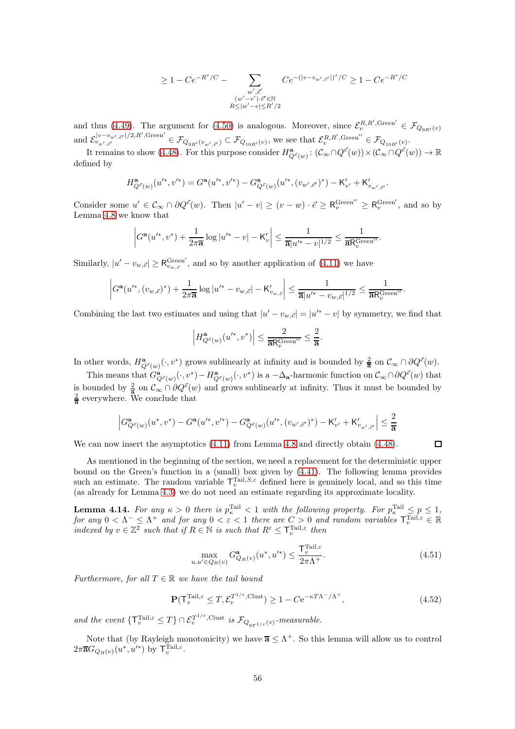$$
\geq 1 - C e^{-R^s/C} - \sum_{\substack{w',\vec{e}' \\ (w'-v')\cdot \vec{e}'\in \mathbb{N} \\ R\leq |w'-v|\leq R'/2}} C e^{-(|v-v_{w',\vec{e}'}|)^s/C} \geq 1 - C e^{-R^s/C}
$$

and thus [\(4.49\)](#page-54-1). The argument for [\(4.50\)](#page-54-2) is analogous. Moreover, since  $\mathcal{E}_v^{R,R',\text{Green}'} \in \mathcal{F}_{Q_{9R'}(v)}$ and  $\mathcal{E}_{v_{w',\vec{e}'}}^{|v-v_{w',\vec{e}'}|/2,R',\text{Green}'\,\in\mathcal{F}_{Q_{9R'}(v_{w',\vec{e}'})}\subset\mathcal{F}_{Q_{10R'}(v)}$ , we see that  $\mathcal{E}_{v}^{R,R',\text{Green}''}\in\mathcal{F}_{Q_{10R'}(v)}$ .

It remains to show [\(4.48\)](#page-54-3). For this purpose consider  $H^{\mathbf{a}}_{Q^{\vec{\epsilon}}(w)}: (\mathcal{C}_{\infty} \cap Q^{\vec{\epsilon}}(w)) \times (\mathcal{C}_{\infty} \cap Q^{\vec{\epsilon}}(w)) \to \mathbb{R}$ defined by

$$
H^{\bf a}_{Q^{\vec{e}}(w)}(u'^*,v'^*)=G^{\bf a}(u'^*,v'^*)-G^{\bf a}_{Q^{\vec{e}}(w)}(u'^*,(v_{w',\vec{e}'})^*)-{\sf K}'_{v'}+{\sf K}'_{v_{w',\vec{e}'}}.
$$

Consider some  $u' \in \mathcal{C}_{\infty} \cap \partial Q^{\vec{e}}(w)$ . Then  $|u'-v| \geq (v-w) \cdot \vec{e} \geq R_v^{\text{Green}'} \geq R_v^{\text{Green}'},$  and so by Lemma [4.8](#page-41-0) we know that

$$
\left|G^{\mathbf{a}}(u'^*, v^*) + \frac{1}{2\pi \overline{\mathbf{a}}}\log|u'^* - v| - \mathsf{K}_v'\right| \leq \frac{1}{\overline{\mathbf{a}}|u'^* - v|^{1/2}} \leq \frac{1}{\overline{\mathbf{a}}\mathsf{R}_v^{\text{Green}'}}.
$$

Similarly,  $|u'-v_{w,\vec{\epsilon}}| \geq R_{v_{w,\vec{\epsilon}}}^{\text{Green}'},$  and so by another application of [\(4.11\)](#page-41-2) we have

$$
\left|G^{\mathbf{a}}(u'^*, (v_{w,\vec{e}})^*) + \frac{1}{2\pi \overline{\mathbf{a}}}\log|u'^* - v_{w,\vec{e}}| - \mathsf{K}'_{v_{w,\vec{e}}}\right| \leq \frac{1}{\overline{\mathbf{a}}|u'^* - v_{w,\vec{e}}|^{1/2}} \leq \frac{1}{\overline{\mathbf{a}}\mathsf{R}_v^{\text{Green}''}}.
$$

Combining the last two estimates and using that  $|u' - v_{w,\vec{e}}| = |u'^* - v|$  by symmetry, we find that

$$
\left|H^{\mathbf{a}}_{Q^{\vec{e}}(w)}(u'^*, v^*)\right| \leq \frac{2}{\mathbf{a} \mathsf{R}_v^{\mathrm{Green}''}} \leq \frac{2}{\mathbf{a}}.
$$

In other words,  $H_{Q^{\vec{\varepsilon}}(w)}^{\mathbf{a}}(\cdot,v^*)$  grows sublinearly at infinity and is bounded by  $\frac{2}{\mathbf{a}}$  on  $\mathcal{C}_{\infty} \cap \partial Q^{\vec{\varepsilon}}(w)$ .

This means that  $G^{\mathbf{a}}_{Q^{\vec{e}}(w)}(\cdot, v^*) - H^{\mathbf{a}}_{Q^{\vec{e}}(w)}(\cdot, v^*)$  is a  $-\Delta_{\mathbf{a}}$ -harmonic function on  $\mathcal{C}_{\infty} \cap \partial Q^{\vec{e}}(w)$  that is bounded by  $\frac{2}{\overline{a}}$  on  $\mathcal{C}_{\infty} \cap \partial Q^{\vec{e}}(w)$  and grows sublinearly at infinity. Thus it must be bounded by  $\frac{2}{\overline{a}}$  everywhere. We conclude that

$$
\Big|G^{\bf a}_{Q^{\vec{e}}(w)}(u^*,v^*)-G^{\bf a}(u'^*,v'^*)-G^{\bf a}_{Q^{\vec{e}}(w)}(u'^*,(v_{w',\vec{e}'})^*)-{\sf K}'_{v'}+{\sf K}'_{v_{w',\vec{e}'}}\Big|\leq \frac{2}{\overline{\bf a}}
$$

We can now insert the asymptotics  $(4.11)$  from Lemma [4.8](#page-41-0) and directly obtain  $(4.48)$ .

As mentioned in the beginning of the section, we need a replacement for the deterministic upper bound on the Green's function in a (small) box given by [\(4.41\)](#page-49-1). The following lemma provides such an estimate. The random variable  $\mathsf{T}_{v}^{\text{Tail},S,\varepsilon}$  defined here is genuinely local, and so this time (as already for Lemma [4.3\)](#page-38-7) we do not need an estimate regarding its approximate locality.

<span id="page-55-0"></span>**Lemma 4.14.** For any  $\kappa > 0$  there is  $p_{\kappa}^{\text{Tail}} < 1$  with the following property. For  $p_{\kappa}^{\text{Tail}} \leq p \leq 1$ , for any  $0 < \Lambda^{-} \leq \Lambda^{+}$  and for any  $0 < \varepsilon < 1$  there are  $C > 0$  and random variables  $\mathsf{T}_{v}^{\text{Tail},\varepsilon} \in \mathbb{R}$ indexed by  $v \in \mathbb{Z}^2$  such that if  $R \in \mathbb{N}$  is such that  $R^{\varepsilon} \leq \mathsf{T}_v^{\text{Tail},\varepsilon}$  then

$$
\max_{u, u' \in Q_R(v)} G^{\mathbf{a}}_{Q_R(v)}(u^*, u'^*) \le \frac{\mathsf{T}^{\text{Tail}, \varepsilon}_v}{2\pi \Lambda^+}.
$$
\n(4.51)

Furthermore, for all  $T \in \mathbb{R}$  we have the tail bound

<span id="page-55-1"></span>
$$
\mathbf{P}(\mathbf{T}_v^{\text{Tail},\varepsilon} \le T, \mathcal{E}_v^{T^{1/\varepsilon}, \text{Clust}}) \ge 1 - C e^{-\kappa T \Lambda^{-}/\Lambda^{+}},\tag{4.52}
$$

and the event  $\{T_v^{\text{Tail},\varepsilon} \leq T\} \cap \mathcal{E}_v^{T^{1/\varepsilon},\text{Clust}}$  is  $\mathcal{F}_{Q_{9T^{1/\varepsilon}}(v)}$ -measurable.

Note that (by Rayleigh monotonicity) we have  $\overline{\mathbf{a}} \leq \Lambda^+$ . So this lemma will allow us to control  $2\pi \overline{\mathbf{a}}G_{Q_R(v)}(u^*,u'^*)$  by  $\mathsf{T}_v^{\text{Tail},\varepsilon}$ .

 $\Box$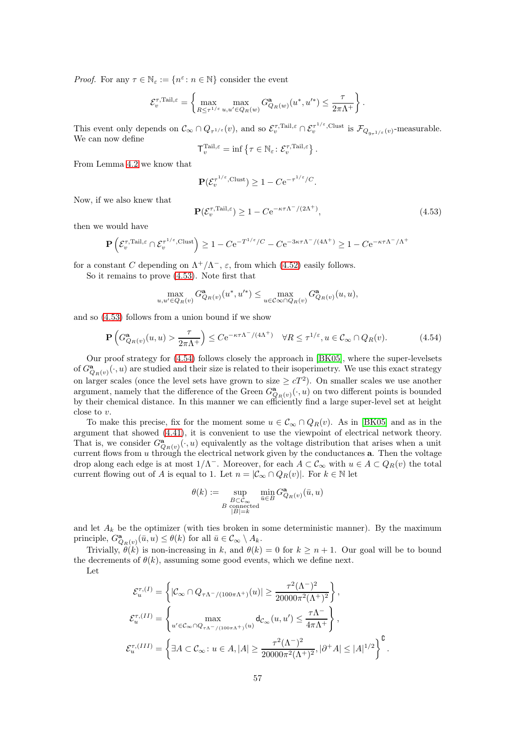*Proof.* For any  $\tau \in \mathbb{N}_{\varepsilon} := \{n^{\varepsilon} \colon n \in \mathbb{N}\}$  consider the event

$$
\mathcal{E}_{v}^{\tau,\mathrm{Tail},\varepsilon} = \left\{\max_{R \leq \tau^{1/\varepsilon}} \max_{u,u' \in Q_{R}(w)} G_{Q_{R}(w)}^{a}(u^*,u'^*) \leq \frac{\tau}{2\pi\Lambda^+}\right\}.
$$

This event only depends on  $\mathcal{C}_{\infty} \cap Q_{\tau^{1/\varepsilon}}(v)$ , and so  $\mathcal{E}_{v}^{\tau,\text{Tail},\varepsilon} \cap \mathcal{E}_{v}^{\tau^{1/\varepsilon},\text{Clust}}$  is  $\mathcal{F}_{Q_{9\tau^{1/\varepsilon}}(v)}$ -measurable. We can now define

$$
\mathsf{T}_{v}^{\text{Tail},\varepsilon} = \inf \left\{ \tau \in \mathbb{N}_{\varepsilon} \colon \mathcal{E}_{v}^{\tau,\text{Tail},\varepsilon} \right\}
$$

From Lemma [4.2](#page-38-1) we know that

$$
\mathbf{P}(\mathcal{E}_v^{\tau^{1/\varepsilon},\mathrm{Clust}}) \ge 1 - C e^{-\tau^{1/\varepsilon}/C}.
$$

Now, if we also knew that

<span id="page-56-0"></span>
$$
\mathbf{P}(\mathcal{E}_v^{\tau,\text{Tail},\varepsilon}) \ge 1 - C e^{-\kappa \tau \Lambda^-/(2\Lambda^+)},\tag{4.53}
$$

.

then we would have

$$
\mathbf{P}\left(\mathcal{E}_v^{\tau,\mathrm{Tail},\varepsilon} \cap \mathcal{E}_v^{\tau^{1/\varepsilon},\mathrm{Clust}}\right) \ge 1-C\mathrm{e}^{-T^{1/\varepsilon}/C} - C\mathrm{e}^{-3\kappa\tau\Lambda^-/(4\Lambda^+)} \ge 1-C\mathrm{e}^{-\kappa\tau\Lambda^-/\Lambda^+}
$$

for a constant C depending on  $\Lambda^+/\Lambda^-$ ,  $\varepsilon$ , from which [\(4.52\)](#page-55-1) easily follows.

So it remains to prove [\(4.53\)](#page-56-0). Note first that

$$
\max_{u,u' \in Q_R(v)} G^{\mathbf{a}}_{Q_R(v)}(u^*,u'^*) \le \max_{u \in \mathcal{C} \infty \cap Q_R(v)} G^{\mathbf{a}}_{Q_R(v)}(u,u),
$$

and so [\(4.53\)](#page-56-0) follows from a union bound if we show

<span id="page-56-1"></span>
$$
\mathbf{P}\left(G_{Q_R(v)}^{\mathbf{a}}(u,u) > \frac{\tau}{2\pi\Lambda^+}\right) \le C e^{-\kappa\tau\Lambda^-/(4\Lambda^+)} \quad \forall R \le \tau^{1/\varepsilon}, u \in \mathcal{C}_{\infty} \cap Q_R(v). \tag{4.54}
$$

Our proof strategy for [\(4.54\)](#page-56-1) follows closely the approach in [\[BK05\]](#page-61-21), where the super-levelsets of  $G^{\mathbf{a}}_{Q_R(v)}(\cdot, u)$  are studied and their size is related to their isoperimetry. We use this exact strategy on larger scales (once the level sets have grown to size  $\geq cT^2$ ). On smaller scales we use another argument, namely that the difference of the Green  $G^{\mathbf{a}}_{Q_R(v)}(\cdot, u)$  on two different points is bounded by their chemical distance. In this manner we can efficiently find a large super-level set at height close to v.

To make this precise, fix for the moment some  $u \in C_{\infty} \cap Q_{R}(v)$ . As in [\[BK05\]](#page-61-21) and as in the argument that showed [\(4.41\)](#page-49-1), it is convenient to use the viewpoint of electrical network theory. That is, we consider  $G_{Q_R(v)}^{\mathbf{a}}(\cdot, u)$  equivalently as the voltage distribution that arises when a unit current flows from  $u$  through the electrical network given by the conductances  $a$ . Then the voltage drop along each edge is at most  $1/\Lambda^-$ . Moreover, for each  $A \subset \mathcal{C}_{\infty}$  with  $u \in A \subset Q_R(v)$  the total current flowing out of A is equal to 1. Let  $n = |\mathcal{C}_{\infty} \cap Q_{R}(v)|$ . For  $k \in \mathbb{N}$  let

$$
\theta(k) := \sup_{\substack{B \subset \mathcal{C}_{\infty} \\ B \text{ connected} \\ |B| = k}} \min_{\bar{u} \in B} G^{\mathbf{a}}_{Q_R(v)}(\bar{u}, u)
$$

and let  $A_k$  be the optimizer (with ties broken in some deterministic manner). By the maximum principle,  $G^{\mathbf{a}}_{Q_R(v)}(\bar{u}, u) \leq \theta(k)$  for all  $\bar{u} \in \mathcal{C}_{\infty} \setminus A_k$ .

Trivially,  $\hat{\theta}(k)$  is non-increasing in k, and  $\theta(k) = 0$  for  $k \geq n + 1$ . Our goal will be to bound the decrements of  $\theta(k)$ , assuming some good events, which we define next.

Let

$$
\mathcal{E}_u^{\tau,(I)} = \left\{ |\mathcal{C}_{\infty} \cap Q_{\tau \Lambda^-/(100\pi\Lambda^+)}(u)| \ge \frac{\tau^2 (\Lambda^-)^2}{20000\pi^2 (\Lambda^+)^2} \right\},
$$
  

$$
\mathcal{E}_u^{\tau,(II)} = \left\{ \max_{u' \in \mathcal{C}_{\infty} \cap Q_{\tau \Lambda^-/(100\pi\Lambda^+)}(u)} d_{\mathcal{C}_{\infty}}(u, u') \le \frac{\tau \Lambda^-}{4\pi \Lambda^+} \right\},
$$
  

$$
\mathcal{E}_u^{\tau,(III)} = \left\{ \exists A \subset \mathcal{C}_{\infty} : u \in A, |A| \ge \frac{\tau^2 (\Lambda^-)^2}{20000\pi^2 (\Lambda^+)^2}, |\partial^+ A| \le |A|^{1/2} \right\}^{\complement}.
$$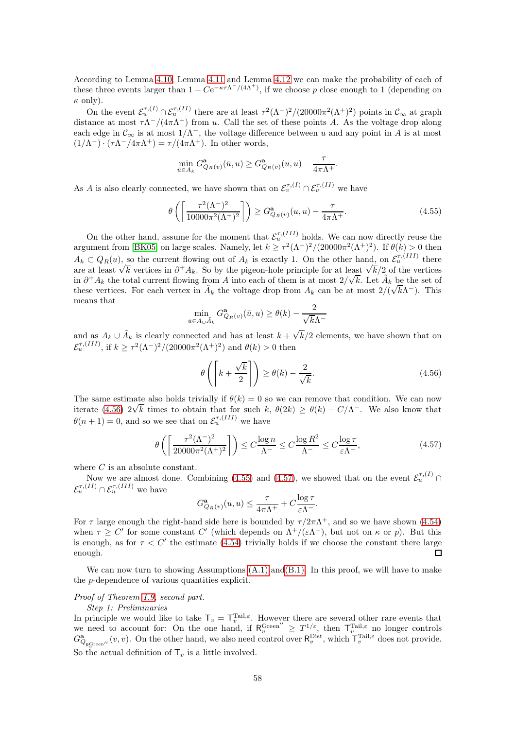According to Lemma [4.10,](#page-52-2) Lemma [4.11](#page-52-3) and Lemma [4.12](#page-52-4) we can make the probability of each of these three events larger than  $1 - Ce^{-\kappa \tau \Lambda^{-}/(4\Lambda^{+})}$ , if we choose p close enough to 1 (depending on  $\kappa$  only).

On the event  $\mathcal{E}_u^{\tau,(I)} \cap \mathcal{E}_u^{\tau,(II)}$  there are at least  $\tau^2(\Lambda^-)^2/(20000\pi^2(\Lambda^+)^2)$  points in  $\mathcal{C}_{\infty}$  at graph distance at most  $\tau \Lambda^{-}/(4\pi \Lambda^{+})$  from u. Call the set of these points A. As the voltage drop along each edge in  $\mathcal{C}_{\infty}$  is at most  $1/\Lambda^{-}$ , the voltage difference between u and any point in A is at most  $(1/\Lambda^-) \cdot (\tau \Lambda^- / 4\pi \Lambda^+) = \tau / (4\pi \Lambda^+)$ . In other words,

$$
\min_{\bar{u}\in A_k} G^{\mathbf{a}}_{Q_R(v)}(\bar{u},u) \geq G^{\mathbf{a}}_{Q_R(v)}(u,u) - \frac{\tau}{4\pi\Lambda^+}.
$$

As A is also clearly connected, we have shown that on  $\mathcal{E}_v^{\tau,(I)} \cap \mathcal{E}_v^{\tau,(II)}$  we have

<span id="page-57-1"></span>
$$
\theta\left(\left\lceil \frac{\tau^2 (\Lambda^-)^2}{10000\pi^2 (\Lambda^+)^2} \right\rceil \right) \ge G_{Q_R(v)}^{\mathbf{a}}(u, u) - \frac{\tau}{4\pi \Lambda^+}.
$$
\n(4.55)

On the other hand, assume for the moment that  $\mathcal{E}_u^{\tau,(III)}$  holds. We can now directly reuse the argument from [\[BK05\]](#page-61-21) on large scales. Namely, let  $k \ge \tau^2 (\Lambda^{-})^2 / (20000\pi^2 (\Lambda^{+})^2)$ . If  $\theta(k) > 0$  then  $A_k \subset Q_R(u)$ , so the current flowing out of  $A_k$  is exactly 1. On the other hand, on  $\mathcal{E}_u^{\tau,(III)}$  there are at least  $\sqrt{k}$  vertices in  $\partial^+ A_k$ . So by the pigeon-hole principle for at least  $\sqrt{k}/2$  of the vertices in  $\partial^+ A_k$  the total current flowing from A into each of them is at most  $2/\sqrt{k}$ . Let  $\tilde{A}_k$  be the set of these vertices. For each vertex in  $\tilde{A}_k$  the voltage drop from  $A_k$  can be at most  $2/(\sqrt{k}\Lambda^{-})$ . This means that

$$
\min_{\bar{u}\in A_{\cup}\tilde{A}_k} G^{\mathbf{a}}_{Q_R(v)}(\bar{u}, u) \ge \theta(k) - \frac{2}{\sqrt{k}\Lambda^-}
$$

and as  $A_k \cup \tilde{A}_k$  is clearly connected and has at least  $k + \sqrt{k}/2$  elements, we have shown that on  $\mathcal{E}_u^{\tau,(III)}$ , if  $k \ge \tau^2 (\Lambda^-)^2 / (20000\pi^2 (\Lambda^+)^2)$  and  $\theta(k) > 0$  then

<span id="page-57-0"></span>
$$
\theta\left(\left[k+\frac{\sqrt{k}}{2}\right]\right) \ge \theta(k) - \frac{2}{\sqrt{k}}.\tag{4.56}
$$

The same estimate also holds trivially if  $\theta(k) = 0$  so we can remove that condition. We can now iterate [\(4.56\)](#page-57-0)  $2\sqrt{k}$  times to obtain that for such k,  $\theta(2k) \ge \theta(k) - C/\Lambda^{-}$ . We also know that  $\theta(n+1) = 0$ , and so we see that on  $\mathcal{E}_u^{\tau,(III)}$  we have

$$
\theta\left(\left\lceil \frac{\tau^2 (\Lambda^-)^2}{20000\pi^2 (\Lambda^+)^2} \right\rceil \right) \le C \frac{\log n}{\Lambda^-} \le C \frac{\log R^2}{\Lambda^-} \le C \frac{\log \tau}{\varepsilon \Lambda^-},\tag{4.57}
$$

<span id="page-57-2"></span>where  $C$  is an absolute constant.

Now we are almost done. Combining [\(4.55\)](#page-57-1) and [\(4.57\)](#page-57-2), we showed that on the event  $\mathcal{E}_u^{\tau,(I)}$  $\mathcal{E}_u^{\tau,(II)} \cap \mathcal{E}_u^{\tau,(III)}$  we have

$$
G_{Q_R(v)}^{\mathbf{a}}(u,u) \le \frac{\tau}{4\pi\Lambda^+} + C \frac{\log \tau}{\varepsilon\Lambda^-}.
$$

For  $\tau$  large enough the right-hand side here is bounded by  $\tau/2\pi\Lambda^{+}$ , and so we have shown [\(4.54\)](#page-56-1) when  $\tau \geq C'$  for some constant C' (which depends on  $\Lambda^+/(\varepsilon\Lambda^-)$ , but not on  $\kappa$  or p). But this is enough, as for  $\tau < C'$  the estimate [\(4.54\)](#page-56-1) trivially holds if we choose the constant there large enough.  $\Box$ 

We can now turn to showing Assumptions  $(A.1)$  and  $(B.1)$ . In this proof, we will have to make the p-dependence of various quantities explicit.

### Proof of Theorem [1.9,](#page-5-0) second part.

#### Step 1: Preliminaries

In principle we would like to take  $\mathsf{T}_v = \mathsf{T}_v^{\text{Tail},\varepsilon}$ . However there are several other rare events that we need to account for: On the one hand, if  $R_v^{\text{Green}''} \geq T_{\text{odd}}^{1/\varepsilon}$ , then  $T_v^{\text{Tail},\varepsilon}$  no longer controls  $G^{\mathbf{a}}_{Q_{\mathsf{R}_{v}^{\text{Green}'}}}(v, v)$ . On the other hand, we also need control over  $\mathsf{R}_{v}^{\text{Dist}}$ , which  $\mathsf{T}_{v}^{\text{Tail}, \varepsilon}$  does not provide. So the actual definition of  $\mathsf{T}_v$  is a little involved.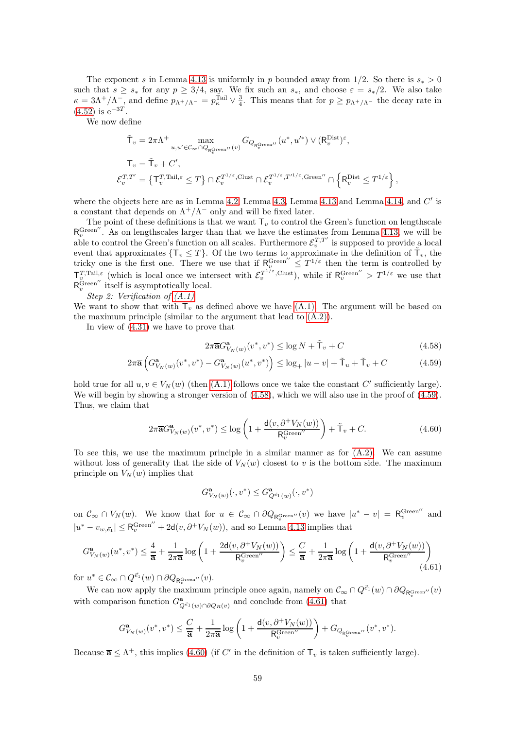The exponent s in Lemma [4.13](#page-54-0) is uniformly in p bounded away from 1/2. So there is  $s_* > 0$ such that  $s \geq s_*$  for any  $p \geq 3/4$ , say. We fix such an  $s_*,$  and choose  $\varepsilon = s_*/2$ . We also take  $\kappa = 3\Lambda^+/\Lambda^-$ , and define  $p_{\Lambda^+/\Lambda^-} = p_{\kappa}^{\text{Tail}} \vee \frac{3}{4}$ . This means that for  $p \ge p_{\Lambda^+/\Lambda^-}$  the decay rate in  $(4.52)$  is  $e^{-3T}$ .

We now define

$$
\begin{aligned} &\tilde{\mathsf{T}}_v = 2\pi\Lambda^+ \max_{u,u'\in\mathcal{C}_\infty\cap Q_{\mathsf{R}_v^\mathsf{Green}}(v)} G_{Q_{\mathsf{R}_v^\mathsf{Green}}(v)}(u^*,u'^*) \vee (\mathsf{R}_v^\mathsf{Dist})^\varepsilon, \\ &\mathsf{T}_v = \tilde{\mathsf{T}}_v + C', \\ &\mathcal{E}_v^{T,T'} = \left\{ \mathsf{T}_v^{T,\mathsf{Tail},\varepsilon} \leq T \right\} \cap \mathcal{E}_v^{T^{1/\varepsilon},\mathsf{Clust}} \cap \mathcal{E}_v^{T^{1/\varepsilon},T'^{1/\varepsilon},\mathsf{Green}''} \cap \left\{ \mathsf{R}_v^\mathsf{Dist} \leq T^{1/\varepsilon} \right\}, \end{aligned}
$$

where the objects here are as in Lemma [4.2,](#page-38-1) Lemma [4.3,](#page-38-7) Lemma [4.13](#page-54-0) and Lemma [4.14,](#page-55-0) and  $C'$  is a constant that depends on  $\Lambda^+/\Lambda^-$  only and will be fixed later.

The point of these definitions is that we want  $\mathsf{T}_v$  to control the Green's function on lengthscale  $R_v^{\text{Green}'}$ . As on lengthscales larger than that we have the estimates from Lemma [4.13,](#page-54-0) we will be able to control the Green's function on all scales. Furthermore  $\mathcal{E}_v^{T,T'}$  is supposed to provide a local event that approximates  $\{\mathsf{T}_v \leq T\}$ . Of the two terms to approximate in the definition of  $\tilde{\mathsf{T}}_v$ , the tricky one is the first one. There we use that if  $R_{i}^{\text{Green''}} \leq T^{1/\varepsilon}$  then the term is controlled by  $\mathsf{T}_{v}^{T,\text{Tail},\varepsilon}$  (which is local once we intersect with  $\mathcal{E}_{v}^{T^{1/\varepsilon},\text{Clust}}$ ), while if  $\mathsf{R}_{v}^{\text{Green''}} > T^{1/\varepsilon}$  we use that  $\mathsf{R}_{v}^{\text{Green''}}$  itself is asymptotically local.

Step 2: Verification of [\(A.1\)](#page-2-1)

We want to show that with  $T_v$  as defined above we have  $(A.1)$ . The argument will be based on the maximum principle (similar to the argument that lead to [\(A.2\)\)](#page-2-2).

In view of [\(4.31\)](#page-47-2) we have to prove that

<span id="page-58-1"></span><span id="page-58-0"></span>
$$
2\pi \overline{\mathbf{a}} G_{V_N(w)}^{\mathbf{a}}(v^*, v^*) \le \log N + \tilde{\mathsf{T}}_v + C \tag{4.58}
$$

$$
2\pi \overline{\mathbf{a}} \left( G_{V_N(w)}^{\mathbf{a}}(v^*, v^*) - G_{V_N(w)}^{\mathbf{a}}(u^*, v^*) \right) \le \log_+ |u - v| + \tilde{\mathsf{T}}_u + \tilde{\mathsf{T}}_v + C \tag{4.59}
$$

hold true for all  $u, v \in V_N(w)$  (then  $(A.1)$  follows once we take the constant C' sufficiently large). We will begin by showing a stronger version of  $(4.58)$ , which we will also use in the proof of  $(4.59)$ . Thus, we claim that

<span id="page-58-3"></span>
$$
2\pi \overline{\mathbf{a}}G_{V_N(w)}^{\mathbf{a}}(v^*, v^*) \le \log \left(1 + \frac{\mathsf{d}(v, \partial^+ V_N(w))}{\mathsf{R}_v^{\text{Green}''}}\right) + \tilde{\mathsf{T}}_v + C. \tag{4.60}
$$

To see this, we use the maximum principle in a similar manner as for [\(A.2\).](#page-2-2) We can assume without loss of generality that the side of  $V_N(w)$  closest to v is the bottom side. The maximum principle on  $V_N(w)$  implies that

$$
G^{\mathbf{a}}_{V_N(w)}(\cdot, v^*) \leq G^{\mathbf{a}}_{Q^{\vec{e}_1}(w)}(\cdot, v^*)
$$

on  $\mathcal{C}_{\infty} \cap V_N(w)$ . We know that for  $u \in \mathcal{C}_{\infty} \cap \partial Q_{\mathsf{R}_{v}^{\text{Green''}}}(v)$  we have  $|u^* - v| = \mathsf{R}_{v}^{\text{Green''}}$  and  $|u^* - v_{w, \vec{e}_1}| \leq \mathsf{R}_{v}^{\text{Green}''} + 2\mathsf{d}(v, \partial^{+}V_N(w))$ , and so Lemma [4.13](#page-54-0) implies that

<span id="page-58-2"></span>
$$
G_{V_N(w)}^{\mathbf{a}}(u^*, v^*) \le \frac{4}{\mathbf{a}} + \frac{1}{2\pi\overline{\mathbf{a}}}\log\left(1 + \frac{2\mathbf{d}(v, \partial^+V_N(w))}{\mathbf{R}_v^{\text{Green}''}}\right) \le \frac{C}{\overline{\mathbf{a}}} + \frac{1}{2\pi\overline{\mathbf{a}}}\log\left(1 + \frac{\mathbf{d}(v, \partial^+V_N(w))}{\mathbf{R}_v^{\text{Green}''}}\right) \tag{4.61}
$$

for  $u^* \in \mathcal{C}_{\infty} \cap Q^{\vec{e}_1}(w) \cap \partial Q_{\mathsf{R}_{v}^{\mathsf{Green}\prime\prime}}(v)$ .

We can now apply the maximum principle once again, namely on  $\mathcal{C}_{\infty} \cap Q^{\vec{e}_1}(w) \cap \partial Q_{\mathsf{R}_{v}^{\text{Green}\prime}}(v)$ with comparison function  $G^{\mathbf{a}}_{Q^{\vec{e}}(w)\cap \partial Q_R(v)}$  and conclude from [\(4.61\)](#page-58-2) that

$$
G_{V_N(w)}^{\mathbf{a}}(v^*, v^*) \leq \frac{C}{\overline{\mathbf{a}}} + \frac{1}{2\pi \overline{\mathbf{a}}}\log\left(1 + \frac{\mathsf{d}(v, \partial^+V_N(w))}{\mathsf{R}_v^{\mathrm{Green}''}}\right) + G_{Q_{\mathsf{R}_v^{\mathrm{Green}''}}}(v^*, v^*).
$$

Because  $\overline{\mathbf{a}} \leq \Lambda^+$ , this implies [\(4.60\)](#page-58-3) (if C' in the definition of  $\mathsf{T}_v$  is taken sufficiently large).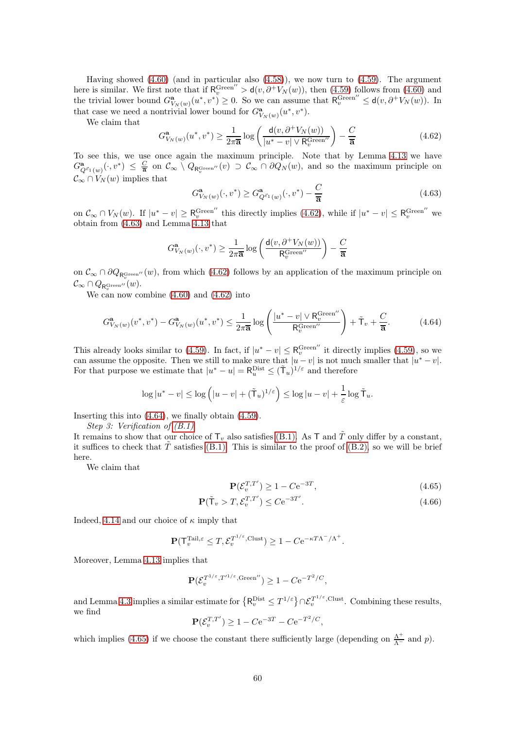Having showed  $(4.60)$  (and in particular also  $(4.58)$ ), we now turn to  $(4.59)$ . The argument here is similar. We first note that if  $R_v^{\text{Green}''} > d(v, \partial^+ V_N(w))$ , then [\(4.59\)](#page-58-1) follows from [\(4.60\)](#page-58-3) and the trivial lower bound  $G_{V_N(w)}^{\mathbf{a}}(u^*, v^*) \geq 0$ . So we can assume that  $\mathsf{R}_v^{\text{Green}''} \leq \mathsf{d}(v, \partial^+V_N(w))$ . In that case we need a nontrivial lower bound for  $G^{\mathbf{a}}_{V_N(w)}(u^*, v^*)$ .

We claim that

<span id="page-59-0"></span>
$$
G_{V_N(w)}^{\mathbf{a}}(u^*, v^*) \ge \frac{1}{2\pi \overline{\mathbf{a}}} \log \left( \frac{\mathbf{d}(v, \partial^+ V_N(w))}{|u^* - v| \vee \mathsf{R}_v^{\text{Green}''}} \right) - \frac{C}{\overline{\mathbf{a}}} \tag{4.62}
$$

To see this, we use once again the maximum principle. Note that by Lemma [4.13](#page-54-0) we have  $G^{\mathbf{a}}_{Q^{\vec{e}_1}(w)}(\cdot, v^*) \leq \frac{C}{\overline{\mathbf{a}}}$  on  $\mathcal{C}_{\infty} \setminus Q_{\mathsf{R}_{v}^{\text{Green}}}(v) \supset \mathcal{C}_{\infty} \cap \partial Q_N(w)$ , and so the maximum principle on  $\mathcal{C}_{\infty} \cap V_N(w)$  implies that

<span id="page-59-1"></span>
$$
G_{V_N(w)}^{\mathbf{a}}(\cdot, v^*) \ge G_{Q^{\vec{e}_1}(w)}^{\mathbf{a}}(\cdot, v^*) - \frac{C}{\overline{\mathbf{a}}}
$$
\n(4.63)

on  $\mathcal{C}_{\infty} \cap V_N(w)$ . If  $|u^* - v| \geq R_v^{\text{Green}''}$  this directly implies [\(4.62\)](#page-59-0), while if  $|u^* - v| \leq R_v^{\text{Green}''}$  we obtain from [\(4.63\)](#page-59-1) and Lemma [4.13](#page-54-0) that

$$
G^{\mathbf{a}}_{V_N(w)}(\cdot,v^*) \geq \frac{1}{2\pi \mathbf{\overline{a}}}\log \left(\frac{\mathsf{d}(v,\partial^+V_N(w))}{\mathsf{R}_v^{\mathrm{Green}''}}\right) - \frac{C}{\mathbf{\overline{a}}}
$$

on  $\mathcal{C}_{\infty} \cap \partial Q_{R_v^{\text{Green}}''}(w)$ , from which [\(4.62\)](#page-59-0) follows by an application of the maximum principle on  $\mathcal{C}_\infty \cap Q_{\mathsf{R}_v^{\mathrm{Green} \prime \prime}}(w).$ 

We can now combine [\(4.60\)](#page-58-3) and [\(4.62\)](#page-59-0) into

<span id="page-59-2"></span>
$$
G_{V_N(w)}^{\mathbf{a}}(v^*, v^*) - G_{V_N(w)}^{\mathbf{a}}(u^*, v^*) \le \frac{1}{2\pi\overline{\mathbf{a}}}\log\left(\frac{|u^* - v| \vee \mathsf{R}_v^{\text{Green}''}}{\mathsf{R}_v^{\text{Green}''}}\right) + \tilde{\mathsf{T}}_v + \frac{C}{\overline{\mathbf{a}}}.\tag{4.64}
$$

This already looks similar to [\(4.59\)](#page-58-1). In fact, if  $|u^* - v| \leq R_v^{\text{Green}''}$  it directly implies (4.59), so we can assume the opposite. Then we still to make sure that  $|u - v|$  is not much smaller that  $|u^* - v|$ . For that purpose we estimate that  $|u^* - u| = \mathsf{R}_u^{\text{Dist}} \leq (\tilde{\mathsf{T}}_u)^{1/\varepsilon}$  and therefore

$$
\log|u^*-v| \leq \log\left(|u-v| + (\tilde{T}_u)^{1/\varepsilon}\right) \leq \log|u-v| + \frac{1}{\varepsilon}\log \tilde{T}_u.
$$

Inserting this into [\(4.64\)](#page-59-2), we finally obtain [\(4.59\)](#page-58-1).

Step 3: Verification of [\(B.1\)](#page-3-1)

It remains to show that our choice of  $\mathsf{T}_v$  also satisfies [\(B.1\).](#page-3-1) As  $\mathsf{T}$  and  $\tilde{T}$  only differ by a constant, it suffices to check that  $\hat{T}$  satisfies [\(B.1\).](#page-3-1) This is similar to the proof of [\(B.2\),](#page-3-3) so we will be brief here.

We claim that

<span id="page-59-4"></span><span id="page-59-3"></span>
$$
\mathbf{P}(\mathcal{E}_v^{T,T'}) \ge 1 - C e^{-3T},\tag{4.65}
$$

$$
\mathbf{P}(\tilde{\mathbf{T}}_v > T, \mathcal{E}_v^{T,T'}) \le C e^{-3T'}.
$$
\n(4.66)

Indeed, [4.14](#page-55-0) and our choice of  $\kappa$  imply that

$$
\mathbf{P}(\mathsf{T}_v^{\text{Tail},\varepsilon} \leq T, \mathcal{E}_v^{\mathsf{T}^{1/\varepsilon},\text{Clust}}) \geq 1 - C e^{-\kappa T \Lambda^{-}/\Lambda^{+}}.
$$

Moreover, Lemma [4.13](#page-54-0) implies that

$$
\mathbf{P}(\mathcal{E}_v^{T^{1/\varepsilon},T'^{1/\varepsilon},\text{Green}'}) \ge 1 - C e^{-T^2/C},
$$

and Lemma [4.3](#page-38-7) implies a similar estimate for  $\{R_v^{\text{Dist}} \leq T^{1/\varepsilon}\}\cap \mathcal{E}_v^{T^{1/\varepsilon}, \text{Clust}}$ . Combining these results, we find

$$
\mathbf{P}(\mathcal{E}_v^{T,T'}) \ge 1 - C e^{-3T} - C e^{-T^2/C},
$$

which implies [\(4.65\)](#page-59-3) if we choose the constant there sufficiently large (depending on  $\frac{\Lambda^{+}}{\Lambda^{-}}$  and p).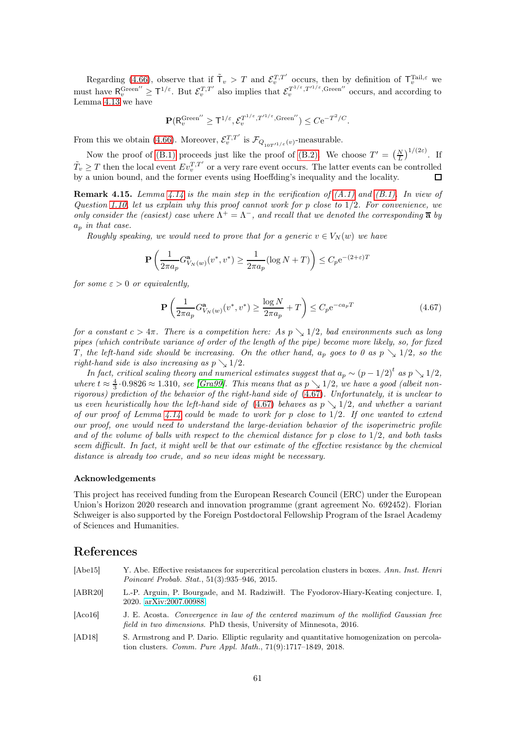Regarding [\(4.66\)](#page-59-4), observe that if  $\tilde{T}_v > T$  and  $\mathcal{E}_v^{T,T'}$  occurs, then by definition of  $\mathsf{T}_v^{\text{Tail},\varepsilon}$  we must have  $\mathsf{R}_{v}^{\text{Green''}} \geq \mathsf{T}^{1/\varepsilon}$ . But  $\mathcal{E}_{v}^{T,T'}$  also implies that  $\mathcal{E}_{v}^{T^{1/\varepsilon},T^{1/\varepsilon},\text{Green''}}$  occurs, and according to Lemma [4.13](#page-54-0) we have

$$
\mathbf{P}(\mathsf{R}_v^{\mathrm{Green}''} \geq \mathsf{T}^{1/\varepsilon}, \mathcal{E}_v^{T^{1/\varepsilon}, T'^{1/\varepsilon}, \mathrm{Green}''}) \leq C \mathrm{e}^{-T^2/C}.
$$

From this we obtain [\(4.66\)](#page-59-4). Moreover,  $\mathcal{E}_v^{T,T'}$  is  $\mathcal{F}_{Q_{10T'^{1/\varepsilon}}(v)}$ -measurable.

Now the proof of [\(B.1\)](#page-3-1) proceeds just like the proof of [\(B.2\).](#page-3-3) We choose  $T' = \left(\frac{N}{L}\right)^{1/(2\varepsilon)}$ . If  $\tilde{T}_v \geq T$  then the local event  $Ev_v^{T,T'}$  or a very rare event occurs. The latter events can be controlled by a union bound, and the former events using Hoeffding's inequality and the locality.  $\Box$ 

<span id="page-60-1"></span>**Remark 4.15.** Lemma [4.14](#page-55-0) is the main step in the verification of  $(A.1)$  and  $(B.1)$ . In view of Question [1.10,](#page-6-0) let us explain why this proof cannot work for p close to 1/2. For convenience, we only consider the (easiest) case where  $\Lambda^+ = \Lambda^-$ , and recall that we denoted the corresponding  $\overline{\mathbf{a}}$  by  $a_p$  in that case.

Roughly speaking, we would need to prove that for a generic  $v \in V_N(w)$  we have

$$
\mathbf{P}\left(\frac{1}{2\pi a_p} G_{V_N(w)}^{\mathbf{a}}(v^*, v^*) \ge \frac{1}{2\pi a_p} (\log N + T) \right) \le C_p e^{-(2+\varepsilon)T}
$$

for some  $\varepsilon > 0$  or equivalently,

<span id="page-60-5"></span>
$$
\mathbf{P}\left(\frac{1}{2\pi a_p} G_{V_N(w)}^{\mathbf{a}}(v^*, v^*) \ge \frac{\log N}{2\pi a_p} + T\right) \le C_p e^{-ca_p T} \tag{4.67}
$$

for a constant  $c > 4\pi$ . There is a competition here: As  $p \searrow 1/2$ , bad environments such as long pipes (which contribute variance of order of the length of the pipe) become more likely, so, for fixed T, the left-hand side should be increasing. On the other hand,  $a_p$  goes to 0 as  $p \searrow 1/2$ , so the right-hand side is also increasing as  $p \searrow 1/2$ .

In fact, critical scaling theory and numerical estimates suggest that  $a_p \sim (p-1/2)^t$  as  $p \searrow 1/2$ , where  $t \approx \frac{4}{3} \cdot 0.9826 \approx 1.310$ , see [\[Gra99\]](#page-62-22). This means that as  $p \searrow 1/2$ , we have a good (albeit nonrigorous) prediction of the behavior of the right-hand side of [\(4.67\)](#page-60-5). Unfortunately, it is unclear to us even heuristically how the left-hand side of [\(4.67\)](#page-60-5) behaves as  $p \searrow 1/2$ , and whether a variant of our proof of Lemma [4.14](#page-55-0) could be made to work for p close to  $1/2$ . If one wanted to extend our proof, one would need to understand the large-deviation behavior of the isoperimetric profile and of the volume of balls with respect to the chemical distance for  $p$  close to  $1/2$ , and both tasks seem difficult. In fact, it might well be that our estimate of the effective resistance by the chemical distance is already too crude, and so new ideas might be necessary.

#### Acknowledgements

This project has received funding from the European Research Council (ERC) under the European Union's Horizon 2020 research and innovation programme (grant agreement No. 692452). Florian Schweiger is also supported by the Foreign Postdoctoral Fellowship Program of the Israel Academy of Sciences and Humanities.

## References

<span id="page-60-4"></span>

| [Abe15]           | Y. Abe. Effective resistances for supercritical percolation clusters in boxes. Ann. Inst. Henri |  |
|-------------------|-------------------------------------------------------------------------------------------------|--|
|                   | <i>Poincaré Probab. Stat.</i> , 51(3):935–946, 2015.                                            |  |
| $I$ A DD $\Omega$ | $\blacksquare$                                                                                  |  |

- <span id="page-60-0"></span>[ABR20] L.-P. Arguin, P. Bourgade, and M. Radziwiłł. The Fyodorov-Hiary-Keating conjecture. I, 2020. [arXiv:2007.00988.](http://arxiv.org/abs/2007.00988)
- <span id="page-60-2"></span>[Aco16] J. E. Acosta. Convergence in law of the centered maximum of the mollified Gaussian free field in two dimensions. PhD thesis, University of Minnesota, 2016.
- <span id="page-60-3"></span>[AD18] S. Armstrong and P. Dario. Elliptic regularity and quantitative homogenization on percolation clusters. Comm. Pure Appl. Math., 71(9):1717–1849, 2018.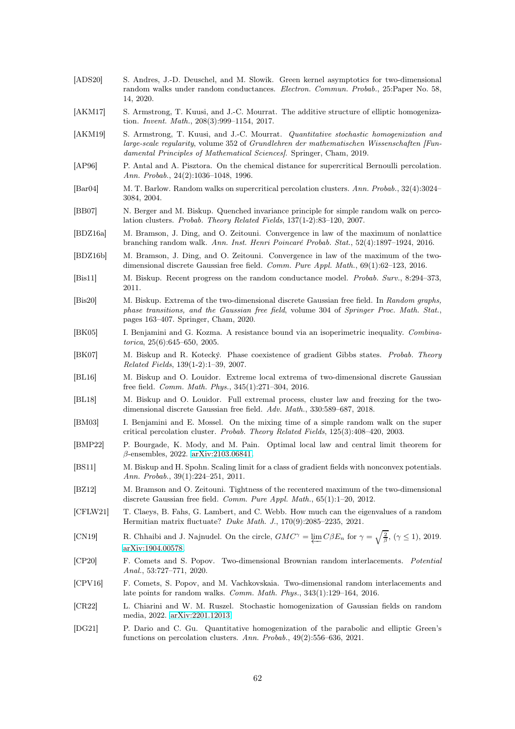- <span id="page-61-11"></span>[ADS20] S. Andres, J.-D. Deuschel, and M. Slowik. Green kernel asymptotics for two-dimensional random walks under random conductances. Electron. Commun. Probab., 25:Paper No. 58, 14, 2020. [AKM17] S. Armstrong, T. Kuusi, and J.-C. Mourrat. The additive structure of elliptic homogenization. Invent. Math., 208(3):999–1154, 2017.
- <span id="page-61-13"></span><span id="page-61-12"></span>[AKM19] S. Armstrong, T. Kuusi, and J.-C. Mourrat. *Quantitative stochastic homogenization and* large-scale regularity, volume 352 of Grundlehren der mathematischen Wissenschaften [Fundamental Principles of Mathematical Sciences]. Springer, Cham, 2019.
- <span id="page-61-20"></span>[AP96] P. Antal and A. Pisztora. On the chemical distance for supercritical Bernoulli percolation. Ann. Probab., 24(2):1036–1048, 1996.
- <span id="page-61-10"></span>[Bar04] M. T. Barlow. Random walks on supercritical percolation clusters. Ann. Probab., 32(4):3024– 3084, 2004.
- <span id="page-61-9"></span>[BB07] N. Berger and M. Biskup. Quenched invariance principle for simple random walk on percolation clusters. Probab. Theory Related Fields, 137(1-2):83–120, 2007.
- <span id="page-61-4"></span>[BDZ16a] M. Bramson, J. Ding, and O. Zeitouni. Convergence in law of the maximum of nonlattice branching random walk. Ann. Inst. Henri Poincaré Probab. Stat., 52(4):1897–1924, 2016.
- <span id="page-61-7"></span>[BDZ16b] M. Bramson, J. Ding, and O. Zeitouni. Convergence in law of the maximum of the twodimensional discrete Gaussian free field. Comm. Pure Appl. Math., 69(1):62–123, 2016.
- <span id="page-61-8"></span>[Bis11] M. Biskup. Recent progress on the random conductance model. Probab. Surv., 8:294–373, 2011.
- <span id="page-61-6"></span>[Bis20] M. Biskup. Extrema of the two-dimensional discrete Gaussian free field. In Random graphs, phase transitions, and the Gaussian free field, volume 304 of Springer Proc. Math. Stat., pages 163–407. Springer, Cham, 2020.
- <span id="page-61-21"></span>[BK05] I. Benjamini and G. Kozma. A resistance bound via an isoperimetric inequality. Combinatorica, 25(6):645–650, 2005.
- <span id="page-61-17"></span>[BK07] M. Biskup and R. Kotecký. Phase coexistence of gradient Gibbs states. Probab. Theory Related Fields, 139(1-2):1–39, 2007.
- <span id="page-61-15"></span>[BL16] M. Biskup and O. Louidor. Extreme local extrema of two-dimensional discrete Gaussian free field. Comm. Math. Phys., 345(1):271–304, 2016.
- <span id="page-61-5"></span>[BL18] M. Biskup and O. Louidor. Full extremal process, cluster law and freezing for the twodimensional discrete Gaussian free field. Adv. Math., 330:589–687, 2018.
- <span id="page-61-22"></span>[BM03] I. Benjamini and E. Mossel. On the mixing time of a simple random walk on the super critical percolation cluster. Probab. Theory Related Fields, 125(3):408–420, 2003.
- <span id="page-61-0"></span>[BMP22] P. Bourgade, K. Mody, and M. Pain. Optimal local law and central limit theorem for β-ensembles, 2022. [arXiv:2103.06841.](http://arxiv.org/abs/2103.06841)
- <span id="page-61-18"></span>[BS11] M. Biskup and H. Spohn. Scaling limit for a class of gradient fields with nonconvex potentials. Ann. Probab., 39(1):224–251, 2011.
- <span id="page-61-3"></span>[BZ12] M. Bramson and O. Zeitouni. Tightness of the recentered maximum of the two-dimensional discrete Gaussian free field. Comm. Pure Appl. Math., 65(1):1–20, 2012.
- <span id="page-61-2"></span>[CFLW21] T. Claeys, B. Fahs, G. Lambert, and C. Webb. How much can the eigenvalues of a random Hermitian matrix fluctuate? Duke Math. J., 170(9):2085–2235, 2021.
- <span id="page-61-1"></span>[CN19] R. Chhaibi and J. Najnudel. On the circle,  $GMC^{\gamma} = \varprojlim_{n} C\beta E_n$  for  $\gamma = \sqrt{\frac{2}{\beta}}, (\gamma \le 1), 2019$ . [arXiv:1904.00578.](http://arxiv.org/abs/1904.00578)
- [CP20] F. Comets and S. Popov. Two-dimensional Brownian random interlacements. Potential Anal., 53:727–771, 2020.
- <span id="page-61-16"></span>[CPV16] F. Comets, S. Popov, and M. Vachkovskaia. Two-dimensional random interlacements and late points for random walks. Comm. Math. Phys., 343(1):129–164, 2016.
- <span id="page-61-14"></span>[CR22] L. Chiarini and W. M. Ruszel. Stochastic homogenization of Gaussian fields on random media, 2022. [arXiv:2201.12013.](http://arxiv.org/abs/2201.12013)
- <span id="page-61-19"></span>[DG21] P. Dario and C. Gu. Quantitative homogenization of the parabolic and elliptic Green's functions on percolation clusters. Ann. Probab., 49(2):556–636, 2021.